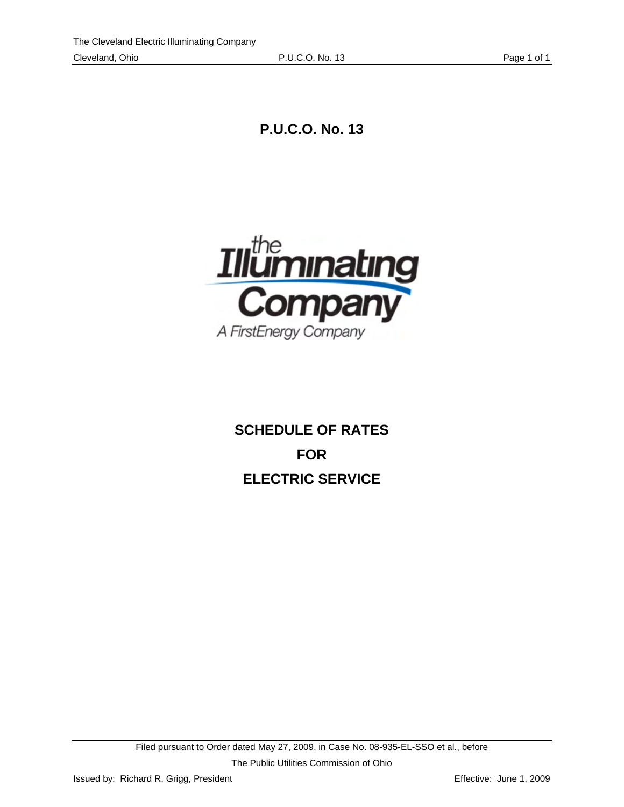**P.U.C.O. No. 13** 



**SCHEDULE OF RATES FOR ELECTRIC SERVICE**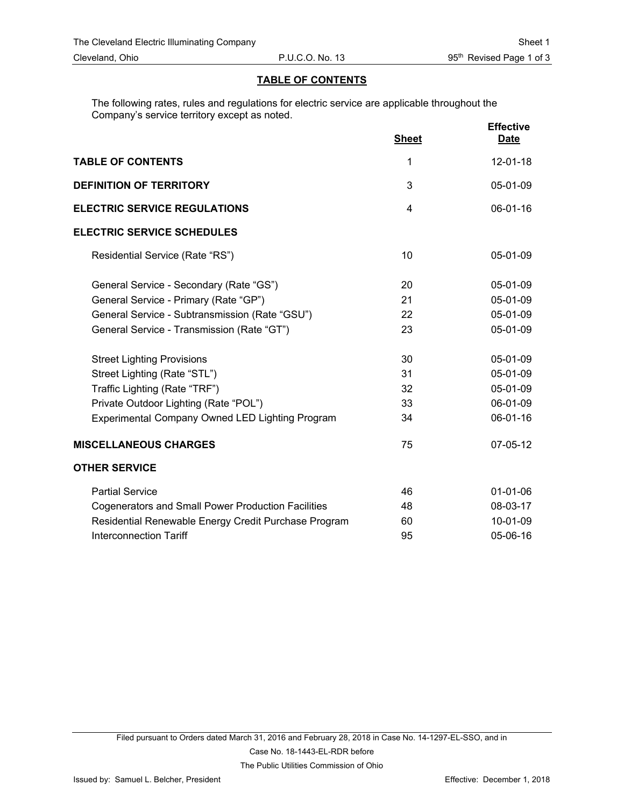#### **TABLE OF CONTENTS**

The following rates, rules and regulations for electric service are applicable throughout the Company's service territory except as noted.

|                                                           | <b>Sheet</b>   | <b>Effective</b><br><b>Date</b> |
|-----------------------------------------------------------|----------------|---------------------------------|
| <b>TABLE OF CONTENTS</b>                                  | 1              | $12 - 01 - 18$                  |
| <b>DEFINITION OF TERRITORY</b>                            | 3              | 05-01-09                        |
| <b>ELECTRIC SERVICE REGULATIONS</b>                       | $\overline{4}$ | 06-01-16                        |
| <b>ELECTRIC SERVICE SCHEDULES</b>                         |                |                                 |
| Residential Service (Rate "RS")                           | 10             | 05-01-09                        |
| General Service - Secondary (Rate "GS")                   | 20             | 05-01-09                        |
| General Service - Primary (Rate "GP")                     | 21             | 05-01-09                        |
| General Service - Subtransmission (Rate "GSU")            | 22             | 05-01-09                        |
| General Service - Transmission (Rate "GT")                | 23             | 05-01-09                        |
| <b>Street Lighting Provisions</b>                         | 30             | 05-01-09                        |
| Street Lighting (Rate "STL")                              | 31             | 05-01-09                        |
| Traffic Lighting (Rate "TRF")                             | 32             | 05-01-09                        |
| Private Outdoor Lighting (Rate "POL")                     | 33             | 06-01-09                        |
| Experimental Company Owned LED Lighting Program           | 34             | 06-01-16                        |
| <b>MISCELLANEOUS CHARGES</b>                              | 75             | 07-05-12                        |
| <b>OTHER SERVICE</b>                                      |                |                                 |
| <b>Partial Service</b>                                    | 46             | $01 - 01 - 06$                  |
| <b>Cogenerators and Small Power Production Facilities</b> | 48             | 08-03-17                        |
| Residential Renewable Energy Credit Purchase Program      | 60             | 10-01-09                        |
| <b>Interconnection Tariff</b>                             | 95             | 05-06-16                        |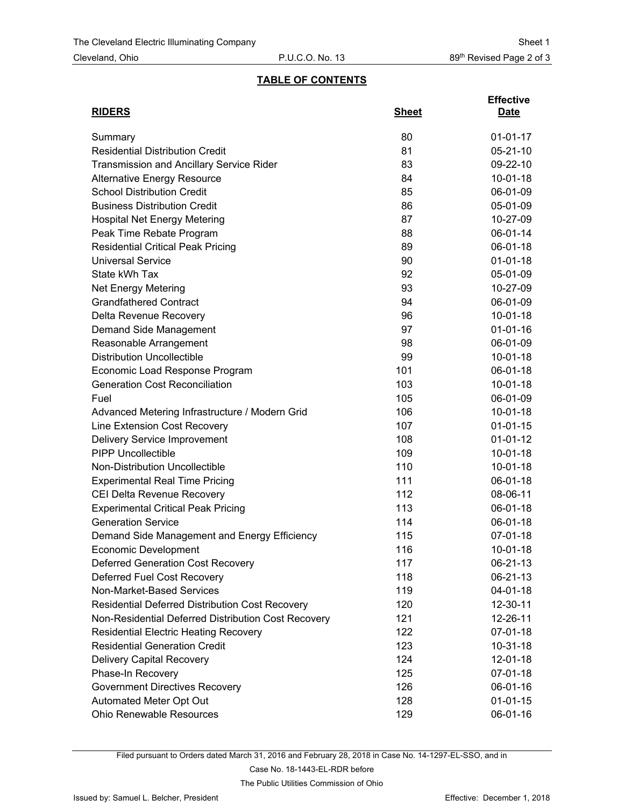## **TABLE OF CONTENTS**

| <b>RIDERS</b>                                       | <b>Sheet</b> | <b>Effective</b><br><b>Date</b> |
|-----------------------------------------------------|--------------|---------------------------------|
|                                                     |              |                                 |
| Summary                                             | 80           | $01 - 01 - 17$                  |
| <b>Residential Distribution Credit</b>              | 81           | $05 - 21 - 10$                  |
| <b>Transmission and Ancillary Service Rider</b>     | 83           | 09-22-10                        |
| <b>Alternative Energy Resource</b>                  | 84           | $10-01-18$                      |
| <b>School Distribution Credit</b>                   | 85           | 06-01-09                        |
| <b>Business Distribution Credit</b>                 | 86           | 05-01-09                        |
| <b>Hospital Net Energy Metering</b>                 | 87           | 10-27-09                        |
| Peak Time Rebate Program                            | 88           | 06-01-14                        |
| <b>Residential Critical Peak Pricing</b>            | 89           | 06-01-18                        |
| <b>Universal Service</b>                            | 90           | $01 - 01 - 18$                  |
| State kWh Tax                                       | 92           | 05-01-09                        |
| <b>Net Energy Metering</b>                          | 93           | 10-27-09                        |
| <b>Grandfathered Contract</b>                       | 94           | 06-01-09                        |
| Delta Revenue Recovery                              | 96           | $10 - 01 - 18$                  |
| Demand Side Management                              | 97           | $01 - 01 - 16$                  |
| Reasonable Arrangement                              | 98           | 06-01-09                        |
| <b>Distribution Uncollectible</b>                   | 99           | $10-01-18$                      |
| Economic Load Response Program                      | 101          | 06-01-18                        |
| <b>Generation Cost Reconciliation</b>               | 103          | $10 - 01 - 18$                  |
| Fuel                                                | 105          | 06-01-09                        |
| Advanced Metering Infrastructure / Modern Grid      | 106          | $10-01-18$                      |
| Line Extension Cost Recovery                        | 107          | $01 - 01 - 15$                  |
| Delivery Service Improvement                        | 108          | $01 - 01 - 12$                  |
| <b>PIPP Uncollectible</b>                           | 109          | $10 - 01 - 18$                  |
| Non-Distribution Uncollectible                      | 110          | $10 - 01 - 18$                  |
| <b>Experimental Real Time Pricing</b>               | 111          | 06-01-18                        |
| CEI Delta Revenue Recovery                          | 112          | 08-06-11                        |
| <b>Experimental Critical Peak Pricing</b>           | 113          | 06-01-18                        |
| <b>Generation Service</b>                           | 114          | 06-01-18                        |
| Demand Side Management and Energy Efficiency        | 115          | 07-01-18                        |
| Economic Development                                | 116          | $10 - 01 - 18$                  |
| <b>Deferred Generation Cost Recovery</b>            | 117          | 06-21-13                        |
| Deferred Fuel Cost Recovery                         | 118          | 06-21-13                        |
| Non-Market-Based Services                           | 119          | 04-01-18                        |
| Residential Deferred Distribution Cost Recovery     | 120          | 12-30-11                        |
| Non-Residential Deferred Distribution Cost Recovery | 121          | 12-26-11                        |
| <b>Residential Electric Heating Recovery</b>        | 122          | 07-01-18                        |
| <b>Residential Generation Credit</b>                | 123          | $10 - 31 - 18$                  |
| <b>Delivery Capital Recovery</b>                    | 124          | $12 - 01 - 18$                  |
| Phase-In Recovery                                   | 125          | 07-01-18                        |
| <b>Government Directives Recovery</b>               | 126          | 06-01-16                        |
| Automated Meter Opt Out                             | 128          | $01-01-15$                      |
| Ohio Renewable Resources                            | 129          | 06-01-16                        |

Filed pursuant to Orders dated March 31, 2016 and February 28, 2018 in Case No. 14-1297-EL-SSO, and in

Case No. 18-1443-EL-RDR before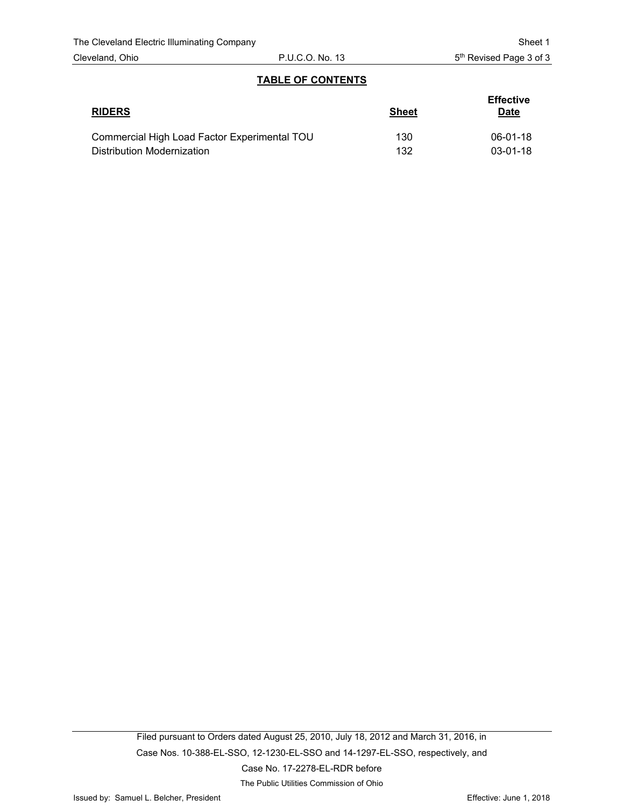### **TABLE OF CONTENTS**

| <b>RIDERS</b>                                | <b>Sheet</b> | <b>Effective</b><br><b>Date</b> |
|----------------------------------------------|--------------|---------------------------------|
| Commercial High Load Factor Experimental TOU | 130          | 06-01-18                        |
| Distribution Modernization                   | 132          | $03-01-18$                      |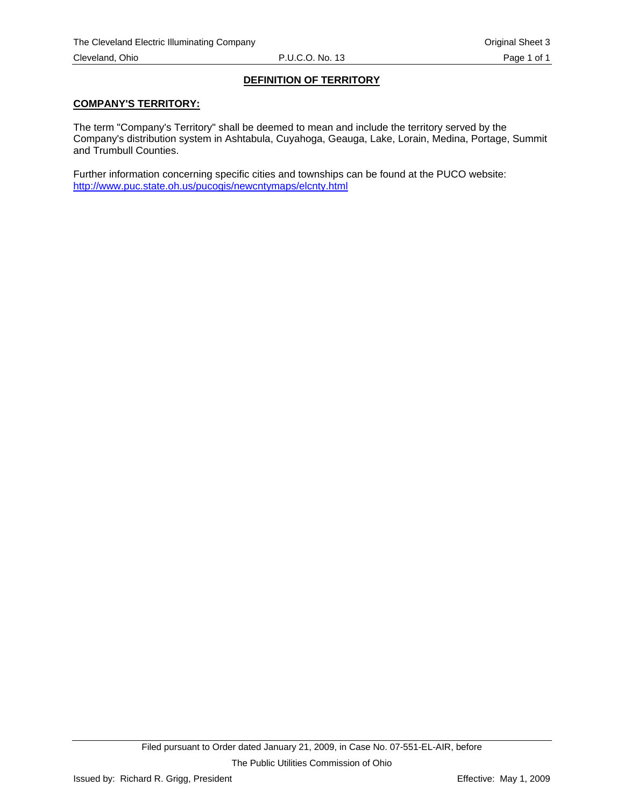## **DEFINITION OF TERRITORY**

#### <span id="page-4-0"></span>**COMPANY'S TERRITORY:**

The term "Company's Territory" shall be deemed to mean and include the territory served by the Company's distribution system in Ashtabula, Cuyahoga, Geauga, Lake, Lorain, Medina, Portage, Summit and Trumbull Counties.

Further information concerning specific cities and townships can be found at the PUCO website: http://www.puc.state.oh.us/pucogis/newcntymaps/elcnty.html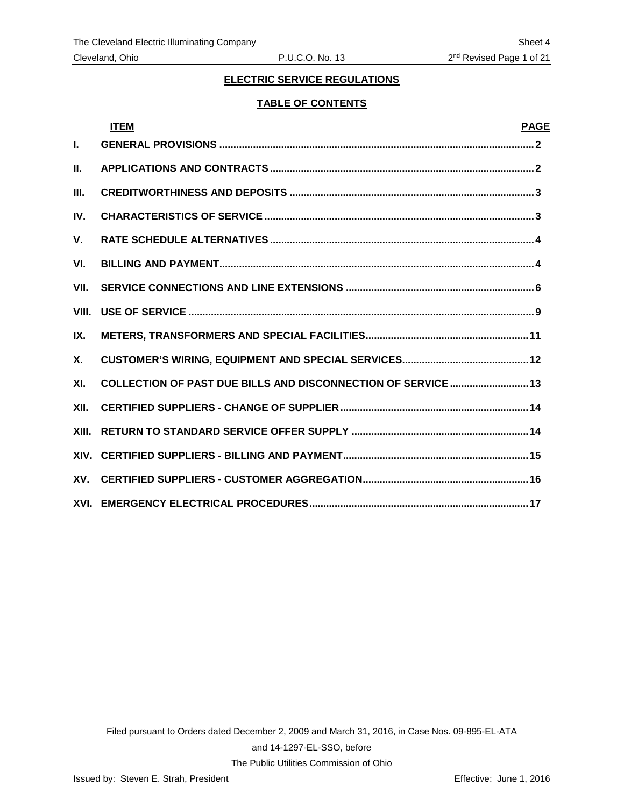### **TABLE OF CONTENTS**

<span id="page-5-0"></span>

|       | <b>ITEM</b>                                                   | <b>PAGE</b> |
|-------|---------------------------------------------------------------|-------------|
| I.    |                                                               |             |
| II.   |                                                               |             |
| Ш.    |                                                               |             |
| IV.   |                                                               |             |
| V.    |                                                               |             |
| VI.   |                                                               |             |
| VII.  |                                                               |             |
| VIII. |                                                               |             |
| IX.   |                                                               |             |
| Х.    |                                                               |             |
| XI.   | COLLECTION OF PAST DUE BILLS AND DISCONNECTION OF SERVICE  13 |             |
| XII.  |                                                               |             |
| XIII. |                                                               |             |
|       |                                                               |             |
|       |                                                               |             |
|       |                                                               |             |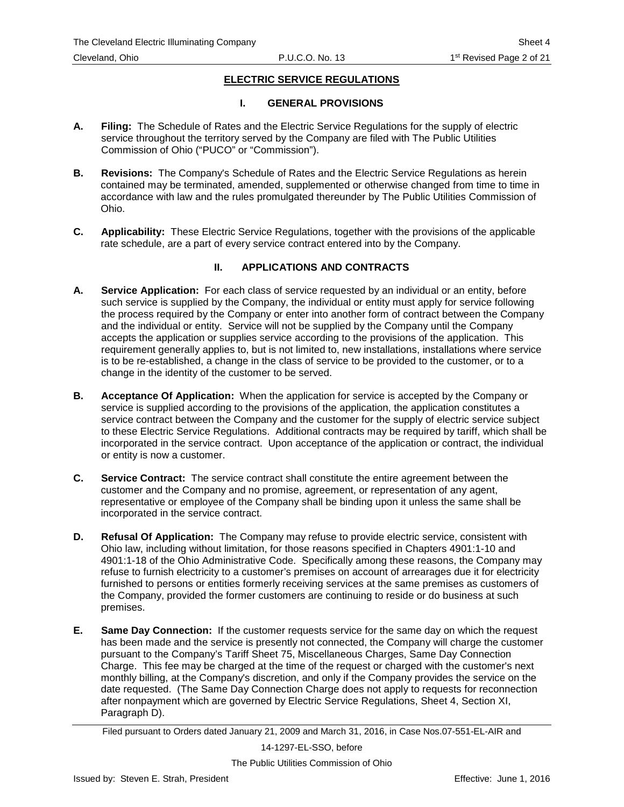### **I. GENERAL PROVISIONS**

- <span id="page-6-0"></span>**A. Filing:** The Schedule of Rates and the Electric Service Regulations for the supply of electric service throughout the territory served by the Company are filed with The Public Utilities Commission of Ohio ("PUCO" or "Commission").
- **B. Revisions:** The Company's Schedule of Rates and the Electric Service Regulations as herein contained may be terminated, amended, supplemented or otherwise changed from time to time in accordance with law and the rules promulgated thereunder by The Public Utilities Commission of Ohio.
- **C. Applicability:** These Electric Service Regulations, together with the provisions of the applicable rate schedule, are a part of every service contract entered into by the Company.

#### **II. APPLICATIONS AND CONTRACTS**

- **A. Service Application:** For each class of service requested by an individual or an entity, before such service is supplied by the Company, the individual or entity must apply for service following the process required by the Company or enter into another form of contract between the Company and the individual or entity. Service will not be supplied by the Company until the Company accepts the application or supplies service according to the provisions of the application. This requirement generally applies to, but is not limited to, new installations, installations where service is to be re-established, a change in the class of service to be provided to the customer, or to a change in the identity of the customer to be served.
- **B. Acceptance Of Application:** When the application for service is accepted by the Company or service is supplied according to the provisions of the application, the application constitutes a service contract between the Company and the customer for the supply of electric service subject to these Electric Service Regulations. Additional contracts may be required by tariff, which shall be incorporated in the service contract. Upon acceptance of the application or contract, the individual or entity is now a customer.
- **C. Service Contract:** The service contract shall constitute the entire agreement between the customer and the Company and no promise, agreement, or representation of any agent, representative or employee of the Company shall be binding upon it unless the same shall be incorporated in the service contract.
- **D. Refusal Of Application:** The Company may refuse to provide electric service, consistent with Ohio law, including without limitation, for those reasons specified in Chapters 4901:1-10 and 4901:1-18 of the Ohio Administrative Code. Specifically among these reasons, the Company may refuse to furnish electricity to a customer's premises on account of arrearages due it for electricity furnished to persons or entities formerly receiving services at the same premises as customers of the Company, provided the former customers are continuing to reside or do business at such premises.
- **E. Same Day Connection:** If the customer requests service for the same day on which the request has been made and the service is presently not connected, the Company will charge the customer pursuant to the Company's Tariff Sheet 75, Miscellaneous Charges, Same Day Connection Charge. This fee may be charged at the time of the request or charged with the customer's next monthly billing, at the Company's discretion, and only if the Company provides the service on the date requested. (The Same Day Connection Charge does not apply to requests for reconnection after nonpayment which are governed by Electric Service Regulations, Sheet 4, Section XI, Paragraph D).

Filed pursuant to Orders dated January 21, 2009 and March 31, 2016, in Case Nos.07-551-EL-AIR and

14-1297-EL-SSO, before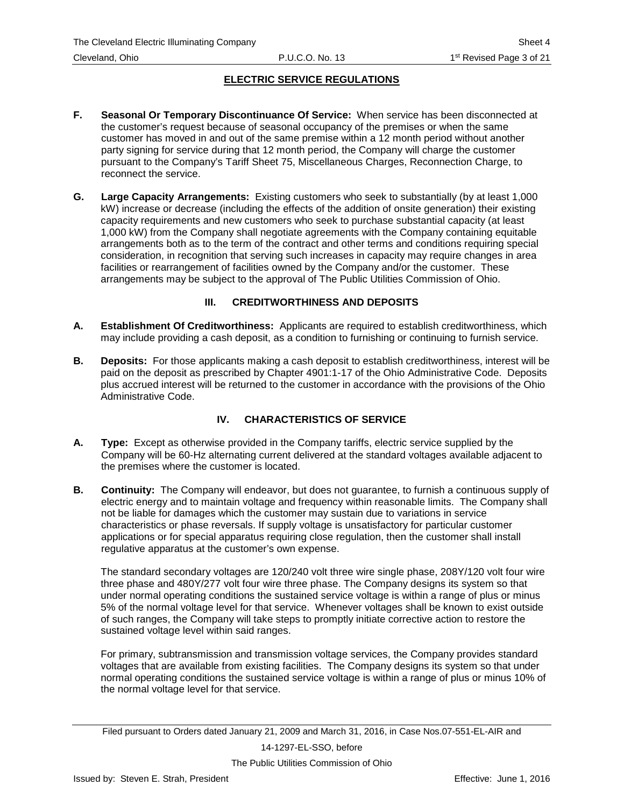- <span id="page-7-0"></span>**F. Seasonal Or Temporary Discontinuance Of Service:** When service has been disconnected at the customer's request because of seasonal occupancy of the premises or when the same customer has moved in and out of the same premise within a 12 month period without another party signing for service during that 12 month period, the Company will charge the customer pursuant to the Company's Tariff Sheet 75, Miscellaneous Charges, Reconnection Charge, to reconnect the service.
- **G. Large Capacity Arrangements:** Existing customers who seek to substantially (by at least 1,000 kW) increase or decrease (including the effects of the addition of onsite generation) their existing capacity requirements and new customers who seek to purchase substantial capacity (at least 1,000 kW) from the Company shall negotiate agreements with the Company containing equitable arrangements both as to the term of the contract and other terms and conditions requiring special consideration, in recognition that serving such increases in capacity may require changes in area facilities or rearrangement of facilities owned by the Company and/or the customer. These arrangements may be subject to the approval of The Public Utilities Commission of Ohio.

# **III. CREDITWORTHINESS AND DEPOSITS**

- **A. Establishment Of Creditworthiness:** Applicants are required to establish creditworthiness, which may include providing a cash deposit, as a condition to furnishing or continuing to furnish service.
- **B. Deposits:** For those applicants making a cash deposit to establish creditworthiness, interest will be paid on the deposit as prescribed by Chapter 4901:1-17 of the Ohio Administrative Code. Deposits plus accrued interest will be returned to the customer in accordance with the provisions of the Ohio Administrative Code.

# **IV. CHARACTERISTICS OF SERVICE**

- **A. Type:** Except as otherwise provided in the Company tariffs, electric service supplied by the Company will be 60-Hz alternating current delivered at the standard voltages available adjacent to the premises where the customer is located.
- **B. Continuity:** The Company will endeavor, but does not guarantee, to furnish a continuous supply of electric energy and to maintain voltage and frequency within reasonable limits. The Company shall not be liable for damages which the customer may sustain due to variations in service characteristics or phase reversals. If supply voltage is unsatisfactory for particular customer applications or for special apparatus requiring close regulation, then the customer shall install regulative apparatus at the customer's own expense.

The standard secondary voltages are 120/240 volt three wire single phase, 208Y/120 volt four wire three phase and 480Y/277 volt four wire three phase. The Company designs its system so that under normal operating conditions the sustained service voltage is within a range of plus or minus 5% of the normal voltage level for that service. Whenever voltages shall be known to exist outside of such ranges, the Company will take steps to promptly initiate corrective action to restore the sustained voltage level within said ranges.

For primary, subtransmission and transmission voltage services, the Company provides standard voltages that are available from existing facilities. The Company designs its system so that under normal operating conditions the sustained service voltage is within a range of plus or minus 10% of the normal voltage level for that service.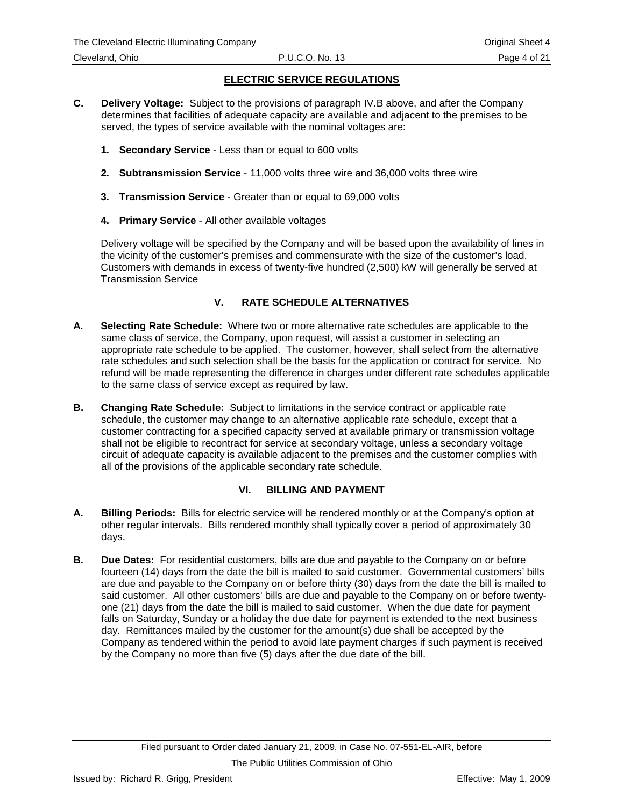- <span id="page-8-0"></span>**C. Delivery Voltage:** Subject to the provisions of paragraph IV.B above, and after the Company determines that facilities of adequate capacity are available and adjacent to the premises to be served, the types of service available with the nominal voltages are:
	- **1. Secondary Service** Less than or equal to 600 volts
	- **2. Subtransmission Service** 11,000 volts three wire and 36,000 volts three wire
	- **3. Transmission Service** Greater than or equal to 69,000 volts
	- **4. Primary Service** All other available voltages

Delivery voltage will be specified by the Company and will be based upon the availability of lines in the vicinity of the customer's premises and commensurate with the size of the customer's load. Customers with demands in excess of twenty-five hundred (2,500) kW will generally be served at Transmission Service

# **V. RATE SCHEDULE ALTERNATIVES**

- **A. Selecting Rate Schedule:** Where two or more alternative rate schedules are applicable to the same class of service, the Company, upon request, will assist a customer in selecting an appropriate rate schedule to be applied. The customer, however, shall select from the alternative rate schedules and such selection shall be the basis for the application or contract for service. No refund will be made representing the difference in charges under different rate schedules applicable to the same class of service except as required by law.
- **B. Changing Rate Schedule:** Subject to limitations in the service contract or applicable rate schedule, the customer may change to an alternative applicable rate schedule, except that a customer contracting for a specified capacity served at available primary or transmission voltage shall not be eligible to recontract for service at secondary voltage, unless a secondary voltage circuit of adequate capacity is available adjacent to the premises and the customer complies with all of the provisions of the applicable secondary rate schedule.

## **VI. BILLING AND PAYMENT**

- **A. Billing Periods:** Bills for electric service will be rendered monthly or at the Company's option at other regular intervals. Bills rendered monthly shall typically cover a period of approximately 30 days.
- **B. Due Dates:** For residential customers, bills are due and payable to the Company on or before fourteen (14) days from the date the bill is mailed to said customer. Governmental customers' bills are due and payable to the Company on or before thirty (30) days from the date the bill is mailed to said customer. All other customers' bills are due and payable to the Company on or before twentyone (21) days from the date the bill is mailed to said customer. When the due date for payment falls on Saturday, Sunday or a holiday the due date for payment is extended to the next business day. Remittances mailed by the customer for the amount(s) due shall be accepted by the Company as tendered within the period to avoid late payment charges if such payment is received by the Company no more than five (5) days after the due date of the bill.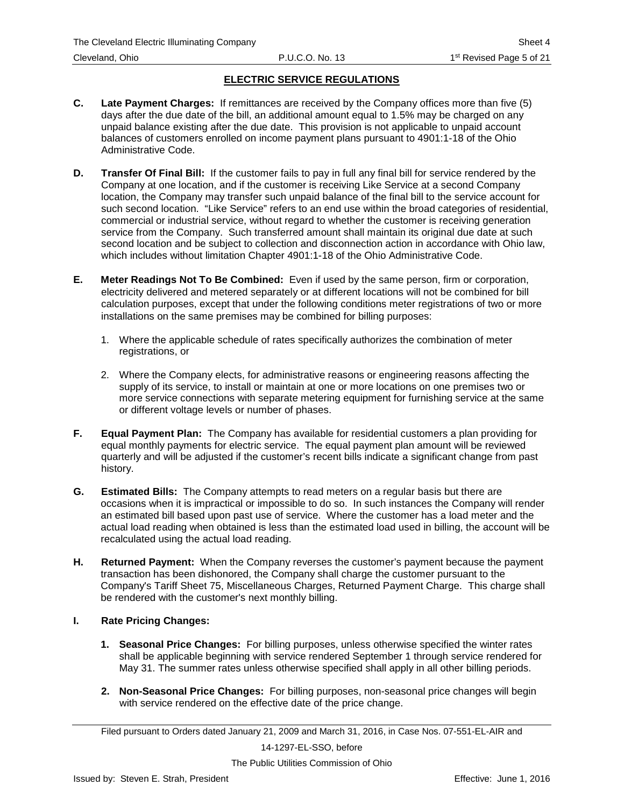- **C. Late Payment Charges:** If remittances are received by the Company offices more than five (5) days after the due date of the bill, an additional amount equal to 1.5% may be charged on any unpaid balance existing after the due date. This provision is not applicable to unpaid account balances of customers enrolled on income payment plans pursuant to 4901:1-18 of the Ohio Administrative Code.
- **D. Transfer Of Final Bill:** If the customer fails to pay in full any final bill for service rendered by the Company at one location, and if the customer is receiving Like Service at a second Company location, the Company may transfer such unpaid balance of the final bill to the service account for such second location. "Like Service" refers to an end use within the broad categories of residential, commercial or industrial service, without regard to whether the customer is receiving generation service from the Company. Such transferred amount shall maintain its original due date at such second location and be subject to collection and disconnection action in accordance with Ohio law, which includes without limitation Chapter 4901:1-18 of the Ohio Administrative Code.
- **E. Meter Readings Not To Be Combined:** Even if used by the same person, firm or corporation, electricity delivered and metered separately or at different locations will not be combined for bill calculation purposes, except that under the following conditions meter registrations of two or more installations on the same premises may be combined for billing purposes:
	- 1. Where the applicable schedule of rates specifically authorizes the combination of meter registrations, or
	- 2. Where the Company elects, for administrative reasons or engineering reasons affecting the supply of its service, to install or maintain at one or more locations on one premises two or more service connections with separate metering equipment for furnishing service at the same or different voltage levels or number of phases.
- **F. Equal Payment Plan:** The Company has available for residential customers a plan providing for equal monthly payments for electric service. The equal payment plan amount will be reviewed quarterly and will be adjusted if the customer's recent bills indicate a significant change from past history.
- **G. Estimated Bills:** The Company attempts to read meters on a regular basis but there are occasions when it is impractical or impossible to do so. In such instances the Company will render an estimated bill based upon past use of service. Where the customer has a load meter and the actual load reading when obtained is less than the estimated load used in billing, the account will be recalculated using the actual load reading.
- **H. Returned Payment:** When the Company reverses the customer's payment because the payment transaction has been dishonored, the Company shall charge the customer pursuant to the Company's Tariff Sheet 75, Miscellaneous Charges, Returned Payment Charge. This charge shall be rendered with the customer's next monthly billing.

## **I. Rate Pricing Changes:**

- **1. Seasonal Price Changes:** For billing purposes, unless otherwise specified the winter rates shall be applicable beginning with service rendered September 1 through service rendered for May 31. The summer rates unless otherwise specified shall apply in all other billing periods.
- **2. Non-Seasonal Price Changes:** For billing purposes, non-seasonal price changes will begin with service rendered on the effective date of the price change.

14-1297-EL-SSO, before

Filed pursuant to Orders dated January 21, 2009 and March 31, 2016, in Case Nos. 07-551-EL-AIR and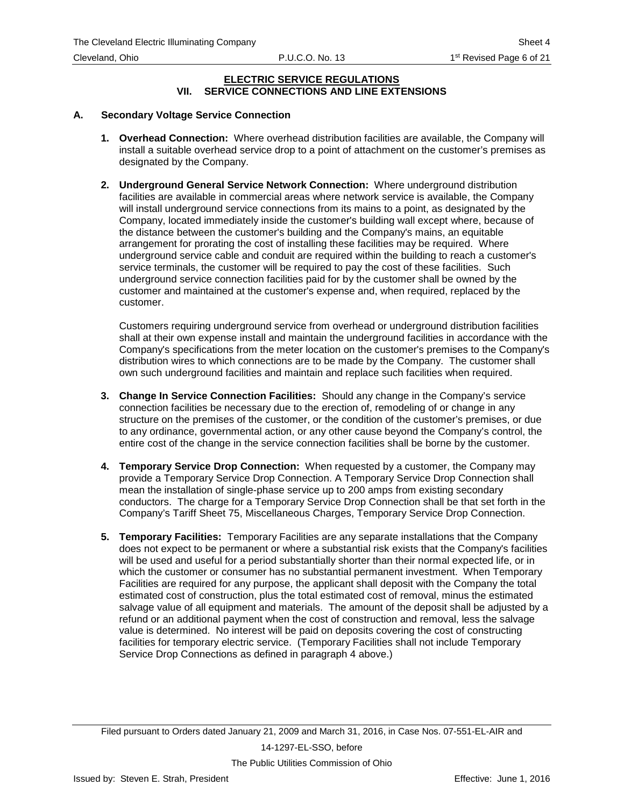#### **ELECTRIC SERVICE REGULATIONS VII. SERVICE CONNECTIONS AND LINE EXTENSIONS**

### <span id="page-10-0"></span>**A. Secondary Voltage Service Connection**

- **1. Overhead Connection:** Where overhead distribution facilities are available, the Company will install a suitable overhead service drop to a point of attachment on the customer's premises as designated by the Company.
- **2. Underground General Service Network Connection:** Where underground distribution facilities are available in commercial areas where network service is available, the Company will install underground service connections from its mains to a point, as designated by the Company, located immediately inside the customer's building wall except where, because of the distance between the customer's building and the Company's mains, an equitable arrangement for prorating the cost of installing these facilities may be required. Where underground service cable and conduit are required within the building to reach a customer's service terminals, the customer will be required to pay the cost of these facilities. Such underground service connection facilities paid for by the customer shall be owned by the customer and maintained at the customer's expense and, when required, replaced by the customer.

Customers requiring underground service from overhead or underground distribution facilities shall at their own expense install and maintain the underground facilities in accordance with the Company's specifications from the meter location on the customer's premises to the Company's distribution wires to which connections are to be made by the Company. The customer shall own such underground facilities and maintain and replace such facilities when required.

- **3. Change In Service Connection Facilities:** Should any change in the Company's service connection facilities be necessary due to the erection of, remodeling of or change in any structure on the premises of the customer, or the condition of the customer's premises, or due to any ordinance, governmental action, or any other cause beyond the Company's control, the entire cost of the change in the service connection facilities shall be borne by the customer.
- **4. Temporary Service Drop Connection:** When requested by a customer, the Company may provide a Temporary Service Drop Connection. A Temporary Service Drop Connection shall mean the installation of single-phase service up to 200 amps from existing secondary conductors. The charge for a Temporary Service Drop Connection shall be that set forth in the Company's Tariff Sheet 75, Miscellaneous Charges, Temporary Service Drop Connection.
- **5. Temporary Facilities:** Temporary Facilities are any separate installations that the Company does not expect to be permanent or where a substantial risk exists that the Company's facilities will be used and useful for a period substantially shorter than their normal expected life, or in which the customer or consumer has no substantial permanent investment. When Temporary Facilities are required for any purpose, the applicant shall deposit with the Company the total estimated cost of construction, plus the total estimated cost of removal, minus the estimated salvage value of all equipment and materials. The amount of the deposit shall be adjusted by a refund or an additional payment when the cost of construction and removal, less the salvage value is determined. No interest will be paid on deposits covering the cost of constructing facilities for temporary electric service. (Temporary Facilities shall not include Temporary Service Drop Connections as defined in paragraph 4 above.)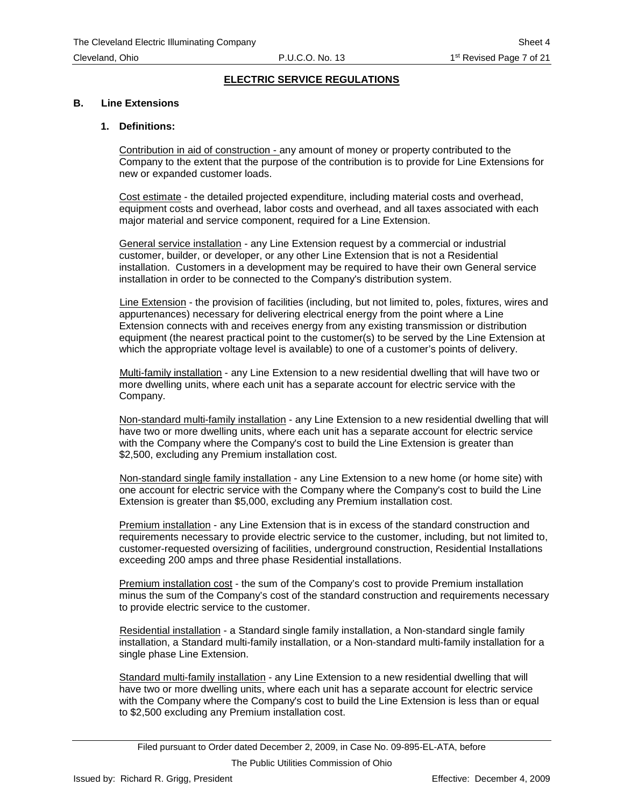#### **B. Line Extensions**

#### **1. Definitions:**

Contribution in aid of construction - any amount of money or property contributed to the Company to the extent that the purpose of the contribution is to provide for Line Extensions for new or expanded customer loads.

Cost estimate - the detailed projected expenditure, including material costs and overhead, equipment costs and overhead, labor costs and overhead, and all taxes associated with each major material and service component, required for a Line Extension.

General service installation - any Line Extension request by a commercial or industrial customer, builder, or developer, or any other Line Extension that is not a Residential installation. Customers in a development may be required to have their own General service installation in order to be connected to the Company's distribution system.

Line Extension - the provision of facilities (including, but not limited to, poles, fixtures, wires and appurtenances) necessary for delivering electrical energy from the point where a Line Extension connects with and receives energy from any existing transmission or distribution equipment (the nearest practical point to the customer(s) to be served by the Line Extension at which the appropriate voltage level is available) to one of a customer's points of delivery.

Multi-family installation - any Line Extension to a new residential dwelling that will have two or more dwelling units, where each unit has a separate account for electric service with the Company.

Non-standard multi-family installation - any Line Extension to a new residential dwelling that will have two or more dwelling units, where each unit has a separate account for electric service with the Company where the Company's cost to build the Line Extension is greater than \$2,500, excluding any Premium installation cost.

Non-standard single family installation - any Line Extension to a new home (or home site) with one account for electric service with the Company where the Company's cost to build the Line Extension is greater than \$5,000, excluding any Premium installation cost.

Premium installation - any Line Extension that is in excess of the standard construction and requirements necessary to provide electric service to the customer, including, but not limited to, customer-requested oversizing of facilities, underground construction, Residential Installations exceeding 200 amps and three phase Residential installations.

Premium installation cost - the sum of the Company's cost to provide Premium installation minus the sum of the Company's cost of the standard construction and requirements necessary to provide electric service to the customer.

Residential installation - a Standard single family installation, a Non-standard single family installation, a Standard multi-family installation, or a Non-standard multi-family installation for a single phase Line Extension.

Standard multi-family installation - any Line Extension to a new residential dwelling that will have two or more dwelling units, where each unit has a separate account for electric service with the Company where the Company's cost to build the Line Extension is less than or equal to \$2,500 excluding any Premium installation cost.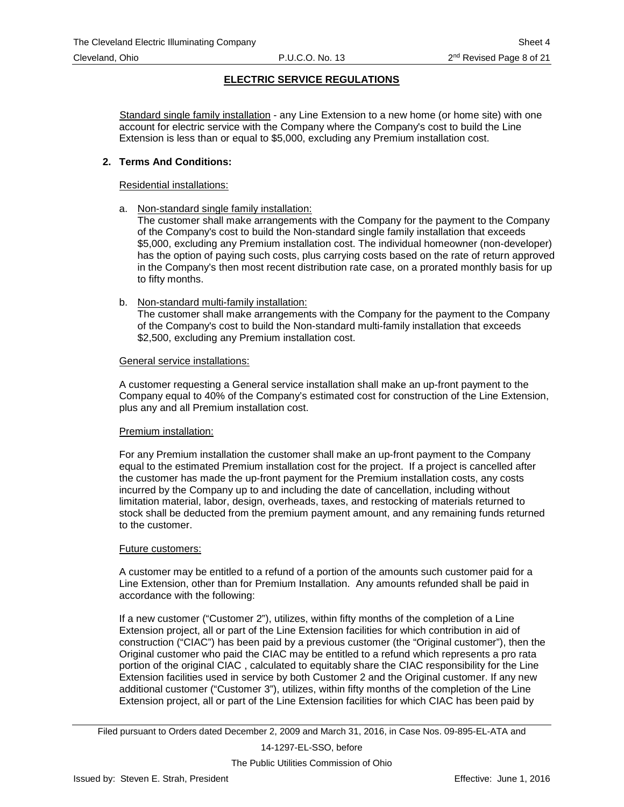Standard single family installation - any Line Extension to a new home (or home site) with one account for electric service with the Company where the Company's cost to build the Line Extension is less than or equal to \$5,000, excluding any Premium installation cost.

#### **2. Terms And Conditions:**

Residential installations:

a. Non-standard single family installation:

The customer shall make arrangements with the Company for the payment to the Company of the Company's cost to build the Non-standard single family installation that exceeds \$5,000, excluding any Premium installation cost. The individual homeowner (non-developer) has the option of paying such costs, plus carrying costs based on the rate of return approved in the Company's then most recent distribution rate case, on a prorated monthly basis for up to fifty months.

b. Non-standard multi-family installation:

The customer shall make arrangements with the Company for the payment to the Company of the Company's cost to build the Non-standard multi-family installation that exceeds \$2,500, excluding any Premium installation cost.

#### General service installations:

A customer requesting a General service installation shall make an up-front payment to the Company equal to 40% of the Company's estimated cost for construction of the Line Extension, plus any and all Premium installation cost.

#### Premium installation:

For any Premium installation the customer shall make an up-front payment to the Company equal to the estimated Premium installation cost for the project. If a project is cancelled after the customer has made the up-front payment for the Premium installation costs, any costs incurred by the Company up to and including the date of cancellation, including without limitation material, labor, design, overheads, taxes, and restocking of materials returned to stock shall be deducted from the premium payment amount, and any remaining funds returned to the customer.

#### Future customers:

A customer may be entitled to a refund of a portion of the amounts such customer paid for a Line Extension, other than for Premium Installation. Any amounts refunded shall be paid in accordance with the following:

If a new customer ("Customer 2"), utilizes, within fifty months of the completion of a Line Extension project, all or part of the Line Extension facilities for which contribution in aid of construction ("CIAC") has been paid by a previous customer (the "Original customer"), then the Original customer who paid the CIAC may be entitled to a refund which represents a pro rata portion of the original CIAC , calculated to equitably share the CIAC responsibility for the Line Extension facilities used in service by both Customer 2 and the Original customer. If any new additional customer ("Customer 3"), utilizes, within fifty months of the completion of the Line Extension project, all or part of the Line Extension facilities for which CIAC has been paid by

14-1297-EL-SSO, before

Filed pursuant to Orders dated December 2, 2009 and March 31, 2016, in Case Nos. 09-895-EL-ATA and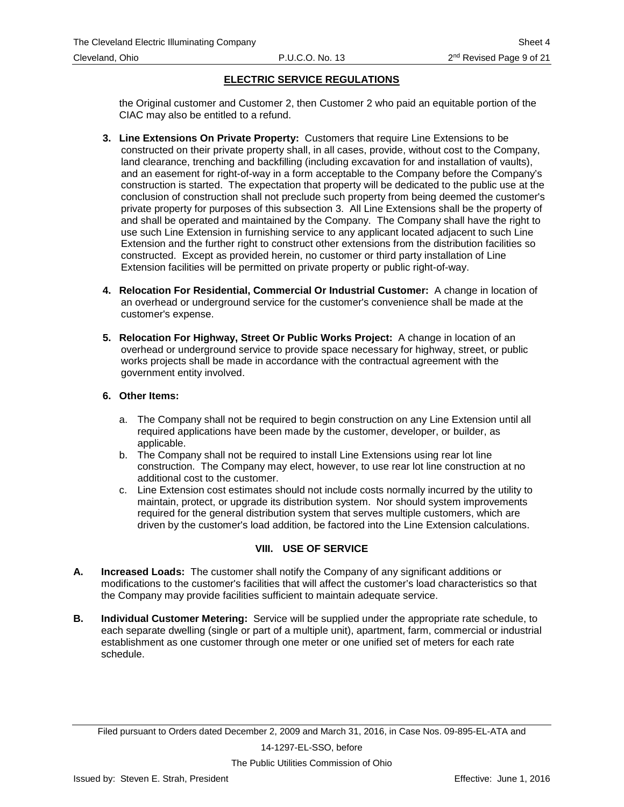<span id="page-13-0"></span>the Original customer and Customer 2, then Customer 2 who paid an equitable portion of the CIAC may also be entitled to a refund.

- **3. Line Extensions On Private Property:** Customers that require Line Extensions to be constructed on their private property shall, in all cases, provide, without cost to the Company, land clearance, trenching and backfilling (including excavation for and installation of vaults), and an easement for right-of-way in a form acceptable to the Company before the Company's construction is started. The expectation that property will be dedicated to the public use at the conclusion of construction shall not preclude such property from being deemed the customer's private property for purposes of this subsection 3. All Line Extensions shall be the property of and shall be operated and maintained by the Company. The Company shall have the right to use such Line Extension in furnishing service to any applicant located adjacent to such Line Extension and the further right to construct other extensions from the distribution facilities so constructed. Except as provided herein, no customer or third party installation of Line Extension facilities will be permitted on private property or public right-of-way.
- **4. Relocation For Residential, Commercial Or Industrial Customer:** A change in location of an overhead or underground service for the customer's convenience shall be made at the customer's expense.
- **5. Relocation For Highway, Street Or Public Works Project:** A change in location of an overhead or underground service to provide space necessary for highway, street, or public works projects shall be made in accordance with the contractual agreement with the government entity involved.

#### **6. Other Items:**

- a. The Company shall not be required to begin construction on any Line Extension until all required applications have been made by the customer, developer, or builder, as applicable.
- b. The Company shall not be required to install Line Extensions using rear lot line construction. The Company may elect, however, to use rear lot line construction at no additional cost to the customer.
- c. Line Extension cost estimates should not include costs normally incurred by the utility to maintain, protect, or upgrade its distribution system. Nor should system improvements required for the general distribution system that serves multiple customers, which are driven by the customer's load addition, be factored into the Line Extension calculations.

#### **VIII. USE OF SERVICE**

- **A. Increased Loads:** The customer shall notify the Company of any significant additions or modifications to the customer's facilities that will affect the customer's load characteristics so that the Company may provide facilities sufficient to maintain adequate service.
- **B. Individual Customer Metering:** Service will be supplied under the appropriate rate schedule, to each separate dwelling (single or part of a multiple unit), apartment, farm, commercial or industrial establishment as one customer through one meter or one unified set of meters for each rate schedule.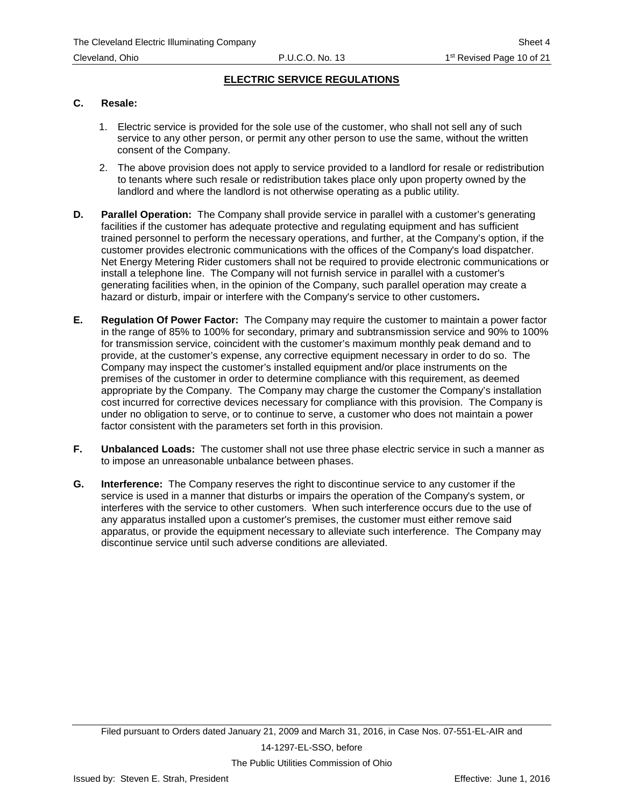#### **C. Resale:**

- 1. Electric service is provided for the sole use of the customer, who shall not sell any of such service to any other person, or permit any other person to use the same, without the written consent of the Company.
- 2. The above provision does not apply to service provided to a landlord for resale or redistribution to tenants where such resale or redistribution takes place only upon property owned by the landlord and where the landlord is not otherwise operating as a public utility.
- **D. Parallel Operation:** The Company shall provide service in parallel with a customer's generating facilities if the customer has adequate protective and regulating equipment and has sufficient trained personnel to perform the necessary operations, and further, at the Company's option, if the customer provides electronic communications with the offices of the Company's load dispatcher. Net Energy Metering Rider customers shall not be required to provide electronic communications or install a telephone line. The Company will not furnish service in parallel with a customer's generating facilities when, in the opinion of the Company, such parallel operation may create a hazard or disturb, impair or interfere with the Company's service to other customers**.**
- **E. Regulation Of Power Factor:** The Company may require the customer to maintain a power factor in the range of 85% to 100% for secondary, primary and subtransmission service and 90% to 100% for transmission service, coincident with the customer's maximum monthly peak demand and to provide, at the customer's expense, any corrective equipment necessary in order to do so. The Company may inspect the customer's installed equipment and/or place instruments on the premises of the customer in order to determine compliance with this requirement, as deemed appropriate by the Company. The Company may charge the customer the Company's installation cost incurred for corrective devices necessary for compliance with this provision. The Company is under no obligation to serve, or to continue to serve, a customer who does not maintain a power factor consistent with the parameters set forth in this provision.
- **F. Unbalanced Loads:** The customer shall not use three phase electric service in such a manner as to impose an unreasonable unbalance between phases.
- **G. Interference:** The Company reserves the right to discontinue service to any customer if the service is used in a manner that disturbs or impairs the operation of the Company's system, or interferes with the service to other customers. When such interference occurs due to the use of any apparatus installed upon a customer's premises, the customer must either remove said apparatus, or provide the equipment necessary to alleviate such interference. The Company may discontinue service until such adverse conditions are alleviated.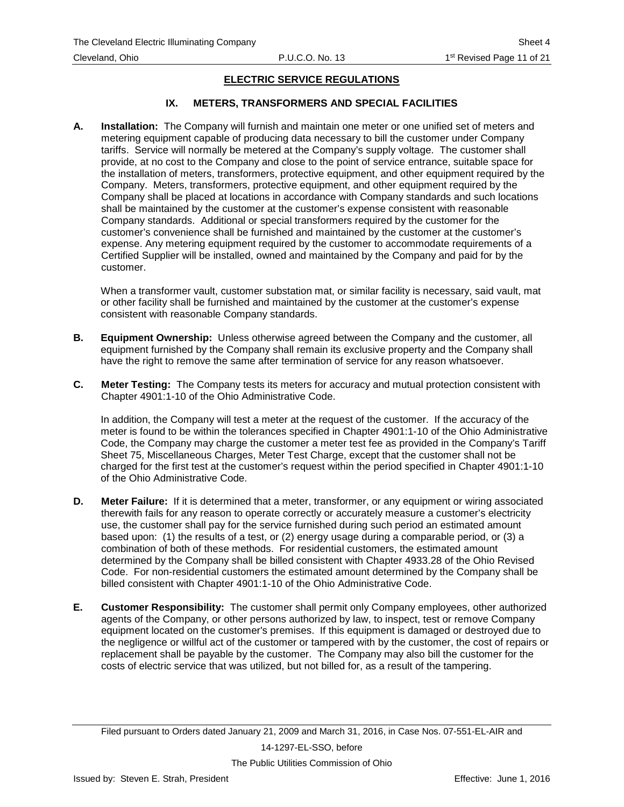### **IX. METERS, TRANSFORMERS AND SPECIAL FACILITIES**

<span id="page-15-0"></span>**A. Installation:** The Company will furnish and maintain one meter or one unified set of meters and metering equipment capable of producing data necessary to bill the customer under Company tariffs. Service will normally be metered at the Company's supply voltage. The customer shall provide, at no cost to the Company and close to the point of service entrance, suitable space for the installation of meters, transformers, protective equipment, and other equipment required by the Company. Meters, transformers, protective equipment, and other equipment required by the Company shall be placed at locations in accordance with Company standards and such locations shall be maintained by the customer at the customer's expense consistent with reasonable Company standards. Additional or special transformers required by the customer for the customer's convenience shall be furnished and maintained by the customer at the customer's expense. Any metering equipment required by the customer to accommodate requirements of a Certified Supplier will be installed, owned and maintained by the Company and paid for by the customer.

When a transformer vault, customer substation mat, or similar facility is necessary, said vault, mat or other facility shall be furnished and maintained by the customer at the customer's expense consistent with reasonable Company standards.

- **B. Equipment Ownership:** Unless otherwise agreed between the Company and the customer, all equipment furnished by the Company shall remain its exclusive property and the Company shall have the right to remove the same after termination of service for any reason whatsoever.
- **C. Meter Testing:** The Company tests its meters for accuracy and mutual protection consistent with Chapter 4901:1-10 of the Ohio Administrative Code.

In addition, the Company will test a meter at the request of the customer. If the accuracy of the meter is found to be within the tolerances specified in Chapter 4901:1-10 of the Ohio Administrative Code, the Company may charge the customer a meter test fee as provided in the Company's Tariff Sheet 75, Miscellaneous Charges, Meter Test Charge, except that the customer shall not be charged for the first test at the customer's request within the period specified in Chapter 4901:1-10 of the Ohio Administrative Code.

- **D. Meter Failure:** If it is determined that a meter, transformer, or any equipment or wiring associated therewith fails for any reason to operate correctly or accurately measure a customer's electricity use, the customer shall pay for the service furnished during such period an estimated amount based upon: (1) the results of a test, or (2) energy usage during a comparable period, or (3) a combination of both of these methods. For residential customers, the estimated amount determined by the Company shall be billed consistent with Chapter 4933.28 of the Ohio Revised Code. For non-residential customers the estimated amount determined by the Company shall be billed consistent with Chapter 4901:1-10 of the Ohio Administrative Code.
- **E. Customer Responsibility:** The customer shall permit only Company employees, other authorized agents of the Company, or other persons authorized by law, to inspect, test or remove Company equipment located on the customer's premises. If this equipment is damaged or destroyed due to the negligence or willful act of the customer or tampered with by the customer, the cost of repairs or replacement shall be payable by the customer. The Company may also bill the customer for the costs of electric service that was utilized, but not billed for, as a result of the tampering.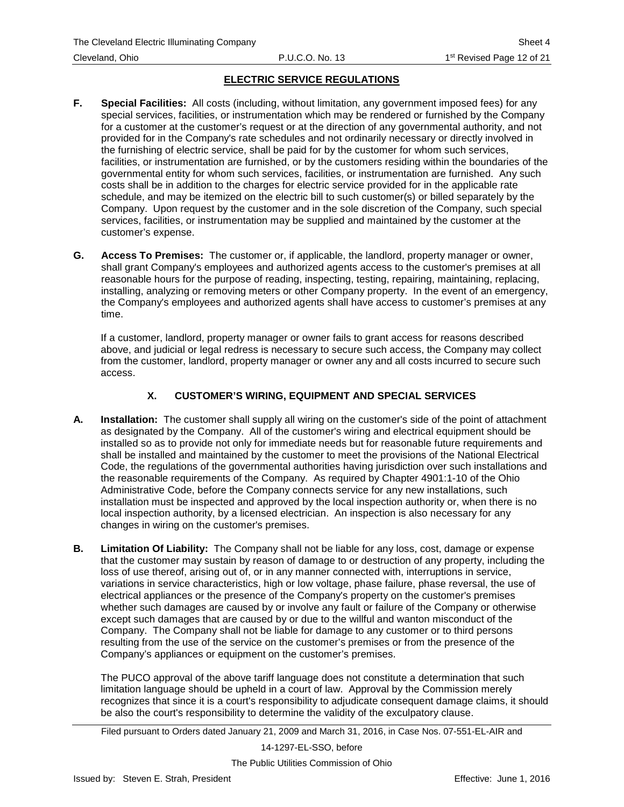- <span id="page-16-0"></span>**F. Special Facilities:** All costs (including, without limitation, any government imposed fees) for any special services, facilities, or instrumentation which may be rendered or furnished by the Company for a customer at the customer's request or at the direction of any governmental authority, and not provided for in the Company's rate schedules and not ordinarily necessary or directly involved in the furnishing of electric service, shall be paid for by the customer for whom such services, facilities, or instrumentation are furnished, or by the customers residing within the boundaries of the governmental entity for whom such services, facilities, or instrumentation are furnished. Any such costs shall be in addition to the charges for electric service provided for in the applicable rate schedule, and may be itemized on the electric bill to such customer(s) or billed separately by the Company. Upon request by the customer and in the sole discretion of the Company, such special services, facilities, or instrumentation may be supplied and maintained by the customer at the customer's expense.
- **G. Access To Premises:** The customer or, if applicable, the landlord, property manager or owner, shall grant Company's employees and authorized agents access to the customer's premises at all reasonable hours for the purpose of reading, inspecting, testing, repairing, maintaining, replacing, installing, analyzing or removing meters or other Company property. In the event of an emergency, the Company's employees and authorized agents shall have access to customer's premises at any time.

If a customer, landlord, property manager or owner fails to grant access for reasons described above, and judicial or legal redress is necessary to secure such access, the Company may collect from the customer, landlord, property manager or owner any and all costs incurred to secure such access.

# **X. CUSTOMER'S WIRING, EQUIPMENT AND SPECIAL SERVICES**

- **A. Installation:** The customer shall supply all wiring on the customer's side of the point of attachment as designated by the Company. All of the customer's wiring and electrical equipment should be installed so as to provide not only for immediate needs but for reasonable future requirements and shall be installed and maintained by the customer to meet the provisions of the National Electrical Code, the regulations of the governmental authorities having jurisdiction over such installations and the reasonable requirements of the Company. As required by Chapter 4901:1-10 of the Ohio Administrative Code, before the Company connects service for any new installations, such installation must be inspected and approved by the local inspection authority or, when there is no local inspection authority, by a licensed electrician. An inspection is also necessary for any changes in wiring on the customer's premises.
- **B. Limitation Of Liability:** The Company shall not be liable for any loss, cost, damage or expense that the customer may sustain by reason of damage to or destruction of any property, including the loss of use thereof, arising out of, or in any manner connected with, interruptions in service, variations in service characteristics, high or low voltage, phase failure, phase reversal, the use of electrical appliances or the presence of the Company's property on the customer's premises whether such damages are caused by or involve any fault or failure of the Company or otherwise except such damages that are caused by or due to the willful and wanton misconduct of the Company. The Company shall not be liable for damage to any customer or to third persons resulting from the use of the service on the customer's premises or from the presence of the Company's appliances or equipment on the customer's premises.

The PUCO approval of the above tariff language does not constitute a determination that such limitation language should be upheld in a court of law. Approval by the Commission merely recognizes that since it is a court's responsibility to adjudicate consequent damage claims, it should be also the court's responsibility to determine the validity of the exculpatory clause.

Filed pursuant to Orders dated January 21, 2009 and March 31, 2016, in Case Nos. 07-551-EL-AIR and

14-1297-EL-SSO, before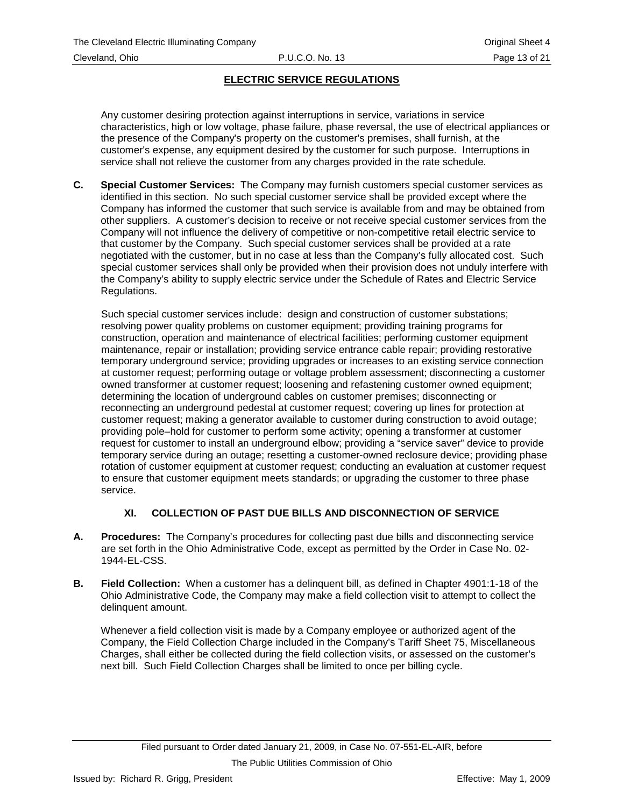#### <span id="page-17-0"></span>Cleveland, Ohio P.U.C.O. No. 13 Page 13 of 21

# **ELECTRIC SERVICE REGULATIONS**

Any customer desiring protection against interruptions in service, variations in service characteristics, high or low voltage, phase failure, phase reversal, the use of electrical appliances or the presence of the Company's property on the customer's premises, shall furnish, at the customer's expense, any equipment desired by the customer for such purpose. Interruptions in service shall not relieve the customer from any charges provided in the rate schedule.

**C. Special Customer Services:** The Company may furnish customers special customer services as identified in this section. No such special customer service shall be provided except where the Company has informed the customer that such service is available from and may be obtained from other suppliers. A customer's decision to receive or not receive special customer services from the Company will not influence the delivery of competitive or non-competitive retail electric service to that customer by the Company. Such special customer services shall be provided at a rate negotiated with the customer, but in no case at less than the Company's fully allocated cost. Such special customer services shall only be provided when their provision does not unduly interfere with the Company's ability to supply electric service under the Schedule of Rates and Electric Service Regulations.

Such special customer services include: design and construction of customer substations; resolving power quality problems on customer equipment; providing training programs for construction, operation and maintenance of electrical facilities; performing customer equipment maintenance, repair or installation; providing service entrance cable repair; providing restorative temporary underground service; providing upgrades or increases to an existing service connection at customer request; performing outage or voltage problem assessment; disconnecting a customer owned transformer at customer request; loosening and refastening customer owned equipment; determining the location of underground cables on customer premises; disconnecting or reconnecting an underground pedestal at customer request; covering up lines for protection at customer request; making a generator available to customer during construction to avoid outage; providing pole–hold for customer to perform some activity; opening a transformer at customer request for customer to install an underground elbow; providing a "service saver" device to provide temporary service during an outage; resetting a customer-owned reclosure device; providing phase rotation of customer equipment at customer request; conducting an evaluation at customer request to ensure that customer equipment meets standards; or upgrading the customer to three phase service.

## **XI. COLLECTION OF PAST DUE BILLS AND DISCONNECTION OF SERVICE**

- **A. Procedures:** The Company's procedures for collecting past due bills and disconnecting service are set forth in the Ohio Administrative Code, except as permitted by the Order in Case No. 02- 1944-EL-CSS.
- **B. Field Collection:** When a customer has a delinquent bill, as defined in Chapter 4901:1-18 of the Ohio Administrative Code, the Company may make a field collection visit to attempt to collect the delinquent amount.

Whenever a field collection visit is made by a Company employee or authorized agent of the Company, the Field Collection Charge included in the Company's Tariff Sheet 75, Miscellaneous Charges, shall either be collected during the field collection visits, or assessed on the customer's next bill. Such Field Collection Charges shall be limited to once per billing cycle.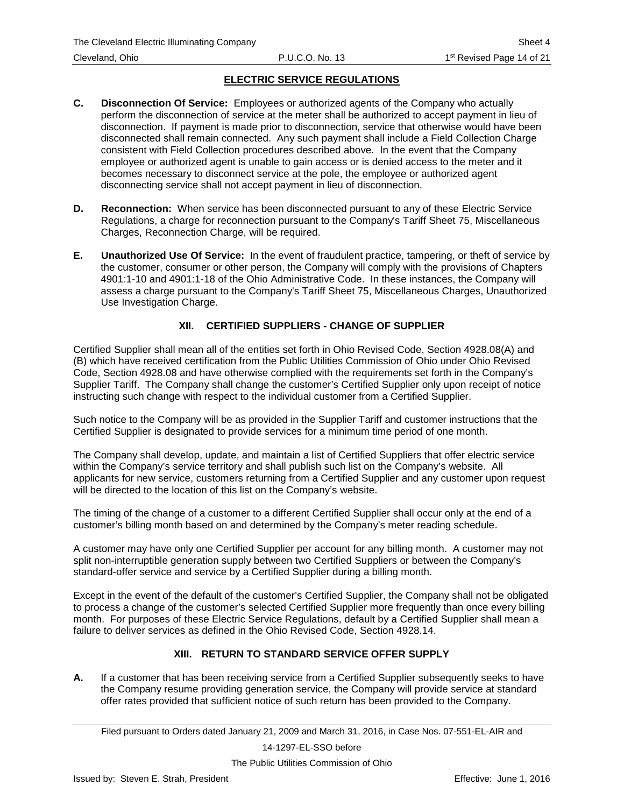- <span id="page-18-0"></span>**C. Disconnection Of Service:** Employees or authorized agents of the Company who actually perform the disconnection of service at the meter shall be authorized to accept payment in lieu of disconnection. If payment is made prior to disconnection, service that otherwise would have been disconnected shall remain connected. Any such payment shall include a Field Collection Charge consistent with Field Collection procedures described above. In the event that the Company employee or authorized agent is unable to gain access or is denied access to the meter and it becomes necessary to disconnect service at the pole, the employee or authorized agent disconnecting service shall not accept payment in lieu of disconnection.
- **D. Reconnection:** When service has been disconnected pursuant to any of these Electric Service Regulations, a charge for reconnection pursuant to the Company's Tariff Sheet 75, Miscellaneous Charges, Reconnection Charge, will be required.
- **E. Unauthorized Use Of Service:** In the event of fraudulent practice, tampering, or theft of service by the customer, consumer or other person, the Company will comply with the provisions of Chapters 4901:1-10 and 4901:1-18 of the Ohio Administrative Code. In these instances, the Company will assess a charge pursuant to the Company's Tariff Sheet 75, Miscellaneous Charges, Unauthorized Use Investigation Charge.

# **XII. CERTIFIED SUPPLIERS - CHANGE OF SUPPLIER**

Certified Supplier shall mean all of the entities set forth in Ohio Revised Code, Section 4928.08(A) and (B) which have received certification from the Public Utilities Commission of Ohio under Ohio Revised Code, Section 4928.08 and have otherwise complied with the requirements set forth in the Company's Supplier Tariff. The Company shall change the customer's Certified Supplier only upon receipt of notice instructing such change with respect to the individual customer from a Certified Supplier.

Such notice to the Company will be as provided in the Supplier Tariff and customer instructions that the Certified Supplier is designated to provide services for a minimum time period of one month.

The Company shall develop, update, and maintain a list of Certified Suppliers that offer electric service within the Company's service territory and shall publish such list on the Company's website. All applicants for new service, customers returning from a Certified Supplier and any customer upon request will be directed to the location of this list on the Company's website.

The timing of the change of a customer to a different Certified Supplier shall occur only at the end of a customer's billing month based on and determined by the Company's meter reading schedule.

A customer may have only one Certified Supplier per account for any billing month. A customer may not split non-interruptible generation supply between two Certified Suppliers or between the Company's standard-offer service and service by a Certified Supplier during a billing month.

Except in the event of the default of the customer's Certified Supplier, the Company shall not be obligated to process a change of the customer's selected Certified Supplier more frequently than once every billing month. For purposes of these Electric Service Regulations, default by a Certified Supplier shall mean a failure to deliver services as defined in the Ohio Revised Code, Section 4928.14.

## **XIII. RETURN TO STANDARD SERVICE OFFER SUPPLY**

**A.** If a customer that has been receiving service from a Certified Supplier subsequently seeks to have the Company resume providing generation service, the Company will provide service at standard offer rates provided that sufficient notice of such return has been provided to the Company.

14-1297-EL-SSO before

Filed pursuant to Orders dated January 21, 2009 and March 31, 2016, in Case Nos. 07-551-EL-AIR and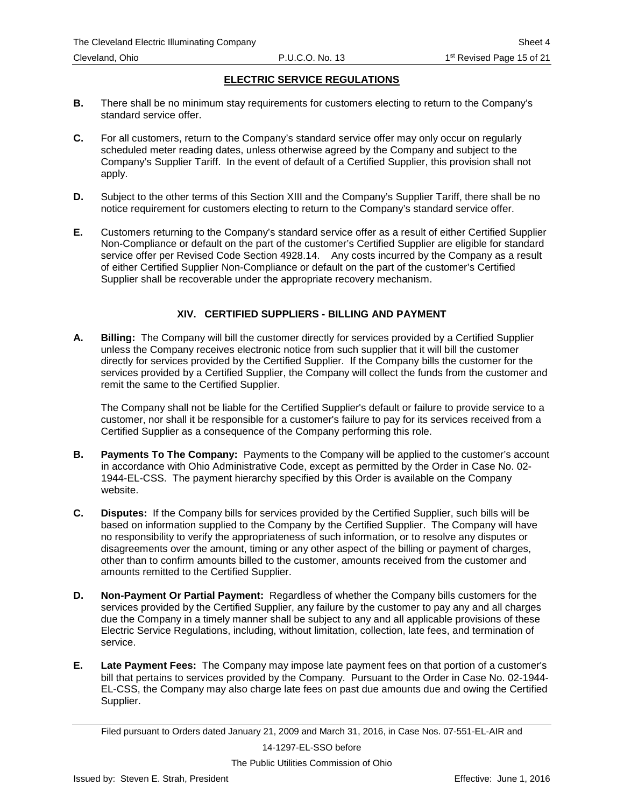- <span id="page-19-0"></span>**B.** There shall be no minimum stay requirements for customers electing to return to the Company's standard service offer.
- **C.** For all customers, return to the Company's standard service offer may only occur on regularly scheduled meter reading dates, unless otherwise agreed by the Company and subject to the Company's Supplier Tariff. In the event of default of a Certified Supplier, this provision shall not apply.
- **D.** Subject to the other terms of this Section XIII and the Company's Supplier Tariff, there shall be no notice requirement for customers electing to return to the Company's standard service offer.
- **E.** Customers returning to the Company's standard service offer as a result of either Certified Supplier Non-Compliance or default on the part of the customer's Certified Supplier are eligible for standard service offer per Revised Code Section 4928.14. Any costs incurred by the Company as a result of either Certified Supplier Non-Compliance or default on the part of the customer's Certified Supplier shall be recoverable under the appropriate recovery mechanism.

## **XIV. CERTIFIED SUPPLIERS - BILLING AND PAYMENT**

**A. Billing:** The Company will bill the customer directly for services provided by a Certified Supplier unless the Company receives electronic notice from such supplier that it will bill the customer directly for services provided by the Certified Supplier. If the Company bills the customer for the services provided by a Certified Supplier, the Company will collect the funds from the customer and remit the same to the Certified Supplier.

The Company shall not be liable for the Certified Supplier's default or failure to provide service to a customer, nor shall it be responsible for a customer's failure to pay for its services received from a Certified Supplier as a consequence of the Company performing this role.

- **B. Payments To The Company:** Payments to the Company will be applied to the customer's account in accordance with Ohio Administrative Code, except as permitted by the Order in Case No. 02- 1944-EL-CSS. The payment hierarchy specified by this Order is available on the Company website.
- **C. Disputes:** If the Company bills for services provided by the Certified Supplier, such bills will be based on information supplied to the Company by the Certified Supplier. The Company will have no responsibility to verify the appropriateness of such information, or to resolve any disputes or disagreements over the amount, timing or any other aspect of the billing or payment of charges, other than to confirm amounts billed to the customer, amounts received from the customer and amounts remitted to the Certified Supplier.
- **D. Non-Payment Or Partial Payment:** Regardless of whether the Company bills customers for the services provided by the Certified Supplier, any failure by the customer to pay any and all charges due the Company in a timely manner shall be subject to any and all applicable provisions of these Electric Service Regulations, including, without limitation, collection, late fees, and termination of service.
- **E. Late Payment Fees:** The Company may impose late payment fees on that portion of a customer's bill that pertains to services provided by the Company. Pursuant to the Order in Case No. 02-1944- EL-CSS, the Company may also charge late fees on past due amounts due and owing the Certified Supplier.

14-1297-EL-SSO before

Filed pursuant to Orders dated January 21, 2009 and March 31, 2016, in Case Nos. 07-551-EL-AIR and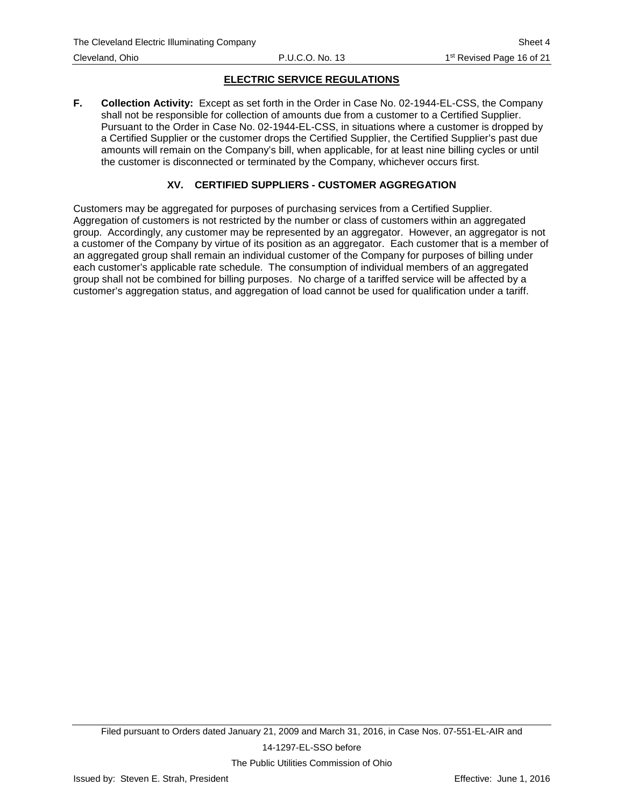<span id="page-20-0"></span>**F. Collection Activity:** Except as set forth in the Order in Case No. 02-1944-EL-CSS, the Company shall not be responsible for collection of amounts due from a customer to a Certified Supplier. Pursuant to the Order in Case No. 02-1944-EL-CSS, in situations where a customer is dropped by a Certified Supplier or the customer drops the Certified Supplier, the Certified Supplier's past due amounts will remain on the Company's bill, when applicable, for at least nine billing cycles or until the customer is disconnected or terminated by the Company, whichever occurs first.

## **XV. CERTIFIED SUPPLIERS - CUSTOMER AGGREGATION**

Customers may be aggregated for purposes of purchasing services from a Certified Supplier. Aggregation of customers is not restricted by the number or class of customers within an aggregated group. Accordingly, any customer may be represented by an aggregator. However, an aggregator is not a customer of the Company by virtue of its position as an aggregator. Each customer that is a member of an aggregated group shall remain an individual customer of the Company for purposes of billing under each customer's applicable rate schedule. The consumption of individual members of an aggregated group shall not be combined for billing purposes. No charge of a tariffed service will be affected by a customer's aggregation status, and aggregation of load cannot be used for qualification under a tariff.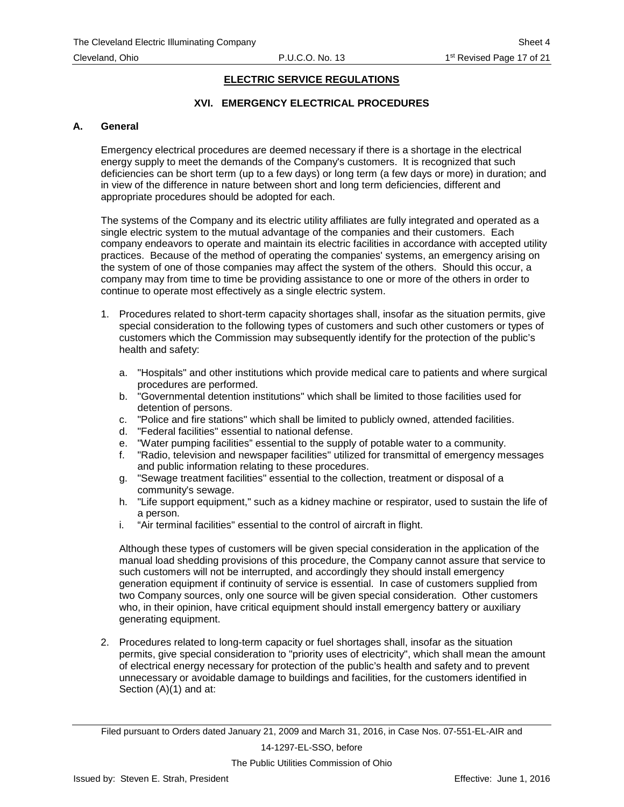# **XVI. EMERGENCY ELECTRICAL PROCEDURES**

#### **A. General**

Emergency electrical procedures are deemed necessary if there is a shortage in the electrical energy supply to meet the demands of the Company's customers. It is recognized that such deficiencies can be short term (up to a few days) or long term (a few days or more) in duration; and in view of the difference in nature between short and long term deficiencies, different and appropriate procedures should be adopted for each.

The systems of the Company and its electric utility affiliates are fully integrated and operated as a single electric system to the mutual advantage of the companies and their customers. Each company endeavors to operate and maintain its electric facilities in accordance with accepted utility practices. Because of the method of operating the companies' systems, an emergency arising on the system of one of those companies may affect the system of the others. Should this occur, a company may from time to time be providing assistance to one or more of the others in order to continue to operate most effectively as a single electric system.

- 1. Procedures related to short-term capacity shortages shall, insofar as the situation permits, give special consideration to the following types of customers and such other customers or types of customers which the Commission may subsequently identify for the protection of the public's health and safety:
	- a. "Hospitals" and other institutions which provide medical care to patients and where surgical procedures are performed.
	- b. "Governmental detention institutions" which shall be limited to those facilities used for detention of persons.
	- c. "Police and fire stations" which shall be limited to publicly owned, attended facilities.
	- d. "Federal facilities" essential to national defense.
	- e. "Water pumping facilities" essential to the supply of potable water to a community.
	- f. "Radio, television and newspaper facilities" utilized for transmittal of emergency messages and public information relating to these procedures.
	- g. "Sewage treatment facilities" essential to the collection, treatment or disposal of a community's sewage.
	- h. "Life support equipment," such as a kidney machine or respirator, used to sustain the life of a person.
	- i. "Air terminal facilities" essential to the control of aircraft in flight.

Although these types of customers will be given special consideration in the application of the manual load shedding provisions of this procedure, the Company cannot assure that service to such customers will not be interrupted, and accordingly they should install emergency generation equipment if continuity of service is essential. In case of customers supplied from two Company sources, only one source will be given special consideration. Other customers who, in their opinion, have critical equipment should install emergency battery or auxiliary generating equipment.

2. Procedures related to long-term capacity or fuel shortages shall, insofar as the situation permits, give special consideration to "priority uses of electricity", which shall mean the amount of electrical energy necessary for protection of the public's health and safety and to prevent unnecessary or avoidable damage to buildings and facilities, for the customers identified in Section (A)(1) and at: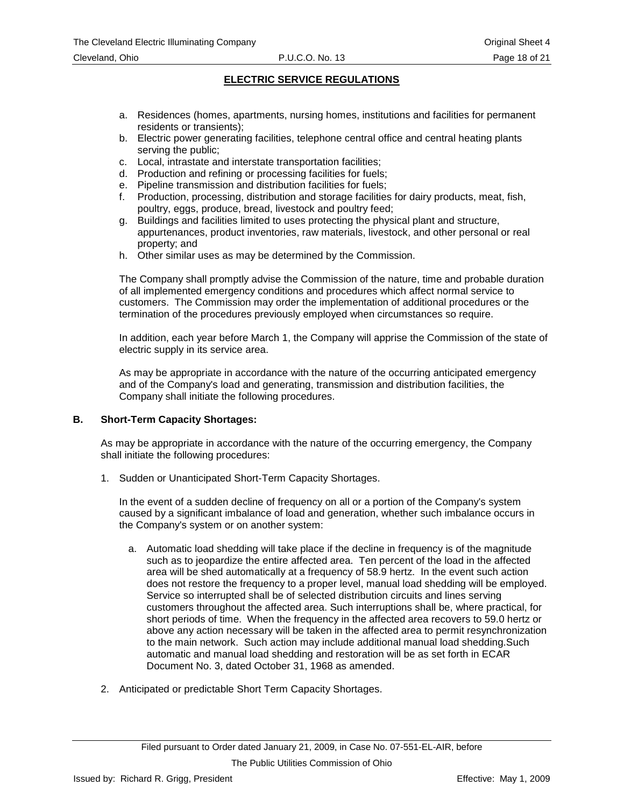- a. Residences (homes, apartments, nursing homes, institutions and facilities for permanent residents or transients);
- b. Electric power generating facilities, telephone central office and central heating plants serving the public;
- c. Local, intrastate and interstate transportation facilities;
- d. Production and refining or processing facilities for fuels;
- e. Pipeline transmission and distribution facilities for fuels;
- f. Production, processing, distribution and storage facilities for dairy products, meat, fish, poultry, eggs, produce, bread, livestock and poultry feed;
- g. Buildings and facilities limited to uses protecting the physical plant and structure, appurtenances, product inventories, raw materials, livestock, and other personal or real property; and
- h. Other similar uses as may be determined by the Commission.

The Company shall promptly advise the Commission of the nature, time and probable duration of all implemented emergency conditions and procedures which affect normal service to customers. The Commission may order the implementation of additional procedures or the termination of the procedures previously employed when circumstances so require.

In addition, each year before March 1, the Company will apprise the Commission of the state of electric supply in its service area.

As may be appropriate in accordance with the nature of the occurring anticipated emergency and of the Company's load and generating, transmission and distribution facilities, the Company shall initiate the following procedures.

#### **B. Short-Term Capacity Shortages:**

As may be appropriate in accordance with the nature of the occurring emergency, the Company shall initiate the following procedures:

1. Sudden or Unanticipated Short-Term Capacity Shortages.

In the event of a sudden decline of frequency on all or a portion of the Company's system caused by a significant imbalance of load and generation, whether such imbalance occurs in the Company's system or on another system:

- a. Automatic load shedding will take place if the decline in frequency is of the magnitude such as to jeopardize the entire affected area. Ten percent of the load in the affected area will be shed automatically at a frequency of 58.9 hertz. In the event such action does not restore the frequency to a proper level, manual load shedding will be employed. Service so interrupted shall be of selected distribution circuits and lines serving customers throughout the affected area. Such interruptions shall be, where practical, for short periods of time. When the frequency in the affected area recovers to 59.0 hertz or above any action necessary will be taken in the affected area to permit resynchronization to the main network. Such action may include additional manual load shedding.Such automatic and manual load shedding and restoration will be as set forth in ECAR Document No. 3, dated October 31, 1968 as amended.
- 2. Anticipated or predictable Short Term Capacity Shortages.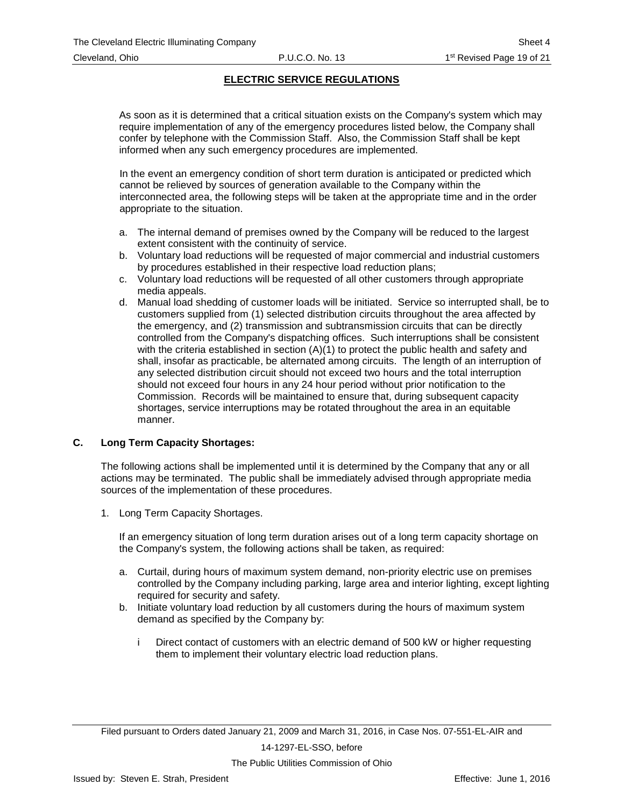As soon as it is determined that a critical situation exists on the Company's system which may require implementation of any of the emergency procedures listed below, the Company shall confer by telephone with the Commission Staff. Also, the Commission Staff shall be kept informed when any such emergency procedures are implemented.

In the event an emergency condition of short term duration is anticipated or predicted which cannot be relieved by sources of generation available to the Company within the interconnected area, the following steps will be taken at the appropriate time and in the order appropriate to the situation.

- a. The internal demand of premises owned by the Company will be reduced to the largest extent consistent with the continuity of service.
- b. Voluntary load reductions will be requested of major commercial and industrial customers by procedures established in their respective load reduction plans;
- c. Voluntary load reductions will be requested of all other customers through appropriate media appeals.
- d. Manual load shedding of customer loads will be initiated. Service so interrupted shall, be to customers supplied from (1) selected distribution circuits throughout the area affected by the emergency, and (2) transmission and subtransmission circuits that can be directly controlled from the Company's dispatching offices. Such interruptions shall be consistent with the criteria established in section (A)(1) to protect the public health and safety and shall, insofar as practicable, be alternated among circuits. The length of an interruption of any selected distribution circuit should not exceed two hours and the total interruption should not exceed four hours in any 24 hour period without prior notification to the Commission. Records will be maintained to ensure that, during subsequent capacity shortages, service interruptions may be rotated throughout the area in an equitable manner.

#### **C. Long Term Capacity Shortages:**

The following actions shall be implemented until it is determined by the Company that any or all actions may be terminated. The public shall be immediately advised through appropriate media sources of the implementation of these procedures.

1. Long Term Capacity Shortages.

If an emergency situation of long term duration arises out of a long term capacity shortage on the Company's system, the following actions shall be taken, as required:

- a. Curtail, during hours of maximum system demand, non-priority electric use on premises controlled by the Company including parking, large area and interior lighting, except lighting required for security and safety.
- b. Initiate voluntary load reduction by all customers during the hours of maximum system demand as specified by the Company by:
	- i Direct contact of customers with an electric demand of 500 kW or higher requesting them to implement their voluntary electric load reduction plans.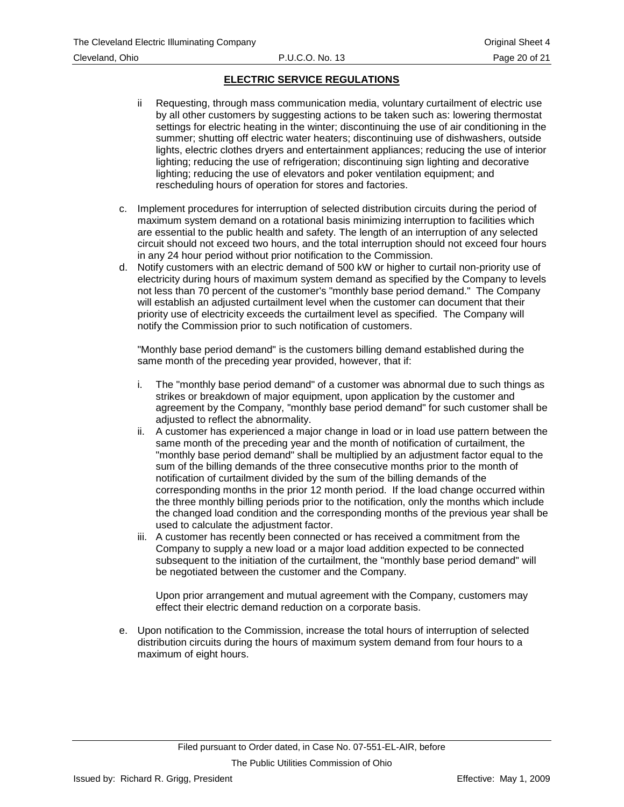- ii Requesting, through mass communication media, voluntary curtailment of electric use by all other customers by suggesting actions to be taken such as: lowering thermostat settings for electric heating in the winter; discontinuing the use of air conditioning in the summer; shutting off electric water heaters; discontinuing use of dishwashers, outside lights, electric clothes dryers and entertainment appliances; reducing the use of interior lighting; reducing the use of refrigeration; discontinuing sign lighting and decorative lighting; reducing the use of elevators and poker ventilation equipment; and rescheduling hours of operation for stores and factories.
- c. Implement procedures for interruption of selected distribution circuits during the period of maximum system demand on a rotational basis minimizing interruption to facilities which are essential to the public health and safety. The length of an interruption of any selected circuit should not exceed two hours, and the total interruption should not exceed four hours in any 24 hour period without prior notification to the Commission.
- d. Notify customers with an electric demand of 500 kW or higher to curtail non-priority use of electricity during hours of maximum system demand as specified by the Company to levels not less than 70 percent of the customer's "monthly base period demand." The Company will establish an adjusted curtailment level when the customer can document that their priority use of electricity exceeds the curtailment level as specified. The Company will notify the Commission prior to such notification of customers.

"Monthly base period demand" is the customers billing demand established during the same month of the preceding year provided, however, that if:

- i. The "monthly base period demand" of a customer was abnormal due to such things as strikes or breakdown of major equipment, upon application by the customer and agreement by the Company, "monthly base period demand" for such customer shall be adjusted to reflect the abnormality.
- ii. A customer has experienced a major change in load or in load use pattern between the same month of the preceding year and the month of notification of curtailment, the "monthly base period demand" shall be multiplied by an adjustment factor equal to the sum of the billing demands of the three consecutive months prior to the month of notification of curtailment divided by the sum of the billing demands of the corresponding months in the prior 12 month period. If the load change occurred within the three monthly billing periods prior to the notification, only the months which include the changed load condition and the corresponding months of the previous year shall be used to calculate the adjustment factor.
- iii. A customer has recently been connected or has received a commitment from the Company to supply a new load or a major load addition expected to be connected subsequent to the initiation of the curtailment, the "monthly base period demand" will be negotiated between the customer and the Company.

Upon prior arrangement and mutual agreement with the Company, customers may effect their electric demand reduction on a corporate basis.

e. Upon notification to the Commission, increase the total hours of interruption of selected distribution circuits during the hours of maximum system demand from four hours to a maximum of eight hours.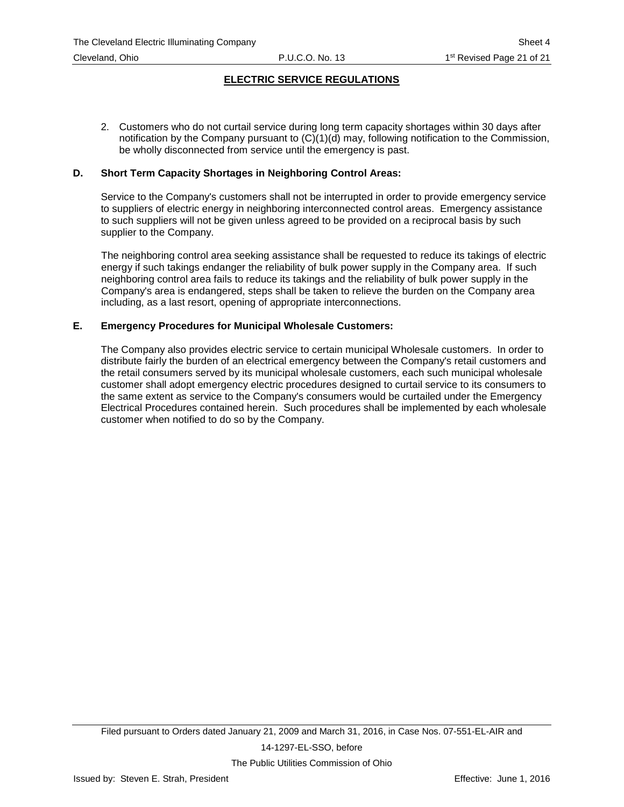2. Customers who do not curtail service during long term capacity shortages within 30 days after notification by the Company pursuant to (C)(1)(d) may, following notification to the Commission, be wholly disconnected from service until the emergency is past.

#### **D. Short Term Capacity Shortages in Neighboring Control Areas:**

Service to the Company's customers shall not be interrupted in order to provide emergency service to suppliers of electric energy in neighboring interconnected control areas. Emergency assistance to such suppliers will not be given unless agreed to be provided on a reciprocal basis by such supplier to the Company.

The neighboring control area seeking assistance shall be requested to reduce its takings of electric energy if such takings endanger the reliability of bulk power supply in the Company area. If such neighboring control area fails to reduce its takings and the reliability of bulk power supply in the Company's area is endangered, steps shall be taken to relieve the burden on the Company area including, as a last resort, opening of appropriate interconnections.

#### **E. Emergency Procedures for Municipal Wholesale Customers:**

The Company also provides electric service to certain municipal Wholesale customers. In order to distribute fairly the burden of an electrical emergency between the Company's retail customers and the retail consumers served by its municipal wholesale customers, each such municipal wholesale customer shall adopt emergency electric procedures designed to curtail service to its consumers to the same extent as service to the Company's consumers would be curtailed under the Emergency Electrical Procedures contained herein. Such procedures shall be implemented by each wholesale customer when notified to do so by the Company.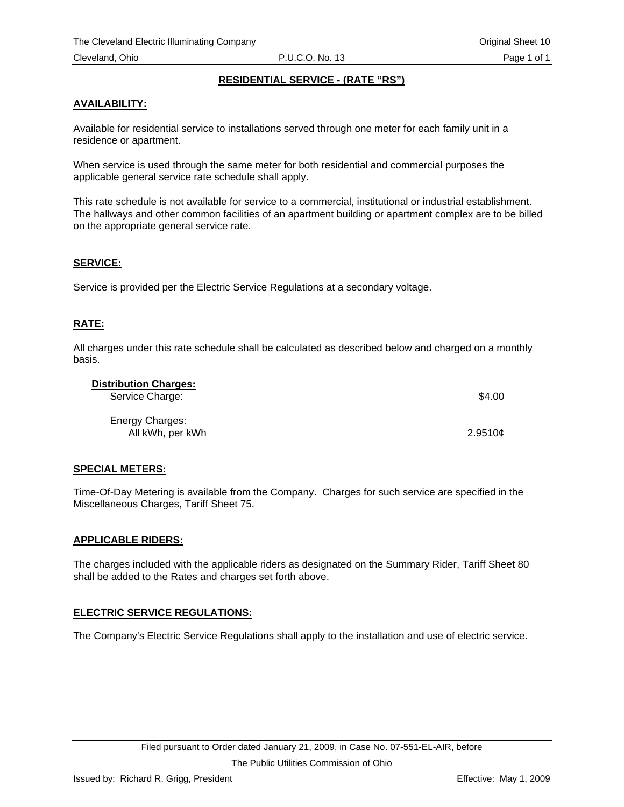## **RESIDENTIAL SERVICE - (RATE "RS")**

## <span id="page-26-0"></span>**AVAILABILITY:**

Available for residential service to installations served through one meter for each family unit in a residence or apartment.

When service is used through the same meter for both residential and commercial purposes the applicable general service rate schedule shall apply.

This rate schedule is not available for service to a commercial, institutional or industrial establishment. The hallways and other common facilities of an apartment building or apartment complex are to be billed on the appropriate general service rate.

#### **SERVICE:**

Service is provided per the Electric Service Regulations at a secondary voltage.

## **RATE:**

All charges under this rate schedule shall be calculated as described below and charged on a monthly basis.

| <b>Distribution Charges:</b> |         |
|------------------------------|---------|
| Service Charge:              | \$4.00  |
| Energy Charges:              |         |
| All kWh, per kWh             | 2.9510c |

#### **SPECIAL METERS:**

Time-Of-Day Metering is available from the Company. Charges for such service are specified in the Miscellaneous Charges, Tariff Sheet 75.

#### **APPLICABLE RIDERS:**

The charges included with the applicable riders as designated on the Summary Rider, Tariff Sheet 80 shall be added to the Rates and charges set forth above.

## **ELECTRIC SERVICE REGULATIONS:**

The Company's Electric Service Regulations shall apply to the installation and use of electric service.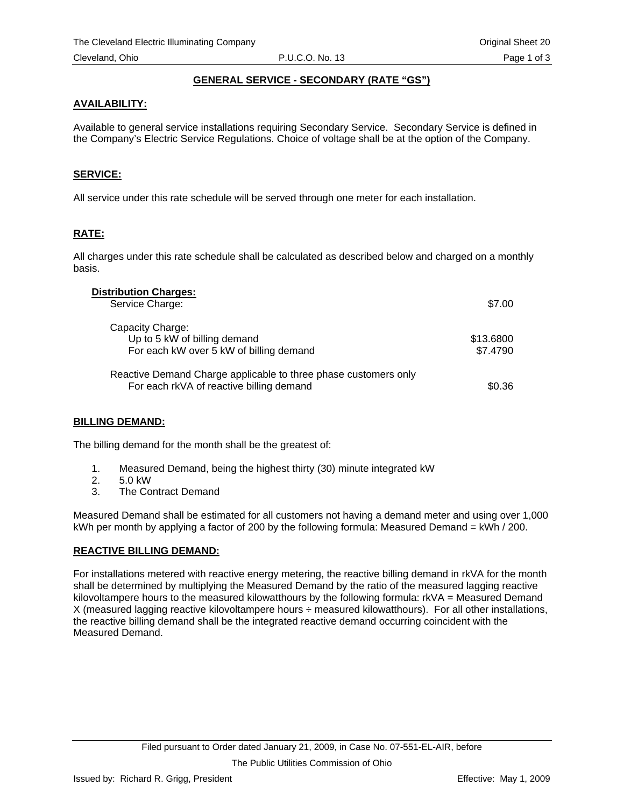# **GENERAL SERVICE - SECONDARY (RATE "GS")**

## <span id="page-27-0"></span>**AVAILABILITY:**

Available to general service installations requiring Secondary Service. Secondary Service is defined in the Company's Electric Service Regulations. Choice of voltage shall be at the option of the Company.

### **SERVICE:**

All service under this rate schedule will be served through one meter for each installation.

## **RATE:**

All charges under this rate schedule shall be calculated as described below and charged on a monthly basis.

| <b>Distribution Charges:</b><br>Service Charge:                                                             | \$7.00                |
|-------------------------------------------------------------------------------------------------------------|-----------------------|
| Capacity Charge:<br>Up to 5 kW of billing demand<br>For each kW over 5 kW of billing demand                 | \$13.6800<br>\$7.4790 |
| Reactive Demand Charge applicable to three phase customers only<br>For each rkVA of reactive billing demand | \$0.36                |

#### **BILLING DEMAND:**

The billing demand for the month shall be the greatest of:

- 1. Measured Demand, being the highest thirty (30) minute integrated kW
- 2. 5.0 kW
- 3. The Contract Demand

Measured Demand shall be estimated for all customers not having a demand meter and using over 1,000 kWh per month by applying a factor of 200 by the following formula: Measured Demand = kWh / 200.

## **REACTIVE BILLING DEMAND:**

For installations metered with reactive energy metering, the reactive billing demand in rkVA for the month shall be determined by multiplying the Measured Demand by the ratio of the measured lagging reactive kilovoltampere hours to the measured kilowatthours by the following formula: rkVA = Measured Demand X (measured lagging reactive kilovoltampere hours ÷ measured kilowatthours). For all other installations, the reactive billing demand shall be the integrated reactive demand occurring coincident with the Measured Demand.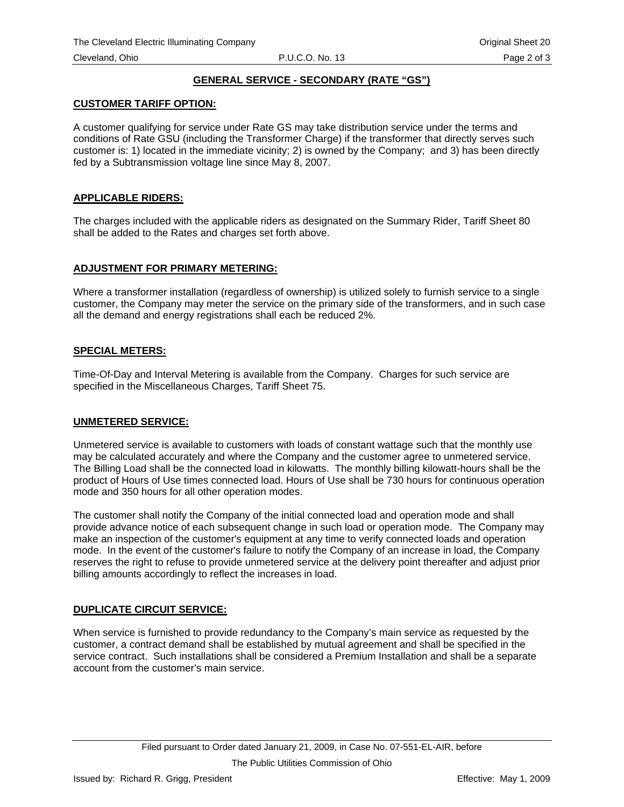# **GENERAL SERVICE - SECONDARY (RATE "GS")**

#### **CUSTOMER TARIFF OPTION:**

A customer qualifying for service under Rate GS may take distribution service under the terms and conditions of Rate GSU (including the Transformer Charge) if the transformer that directly serves such customer is: 1) located in the immediate vicinity; 2) is owned by the Company; and 3) has been directly fed by a Subtransmission voltage line since May 8, 2007.

#### **APPLICABLE RIDERS:**

The charges included with the applicable riders as designated on the Summary Rider, Tariff Sheet 80 shall be added to the Rates and charges set forth above.

#### **ADJUSTMENT FOR PRIMARY METERING:**

Where a transformer installation (regardless of ownership) is utilized solely to furnish service to a single customer, the Company may meter the service on the primary side of the transformers, and in such case all the demand and energy registrations shall each be reduced 2%.

#### **SPECIAL METERS:**

Time-Of-Day and Interval Metering is available from the Company. Charges for such service are specified in the Miscellaneous Charges, Tariff Sheet 75.

#### **UNMETERED SERVICE:**

Unmetered service is available to customers with loads of constant wattage such that the monthly use may be calculated accurately and where the Company and the customer agree to unmetered service. The Billing Load shall be the connected load in kilowatts. The monthly billing kilowatt-hours shall be the product of Hours of Use times connected load. Hours of Use shall be 730 hours for continuous operation mode and 350 hours for all other operation modes.

The customer shall notify the Company of the initial connected load and operation mode and shall provide advance notice of each subsequent change in such load or operation mode. The Company may make an inspection of the customer's equipment at any time to verify connected loads and operation mode. In the event of the customer's failure to notify the Company of an increase in load, the Company reserves the right to refuse to provide unmetered service at the delivery point thereafter and adjust prior billing amounts accordingly to reflect the increases in load.

## **DUPLICATE CIRCUIT SERVICE:**

When service is furnished to provide redundancy to the Company's main service as requested by the customer, a contract demand shall be established by mutual agreement and shall be specified in the service contract. Such installations shall be considered a Premium Installation and shall be a separate account from the customer's main service.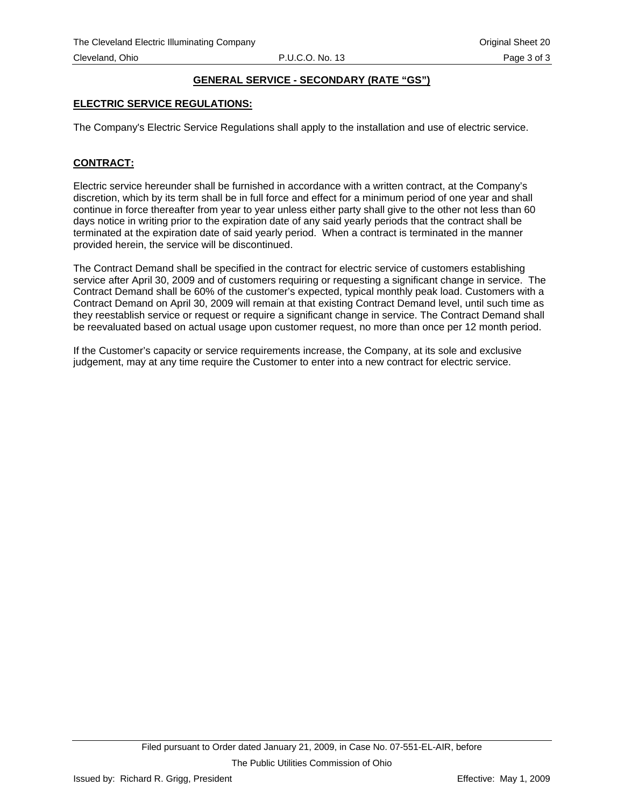# **GENERAL SERVICE - SECONDARY (RATE "GS")**

### **ELECTRIC SERVICE REGULATIONS:**

The Company's Electric Service Regulations shall apply to the installation and use of electric service.

# **CONTRACT:**

Electric service hereunder shall be furnished in accordance with a written contract, at the Company's discretion, which by its term shall be in full force and effect for a minimum period of one year and shall continue in force thereafter from year to year unless either party shall give to the other not less than 60 days notice in writing prior to the expiration date of any said yearly periods that the contract shall be terminated at the expiration date of said yearly period. When a contract is terminated in the manner provided herein, the service will be discontinued.

The Contract Demand shall be specified in the contract for electric service of customers establishing service after April 30, 2009 and of customers requiring or requesting a significant change in service. The Contract Demand shall be 60% of the customer's expected, typical monthly peak load. Customers with a Contract Demand on April 30, 2009 will remain at that existing Contract Demand level, until such time as they reestablish service or request or require a significant change in service. The Contract Demand shall be reevaluated based on actual usage upon customer request, no more than once per 12 month period.

If the Customer's capacity or service requirements increase, the Company, at its sole and exclusive judgement, may at any time require the Customer to enter into a new contract for electric service.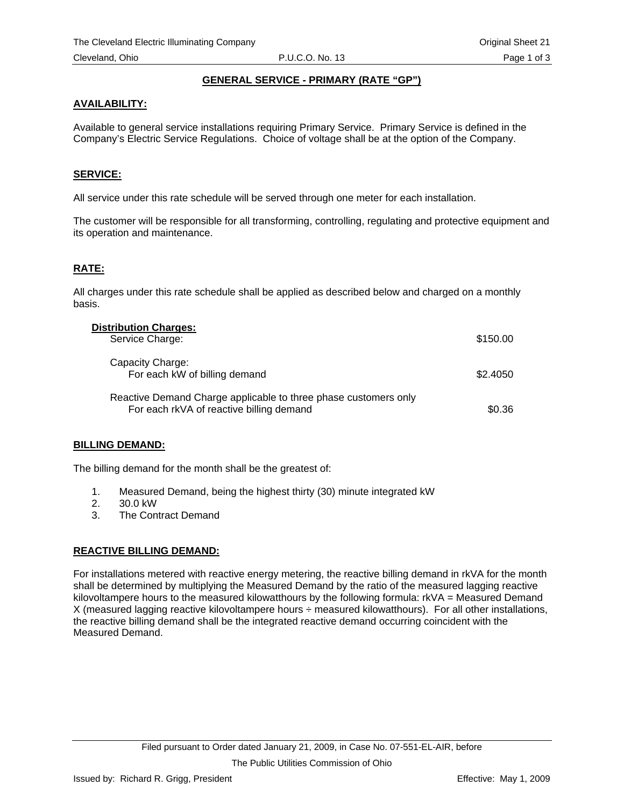## **GENERAL SERVICE - PRIMARY (RATE "GP")**

### <span id="page-30-0"></span>**AVAILABILITY:**

Available to general service installations requiring Primary Service. Primary Service is defined in the Company's Electric Service Regulations. Choice of voltage shall be at the option of the Company.

#### **SERVICE:**

All service under this rate schedule will be served through one meter for each installation.

The customer will be responsible for all transforming, controlling, regulating and protective equipment and its operation and maintenance.

## **RATE:**

All charges under this rate schedule shall be applied as described below and charged on a monthly basis.

| <b>Distribution Charges:</b>                                                                                |          |
|-------------------------------------------------------------------------------------------------------------|----------|
| Service Charge:                                                                                             | \$150.00 |
| Capacity Charge:<br>For each kW of billing demand                                                           | \$2,4050 |
| Reactive Demand Charge applicable to three phase customers only<br>For each rkVA of reactive billing demand | \$0.36   |

#### **BILLING DEMAND:**

The billing demand for the month shall be the greatest of:

- 1. Measured Demand, being the highest thirty (30) minute integrated kW
- 2. 30.0 kW
- 3. The Contract Demand

## **REACTIVE BILLING DEMAND:**

For installations metered with reactive energy metering, the reactive billing demand in rkVA for the month shall be determined by multiplying the Measured Demand by the ratio of the measured lagging reactive kilovoltampere hours to the measured kilowatthours by the following formula: rkVA = Measured Demand X (measured lagging reactive kilovoltampere hours ÷ measured kilowatthours). For all other installations, the reactive billing demand shall be the integrated reactive demand occurring coincident with the Measured Demand.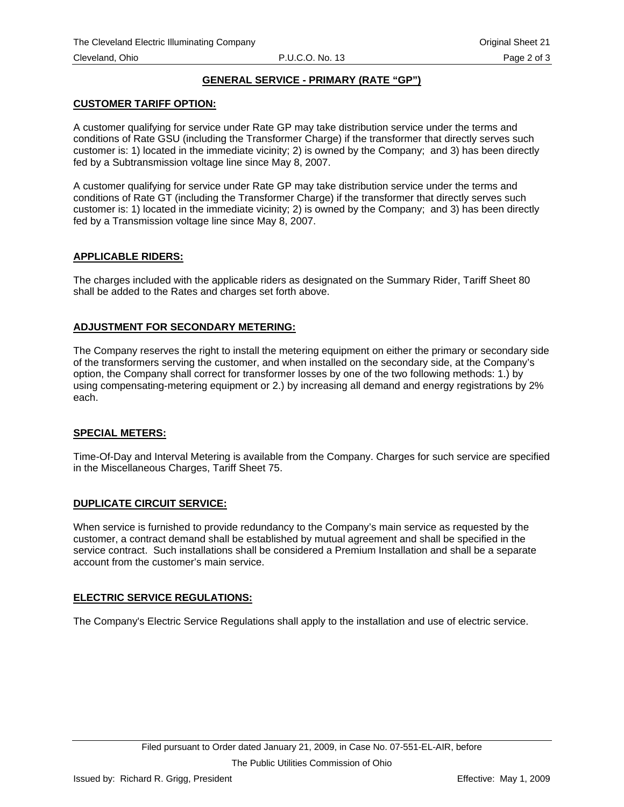# **GENERAL SERVICE - PRIMARY (RATE "GP")**

### **CUSTOMER TARIFF OPTION:**

A customer qualifying for service under Rate GP may take distribution service under the terms and conditions of Rate GSU (including the Transformer Charge) if the transformer that directly serves such customer is: 1) located in the immediate vicinity; 2) is owned by the Company; and 3) has been directly fed by a Subtransmission voltage line since May 8, 2007.

A customer qualifying for service under Rate GP may take distribution service under the terms and conditions of Rate GT (including the Transformer Charge) if the transformer that directly serves such customer is: 1) located in the immediate vicinity; 2) is owned by the Company; and 3) has been directly fed by a Transmission voltage line since May 8, 2007.

#### **APPLICABLE RIDERS:**

The charges included with the applicable riders as designated on the Summary Rider, Tariff Sheet 80 shall be added to the Rates and charges set forth above.

## **ADJUSTMENT FOR SECONDARY METERING:**

The Company reserves the right to install the metering equipment on either the primary or secondary side of the transformers serving the customer, and when installed on the secondary side, at the Company's option, the Company shall correct for transformer losses by one of the two following methods: 1.) by using compensating-metering equipment or 2.) by increasing all demand and energy registrations by 2% each.

#### **SPECIAL METERS:**

Time-Of-Day and Interval Metering is available from the Company. Charges for such service are specified in the Miscellaneous Charges, Tariff Sheet 75.

## **DUPLICATE CIRCUIT SERVICE:**

When service is furnished to provide redundancy to the Company's main service as requested by the customer, a contract demand shall be established by mutual agreement and shall be specified in the service contract. Such installations shall be considered a Premium Installation and shall be a separate account from the customer's main service.

#### **ELECTRIC SERVICE REGULATIONS:**

The Company's Electric Service Regulations shall apply to the installation and use of electric service.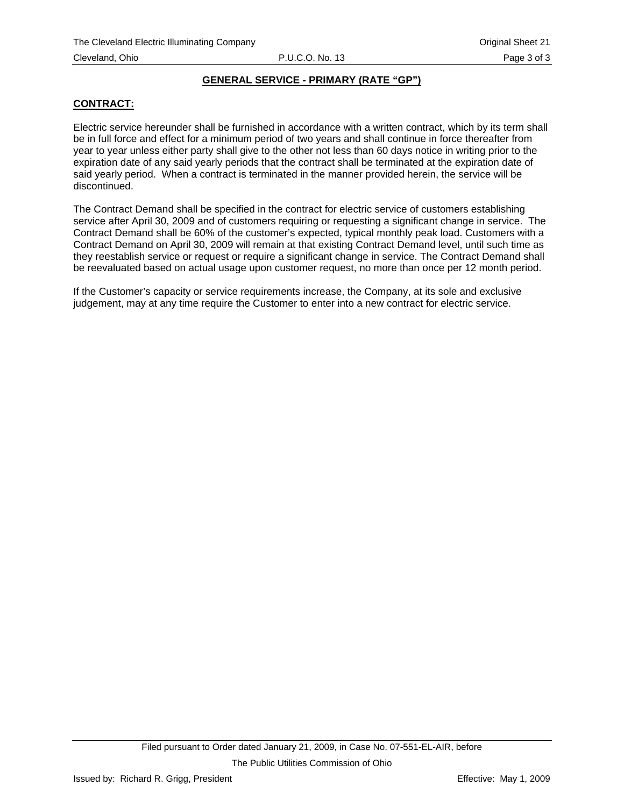# **GENERAL SERVICE - PRIMARY (RATE "GP")**

# **CONTRACT:**

Electric service hereunder shall be furnished in accordance with a written contract, which by its term shall be in full force and effect for a minimum period of two years and shall continue in force thereafter from year to year unless either party shall give to the other not less than 60 days notice in writing prior to the expiration date of any said yearly periods that the contract shall be terminated at the expiration date of said yearly period. When a contract is terminated in the manner provided herein, the service will be discontinued.

The Contract Demand shall be specified in the contract for electric service of customers establishing service after April 30, 2009 and of customers requiring or requesting a significant change in service. The Contract Demand shall be 60% of the customer's expected, typical monthly peak load. Customers with a Contract Demand on April 30, 2009 will remain at that existing Contract Demand level, until such time as they reestablish service or request or require a significant change in service. The Contract Demand shall be reevaluated based on actual usage upon customer request, no more than once per 12 month period.

If the Customer's capacity or service requirements increase, the Company, at its sole and exclusive judgement, may at any time require the Customer to enter into a new contract for electric service.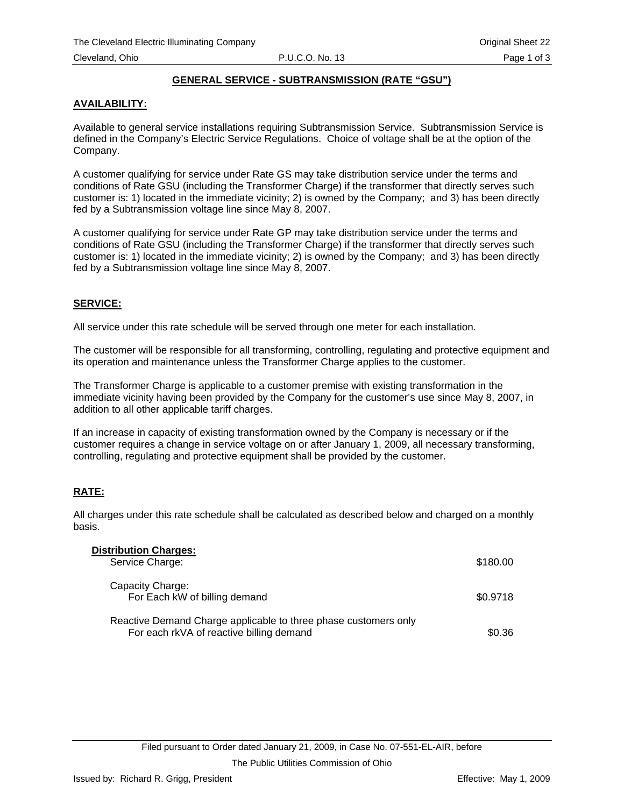# **GENERAL SERVICE - SUBTRANSMISSION (RATE "GSU")**

# <span id="page-33-0"></span>**AVAILABILITY:**

Available to general service installations requiring Subtransmission Service. Subtransmission Service is defined in the Company's Electric Service Regulations. Choice of voltage shall be at the option of the Company.

A customer qualifying for service under Rate GS may take distribution service under the terms and conditions of Rate GSU (including the Transformer Charge) if the transformer that directly serves such customer is: 1) located in the immediate vicinity; 2) is owned by the Company; and 3) has been directly fed by a Subtransmission voltage line since May 8, 2007.

A customer qualifying for service under Rate GP may take distribution service under the terms and conditions of Rate GSU (including the Transformer Charge) if the transformer that directly serves such customer is: 1) located in the immediate vicinity; 2) is owned by the Company; and 3) has been directly fed by a Subtransmission voltage line since May 8, 2007.

## **SERVICE:**

All service under this rate schedule will be served through one meter for each installation.

The customer will be responsible for all transforming, controlling, regulating and protective equipment and its operation and maintenance unless the Transformer Charge applies to the customer.

The Transformer Charge is applicable to a customer premise with existing transformation in the immediate vicinity having been provided by the Company for the customer's use since May 8, 2007, in addition to all other applicable tariff charges.

If an increase in capacity of existing transformation owned by the Company is necessary or if the customer requires a change in service voltage on or after January 1, 2009, all necessary transforming, controlling, regulating and protective equipment shall be provided by the customer.

# **RATE:**

All charges under this rate schedule shall be calculated as described below and charged on a monthly basis.

| <b>Distribution Charges:</b>                                                                                |          |
|-------------------------------------------------------------------------------------------------------------|----------|
| Service Charge:                                                                                             | \$180.00 |
| Capacity Charge:<br>For Each kW of billing demand                                                           | \$0.9718 |
| Reactive Demand Charge applicable to three phase customers only<br>For each rkVA of reactive billing demand | \$0.36   |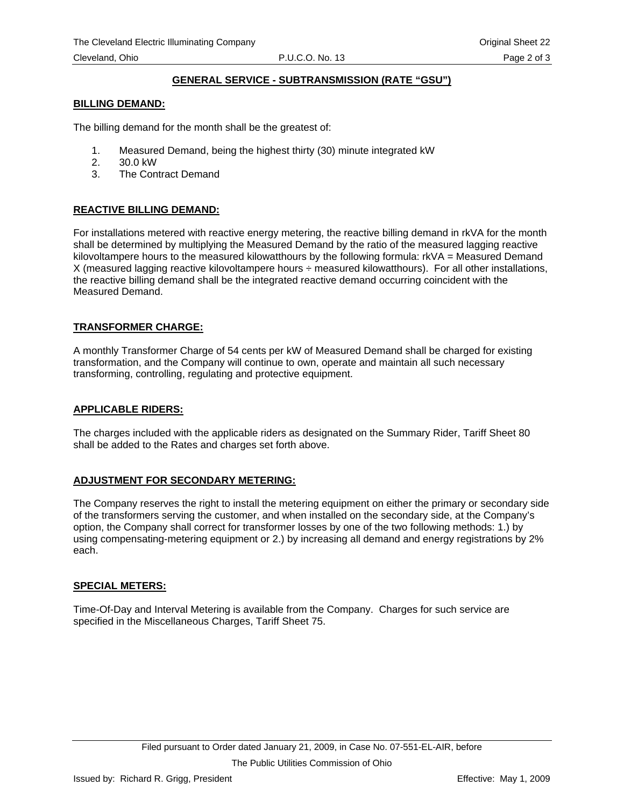# **GENERAL SERVICE - SUBTRANSMISSION (RATE "GSU")**

#### **BILLING DEMAND:**

The billing demand for the month shall be the greatest of:

- 1. Measured Demand, being the highest thirty (30) minute integrated kW
- 2. 30.0 kW
- 3. The Contract Demand

## **REACTIVE BILLING DEMAND:**

For installations metered with reactive energy metering, the reactive billing demand in rkVA for the month shall be determined by multiplying the Measured Demand by the ratio of the measured lagging reactive kilovoltampere hours to the measured kilowatthours by the following formula: rkVA = Measured Demand X (measured lagging reactive kilovoltampere hours ÷ measured kilowatthours). For all other installations, the reactive billing demand shall be the integrated reactive demand occurring coincident with the Measured Demand.

#### **TRANSFORMER CHARGE:**

A monthly Transformer Charge of 54 cents per kW of Measured Demand shall be charged for existing transformation, and the Company will continue to own, operate and maintain all such necessary transforming, controlling, regulating and protective equipment.

#### **APPLICABLE RIDERS:**

The charges included with the applicable riders as designated on the Summary Rider, Tariff Sheet 80 shall be added to the Rates and charges set forth above.

#### **ADJUSTMENT FOR SECONDARY METERING:**

The Company reserves the right to install the metering equipment on either the primary or secondary side of the transformers serving the customer, and when installed on the secondary side, at the Company's option, the Company shall correct for transformer losses by one of the two following methods: 1.) by using compensating-metering equipment or 2.) by increasing all demand and energy registrations by 2% each.

#### **SPECIAL METERS:**

Time-Of-Day and Interval Metering is available from the Company. Charges for such service are specified in the Miscellaneous Charges, Tariff Sheet 75.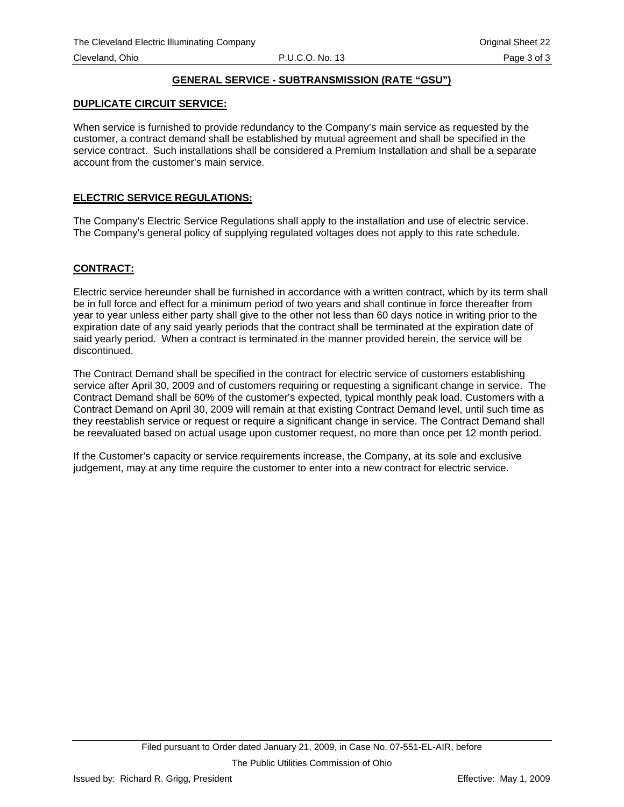# **GENERAL SERVICE - SUBTRANSMISSION (RATE "GSU")**

### **DUPLICATE CIRCUIT SERVICE:**

When service is furnished to provide redundancy to the Company's main service as requested by the customer, a contract demand shall be established by mutual agreement and shall be specified in the service contract. Such installations shall be considered a Premium Installation and shall be a separate account from the customer's main service.

### **ELECTRIC SERVICE REGULATIONS:**

The Company's Electric Service Regulations shall apply to the installation and use of electric service. The Company's general policy of supplying regulated voltages does not apply to this rate schedule.

#### **CONTRACT:**

Electric service hereunder shall be furnished in accordance with a written contract, which by its term shall be in full force and effect for a minimum period of two years and shall continue in force thereafter from year to year unless either party shall give to the other not less than 60 days notice in writing prior to the expiration date of any said yearly periods that the contract shall be terminated at the expiration date of said yearly period. When a contract is terminated in the manner provided herein, the service will be discontinued.

The Contract Demand shall be specified in the contract for electric service of customers establishing service after April 30, 2009 and of customers requiring or requesting a significant change in service. The Contract Demand shall be 60% of the customer's expected, typical monthly peak load. Customers with a Contract Demand on April 30, 2009 will remain at that existing Contract Demand level, until such time as they reestablish service or request or require a significant change in service. The Contract Demand shall be reevaluated based on actual usage upon customer request, no more than once per 12 month period.

If the Customer's capacity or service requirements increase, the Company, at its sole and exclusive judgement, may at any time require the customer to enter into a new contract for electric service.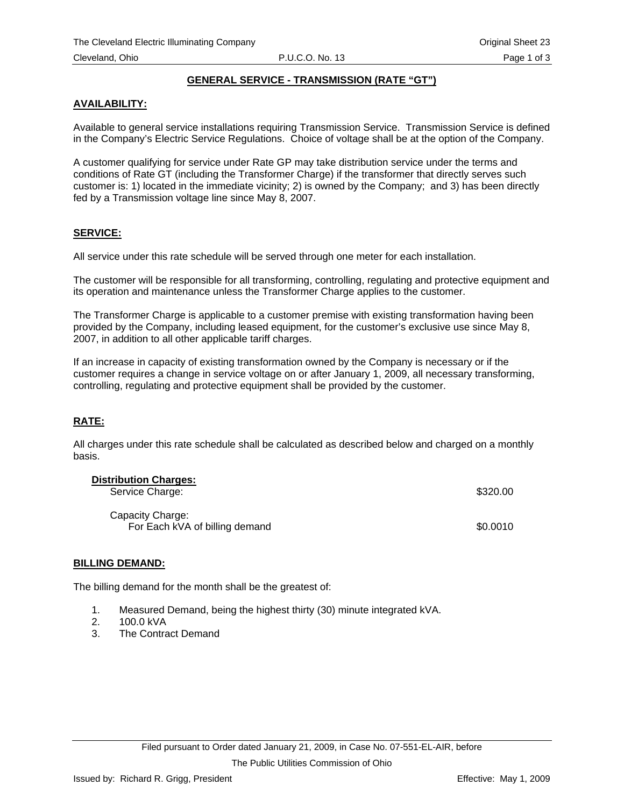# **GENERAL SERVICE - TRANSMISSION (RATE "GT")**

# <span id="page-36-0"></span>**AVAILABILITY:**

Available to general service installations requiring Transmission Service. Transmission Service is defined in the Company's Electric Service Regulations. Choice of voltage shall be at the option of the Company.

A customer qualifying for service under Rate GP may take distribution service under the terms and conditions of Rate GT (including the Transformer Charge) if the transformer that directly serves such customer is: 1) located in the immediate vicinity; 2) is owned by the Company; and 3) has been directly fed by a Transmission voltage line since May 8, 2007.

#### **SERVICE:**

All service under this rate schedule will be served through one meter for each installation.

The customer will be responsible for all transforming, controlling, regulating and protective equipment and its operation and maintenance unless the Transformer Charge applies to the customer.

The Transformer Charge is applicable to a customer premise with existing transformation having been provided by the Company, including leased equipment, for the customer's exclusive use since May 8, 2007, in addition to all other applicable tariff charges.

If an increase in capacity of existing transformation owned by the Company is necessary or if the customer requires a change in service voltage on or after January 1, 2009, all necessary transforming, controlling, regulating and protective equipment shall be provided by the customer.

# **RATE:**

All charges under this rate schedule shall be calculated as described below and charged on a monthly basis.

| <b>Distribution Charges:</b><br>Service Charge:    | \$320.00 |
|----------------------------------------------------|----------|
| Capacity Charge:<br>For Each kVA of billing demand | \$0.0010 |

#### **BILLING DEMAND:**

The billing demand for the month shall be the greatest of:

- 1. Measured Demand, being the highest thirty (30) minute integrated kVA.
- 2. 100.0 kVA
- 3. The Contract Demand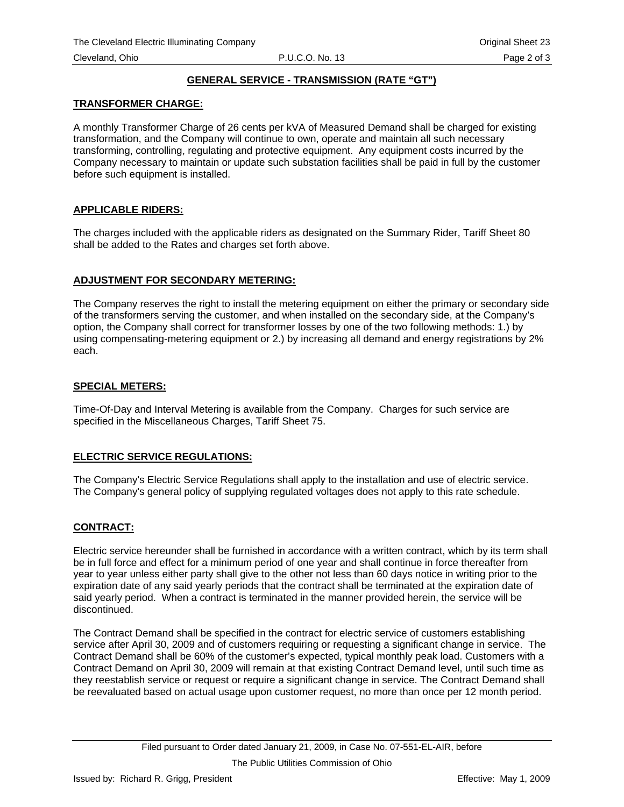# **GENERAL SERVICE - TRANSMISSION (RATE "GT")**

## **TRANSFORMER CHARGE:**

A monthly Transformer Charge of 26 cents per kVA of Measured Demand shall be charged for existing transformation, and the Company will continue to own, operate and maintain all such necessary transforming, controlling, regulating and protective equipment. Any equipment costs incurred by the Company necessary to maintain or update such substation facilities shall be paid in full by the customer before such equipment is installed.

## **APPLICABLE RIDERS:**

The charges included with the applicable riders as designated on the Summary Rider, Tariff Sheet 80 shall be added to the Rates and charges set forth above.

## **ADJUSTMENT FOR SECONDARY METERING:**

The Company reserves the right to install the metering equipment on either the primary or secondary side of the transformers serving the customer, and when installed on the secondary side, at the Company's option, the Company shall correct for transformer losses by one of the two following methods: 1.) by using compensating-metering equipment or 2.) by increasing all demand and energy registrations by 2% each.

## **SPECIAL METERS:**

Time-Of-Day and Interval Metering is available from the Company. Charges for such service are specified in the Miscellaneous Charges, Tariff Sheet 75.

# **ELECTRIC SERVICE REGULATIONS:**

The Company's Electric Service Regulations shall apply to the installation and use of electric service. The Company's general policy of supplying regulated voltages does not apply to this rate schedule.

#### **CONTRACT:**

Electric service hereunder shall be furnished in accordance with a written contract, which by its term shall be in full force and effect for a minimum period of one year and shall continue in force thereafter from year to year unless either party shall give to the other not less than 60 days notice in writing prior to the expiration date of any said yearly periods that the contract shall be terminated at the expiration date of said yearly period. When a contract is terminated in the manner provided herein, the service will be discontinued.

The Contract Demand shall be specified in the contract for electric service of customers establishing service after April 30, 2009 and of customers requiring or requesting a significant change in service. The Contract Demand shall be 60% of the customer's expected, typical monthly peak load. Customers with a Contract Demand on April 30, 2009 will remain at that existing Contract Demand level, until such time as they reestablish service or request or require a significant change in service. The Contract Demand shall be reevaluated based on actual usage upon customer request, no more than once per 12 month period.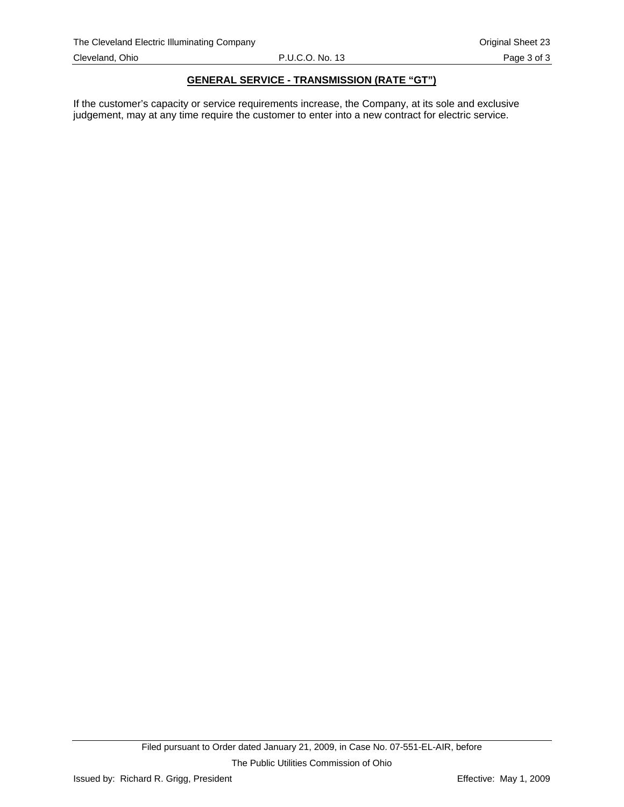### **GENERAL SERVICE - TRANSMISSION (RATE "GT")**

If the customer's capacity or service requirements increase, the Company, at its sole and exclusive judgement, may at any time require the customer to enter into a new contract for electric service.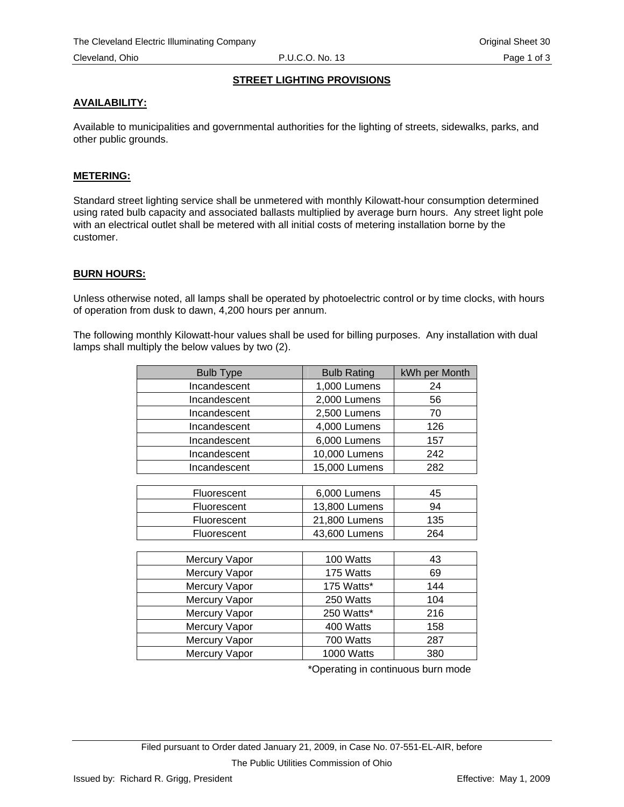# **STREET LIGHTING PROVISIONS**

## **AVAILABILITY:**

Available to municipalities and governmental authorities for the lighting of streets, sidewalks, parks, and other public grounds.

## **METERING:**

Standard street lighting service shall be unmetered with monthly Kilowatt-hour consumption determined using rated bulb capacity and associated ballasts multiplied by average burn hours. Any street light pole with an electrical outlet shall be metered with all initial costs of metering installation borne by the customer.

## **BURN HOURS:**

Unless otherwise noted, all lamps shall be operated by photoelectric control or by time clocks, with hours of operation from dusk to dawn, 4,200 hours per annum.

The following monthly Kilowatt-hour values shall be used for billing purposes. Any installation with dual lamps shall multiply the below values by two (2).

| <b>Bulb Type</b> | <b>Bulb Rating</b> | kWh per Month |
|------------------|--------------------|---------------|
| Incandescent     | 1,000 Lumens       | 24            |
| Incandescent     | 2,000 Lumens       | 56            |
| Incandescent     | 2,500 Lumens       | 70            |
| Incandescent     | 4,000 Lumens       | 126           |
| Incandescent     | 6,000 Lumens       | 157           |
| Incandescent     | 10,000 Lumens      | 242           |
| Incandescent     | 15,000 Lumens      | 282           |
|                  |                    |               |
| Fluorescent      | 6,000 Lumens       | 45            |
| Fluorescent      | 13,800 Lumens      | 94            |
| Fluorescent      | 21,800 Lumens      | 135           |
| Fluorescent      | 43,600 Lumens      | 264           |
|                  |                    |               |
| Mercury Vapor    | 100 Watts          | 43            |
| Mercury Vapor    | 175 Watts          | 69            |
| Mercury Vapor    | 175 Watts*         | 144           |
| Mercury Vapor    | 250 Watts          | 104           |
| Mercury Vapor    | 250 Watts*         | 216           |
| Mercury Vapor    | 400 Watts          | 158           |
| Mercury Vapor    | 700 Watts          | 287           |
| Mercury Vapor    | 1000 Watts         | 380           |

\*Operating in continuous burn mode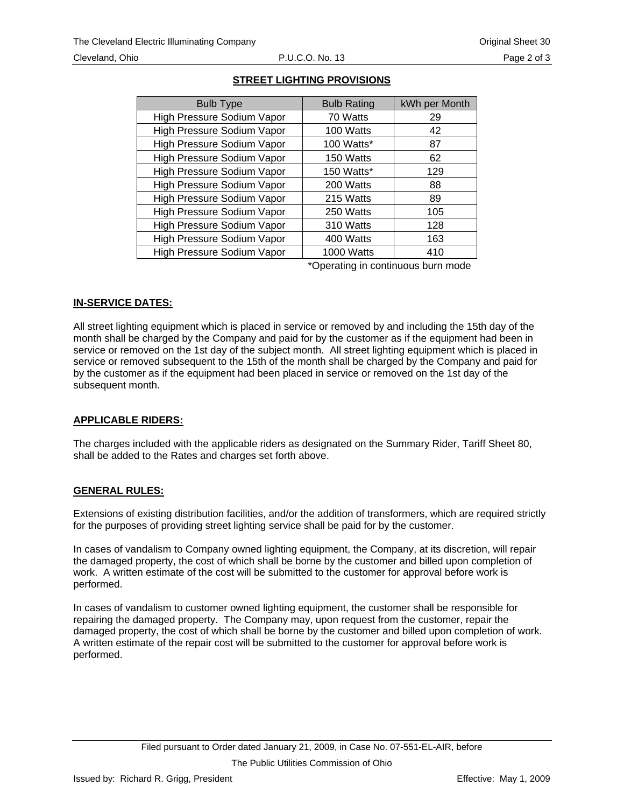#### Cleveland, Ohio P.U.C.O. No. 13 Page 2 of 3

| <b>Bulb Rating</b> | kWh per Month |
|--------------------|---------------|
| 70 Watts           | 29            |
| 100 Watts          | 42            |
| 100 Watts*         | 87            |
| 150 Watts          | 62            |
| 150 Watts*         | 129           |
| 200 Watts          | 88            |
| 215 Watts          | 89            |
| 250 Watts          | 105           |
| 310 Watts          | 128           |
| 400 Watts          | 163           |
| 1000 Watts         | 410           |
|                    |               |

# **STREET LIGHTING PROVISIONS**

\*Operating in continuous burn mode

# **IN-SERVICE DATES:**

All street lighting equipment which is placed in service or removed by and including the 15th day of the month shall be charged by the Company and paid for by the customer as if the equipment had been in service or removed on the 1st day of the subject month. All street lighting equipment which is placed in service or removed subsequent to the 15th of the month shall be charged by the Company and paid for by the customer as if the equipment had been placed in service or removed on the 1st day of the subsequent month.

# **APPLICABLE RIDERS:**

The charges included with the applicable riders as designated on the Summary Rider, Tariff Sheet 80, shall be added to the Rates and charges set forth above.

# **GENERAL RULES:**

Extensions of existing distribution facilities, and/or the addition of transformers, which are required strictly for the purposes of providing street lighting service shall be paid for by the customer.

In cases of vandalism to Company owned lighting equipment, the Company, at its discretion, will repair the damaged property, the cost of which shall be borne by the customer and billed upon completion of work. A written estimate of the cost will be submitted to the customer for approval before work is performed.

In cases of vandalism to customer owned lighting equipment, the customer shall be responsible for repairing the damaged property. The Company may, upon request from the customer, repair the damaged property, the cost of which shall be borne by the customer and billed upon completion of work. A written estimate of the repair cost will be submitted to the customer for approval before work is performed.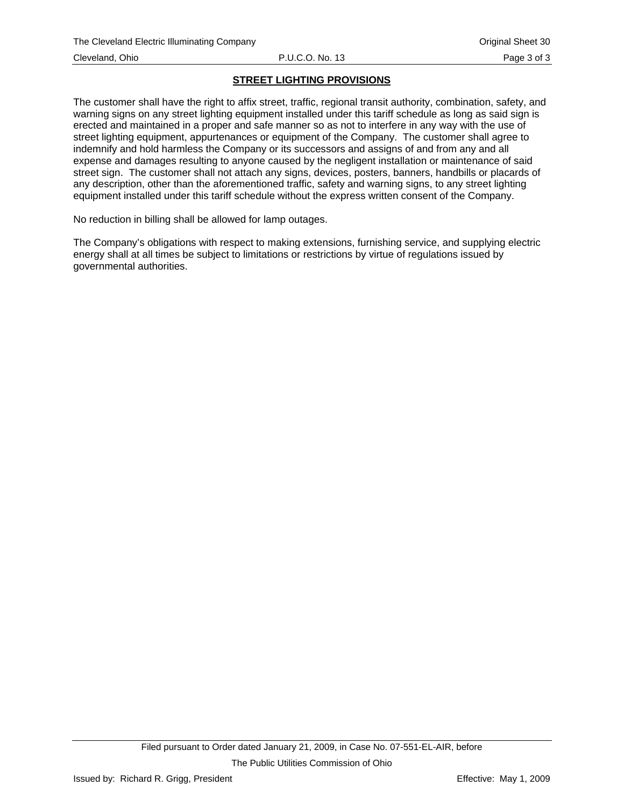# **STREET LIGHTING PROVISIONS**

The customer shall have the right to affix street, traffic, regional transit authority, combination, safety, and warning signs on any street lighting equipment installed under this tariff schedule as long as said sign is erected and maintained in a proper and safe manner so as not to interfere in any way with the use of street lighting equipment, appurtenances or equipment of the Company. The customer shall agree to indemnify and hold harmless the Company or its successors and assigns of and from any and all expense and damages resulting to anyone caused by the negligent installation or maintenance of said street sign. The customer shall not attach any signs, devices, posters, banners, handbills or placards of any description, other than the aforementioned traffic, safety and warning signs, to any street lighting equipment installed under this tariff schedule without the express written consent of the Company.

No reduction in billing shall be allowed for lamp outages.

The Company's obligations with respect to making extensions, furnishing service, and supplying electric energy shall at all times be subject to limitations or restrictions by virtue of regulations issued by governmental authorities.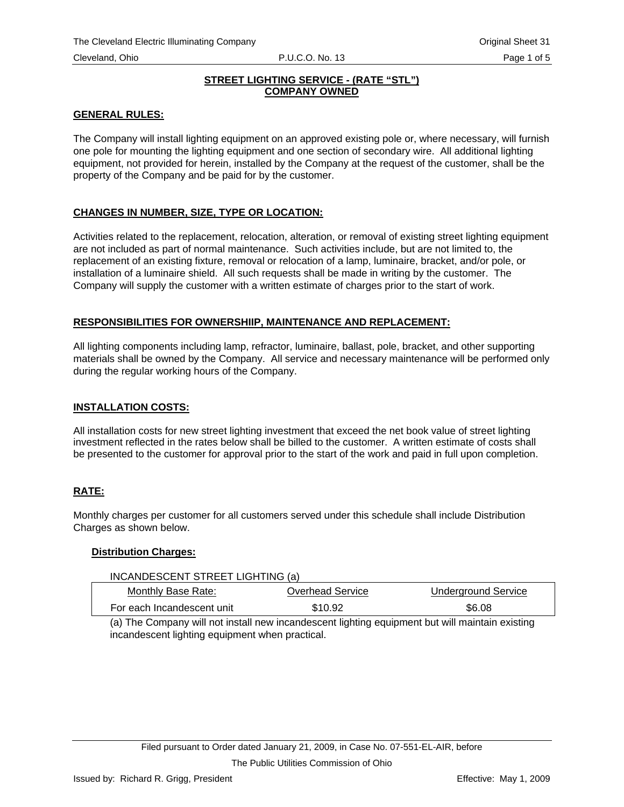<span id="page-42-0"></span>

# **STREET LIGHTING SERVICE - (RATE "STL") COMPANY OWNED**

# **GENERAL RULES:**

The Company will install lighting equipment on an approved existing pole or, where necessary, will furnish one pole for mounting the lighting equipment and one section of secondary wire. All additional lighting equipment, not provided for herein, installed by the Company at the request of the customer, shall be the property of the Company and be paid for by the customer.

# **CHANGES IN NUMBER, SIZE, TYPE OR LOCATION:**

Activities related to the replacement, relocation, alteration, or removal of existing street lighting equipment are not included as part of normal maintenance. Such activities include, but are not limited to, the replacement of an existing fixture, removal or relocation of a lamp, luminaire, bracket, and/or pole, or installation of a luminaire shield. All such requests shall be made in writing by the customer. The Company will supply the customer with a written estimate of charges prior to the start of work.

# **RESPONSIBILITIES FOR OWNERSHIIP, MAINTENANCE AND REPLACEMENT:**

All lighting components including lamp, refractor, luminaire, ballast, pole, bracket, and other supporting materials shall be owned by the Company. All service and necessary maintenance will be performed only during the regular working hours of the Company.

# **INSTALLATION COSTS:**

All installation costs for new street lighting investment that exceed the net book value of street lighting investment reflected in the rates below shall be billed to the customer. A written estimate of costs shall be presented to the customer for approval prior to the start of the work and paid in full upon completion.

# **RATE:**

Monthly charges per customer for all customers served under this schedule shall include Distribution Charges as shown below.

# **Distribution Charges:**

| INCANDESCENT STREET LIGHTING (a)                                                                |                  |                            |  |
|-------------------------------------------------------------------------------------------------|------------------|----------------------------|--|
| Monthly Base Rate:                                                                              | Overhead Service | <b>Underground Service</b> |  |
| For each Incandescent unit                                                                      | \$10.92          | \$6.08                     |  |
| (a) The Company will not install new incandescent lighting equipment but will maintain existing |                  |                            |  |

(a) The Company will not install new incandescent lighting equipment but will maintain existing incandescent lighting equipment when practical.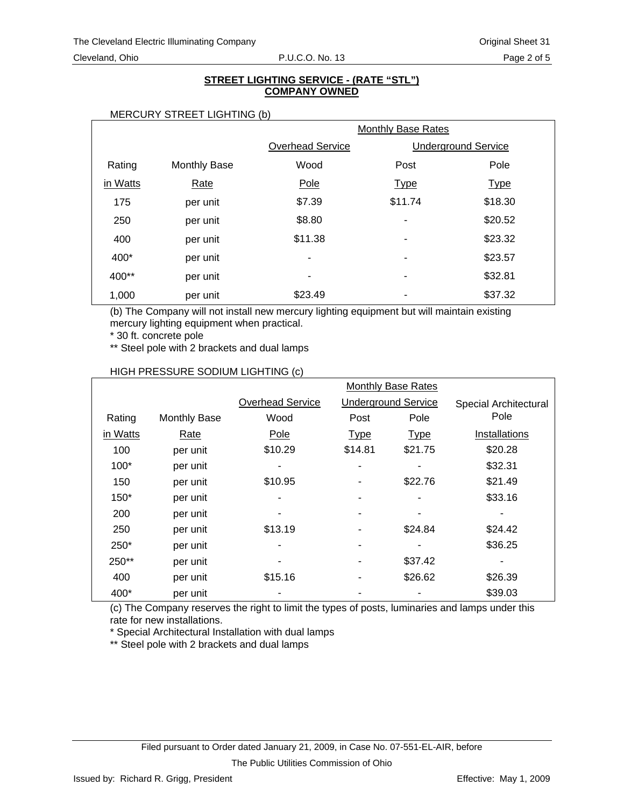## **STREET LIGHTING SERVICE - (RATE "STL") COMPANY OWNED**

#### MERCURY STREET LIGHTING (b)

|          |                     | <b>Monthly Base Rates</b> |                          |                            |
|----------|---------------------|---------------------------|--------------------------|----------------------------|
|          |                     | <b>Overhead Service</b>   |                          | <b>Underground Service</b> |
| Rating   | <b>Monthly Base</b> | Wood                      | Post                     | Pole                       |
| in Watts | Rate                | Pole                      | <b>Type</b>              | <b>Type</b>                |
| 175      | per unit            | \$7.39                    | \$11.74                  | \$18.30                    |
| 250      | per unit            | \$8.80                    | $\overline{\phantom{a}}$ | \$20.52                    |
| 400      | per unit            | \$11.38                   | ٠                        | \$23.32                    |
| 400*     | per unit            | ٠                         | ٠                        | \$23.57                    |
| 400**    | per unit            | ۰                         | ٠                        | \$32.81                    |
| 1,000    | per unit            | \$23.49                   | $\qquad \qquad$          | \$37.32                    |

(b) The Company will not install new mercury lighting equipment but will maintain existing mercury lighting equipment when practical.

\* 30 ft. concrete pole

\*\* Steel pole with 2 brackets and dual lamps

|          |                     | <b>Monthly Base Rates</b> |             |                            |                       |
|----------|---------------------|---------------------------|-------------|----------------------------|-----------------------|
|          |                     | <b>Overhead Service</b>   |             | <b>Underground Service</b> | Special Architectural |
| Rating   | <b>Monthly Base</b> | Wood                      | Post        | Pole                       | Pole                  |
| in Watts | Rate                | Pole                      | <b>Type</b> | <b>Type</b>                | Installations         |
| 100      | per unit            | \$10.29                   | \$14.81     | \$21.75                    | \$20.28               |
| $100*$   | per unit            |                           |             | ۰                          | \$32.31               |
| 150      | per unit            | \$10.95                   |             | \$22.76                    | \$21.49               |
| $150*$   | per unit            |                           |             |                            | \$33.16               |
| 200      | per unit            |                           |             |                            |                       |
| 250      | per unit            | \$13.19                   |             | \$24.84                    | \$24.42               |
| 250*     | per unit            |                           |             |                            | \$36.25               |
| 250**    | per unit            |                           |             | \$37.42                    |                       |
| 400      | per unit            | \$15.16                   |             | \$26.62                    | \$26.39               |
| 400*     | per unit            |                           |             |                            | \$39.03               |

## HIGH PRESSURE SODIUM LIGHTING (c)

(c) The Company reserves the right to limit the types of posts, luminaries and lamps under this rate for new installations.

\* Special Architectural Installation with dual lamps

\*\* Steel pole with 2 brackets and dual lamps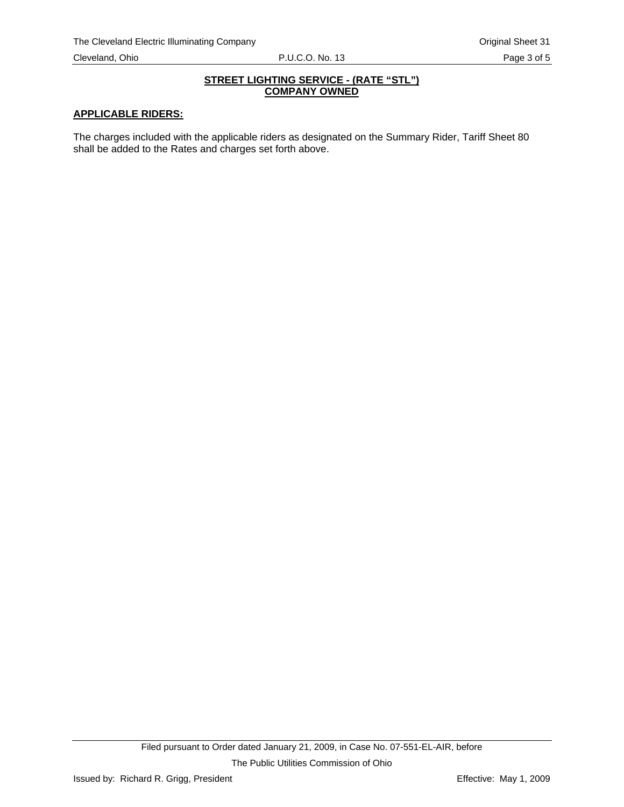## **STREET LIGHTING SERVICE - (RATE "STL") COMPANY OWNED**

## **APPLICABLE RIDERS:**

The charges included with the applicable riders as designated on the Summary Rider, Tariff Sheet 80 shall be added to the Rates and charges set forth above.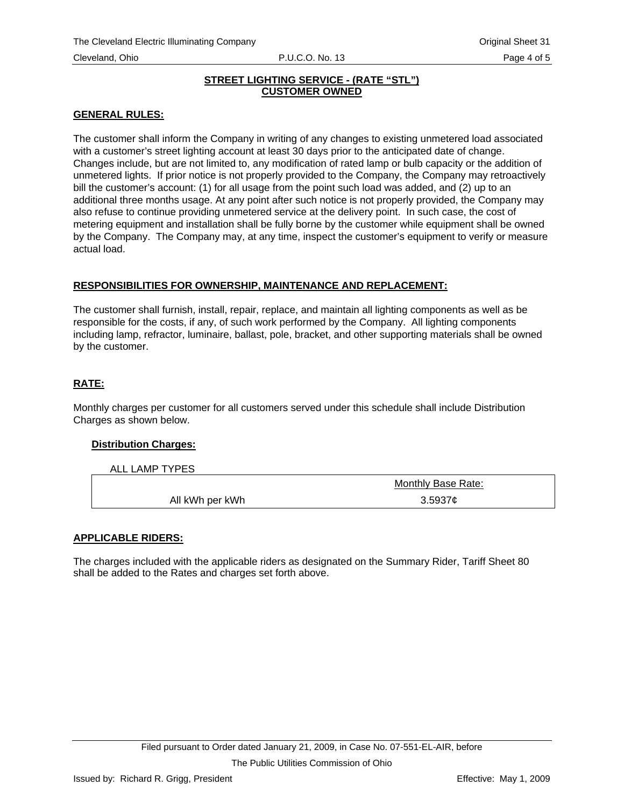## **STREET LIGHTING SERVICE - (RATE "STL") CUSTOMER OWNED**

# **GENERAL RULES:**

The customer shall inform the Company in writing of any changes to existing unmetered load associated with a customer's street lighting account at least 30 days prior to the anticipated date of change. Changes include, but are not limited to, any modification of rated lamp or bulb capacity or the addition of unmetered lights. If prior notice is not properly provided to the Company, the Company may retroactively bill the customer's account: (1) for all usage from the point such load was added, and (2) up to an additional three months usage. At any point after such notice is not properly provided, the Company may also refuse to continue providing unmetered service at the delivery point. In such case, the cost of metering equipment and installation shall be fully borne by the customer while equipment shall be owned by the Company. The Company may, at any time, inspect the customer's equipment to verify or measure actual load.

# **RESPONSIBILITIES FOR OWNERSHIP, MAINTENANCE AND REPLACEMENT:**

The customer shall furnish, install, repair, replace, and maintain all lighting components as well as be responsible for the costs, if any, of such work performed by the Company. All lighting components including lamp, refractor, luminaire, ballast, pole, bracket, and other supporting materials shall be owned by the customer.

# **RATE:**

Monthly charges per customer for all customers served under this schedule shall include Distribution Charges as shown below.

# **Distribution Charges:**

ALL LAMP TYPES

|                 | Monthly Base Rate: |  |
|-----------------|--------------------|--|
| All kWh per kWh | 3.5937c            |  |

# **APPLICABLE RIDERS:**

The charges included with the applicable riders as designated on the Summary Rider, Tariff Sheet 80 shall be added to the Rates and charges set forth above.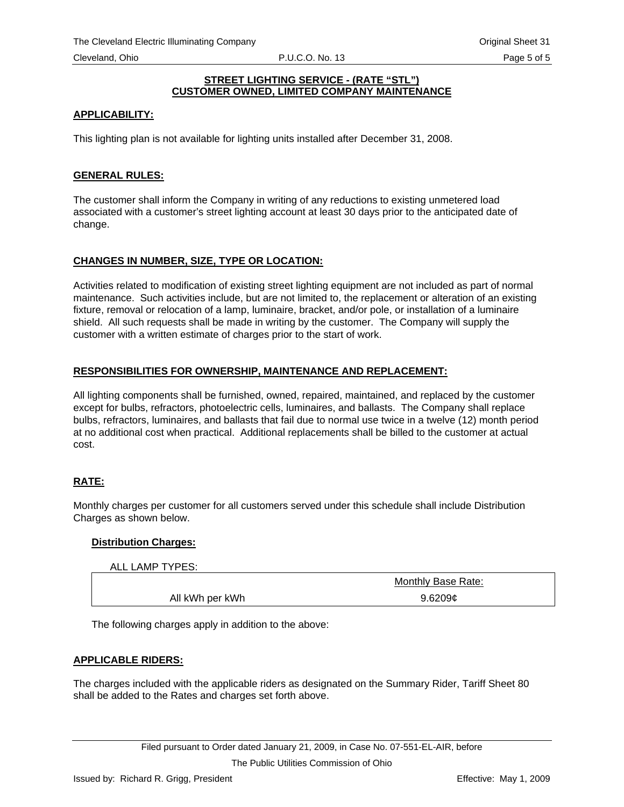## **STREET LIGHTING SERVICE - (RATE "STL") CUSTOMER OWNED, LIMITED COMPANY MAINTENANCE**

# **APPLICABILITY:**

This lighting plan is not available for lighting units installed after December 31, 2008.

# **GENERAL RULES:**

The customer shall inform the Company in writing of any reductions to existing unmetered load associated with a customer's street lighting account at least 30 days prior to the anticipated date of change.

# **CHANGES IN NUMBER, SIZE, TYPE OR LOCATION:**

Activities related to modification of existing street lighting equipment are not included as part of normal maintenance. Such activities include, but are not limited to, the replacement or alteration of an existing fixture, removal or relocation of a lamp, luminaire, bracket, and/or pole, or installation of a luminaire shield. All such requests shall be made in writing by the customer. The Company will supply the customer with a written estimate of charges prior to the start of work.

## **RESPONSIBILITIES FOR OWNERSHIP, MAINTENANCE AND REPLACEMENT:**

All lighting components shall be furnished, owned, repaired, maintained, and replaced by the customer except for bulbs, refractors, photoelectric cells, luminaires, and ballasts. The Company shall replace bulbs, refractors, luminaires, and ballasts that fail due to normal use twice in a twelve (12) month period at no additional cost when practical. Additional replacements shall be billed to the customer at actual cost.

# **RATE:**

Monthly charges per customer for all customers served under this schedule shall include Distribution Charges as shown below.

#### **Distribution Charges:**

| ALL LAMP TYPES: |                    |
|-----------------|--------------------|
|                 | Monthly Base Rate: |
| All kWh per kWh | 9.6209c            |
|                 |                    |

The following charges apply in addition to the above:

# **APPLICABLE RIDERS:**

The charges included with the applicable riders as designated on the Summary Rider, Tariff Sheet 80 shall be added to the Rates and charges set forth above.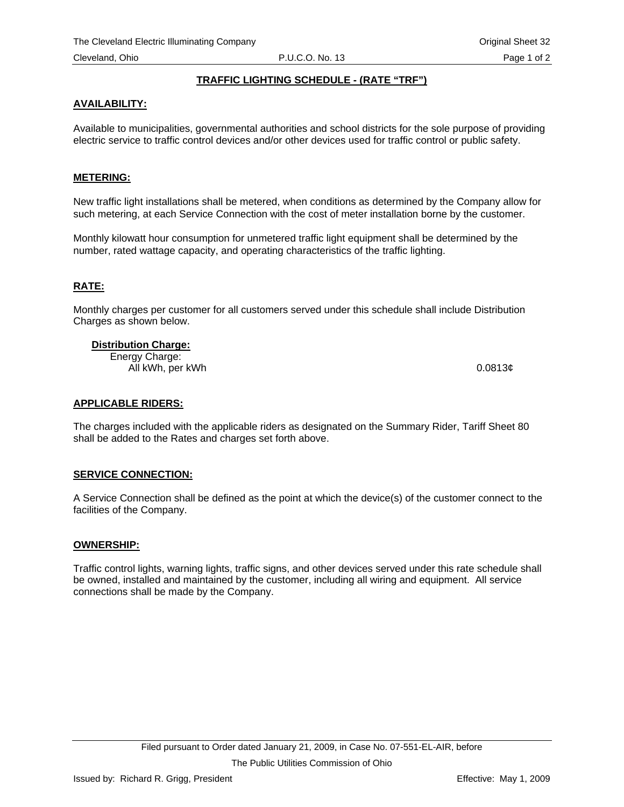# **TRAFFIC LIGHTING SCHEDULE - (RATE "TRF")**

# <span id="page-47-0"></span>**AVAILABILITY:**

Available to municipalities, governmental authorities and school districts for the sole purpose of providing electric service to traffic control devices and/or other devices used for traffic control or public safety.

## **METERING:**

New traffic light installations shall be metered, when conditions as determined by the Company allow for such metering, at each Service Connection with the cost of meter installation borne by the customer.

Monthly kilowatt hour consumption for unmetered traffic light equipment shall be determined by the number, rated wattage capacity, and operating characteristics of the traffic lighting.

# **RATE:**

Monthly charges per customer for all customers served under this schedule shall include Distribution Charges as shown below.

#### **Distribution Charge:**

Energy Charge: All kWh, per kWh 0.0813¢

#### **APPLICABLE RIDERS:**

The charges included with the applicable riders as designated on the Summary Rider, Tariff Sheet 80 shall be added to the Rates and charges set forth above.

#### **SERVICE CONNECTION:**

A Service Connection shall be defined as the point at which the device(s) of the customer connect to the facilities of the Company.

#### **OWNERSHIP:**

Traffic control lights, warning lights, traffic signs, and other devices served under this rate schedule shall be owned, installed and maintained by the customer, including all wiring and equipment. All service connections shall be made by the Company.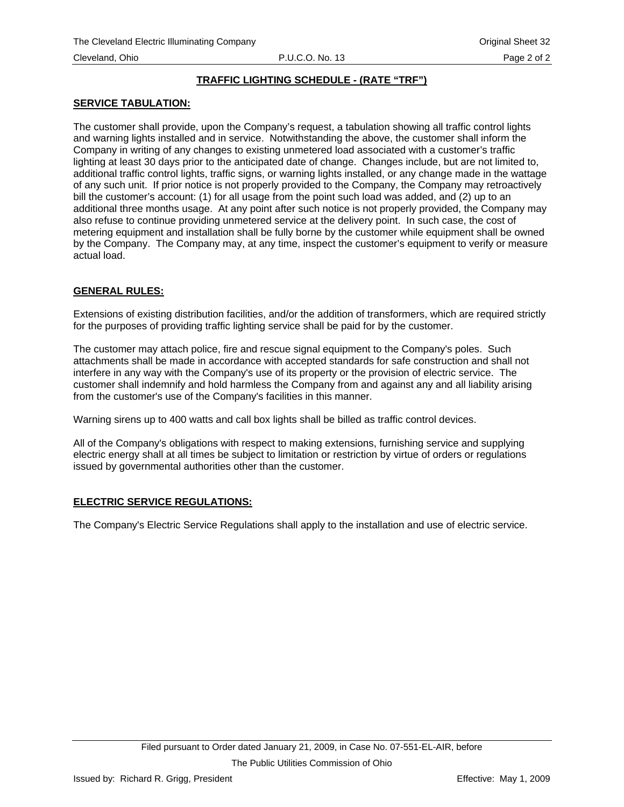## **TRAFFIC LIGHTING SCHEDULE - (RATE "TRF")**

## **SERVICE TABULATION:**

The customer shall provide, upon the Company's request, a tabulation showing all traffic control lights and warning lights installed and in service. Notwithstanding the above, the customer shall inform the Company in writing of any changes to existing unmetered load associated with a customer's traffic lighting at least 30 days prior to the anticipated date of change. Changes include, but are not limited to, additional traffic control lights, traffic signs, or warning lights installed, or any change made in the wattage of any such unit. If prior notice is not properly provided to the Company, the Company may retroactively bill the customer's account: (1) for all usage from the point such load was added, and (2) up to an additional three months usage. At any point after such notice is not properly provided, the Company may also refuse to continue providing unmetered service at the delivery point. In such case, the cost of metering equipment and installation shall be fully borne by the customer while equipment shall be owned by the Company. The Company may, at any time, inspect the customer's equipment to verify or measure actual load.

# **GENERAL RULES:**

Extensions of existing distribution facilities, and/or the addition of transformers, which are required strictly for the purposes of providing traffic lighting service shall be paid for by the customer.

The customer may attach police, fire and rescue signal equipment to the Company's poles. Such attachments shall be made in accordance with accepted standards for safe construction and shall not interfere in any way with the Company's use of its property or the provision of electric service. The customer shall indemnify and hold harmless the Company from and against any and all liability arising from the customer's use of the Company's facilities in this manner.

Warning sirens up to 400 watts and call box lights shall be billed as traffic control devices.

All of the Company's obligations with respect to making extensions, furnishing service and supplying electric energy shall at all times be subject to limitation or restriction by virtue of orders or regulations issued by governmental authorities other than the customer.

# **ELECTRIC SERVICE REGULATIONS:**

The Company's Electric Service Regulations shall apply to the installation and use of electric service.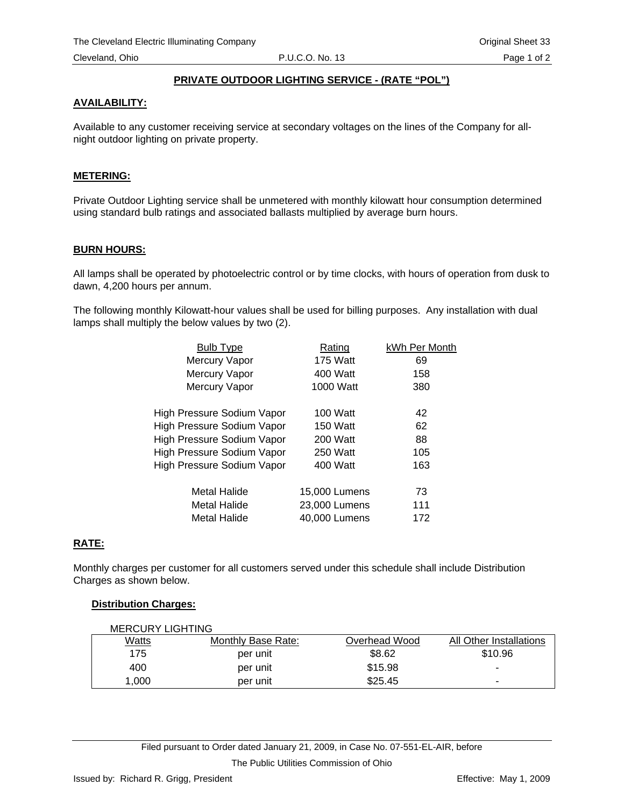# **PRIVATE OUTDOOR LIGHTING SERVICE - (RATE "POL")**

## <span id="page-49-0"></span>**AVAILABILITY:**

Available to any customer receiving service at secondary voltages on the lines of the Company for allnight outdoor lighting on private property.

## **METERING:**

Private Outdoor Lighting service shall be unmetered with monthly kilowatt hour consumption determined using standard bulb ratings and associated ballasts multiplied by average burn hours.

## **BURN HOURS:**

All lamps shall be operated by photoelectric control or by time clocks, with hours of operation from dusk to dawn, 4,200 hours per annum.

The following monthly Kilowatt-hour values shall be used for billing purposes. Any installation with dual lamps shall multiply the below values by two (2).

| <b>Bulb Type</b>                  | Rating          | kWh Per Month |
|-----------------------------------|-----------------|---------------|
| Mercury Vapor                     | <b>175 Watt</b> | 69            |
| Mercury Vapor                     | 400 Watt        | 158           |
| Mercury Vapor                     | 1000 Watt       | 380           |
| High Pressure Sodium Vapor        | 100 Watt        | 42            |
| <b>High Pressure Sodium Vapor</b> | <b>150 Watt</b> | 62            |
| High Pressure Sodium Vapor        | 200 Watt        | 88            |
| High Pressure Sodium Vapor        | 250 Watt        | 105           |
| High Pressure Sodium Vapor        | 400 Watt        | 163           |
| Metal Halide                      | 15,000 Lumens   | 73            |
| Metal Halide                      | 23,000 Lumens   | 111           |
| Metal Halide                      | 40,000 Lumens   | 172           |

# **RATE:**

Monthly charges per customer for all customers served under this schedule shall include Distribution Charges as shown below.

#### **Distribution Charges:**

| <b>MERCURY LIGHTING</b> |                    |               |                         |
|-------------------------|--------------------|---------------|-------------------------|
| Watts                   | Monthly Base Rate: | Overhead Wood | All Other Installations |
| 175                     | per unit           | \$8.62        | \$10.96                 |
| 400                     | per unit           | \$15.98       | ۰                       |
| 1.000                   | per unit           | \$25.45       | -                       |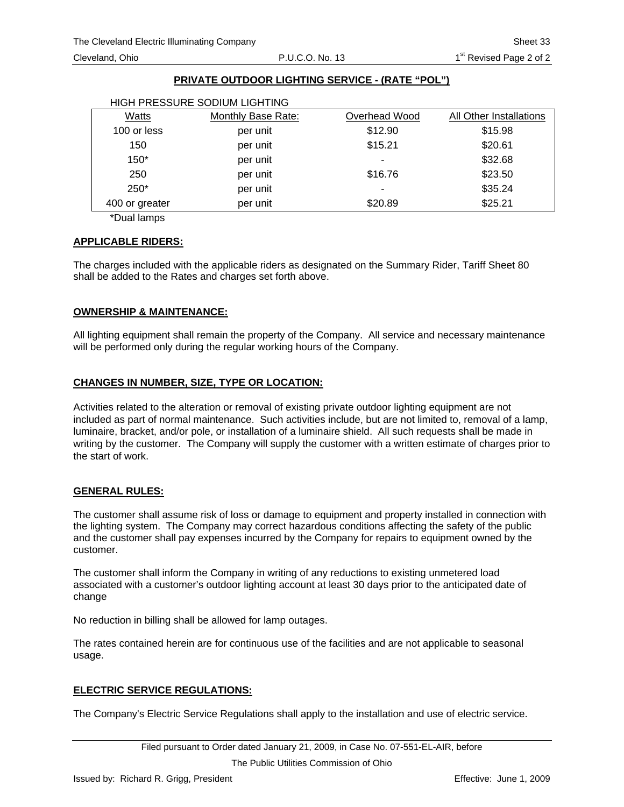# **PRIVATE OUTDOOR LIGHTING SERVICE - (RATE "POL")**

| HIGH PRESSURE SODIUM LIGHTING |                    |               |                         |  |
|-------------------------------|--------------------|---------------|-------------------------|--|
| Watts                         | Monthly Base Rate: | Overhead Wood | All Other Installations |  |
| 100 or less                   | per unit           | \$12.90       | \$15.98                 |  |
| 150                           | per unit           | \$15.21       | \$20.61                 |  |
| $150*$                        | per unit           |               | \$32.68                 |  |
| 250                           | per unit           | \$16.76       | \$23.50                 |  |
| $250*$                        | per unit           | ۰             | \$35.24                 |  |
| 400 or greater                | per unit           | \$20.89       | \$25.21                 |  |

\*Dual lamps

## **APPLICABLE RIDERS:**

The charges included with the applicable riders as designated on the Summary Rider, Tariff Sheet 80 shall be added to the Rates and charges set forth above.

## **OWNERSHIP & MAINTENANCE:**

All lighting equipment shall remain the property of the Company. All service and necessary maintenance will be performed only during the regular working hours of the Company.

# **CHANGES IN NUMBER, SIZE, TYPE OR LOCATION:**

Activities related to the alteration or removal of existing private outdoor lighting equipment are not included as part of normal maintenance. Such activities include, but are not limited to, removal of a lamp, luminaire, bracket, and/or pole, or installation of a luminaire shield. All such requests shall be made in writing by the customer. The Company will supply the customer with a written estimate of charges prior to the start of work.

# **GENERAL RULES:**

The customer shall assume risk of loss or damage to equipment and property installed in connection with the lighting system. The Company may correct hazardous conditions affecting the safety of the public and the customer shall pay expenses incurred by the Company for repairs to equipment owned by the customer.

The customer shall inform the Company in writing of any reductions to existing unmetered load associated with a customer's outdoor lighting account at least 30 days prior to the anticipated date of change

No reduction in billing shall be allowed for lamp outages.

The rates contained herein are for continuous use of the facilities and are not applicable to seasonal usage.

# **ELECTRIC SERVICE REGULATIONS:**

The Company's Electric Service Regulations shall apply to the installation and use of electric service.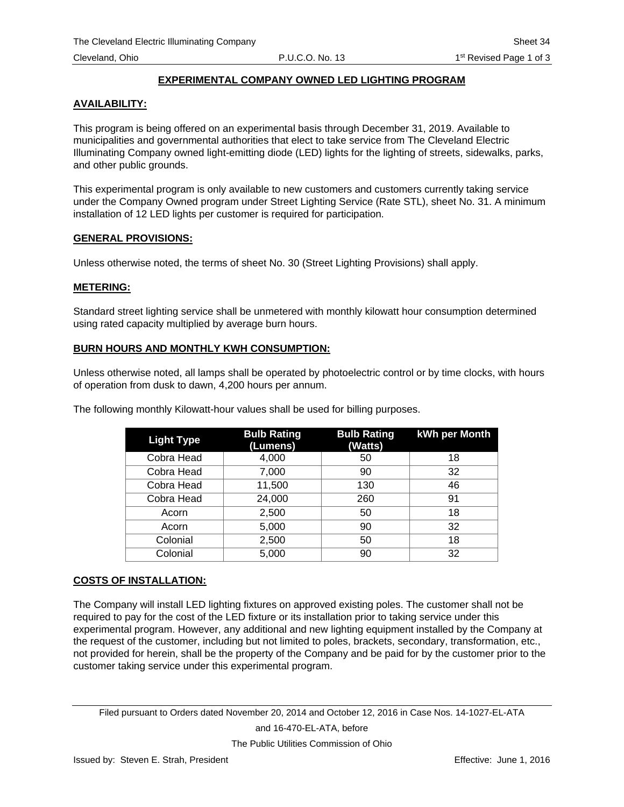# **EXPERIMENTAL COMPANY OWNED LED LIGHTING PROGRAM**

## **AVAILABILITY:**

This program is being offered on an experimental basis through December 31, 2019. Available to municipalities and governmental authorities that elect to take service from The Cleveland Electric Illuminating Company owned light-emitting diode (LED) lights for the lighting of streets, sidewalks, parks, and other public grounds.

This experimental program is only available to new customers and customers currently taking service under the Company Owned program under Street Lighting Service (Rate STL), sheet No. 31. A minimum installation of 12 LED lights per customer is required for participation.

#### **GENERAL PROVISIONS:**

Unless otherwise noted, the terms of sheet No. 30 (Street Lighting Provisions) shall apply.

#### **METERING:**

Standard street lighting service shall be unmetered with monthly kilowatt hour consumption determined using rated capacity multiplied by average burn hours.

## **BURN HOURS AND MONTHLY KWH CONSUMPTION:**

Unless otherwise noted, all lamps shall be operated by photoelectric control or by time clocks, with hours of operation from dusk to dawn, 4,200 hours per annum.

| <b>Light Type</b> | <b>Bulb Rating</b><br>(Lumens) | <b>Bulb Rating</b><br>(Watts) | kWh per Month |
|-------------------|--------------------------------|-------------------------------|---------------|
| Cobra Head        | 4,000                          | 50                            | 18            |
| Cobra Head        | 7,000                          | 90                            | 32            |
| Cobra Head        | 11,500                         | 130                           | 46            |
| Cobra Head        | 24,000                         | 260                           | 91            |
| Acorn             | 2,500                          | 50                            | 18            |
| Acorn             | 5,000                          | 90                            | 32            |
| Colonial          | 2,500                          | 50                            | 18            |
| Colonial          | 5,000                          | 90                            | 32            |

The following monthly Kilowatt-hour values shall be used for billing purposes.

# **COSTS OF INSTALLATION:**

The Company will install LED lighting fixtures on approved existing poles. The customer shall not be required to pay for the cost of the LED fixture or its installation prior to taking service under this experimental program. However, any additional and new lighting equipment installed by the Company at the request of the customer, including but not limited to poles, brackets, secondary, transformation, etc., not provided for herein, shall be the property of the Company and be paid for by the customer prior to the customer taking service under this experimental program.

Filed pursuant to Orders dated November 20, 2014 and October 12, 2016 in Case Nos. 14-1027-EL-ATA and 16-470-EL-ATA, before

The Public Utilities Commission of Ohio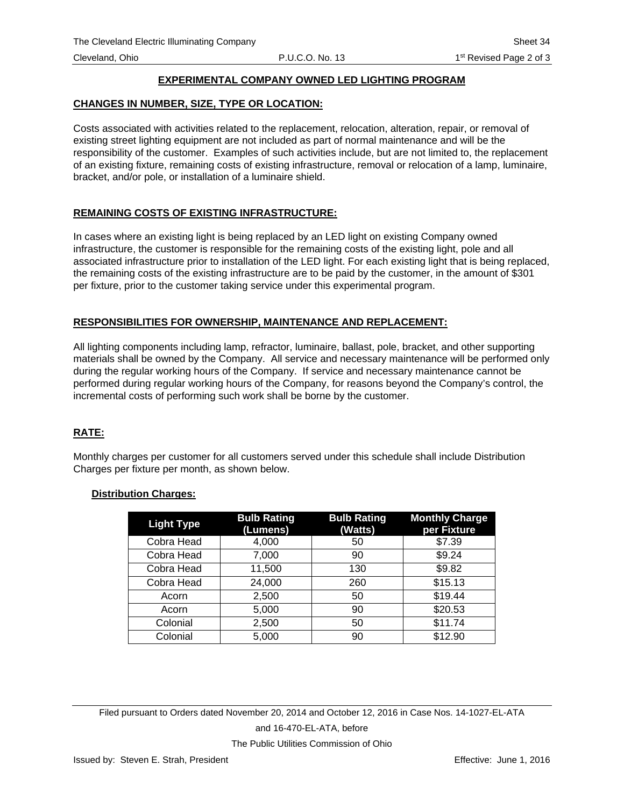# **EXPERIMENTAL COMPANY OWNED LED LIGHTING PROGRAM**

## **CHANGES IN NUMBER, SIZE, TYPE OR LOCATION:**

Costs associated with activities related to the replacement, relocation, alteration, repair, or removal of existing street lighting equipment are not included as part of normal maintenance and will be the responsibility of the customer. Examples of such activities include, but are not limited to, the replacement of an existing fixture, remaining costs of existing infrastructure, removal or relocation of a lamp, luminaire, bracket, and/or pole, or installation of a luminaire shield.

# **REMAINING COSTS OF EXISTING INFRASTRUCTURE:**

In cases where an existing light is being replaced by an LED light on existing Company owned infrastructure, the customer is responsible for the remaining costs of the existing light, pole and all associated infrastructure prior to installation of the LED light. For each existing light that is being replaced, the remaining costs of the existing infrastructure are to be paid by the customer, in the amount of \$301 per fixture, prior to the customer taking service under this experimental program.

# **RESPONSIBILITIES FOR OWNERSHIP, MAINTENANCE AND REPLACEMENT:**

All lighting components including lamp, refractor, luminaire, ballast, pole, bracket, and other supporting materials shall be owned by the Company. All service and necessary maintenance will be performed only during the regular working hours of the Company. If service and necessary maintenance cannot be performed during regular working hours of the Company, for reasons beyond the Company's control, the incremental costs of performing such work shall be borne by the customer.

# **RATE:**

Monthly charges per customer for all customers served under this schedule shall include Distribution Charges per fixture per month, as shown below.

#### **Distribution Charges:**

| <b>Light Type</b> | <b>Bulb Rating</b><br>(Lumens) | <b>Bulb Rating</b><br>(Watts) | <b>Monthly Charge</b><br>per Fixture |
|-------------------|--------------------------------|-------------------------------|--------------------------------------|
| Cobra Head        | 4,000                          | 50                            | \$7.39                               |
| Cobra Head        | 7,000                          | 90                            | \$9.24                               |
| Cobra Head        | 11,500                         | 130                           | \$9.82                               |
| Cobra Head        | 24,000                         | 260                           | \$15.13                              |
| Acorn             | 2,500                          | 50                            | \$19.44                              |
| Acorn             | 5,000                          | 90                            | \$20.53                              |
| Colonial          | 2,500                          | 50                            | \$11.74                              |
| Colonial          | 5,000                          | 90                            | \$12.90                              |

Filed pursuant to Orders dated November 20, 2014 and October 12, 2016 in Case Nos. 14-1027-EL-ATA and 16-470-EL-ATA, before The Public Utilities Commission of Ohio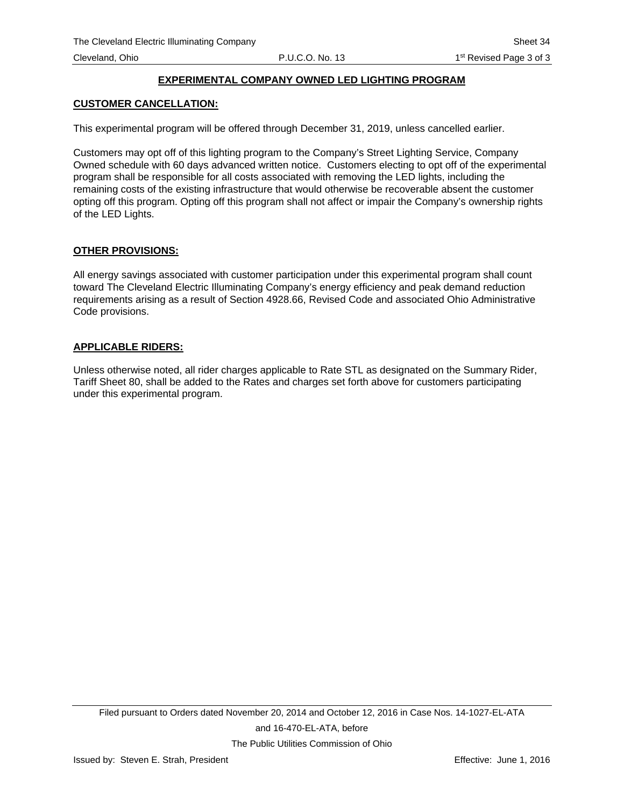# **EXPERIMENTAL COMPANY OWNED LED LIGHTING PROGRAM**

#### **CUSTOMER CANCELLATION:**

This experimental program will be offered through December 31, 2019, unless cancelled earlier.

Customers may opt off of this lighting program to the Company's Street Lighting Service, Company Owned schedule with 60 days advanced written notice. Customers electing to opt off of the experimental program shall be responsible for all costs associated with removing the LED lights, including the remaining costs of the existing infrastructure that would otherwise be recoverable absent the customer opting off this program. Opting off this program shall not affect or impair the Company's ownership rights of the LED Lights.

## **OTHER PROVISIONS:**

All energy savings associated with customer participation under this experimental program shall count toward The Cleveland Electric Illuminating Company's energy efficiency and peak demand reduction requirements arising as a result of Section 4928.66, Revised Code and associated Ohio Administrative Code provisions.

#### **APPLICABLE RIDERS:**

Unless otherwise noted, all rider charges applicable to Rate STL as designated on the Summary Rider, Tariff Sheet 80, shall be added to the Rates and charges set forth above for customers participating under this experimental program.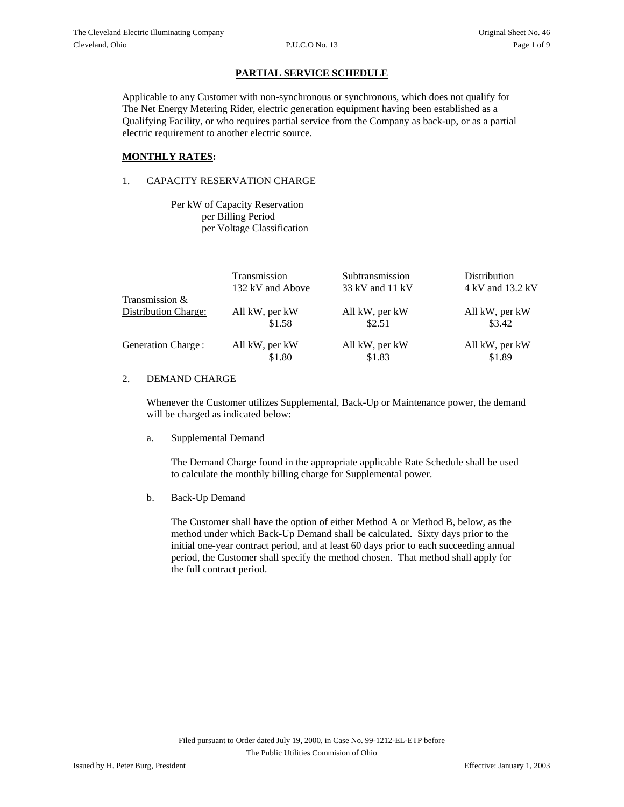Applicable to any Customer with non-synchronous or synchronous, which does not qualify for The Net Energy Metering Rider, electric generation equipment having been established as a Qualifying Facility, or who requires partial service from the Company as back-up, or as a partial electric requirement to another electric source.

#### **MONTHLY RATES:**

#### 1. CAPACITY RESERVATION CHARGE

 Per kW of Capacity Reservation per Billing Period per Voltage Classification

| 4 kV and 13.2 kV |
|------------------|
|                  |
| All kW, per kW   |
| \$3.42           |
| All kW, per kW   |
| \$1.89           |
|                  |

#### 2. DEMAND CHARGE

Whenever the Customer utilizes Supplemental, Back-Up or Maintenance power, the demand will be charged as indicated below:

a. Supplemental Demand

The Demand Charge found in the appropriate applicable Rate Schedule shall be used to calculate the monthly billing charge for Supplemental power.

b. Back-Up Demand

The Customer shall have the option of either Method A or Method B, below, as the method under which Back-Up Demand shall be calculated. Sixty days prior to the initial one-year contract period, and at least 60 days prior to each succeeding annual period, the Customer shall specify the method chosen. That method shall apply for the full contract period.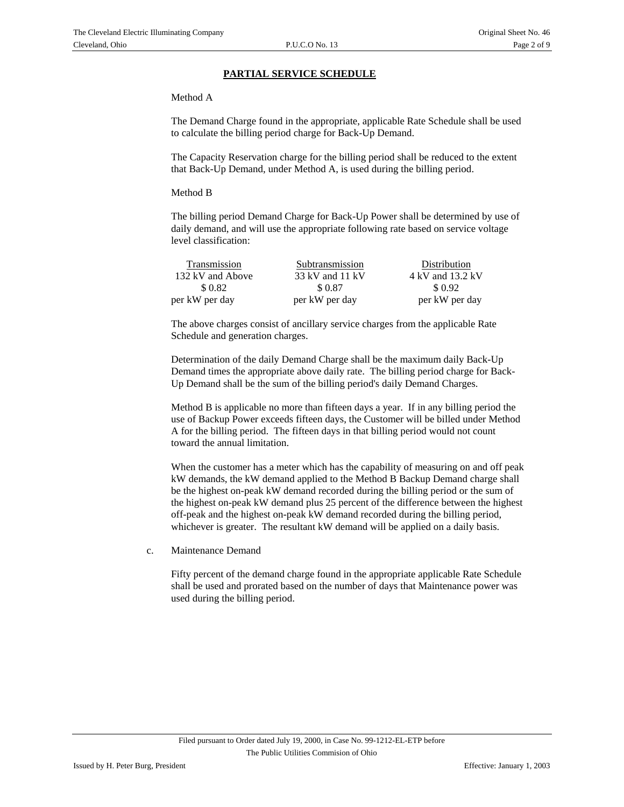#### Method A

The Demand Charge found in the appropriate, applicable Rate Schedule shall be used to calculate the billing period charge for Back-Up Demand.

The Capacity Reservation charge for the billing period shall be reduced to the extent that Back-Up Demand, under Method A, is used during the billing period.

#### Method B

The billing period Demand Charge for Back-Up Power shall be determined by use of daily demand, and will use the appropriate following rate based on service voltage level classification:

| Transmission     | Subtransmission | Distribution     |
|------------------|-----------------|------------------|
| 132 kV and Above | 33 kV and 11 kV | 4 kV and 13.2 kV |
| \$ 0.82          | \$ 0.87         | \$ 0.92          |
| per kW per day   | per kW per day  | per kW per day   |

The above charges consist of ancillary service charges from the applicable Rate Schedule and generation charges.

Determination of the daily Demand Charge shall be the maximum daily Back-Up Demand times the appropriate above daily rate. The billing period charge for Back-Up Demand shall be the sum of the billing period's daily Demand Charges.

Method B is applicable no more than fifteen days a year. If in any billing period the use of Backup Power exceeds fifteen days, the Customer will be billed under Method A for the billing period. The fifteen days in that billing period would not count toward the annual limitation.

When the customer has a meter which has the capability of measuring on and off peak kW demands, the kW demand applied to the Method B Backup Demand charge shall be the highest on-peak kW demand recorded during the billing period or the sum of the highest on-peak kW demand plus 25 percent of the difference between the highest off-peak and the highest on-peak kW demand recorded during the billing period, whichever is greater. The resultant kW demand will be applied on a daily basis.

c. Maintenance Demand

Fifty percent of the demand charge found in the appropriate applicable Rate Schedule shall be used and prorated based on the number of days that Maintenance power was used during the billing period.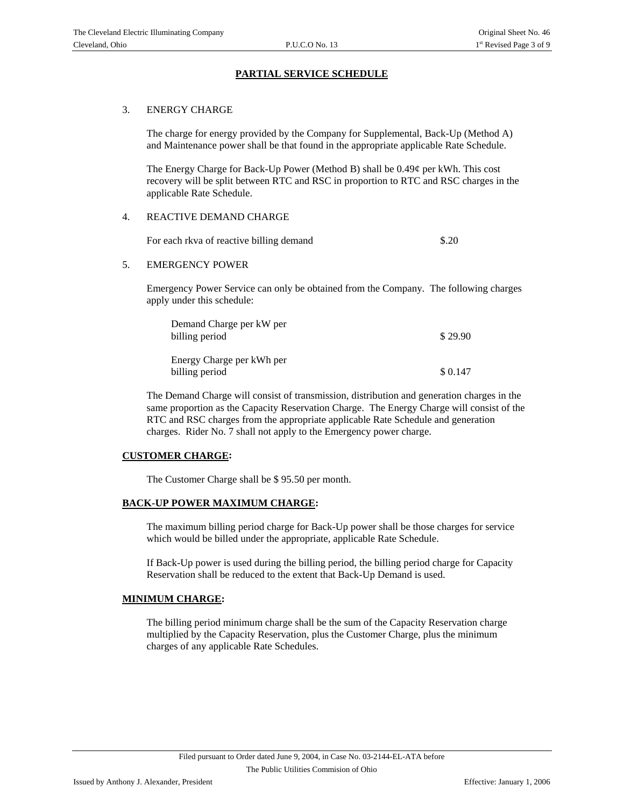#### 3. ENERGY CHARGE

The charge for energy provided by the Company for Supplemental, Back-Up (Method A) and Maintenance power shall be that found in the appropriate applicable Rate Schedule.

The Energy Charge for Back-Up Power (Method B) shall be 0.49¢ per kWh. This cost recovery will be split between RTC and RSC in proportion to RTC and RSC charges in the applicable Rate Schedule.

#### 4. REACTIVE DEMAND CHARGE

For each rkva of reactive billing demand \$.20

5. EMERGENCY POWER

Emergency Power Service can only be obtained from the Company. The following charges apply under this schedule:

| Demand Charge per kW per<br>billing period  | \$29.90 |
|---------------------------------------------|---------|
| Energy Charge per kWh per<br>billing period | \$0.147 |

The Demand Charge will consist of transmission, distribution and generation charges in the same proportion as the Capacity Reservation Charge. The Energy Charge will consist of the RTC and RSC charges from the appropriate applicable Rate Schedule and generation charges. Rider No. 7 shall not apply to the Emergency power charge.

#### **CUSTOMER CHARGE:**

The Customer Charge shall be \$ 95.50 per month.

#### **BACK-UP POWER MAXIMUM CHARGE:**

The maximum billing period charge for Back-Up power shall be those charges for service which would be billed under the appropriate, applicable Rate Schedule.

If Back-Up power is used during the billing period, the billing period charge for Capacity Reservation shall be reduced to the extent that Back-Up Demand is used.

#### **MINIMUM CHARGE:**

The billing period minimum charge shall be the sum of the Capacity Reservation charge multiplied by the Capacity Reservation, plus the Customer Charge, plus the minimum charges of any applicable Rate Schedules.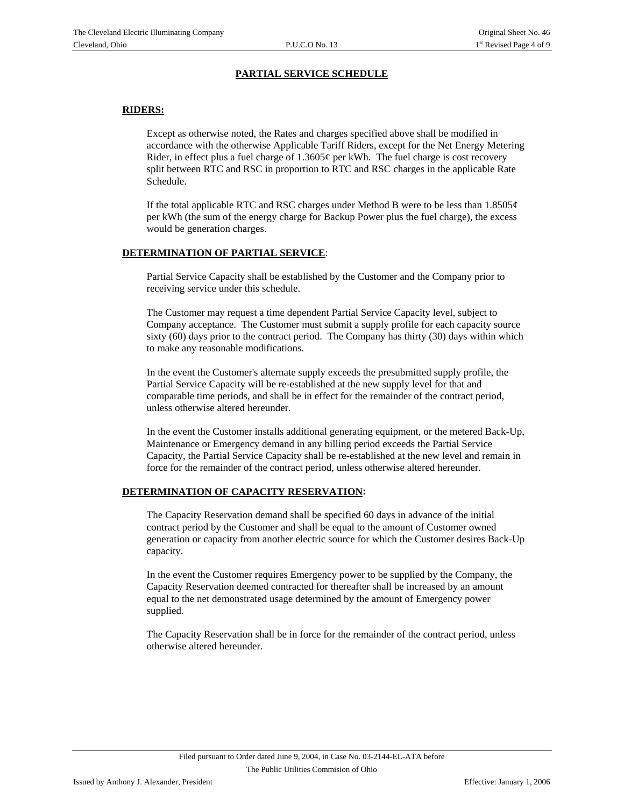## **RIDERS:**

Except as otherwise noted, the Rates and charges specified above shall be modified in accordance with the otherwise Applicable Tariff Riders, except for the Net Energy Metering Rider, in effect plus a fuel charge of  $1.3605\phi$  per kWh. The fuel charge is cost recovery split between RTC and RSC in proportion to RTC and RSC charges in the applicable Rate Schedule.

If the total applicable RTC and RSC charges under Method B were to be less than  $1.8505\phi$ per kWh (the sum of the energy charge for Backup Power plus the fuel charge), the excess would be generation charges.

#### **DETERMINATION OF PARTIAL SERVICE**:

Partial Service Capacity shall be established by the Customer and the Company prior to receiving service under this schedule.

The Customer may request a time dependent Partial Service Capacity level, subject to Company acceptance. The Customer must submit a supply profile for each capacity source sixty (60) days prior to the contract period. The Company has thirty (30) days within which to make any reasonable modifications.

In the event the Customer's alternate supply exceeds the presubmitted supply profile, the Partial Service Capacity will be re-established at the new supply level for that and comparable time periods, and shall be in effect for the remainder of the contract period, unless otherwise altered hereunder.

In the event the Customer installs additional generating equipment, or the metered Back-Up, Maintenance or Emergency demand in any billing period exceeds the Partial Service Capacity, the Partial Service Capacity shall be re-established at the new level and remain in force for the remainder of the contract period, unless otherwise altered hereunder.

#### **DETERMINATION OF CAPACITY RESERVATION:**

The Capacity Reservation demand shall be specified 60 days in advance of the initial contract period by the Customer and shall be equal to the amount of Customer owned generation or capacity from another electric source for which the Customer desires Back-Up capacity.

In the event the Customer requires Emergency power to be supplied by the Company, the Capacity Reservation deemed contracted for thereafter shall be increased by an amount equal to the net demonstrated usage determined by the amount of Emergency power supplied.

The Capacity Reservation shall be in force for the remainder of the contract period, unless otherwise altered hereunder.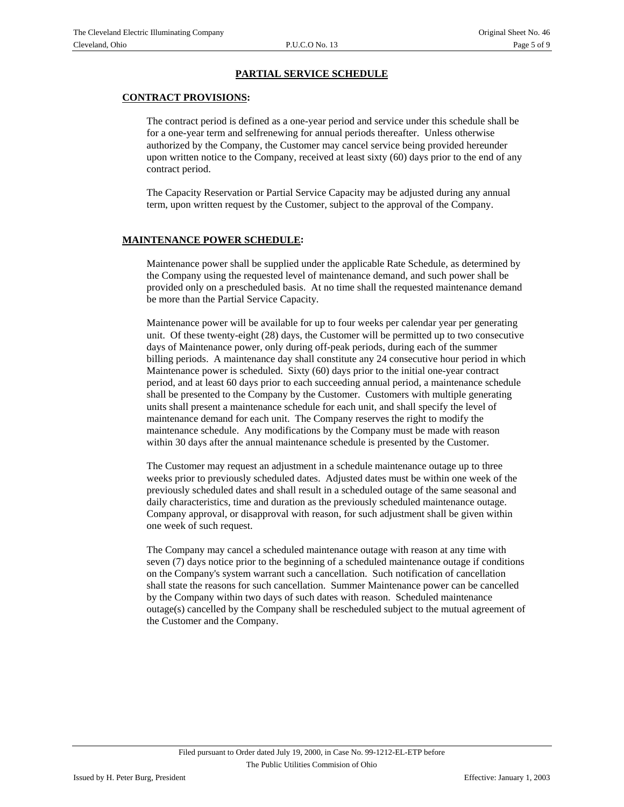#### **CONTRACT PROVISIONS:**

The contract period is defined as a one-year period and service under this schedule shall be for a one-year term and selfrenewing for annual periods thereafter. Unless otherwise authorized by the Company, the Customer may cancel service being provided hereunder upon written notice to the Company, received at least sixty (60) days prior to the end of any contract period.

The Capacity Reservation or Partial Service Capacity may be adjusted during any annual term, upon written request by the Customer, subject to the approval of the Company.

#### **MAINTENANCE POWER SCHEDULE:**

Maintenance power shall be supplied under the applicable Rate Schedule, as determined by the Company using the requested level of maintenance demand, and such power shall be provided only on a prescheduled basis. At no time shall the requested maintenance demand be more than the Partial Service Capacity.

Maintenance power will be available for up to four weeks per calendar year per generating unit. Of these twenty-eight (28) days, the Customer will be permitted up to two consecutive days of Maintenance power, only during off-peak periods, during each of the summer billing periods. A maintenance day shall constitute any 24 consecutive hour period in which Maintenance power is scheduled. Sixty (60) days prior to the initial one-year contract period, and at least 60 days prior to each succeeding annual period, a maintenance schedule shall be presented to the Company by the Customer. Customers with multiple generating units shall present a maintenance schedule for each unit, and shall specify the level of maintenance demand for each unit. The Company reserves the right to modify the maintenance schedule. Any modifications by the Company must be made with reason within 30 days after the annual maintenance schedule is presented by the Customer.

The Customer may request an adjustment in a schedule maintenance outage up to three weeks prior to previously scheduled dates. Adjusted dates must be within one week of the previously scheduled dates and shall result in a scheduled outage of the same seasonal and daily characteristics, time and duration as the previously scheduled maintenance outage. Company approval, or disapproval with reason, for such adjustment shall be given within one week of such request.

The Company may cancel a scheduled maintenance outage with reason at any time with seven (7) days notice prior to the beginning of a scheduled maintenance outage if conditions on the Company's system warrant such a cancellation. Such notification of cancellation shall state the reasons for such cancellation. Summer Maintenance power can be cancelled by the Company within two days of such dates with reason. Scheduled maintenance outage(s) cancelled by the Company shall be rescheduled subject to the mutual agreement of the Customer and the Company.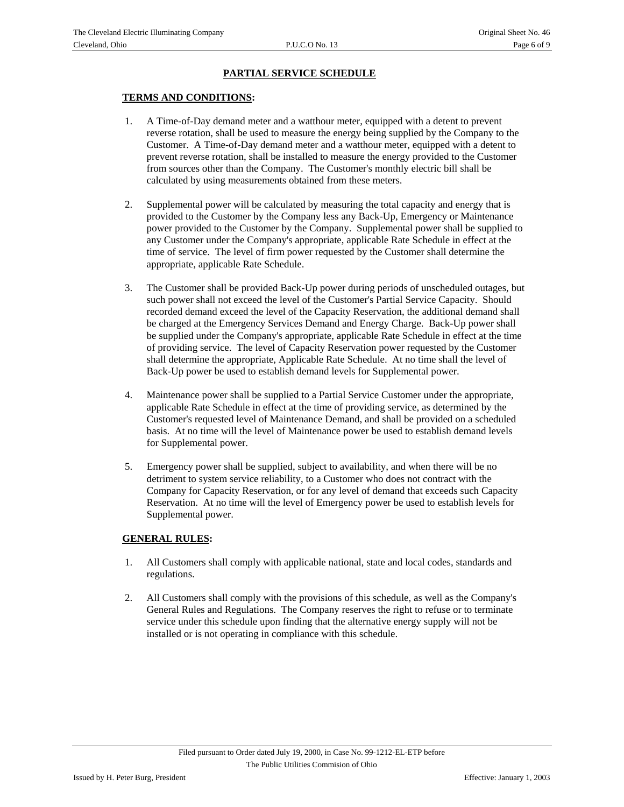#### **TERMS AND CONDITIONS:**

- 1. A Time-of-Day demand meter and a watthour meter, equipped with a detent to prevent reverse rotation, shall be used to measure the energy being supplied by the Company to the Customer. A Time-of-Day demand meter and a watthour meter, equipped with a detent to prevent reverse rotation, shall be installed to measure the energy provided to the Customer from sources other than the Company. The Customer's monthly electric bill shall be calculated by using measurements obtained from these meters.
- 2. Supplemental power will be calculated by measuring the total capacity and energy that is provided to the Customer by the Company less any Back-Up, Emergency or Maintenance power provided to the Customer by the Company. Supplemental power shall be supplied to any Customer under the Company's appropriate, applicable Rate Schedule in effect at the time of service. The level of firm power requested by the Customer shall determine the appropriate, applicable Rate Schedule.
- 3. The Customer shall be provided Back-Up power during periods of unscheduled outages, but such power shall not exceed the level of the Customer's Partial Service Capacity. Should recorded demand exceed the level of the Capacity Reservation, the additional demand shall be charged at the Emergency Services Demand and Energy Charge. Back-Up power shall be supplied under the Company's appropriate, applicable Rate Schedule in effect at the time of providing service. The level of Capacity Reservation power requested by the Customer shall determine the appropriate, Applicable Rate Schedule. At no time shall the level of Back-Up power be used to establish demand levels for Supplemental power.
- 4. Maintenance power shall be supplied to a Partial Service Customer under the appropriate, applicable Rate Schedule in effect at the time of providing service, as determined by the Customer's requested level of Maintenance Demand, and shall be provided on a scheduled basis. At no time will the level of Maintenance power be used to establish demand levels for Supplemental power.
- 5. Emergency power shall be supplied, subject to availability, and when there will be no detriment to system service reliability, to a Customer who does not contract with the Company for Capacity Reservation, or for any level of demand that exceeds such Capacity Reservation. At no time will the level of Emergency power be used to establish levels for Supplemental power.

#### **GENERAL RULES:**

- 1. All Customers shall comply with applicable national, state and local codes, standards and regulations.
- 2. All Customers shall comply with the provisions of this schedule, as well as the Company's General Rules and Regulations. The Company reserves the right to refuse or to terminate service under this schedule upon finding that the alternative energy supply will not be installed or is not operating in compliance with this schedule.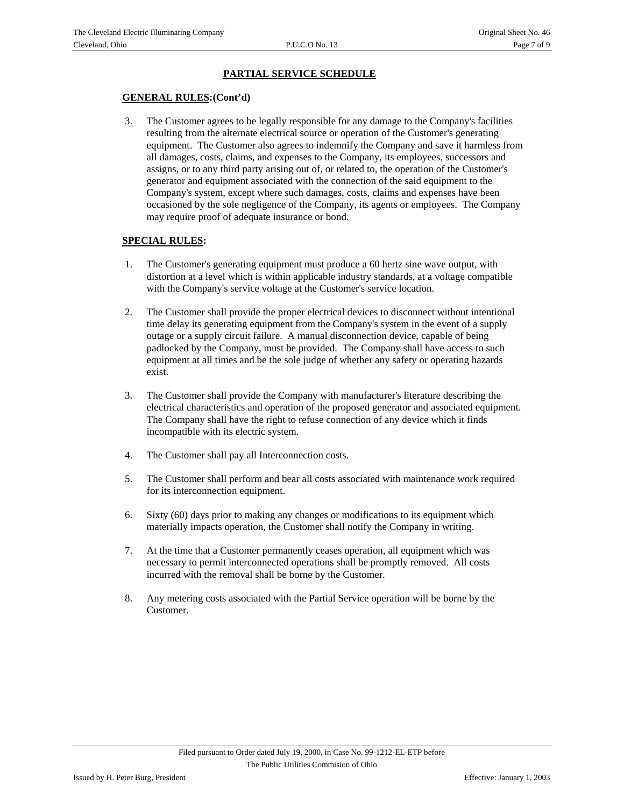#### **GENERAL RULES:(Cont'd)**

 3. The Customer agrees to be legally responsible for any damage to the Company's facilities resulting from the alternate electrical source or operation of the Customer's generating equipment. The Customer also agrees to indemnify the Company and save it harmless from all damages, costs, claims, and expenses to the Company, its employees, successors and assigns, or to any third party arising out of, or related to, the operation of the Customer's generator and equipment associated with the connection of the said equipment to the Company's system, except where such damages, costs, claims and expenses have been occasioned by the sole negligence of the Company, its agents or employees. The Company may require proof of adequate insurance or bond.

#### **SPECIAL RULES:**

- 1. The Customer's generating equipment must produce a 60 hertz sine wave output, with distortion at a level which is within applicable industry standards, at a voltage compatible with the Company's service voltage at the Customer's service location.
- 2. The Customer shall provide the proper electrical devices to disconnect without intentional time delay its generating equipment from the Company's system in the event of a supply outage or a supply circuit failure. A manual disconnection device, capable of being padlocked by the Company, must be provided. The Company shall have access to such equipment at all times and be the sole judge of whether any safety or operating hazards exist.
- 3. The Customer shall provide the Company with manufacturer's literature describing the electrical characteristics and operation of the proposed generator and associated equipment. The Company shall have the right to refuse connection of any device which it finds incompatible with its electric system.
- 4. The Customer shall pay all Interconnection costs.
- 5. The Customer shall perform and bear all costs associated with maintenance work required for its interconnection equipment.
- 6. Sixty (60) days prior to making any changes or modifications to its equipment which materially impacts operation, the Customer shall notify the Company in writing.
- 7. At the time that a Customer permanently ceases operation, all equipment which was necessary to permit interconnected operations shall be promptly removed. All costs incurred with the removal shall be borne by the Customer.
- 8. Any metering costs associated with the Partial Service operation will be borne by the Customer.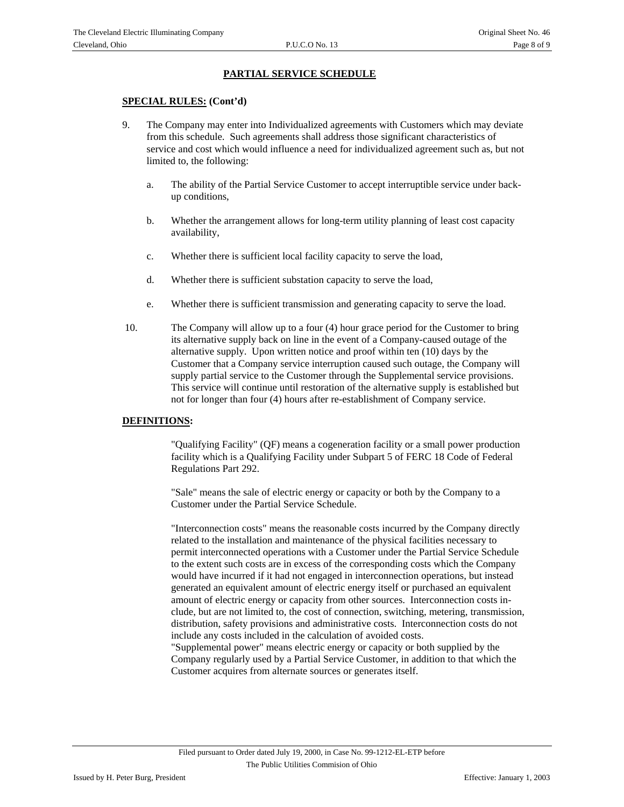#### **SPECIAL RULES: (Cont'd)**

- 9. The Company may enter into Individualized agreements with Customers which may deviate from this schedule. Such agreements shall address those significant characteristics of service and cost which would influence a need for individualized agreement such as, but not limited to, the following:
	- a. The ability of the Partial Service Customer to accept interruptible service under backup conditions,
	- b. Whether the arrangement allows for long-term utility planning of least cost capacity availability,
	- c. Whether there is sufficient local facility capacity to serve the load,
	- d. Whether there is sufficient substation capacity to serve the load,
	- e. Whether there is sufficient transmission and generating capacity to serve the load.
- 10. The Company will allow up to a four (4) hour grace period for the Customer to bring its alternative supply back on line in the event of a Company-caused outage of the alternative supply. Upon written notice and proof within ten (10) days by the Customer that a Company service interruption caused such outage, the Company will supply partial service to the Customer through the Supplemental service provisions. This service will continue until restoration of the alternative supply is established but not for longer than four (4) hours after re-establishment of Company service.

#### **DEFINITIONS:**

"Qualifying Facility" (QF) means a cogeneration facility or a small power production facility which is a Qualifying Facility under Subpart 5 of FERC 18 Code of Federal Regulations Part 292.

"Sale" means the sale of electric energy or capacity or both by the Company to a Customer under the Partial Service Schedule.

"Interconnection costs" means the reasonable costs incurred by the Company directly related to the installation and maintenance of the physical facilities necessary to permit interconnected operations with a Customer under the Partial Service Schedule to the extent such costs are in excess of the corresponding costs which the Company would have incurred if it had not engaged in interconnection operations, but instead generated an equivalent amount of electric energy itself or purchased an equivalent amount of electric energy or capacity from other sources. Interconnection costs include, but are not limited to, the cost of connection, switching, metering, transmission, distribution, safety provisions and administrative costs. Interconnection costs do not include any costs included in the calculation of avoided costs.

"Supplemental power" means electric energy or capacity or both supplied by the Company regularly used by a Partial Service Customer, in addition to that which the Customer acquires from alternate sources or generates itself.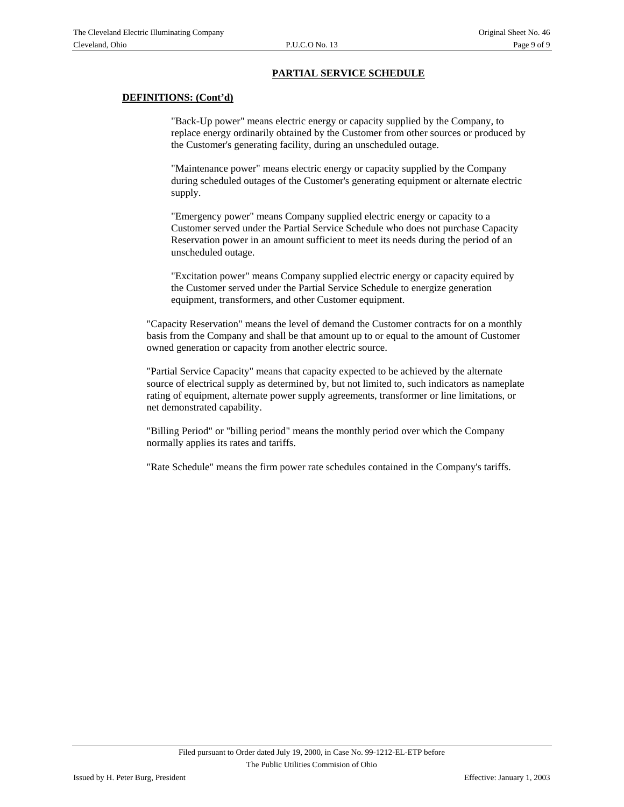#### **DEFINITIONS: (Cont'd)**

"Back-Up power" means electric energy or capacity supplied by the Company, to replace energy ordinarily obtained by the Customer from other sources or produced by the Customer's generating facility, during an unscheduled outage.

 "Maintenance power" means electric energy or capacity supplied by the Company during scheduled outages of the Customer's generating equipment or alternate electric supply.

"Emergency power" means Company supplied electric energy or capacity to a Customer served under the Partial Service Schedule who does not purchase Capacity Reservation power in an amount sufficient to meet its needs during the period of an unscheduled outage.

"Excitation power" means Company supplied electric energy or capacity equired by the Customer served under the Partial Service Schedule to energize generation equipment, transformers, and other Customer equipment.

"Capacity Reservation" means the level of demand the Customer contracts for on a monthly basis from the Company and shall be that amount up to or equal to the amount of Customer owned generation or capacity from another electric source.

"Partial Service Capacity" means that capacity expected to be achieved by the alternate source of electrical supply as determined by, but not limited to, such indicators as nameplate rating of equipment, alternate power supply agreements, transformer or line limitations, or net demonstrated capability.

"Billing Period" or "billing period" means the monthly period over which the Company normally applies its rates and tariffs.

"Rate Schedule" means the firm power rate schedules contained in the Company's tariffs.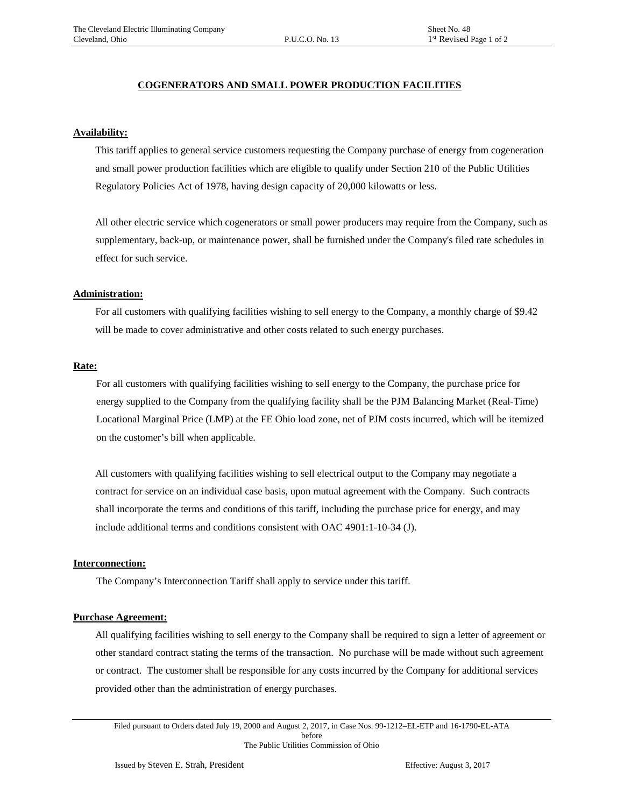#### **COGENERATORS AND SMALL POWER PRODUCTION FACILITIES**

#### **Availability:**

This tariff applies to general service customers requesting the Company purchase of energy from cogeneration and small power production facilities which are eligible to qualify under Section 210 of the Public Utilities Regulatory Policies Act of 1978, having design capacity of 20,000 kilowatts or less.

All other electric service which cogenerators or small power producers may require from the Company, such as supplementary, back-up, or maintenance power, shall be furnished under the Company's filed rate schedules in effect for such service.

#### **Administration:**

For all customers with qualifying facilities wishing to sell energy to the Company, a monthly charge of \$9.42 will be made to cover administrative and other costs related to such energy purchases.

#### **Rate:**

For all customers with qualifying facilities wishing to sell energy to the Company, the purchase price for energy supplied to the Company from the qualifying facility shall be the PJM Balancing Market (Real-Time) Locational Marginal Price (LMP) at the FE Ohio load zone, net of PJM costs incurred, which will be itemized on the customer's bill when applicable.

All customers with qualifying facilities wishing to sell electrical output to the Company may negotiate a contract for service on an individual case basis, upon mutual agreement with the Company. Such contracts shall incorporate the terms and conditions of this tariff, including the purchase price for energy, and may include additional terms and conditions consistent with OAC 4901:1-10-34 (J).

#### **Interconnection:**

The Company's Interconnection Tariff shall apply to service under this tariff.

#### **Purchase Agreement:**

All qualifying facilities wishing to sell energy to the Company shall be required to sign a letter of agreement or other standard contract stating the terms of the transaction. No purchase will be made without such agreement or contract. The customer shall be responsible for any costs incurred by the Company for additional services provided other than the administration of energy purchases.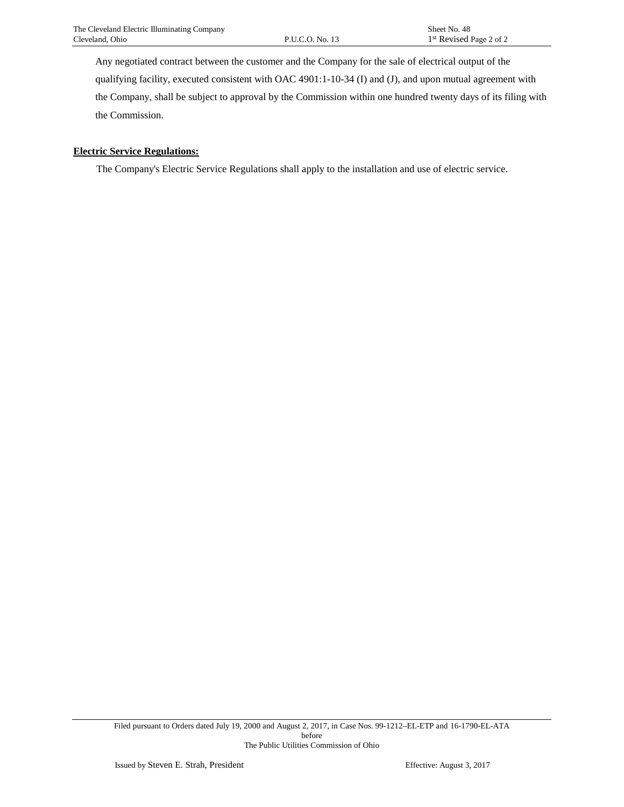Any negotiated contract between the customer and the Company for the sale of electrical output of the qualifying facility, executed consistent with OAC 4901:1-10-34 (I) and (J), and upon mutual agreement with the Company, shall be subject to approval by the Commission within one hundred twenty days of its filing with the Commission.

#### **Electric Service Regulations:**

The Company's Electric Service Regulations shall apply to the installation and use of electric service.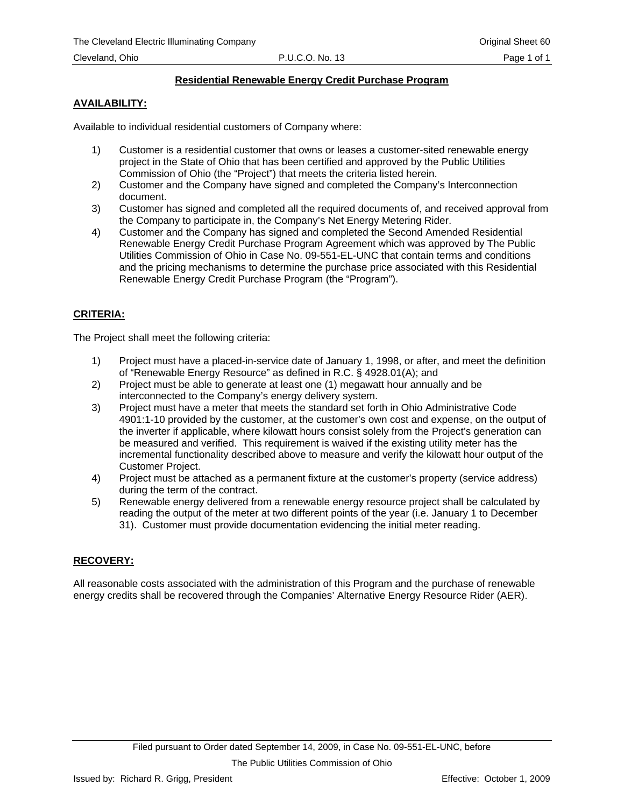# **Residential Renewable Energy Credit Purchase Program**

# **AVAILABILITY:**

Available to individual residential customers of Company where:

- 1) Customer is a residential customer that owns or leases a customer-sited renewable energy project in the State of Ohio that has been certified and approved by the Public Utilities Commission of Ohio (the "Project") that meets the criteria listed herein.
- 2) Customer and the Company have signed and completed the Company's Interconnection document.
- 3) Customer has signed and completed all the required documents of, and received approval from the Company to participate in, the Company's Net Energy Metering Rider.
- 4) Customer and the Company has signed and completed the Second Amended Residential Renewable Energy Credit Purchase Program Agreement which was approved by The Public Utilities Commission of Ohio in Case No. 09-551-EL-UNC that contain terms and conditions and the pricing mechanisms to determine the purchase price associated with this Residential Renewable Energy Credit Purchase Program (the "Program").

# **CRITERIA:**

The Project shall meet the following criteria:

- 1) Project must have a placed-in-service date of January 1, 1998, or after, and meet the definition of "Renewable Energy Resource" as defined in R.C. § 4928.01(A); and
- 2) Project must be able to generate at least one (1) megawatt hour annually and be interconnected to the Company's energy delivery system.
- 3) Project must have a meter that meets the standard set forth in Ohio Administrative Code 4901:1-10 provided by the customer, at the customer's own cost and expense, on the output of the inverter if applicable, where kilowatt hours consist solely from the Project's generation can be measured and verified. This requirement is waived if the existing utility meter has the incremental functionality described above to measure and verify the kilowatt hour output of the Customer Project.
- 4) Project must be attached as a permanent fixture at the customer's property (service address) during the term of the contract.
- 5) Renewable energy delivered from a renewable energy resource project shall be calculated by reading the output of the meter at two different points of the year (i.e. January 1 to December 31). Customer must provide documentation evidencing the initial meter reading.

# **RECOVERY:**

All reasonable costs associated with the administration of this Program and the purchase of renewable energy credits shall be recovered through the Companies' Alternative Energy Resource Rider (AER).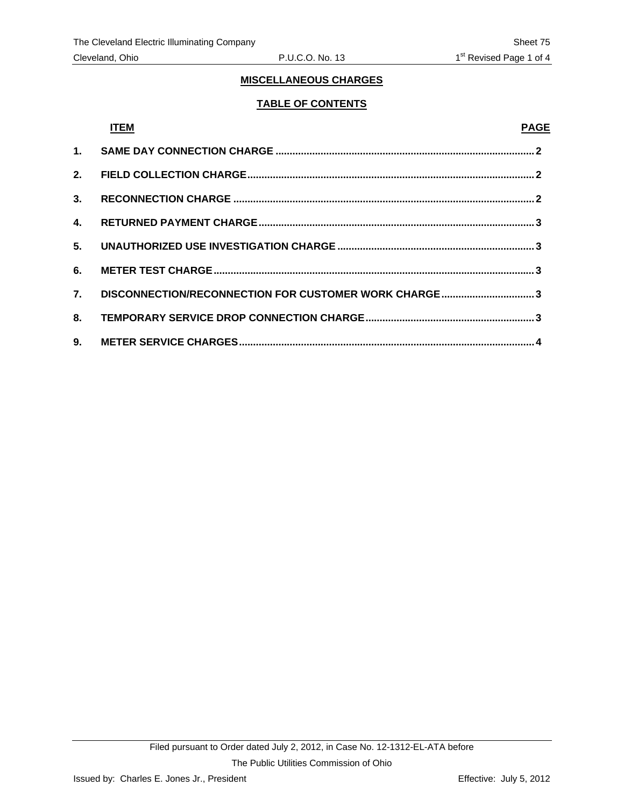# **TABLE OF CONTENTS**

|    | <b>ITEM</b>                                             | <b>PAGE</b> |
|----|---------------------------------------------------------|-------------|
|    |                                                         |             |
|    |                                                         |             |
| 3. |                                                         |             |
| 4. |                                                         |             |
|    |                                                         |             |
|    |                                                         |             |
|    | 7. DISCONNECTION/RECONNECTION FOR CUSTOMER WORK CHARGE3 |             |
|    |                                                         |             |
|    |                                                         |             |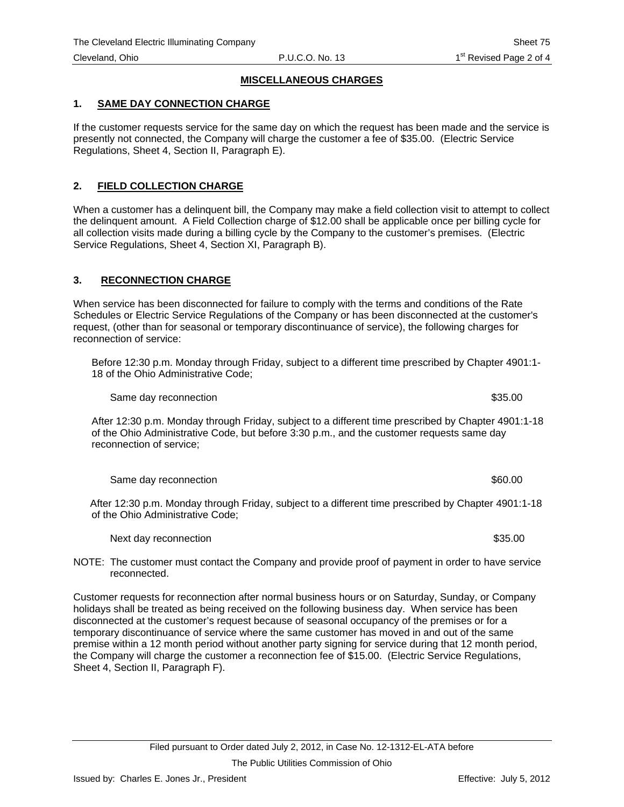### <span id="page-67-0"></span>**1. SAME DAY CONNECTION CHARGE**

If the customer requests service for the same day on which the request has been made and the service is presently not connected, the Company will charge the customer a fee of \$35.00. (Electric Service Regulations, Sheet 4, Section II, Paragraph E).

## **2. FIELD COLLECTION CHARGE**

When a customer has a delinquent bill, the Company may make a field collection visit to attempt to collect the delinquent amount. A Field Collection charge of \$12.00 shall be applicable once per billing cycle for all collection visits made during a billing cycle by the Company to the customer's premises. (Electric Service Regulations, Sheet 4, Section XI, Paragraph B).

# **3. RECONNECTION CHARGE**

When service has been disconnected for failure to comply with the terms and conditions of the Rate Schedules or Electric Service Regulations of the Company or has been disconnected at the customer's request, (other than for seasonal or temporary discontinuance of service), the following charges for reconnection of service:

Before 12:30 p.m. Monday through Friday, subject to a different time prescribed by Chapter 4901:1- 18 of the Ohio Administrative Code;

Same day reconnection  $$35.00$ 

After 12:30 p.m. Monday through Friday, subject to a different time prescribed by Chapter 4901:1-18 of the Ohio Administrative Code, but before 3:30 p.m., and the customer requests same day reconnection of service;

Same day reconnection  $$60.00$ 

 After 12:30 p.m. Monday through Friday, subject to a different time prescribed by Chapter 4901:1-18 of the Ohio Administrative Code;

Next day reconnection  $$35.00$ 

NOTE: The customer must contact the Company and provide proof of payment in order to have service reconnected.

Customer requests for reconnection after normal business hours or on Saturday, Sunday, or Company holidays shall be treated as being received on the following business day. When service has been disconnected at the customer's request because of seasonal occupancy of the premises or for a temporary discontinuance of service where the same customer has moved in and out of the same premise within a 12 month period without another party signing for service during that 12 month period, the Company will charge the customer a reconnection fee of \$15.00. (Electric Service Regulations, Sheet 4, Section II, Paragraph F).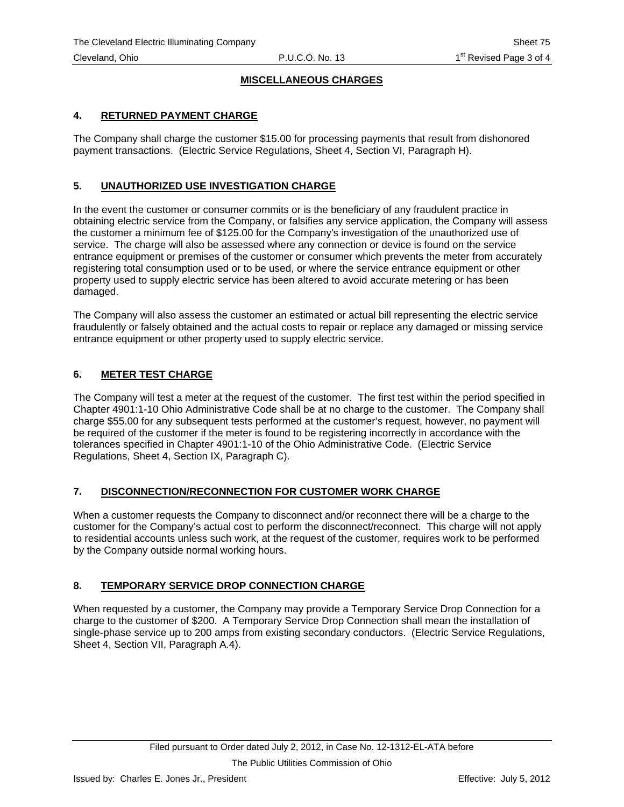# <span id="page-68-0"></span>**4. RETURNED PAYMENT CHARGE**

The Company shall charge the customer \$15.00 for processing payments that result from dishonored payment transactions. (Electric Service Regulations, Sheet 4, Section VI, Paragraph H).

# **5. UNAUTHORIZED USE INVESTIGATION CHARGE**

In the event the customer or consumer commits or is the beneficiary of any fraudulent practice in obtaining electric service from the Company, or falsifies any service application, the Company will assess the customer a minimum fee of \$125.00 for the Company's investigation of the unauthorized use of service. The charge will also be assessed where any connection or device is found on the service entrance equipment or premises of the customer or consumer which prevents the meter from accurately registering total consumption used or to be used, or where the service entrance equipment or other property used to supply electric service has been altered to avoid accurate metering or has been damaged.

The Company will also assess the customer an estimated or actual bill representing the electric service fraudulently or falsely obtained and the actual costs to repair or replace any damaged or missing service entrance equipment or other property used to supply electric service.

# **6. METER TEST CHARGE**

The Company will test a meter at the request of the customer. The first test within the period specified in Chapter 4901:1-10 Ohio Administrative Code shall be at no charge to the customer. The Company shall charge \$55.00 for any subsequent tests performed at the customer's request, however, no payment will be required of the customer if the meter is found to be registering incorrectly in accordance with the tolerances specified in Chapter 4901:1-10 of the Ohio Administrative Code. (Electric Service Regulations, Sheet 4, Section IX, Paragraph C).

# **7. DISCONNECTION/RECONNECTION FOR CUSTOMER WORK CHARGE**

When a customer requests the Company to disconnect and/or reconnect there will be a charge to the customer for the Company's actual cost to perform the disconnect/reconnect. This charge will not apply to residential accounts unless such work, at the request of the customer, requires work to be performed by the Company outside normal working hours.

# **8. TEMPORARY SERVICE DROP CONNECTION CHARGE**

When requested by a customer, the Company may provide a Temporary Service Drop Connection for a charge to the customer of \$200. A Temporary Service Drop Connection shall mean the installation of single-phase service up to 200 amps from existing secondary conductors. (Electric Service Regulations, Sheet 4, Section VII, Paragraph A.4).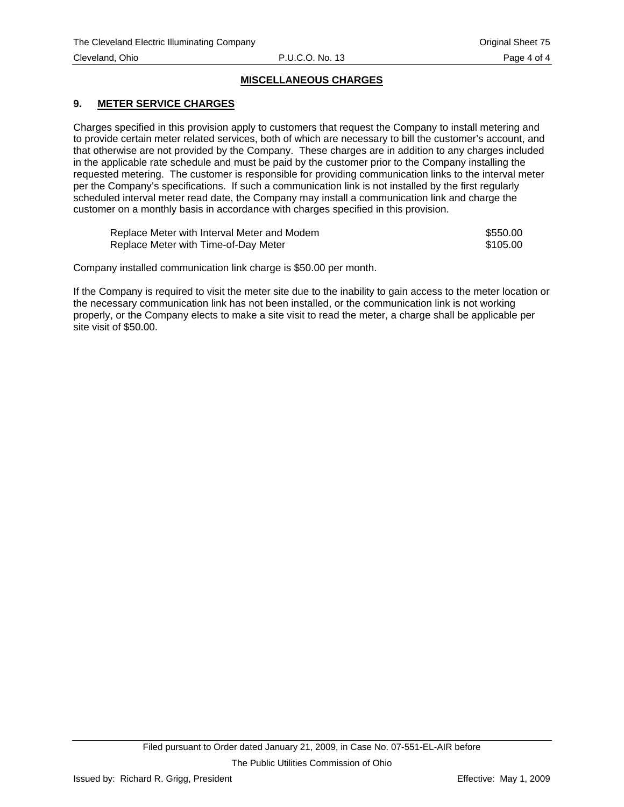## <span id="page-69-0"></span>**9. METER SERVICE CHARGES**

Charges specified in this provision apply to customers that request the Company to install metering and to provide certain meter related services, both of which are necessary to bill the customer's account, and that otherwise are not provided by the Company. These charges are in addition to any charges included in the applicable rate schedule and must be paid by the customer prior to the Company installing the requested metering. The customer is responsible for providing communication links to the interval meter per the Company's specifications. If such a communication link is not installed by the first regularly scheduled interval meter read date, the Company may install a communication link and charge the customer on a monthly basis in accordance with charges specified in this provision.

| Replace Meter with Interval Meter and Modem | \$550.00 |
|---------------------------------------------|----------|
| Replace Meter with Time-of-Day Meter        | \$105.00 |

Company installed communication link charge is \$50.00 per month.

If the Company is required to visit the meter site due to the inability to gain access to the meter location or the necessary communication link has not been installed, or the communication link is not working properly, or the Company elects to make a site visit to read the meter, a charge shall be applicable per site visit of \$50.00.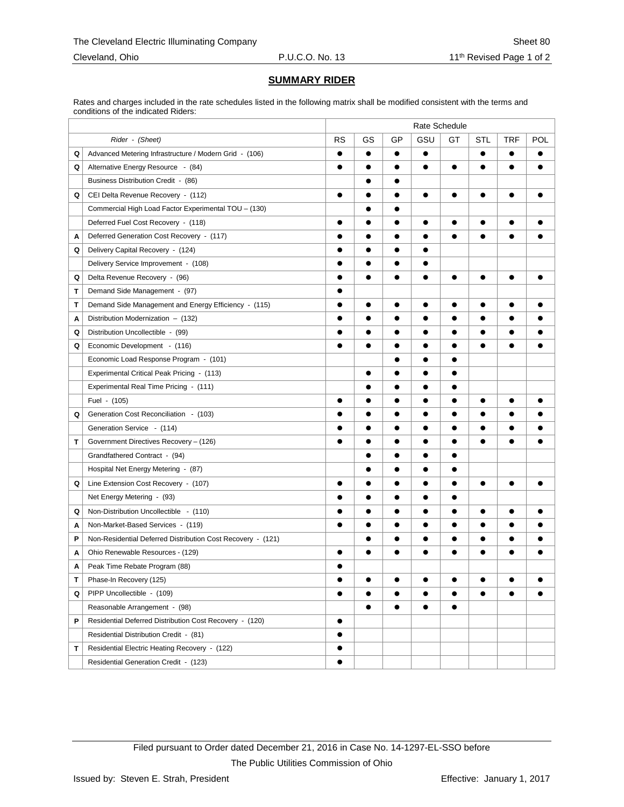# **SUMMARY RIDER**

Rates and charges included in the rate schedules listed in the following matrix shall be modified consistent with the terms and conditions of the indicated Riders:

|   |                                                             | Rate Schedule |           |           |           |           |           |           |           |
|---|-------------------------------------------------------------|---------------|-----------|-----------|-----------|-----------|-----------|-----------|-----------|
|   | Rider - (Sheet)                                             | <b>RS</b>     | GS        | GP        | GSU       | GT        | STL       | TRF       | POL       |
| Q | Advanced Metering Infrastructure / Modern Grid - (106)      | $\bullet$     | $\bullet$ | $\bullet$ | $\bullet$ |           | $\bullet$ | $\bullet$ | $\bullet$ |
| Q | Alternative Energy Resource - (84)                          | $\bullet$     | $\bullet$ | $\bullet$ | $\bullet$ | $\bullet$ | $\bullet$ | $\bullet$ | $\bullet$ |
|   | Business Distribution Credit - (86)                         |               |           | $\bullet$ |           |           |           |           |           |
| Q | CEI Delta Revenue Recovery - (112)                          | $\bullet$     |           | $\bullet$ |           | $\bullet$ |           | $\bullet$ |           |
|   | Commercial High Load Factor Experimental TOU - (130)        |               | $\bullet$ | $\bullet$ |           |           |           |           |           |
|   | Deferred Fuel Cost Recovery - (118)                         | $\bullet$     | $\bullet$ | $\bullet$ | $\bullet$ | $\bullet$ | $\bullet$ | $\bullet$ |           |
| Α | Deferred Generation Cost Recovery - (117)                   |               |           |           |           |           |           |           |           |
| Q | Delivery Capital Recovery - (124)                           |               |           | $\bullet$ | ●         |           |           |           |           |
|   | Delivery Service Improvement - (108)                        | ●             | $\bullet$ | $\bullet$ | $\bullet$ |           |           |           |           |
| Q | Delta Revenue Recovery - (96)                               | $\bullet$     | $\bullet$ | $\bullet$ | $\bullet$ | $\bullet$ | $\bullet$ | $\bullet$ |           |
| т | Demand Side Management - (97)                               |               |           |           |           |           |           |           |           |
| T | Demand Side Management and Energy Efficiency - (115)        | $\bullet$     | $\bullet$ | $\bullet$ | $\bullet$ | $\bullet$ | $\bullet$ | $\bullet$ |           |
| Α | Distribution Modernization - (132)                          | ●             | $\bullet$ | $\bullet$ | $\bullet$ | $\bullet$ | $\bullet$ | $\bullet$ |           |
| Q | Distribution Uncollectible - (99)                           | $\bullet$     | $\bullet$ | $\bullet$ | $\bullet$ | $\bullet$ | $\bullet$ | $\bullet$ |           |
| Q | Economic Development - (116)                                |               | $\bullet$ | $\bullet$ | $\bullet$ | $\bullet$ | $\bullet$ | $\bullet$ |           |
|   | Economic Load Response Program - (101)                      |               |           | $\bullet$ |           |           |           |           |           |
|   | Experimental Critical Peak Pricing - (113)                  |               | $\bullet$ | $\bullet$ | $\bullet$ | $\bullet$ |           |           |           |
|   | Experimental Real Time Pricing - (111)                      |               | $\bullet$ | $\bullet$ | $\bullet$ | $\bullet$ |           |           |           |
|   | Fuel - (105)                                                |               |           | $\bullet$ | $\bullet$ | $\bullet$ | $\bullet$ | $\bullet$ |           |
| Q | Generation Cost Reconciliation - (103)                      |               |           | $\bullet$ |           | $\bullet$ |           |           |           |
|   | Generation Service - (114)                                  |               |           | $\bullet$ | $\bullet$ | $\bullet$ |           | $\bullet$ |           |
| т | Government Directives Recovery - (126)                      | $\bullet$     | $\bullet$ | $\bullet$ | $\bullet$ | $\bullet$ | $\bullet$ | $\bullet$ |           |
|   | Grandfathered Contract - (94)                               |               |           | $\bullet$ | $\bullet$ | $\bullet$ |           |           |           |
|   | Hospital Net Energy Metering - (87)                         |               |           |           |           | $\bullet$ |           |           |           |
| Q | Line Extension Cost Recovery - (107)                        | $\bullet$     | $\bullet$ | $\bullet$ | $\bullet$ | $\bullet$ | $\bullet$ | $\bullet$ | $\bullet$ |
|   | Net Energy Metering - (93)                                  | $\bullet$     | $\bullet$ | $\bullet$ | $\bullet$ | $\bullet$ |           |           |           |
| Q | Non-Distribution Uncollectible - (110)                      |               |           |           |           | $\bullet$ |           |           |           |
| A | Non-Market-Based Services - (119)                           |               | $\bullet$ |           |           | $\bullet$ |           | $\bullet$ |           |
| P | Non-Residential Deferred Distribution Cost Recovery - (121) |               | $\bullet$ | $\bullet$ | $\bullet$ | $\bullet$ | $\bullet$ | $\bullet$ |           |
| A | Ohio Renewable Resources - (129)                            | $\bullet$     | $\bullet$ | $\bullet$ | $\bullet$ | $\bullet$ | $\bullet$ | $\bullet$ | ●         |
| Α | Peak Time Rebate Program (88)                               |               |           |           |           |           |           |           |           |
| Τ | Phase-In Recovery (125)                                     |               |           |           |           |           |           |           |           |
| Q | PIPP Uncollectible - (109)                                  | $\bullet$     | $\bullet$ | $\bullet$ | ●         | $\bullet$ | $\bullet$ | $\bullet$ | $\bullet$ |
|   | Reasonable Arrangement - (98)                               |               | $\bullet$ | $\bullet$ | $\bullet$ | $\bullet$ |           |           |           |
| P | Residential Deferred Distribution Cost Recovery - (120)     | $\bullet$     |           |           |           |           |           |           |           |
|   | Residential Distribution Credit - (81)                      | $\bullet$     |           |           |           |           |           |           |           |
| т | Residential Electric Heating Recovery - (122)               | $\bullet$     |           |           |           |           |           |           |           |
|   | Residential Generation Credit - (123)                       | $\bullet$     |           |           |           |           |           |           |           |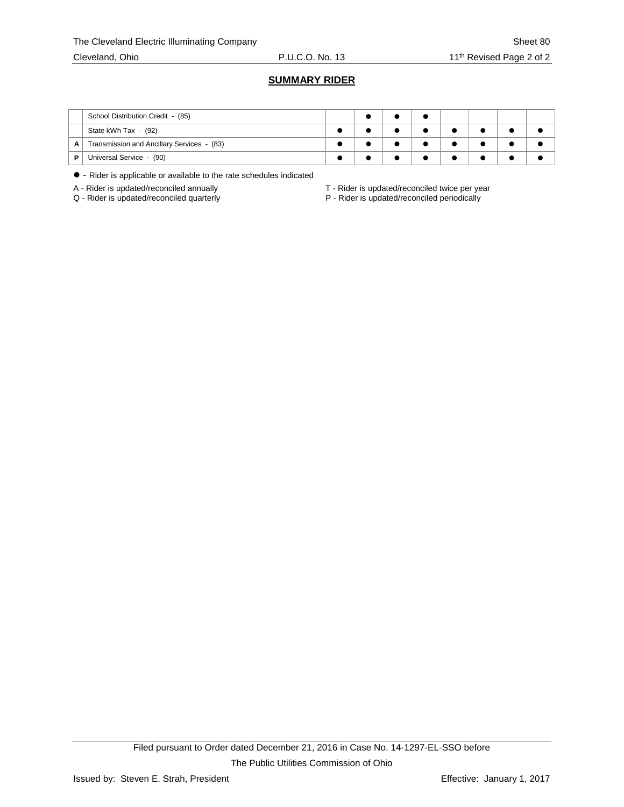#### **SUMMARY RIDER**

|   | School Distribution Credit - (85)          |  |  |  |  |
|---|--------------------------------------------|--|--|--|--|
|   | State kWh Tax - (92)                       |  |  |  |  |
| A | Transmission and Ancillary Services - (83) |  |  |  |  |
| D | Universal Service - (90)                   |  |  |  |  |

- Rider is applicable or available to the rate schedules indicated

A - Rider is updated/reconciled annually  $A - R$ ider is updated/reconciled twice per year<br>Q - Rider is updated/reconciled quarterly  $P - R$ ider is updated/reconciled periodically

P - Rider is updated/reconciled periodically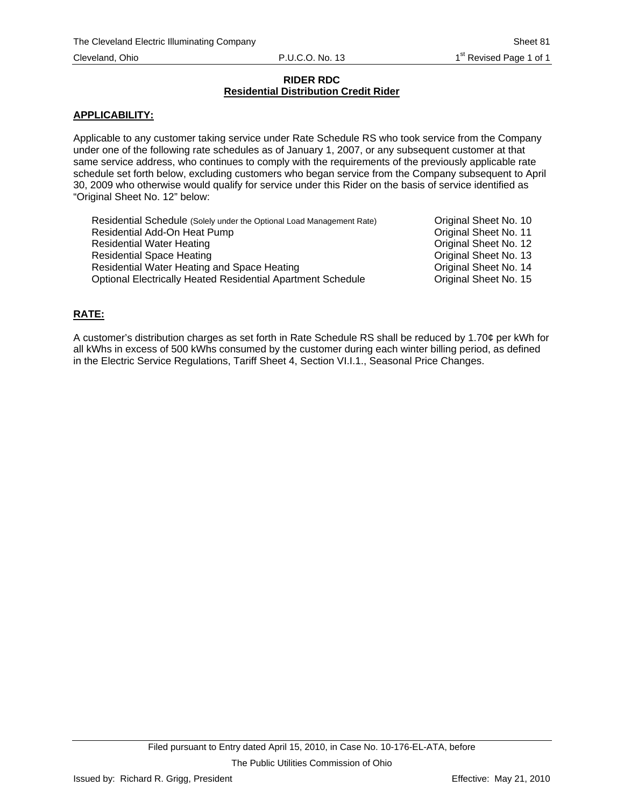### **RIDER RDC Residential Distribution Credit Rider**

## **APPLICABILITY:**

Applicable to any customer taking service under Rate Schedule RS who took service from the Company under one of the following rate schedules as of January 1, 2007, or any subsequent customer at that same service address, who continues to comply with the requirements of the previously applicable rate schedule set forth below, excluding customers who began service from the Company subsequent to April 30, 2009 who otherwise would qualify for service under this Rider on the basis of service identified as "Original Sheet No. 12" below:

| Residential Schedule (Solely under the Optional Load Management Rate) | Original Sheet No. 10 |
|-----------------------------------------------------------------------|-----------------------|
| Residential Add-On Heat Pump                                          | Original Sheet No. 11 |
| <b>Residential Water Heating</b>                                      | Original Sheet No. 12 |
| <b>Residential Space Heating</b>                                      | Original Sheet No. 13 |
| Residential Water Heating and Space Heating                           | Original Sheet No. 14 |
| <b>Optional Electrically Heated Residential Apartment Schedule</b>    | Original Sheet No. 15 |

## **RATE:**

A customer's distribution charges as set forth in Rate Schedule RS shall be reduced by 1.70¢ per kWh for all kWhs in excess of 500 kWhs consumed by the customer during each winter billing period, as defined in the Electric Service Regulations, Tariff Sheet 4, Section VI.I.1., Seasonal Price Changes.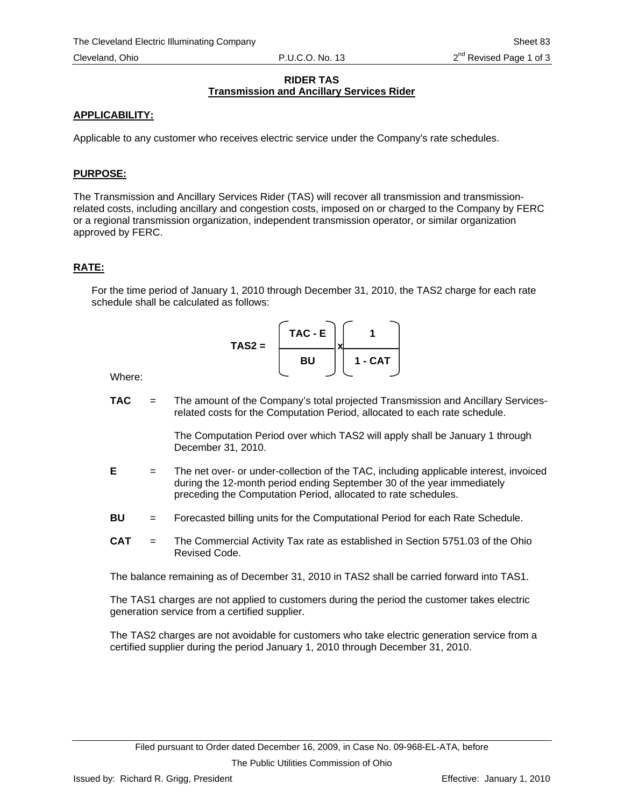### **RIDER TAS Transmission and Ancillary Services Rider**

# **APPLICABILITY:**

Applicable to any customer who receives electric service under the Company's rate schedules.

# **PURPOSE:**

The Transmission and Ancillary Services Rider (TAS) will recover all transmission and transmissionrelated costs, including ancillary and congestion costs, imposed on or charged to the Company by FERC or a regional transmission organization, independent transmission operator, or similar organization approved by FERC.

# **RATE:**

For the time period of January 1, 2010 through December 31, 2010, the TAS2 charge for each rate schedule shall be calculated as follows:

$$
TAS2 = \begin{bmatrix} TAC - E \\ BU \end{bmatrix} \begin{bmatrix} 1 \\ 1 - CAT \end{bmatrix}
$$

Where:

**TAC** = The amount of the Company's total projected Transmission and Ancillary Servicesrelated costs for the Computation Period, allocated to each rate schedule.

> The Computation Period over which TAS2 will apply shall be January 1 through December 31, 2010.

- **E** = The net over- or under-collection of the TAC, including applicable interest, invoiced during the 12-month period ending September 30 of the year immediately preceding the Computation Period, allocated to rate schedules.
- **BU** = Forecasted billing units for the Computational Period for each Rate Schedule.
- **CAT** = The Commercial Activity Tax rate as established in Section 5751.03 of the Ohio Revised Code.

The balance remaining as of December 31, 2010 in TAS2 shall be carried forward into TAS1.

The TAS1 charges are not applied to customers during the period the customer takes electric generation service from a certified supplier.

The TAS2 charges are not avoidable for customers who take electric generation service from a certified supplier during the period January 1, 2010 through December 31, 2010.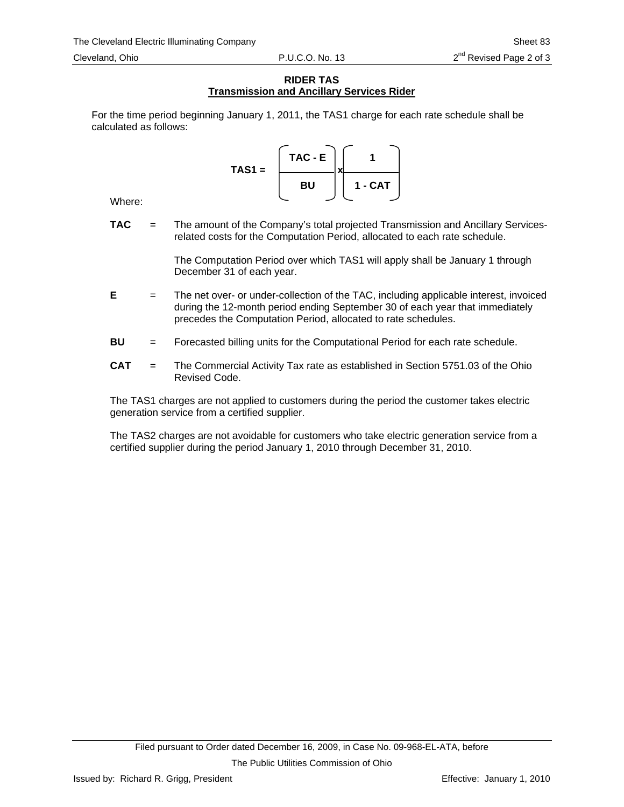### **RIDER TAS Transmission and Ancillary Services Rider**

For the time period beginning January 1, 2011, the TAS1 charge for each rate schedule shall be calculated as follows:

> **TAC - E 1**  TAS1 =  $\qquad \qquad \qquad \Box x$ **BU 1 - CAT**

Where:

**TAC** = The amount of the Company's total projected Transmission and Ancillary Servicesrelated costs for the Computation Period, allocated to each rate schedule.

> The Computation Period over which TAS1 will apply shall be January 1 through December 31 of each year.

- **E** = The net over- or under-collection of the TAC, including applicable interest, invoiced during the 12-month period ending September 30 of each year that immediately precedes the Computation Period, allocated to rate schedules.
- **BU** = Forecasted billing units for the Computational Period for each rate schedule.
- **CAT** = The Commercial Activity Tax rate as established in Section 5751.03 of the Ohio Revised Code.

The TAS1 charges are not applied to customers during the period the customer takes electric generation service from a certified supplier.

The TAS2 charges are not avoidable for customers who take electric generation service from a certified supplier during the period January 1, 2010 through December 31, 2010.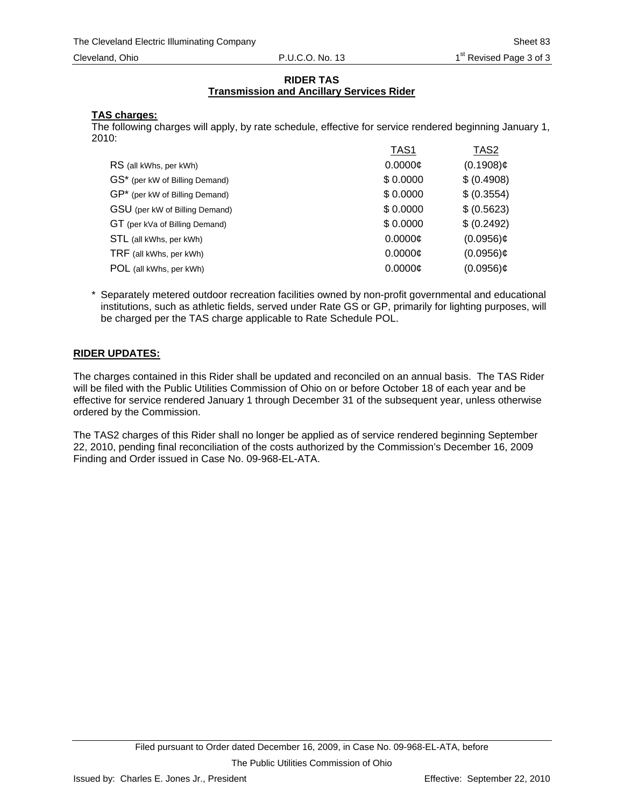### **RIDER TAS Transmission and Ancillary Services Rider**

# **TAS charges:**

The following charges will apply, by rate schedule, effective for service rendered beginning January 1, 2010:

|                                | TAS1          | TAS <sub>2</sub> |
|--------------------------------|---------------|------------------|
| RS (all kWhs, per kWh)         | $0.0000$ ¢    | $(0.1908)$ ¢     |
| GS* (per kW of Billing Demand) | \$0.0000      | \$ (0.4908)      |
| GP* (per kW of Billing Demand) | \$0.0000      | \$ (0.3554)      |
| GSU (per kW of Billing Demand) | \$0.0000      | \$ (0.5623)      |
| GT (per kVa of Billing Demand) | \$0.0000      | \$ (0.2492)      |
| STL (all kWhs, per kWh)        | $0.0000 \phi$ | $(0.0956)$ ¢     |
| TRF (all kWhs, per kWh)        | $0.0000 \phi$ | $(0.0956)$ ¢     |
| POL (all kWhs, per kWh)        | 0.0000c       | $(0.0956)$ ¢     |
|                                |               |                  |

\* Separately metered outdoor recreation facilities owned by non-profit governmental and educational institutions, such as athletic fields, served under Rate GS or GP, primarily for lighting purposes, will be charged per the TAS charge applicable to Rate Schedule POL.

# **RIDER UPDATES:**

The charges contained in this Rider shall be updated and reconciled on an annual basis. The TAS Rider will be filed with the Public Utilities Commission of Ohio on or before October 18 of each year and be effective for service rendered January 1 through December 31 of the subsequent year, unless otherwise ordered by the Commission.

The TAS2 charges of this Rider shall no longer be applied as of service rendered beginning September 22, 2010, pending final reconciliation of the costs authorized by the Commission's December 16, 2009 Finding and Order issued in Case No. 09-968-EL-ATA.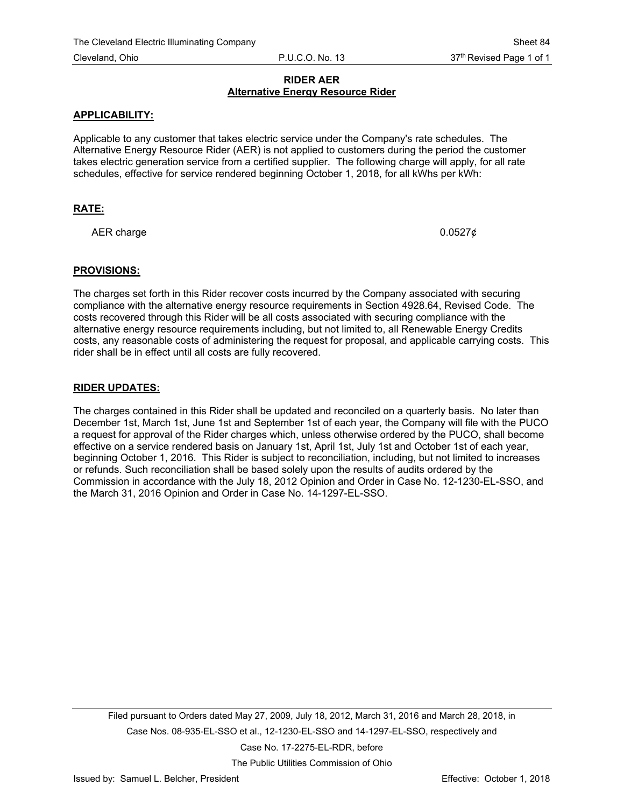### **RIDER AER Alternative Energy Resource Rider**

### **APPLICABILITY:**

Applicable to any customer that takes electric service under the Company's rate schedules. The Alternative Energy Resource Rider (AER) is not applied to customers during the period the customer takes electric generation service from a certified supplier. The following charge will apply, for all rate schedules, effective for service rendered beginning October 1, 2018, for all kWhs per kWh:

## **RATE:**

AER charge  $0.0527\phi$ 

### **PROVISIONS:**

The charges set forth in this Rider recover costs incurred by the Company associated with securing compliance with the alternative energy resource requirements in Section 4928.64, Revised Code. The costs recovered through this Rider will be all costs associated with securing compliance with the alternative energy resource requirements including, but not limited to, all Renewable Energy Credits costs, any reasonable costs of administering the request for proposal, and applicable carrying costs. This rider shall be in effect until all costs are fully recovered.

### **RIDER UPDATES:**

The charges contained in this Rider shall be updated and reconciled on a quarterly basis. No later than December 1st, March 1st, June 1st and September 1st of each year, the Company will file with the PUCO a request for approval of the Rider charges which, unless otherwise ordered by the PUCO, shall become effective on a service rendered basis on January 1st, April 1st, July 1st and October 1st of each year, beginning October 1, 2016. This Rider is subject to reconciliation, including, but not limited to increases or refunds. Such reconciliation shall be based solely upon the results of audits ordered by the Commission in accordance with the July 18, 2012 Opinion and Order in Case No. 12-1230-EL-SSO, and the March 31, 2016 Opinion and Order in Case No. 14-1297-EL-SSO.

Filed pursuant to Orders dated May 27, 2009, July 18, 2012, March 31, 2016 and March 28, 2018, in Case Nos. 08-935-EL-SSO et al., 12-1230-EL-SSO and 14-1297-EL-SSO, respectively and Case No. 17-2275-EL-RDR, before

The Public Utilities Commission of Ohio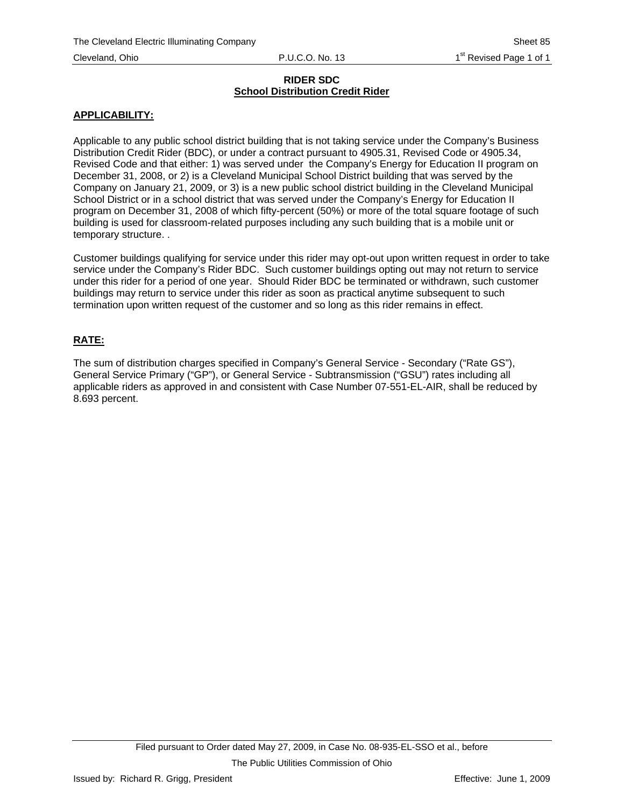### **RIDER SDC School Distribution Credit Rider**

# **APPLICABILITY:**

Applicable to any public school district building that is not taking service under the Company's Business Distribution Credit Rider (BDC), or under a contract pursuant to 4905.31, Revised Code or 4905.34, Revised Code and that either: 1) was served under the Company's Energy for Education II program on December 31, 2008, or 2) is a Cleveland Municipal School District building that was served by the Company on January 21, 2009, or 3) is a new public school district building in the Cleveland Municipal School District or in a school district that was served under the Company's Energy for Education II program on December 31, 2008 of which fifty-percent (50%) or more of the total square footage of such building is used for classroom-related purposes including any such building that is a mobile unit or temporary structure. .

Customer buildings qualifying for service under this rider may opt-out upon written request in order to take service under the Company's Rider BDC. Such customer buildings opting out may not return to service under this rider for a period of one year. Should Rider BDC be terminated or withdrawn, such customer buildings may return to service under this rider as soon as practical anytime subsequent to such termination upon written request of the customer and so long as this rider remains in effect.

# **RATE:**

The sum of distribution charges specified in Company's General Service - Secondary ("Rate GS"), General Service Primary ("GP"), or General Service - Subtransmission ("GSU") rates including all applicable riders as approved in and consistent with Case Number 07-551-EL-AIR, shall be reduced by 8.693 percent.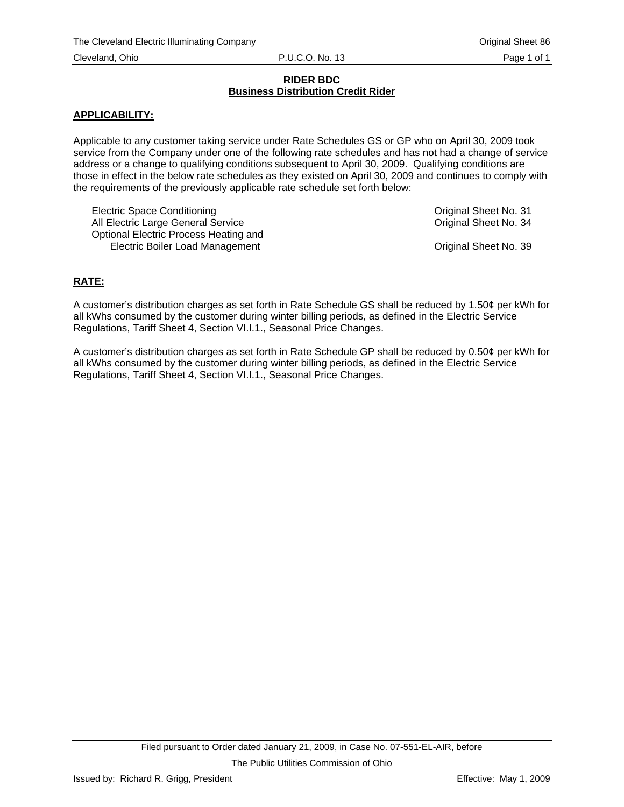### **RIDER BDC Business Distribution Credit Rider**

## **APPLICABILITY:**

Applicable to any customer taking service under Rate Schedules GS or GP who on April 30, 2009 took service from the Company under one of the following rate schedules and has not had a change of service address or a change to qualifying conditions subsequent to April 30, 2009. Qualifying conditions are those in effect in the below rate schedules as they existed on April 30, 2009 and continues to comply with the requirements of the previously applicable rate schedule set forth below:

Electric Space Conditioning **Conditioning Conditioning Conditioning Original Sheet No. 31** All Electric Large General Service **Containers** Original Sheet No. 34 Optional Electric Process Heating and Electric Boiler Load Management **Communist Communist Communist Communist Communist Communist Communist Communist Communist Communist Communist Communist Communist Communist Communist Communist Communist Communist Communist** 

# **RATE:**

A customer's distribution charges as set forth in Rate Schedule GS shall be reduced by 1.50¢ per kWh for all kWhs consumed by the customer during winter billing periods, as defined in the Electric Service Regulations, Tariff Sheet 4, Section VI.I.1., Seasonal Price Changes.

A customer's distribution charges as set forth in Rate Schedule GP shall be reduced by 0.50¢ per kWh for all kWhs consumed by the customer during winter billing periods, as defined in the Electric Service Regulations, Tariff Sheet 4, Section VI.I.1., Seasonal Price Changes.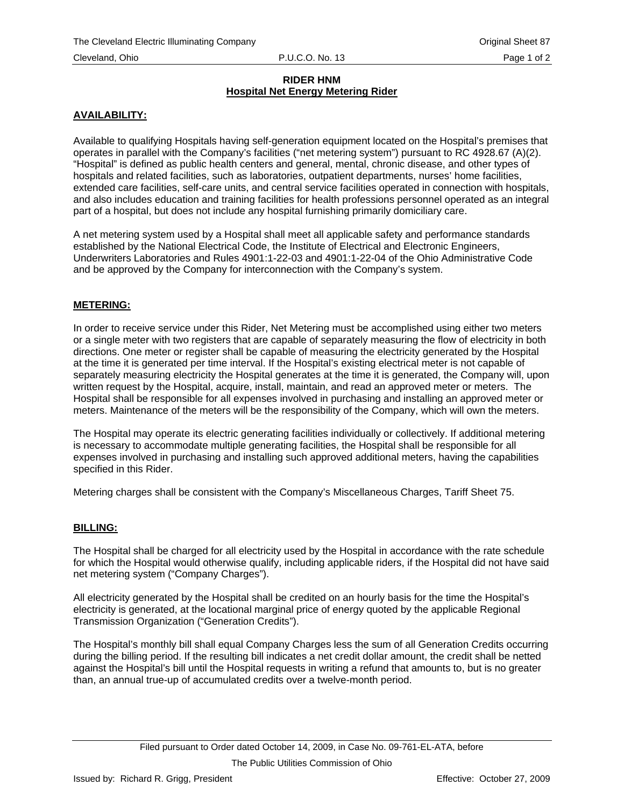### **RIDER HNM Hospital Net Energy Metering Rider**

# **AVAILABILITY:**

Available to qualifying Hospitals having self-generation equipment located on the Hospital's premises that operates in parallel with the Company's facilities ("net metering system") pursuant to RC 4928.67 (A)(2). "Hospital" is defined as public health centers and general, mental, chronic disease, and other types of hospitals and related facilities, such as laboratories, outpatient departments, nurses' home facilities, extended care facilities, self-care units, and central service facilities operated in connection with hospitals, and also includes education and training facilities for health professions personnel operated as an integral part of a hospital, but does not include any hospital furnishing primarily domiciliary care.

A net metering system used by a Hospital shall meet all applicable safety and performance standards established by the National Electrical Code, the Institute of Electrical and Electronic Engineers, Underwriters Laboratories and Rules 4901:1-22-03 and 4901:1-22-04 of the Ohio Administrative Code and be approved by the Company for interconnection with the Company's system.

## **METERING:**

In order to receive service under this Rider, Net Metering must be accomplished using either two meters or a single meter with two registers that are capable of separately measuring the flow of electricity in both directions. One meter or register shall be capable of measuring the electricity generated by the Hospital at the time it is generated per time interval. If the Hospital's existing electrical meter is not capable of separately measuring electricity the Hospital generates at the time it is generated, the Company will, upon written request by the Hospital, acquire, install, maintain, and read an approved meter or meters. The Hospital shall be responsible for all expenses involved in purchasing and installing an approved meter or meters. Maintenance of the meters will be the responsibility of the Company, which will own the meters.

The Hospital may operate its electric generating facilities individually or collectively. If additional metering is necessary to accommodate multiple generating facilities, the Hospital shall be responsible for all expenses involved in purchasing and installing such approved additional meters, having the capabilities specified in this Rider.

Metering charges shall be consistent with the Company's Miscellaneous Charges, Tariff Sheet 75.

### **BILLING:**

The Hospital shall be charged for all electricity used by the Hospital in accordance with the rate schedule for which the Hospital would otherwise qualify, including applicable riders, if the Hospital did not have said net metering system ("Company Charges").

All electricity generated by the Hospital shall be credited on an hourly basis for the time the Hospital's electricity is generated, at the locational marginal price of energy quoted by the applicable Regional Transmission Organization ("Generation Credits").

The Hospital's monthly bill shall equal Company Charges less the sum of all Generation Credits occurring during the billing period. If the resulting bill indicates a net credit dollar amount, the credit shall be netted against the Hospital's bill until the Hospital requests in writing a refund that amounts to, but is no greater than, an annual true-up of accumulated credits over a twelve-month period.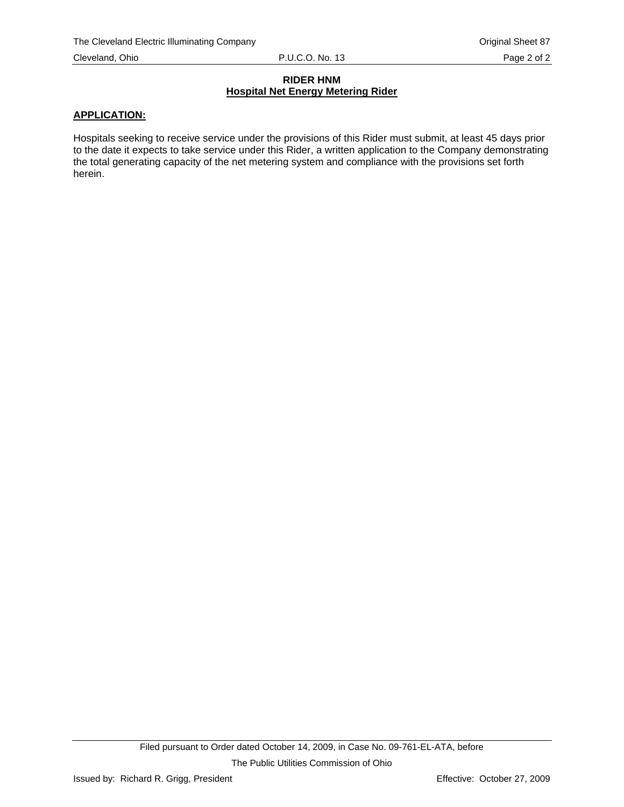### **RIDER HNM Hospital Net Energy Metering Rider**

### **APPLICATION:**

Hospitals seeking to receive service under the provisions of this Rider must submit, at least 45 days prior to the date it expects to take service under this Rider, a written application to the Company demonstrating the total generating capacity of the net metering system and compliance with the provisions set forth herein.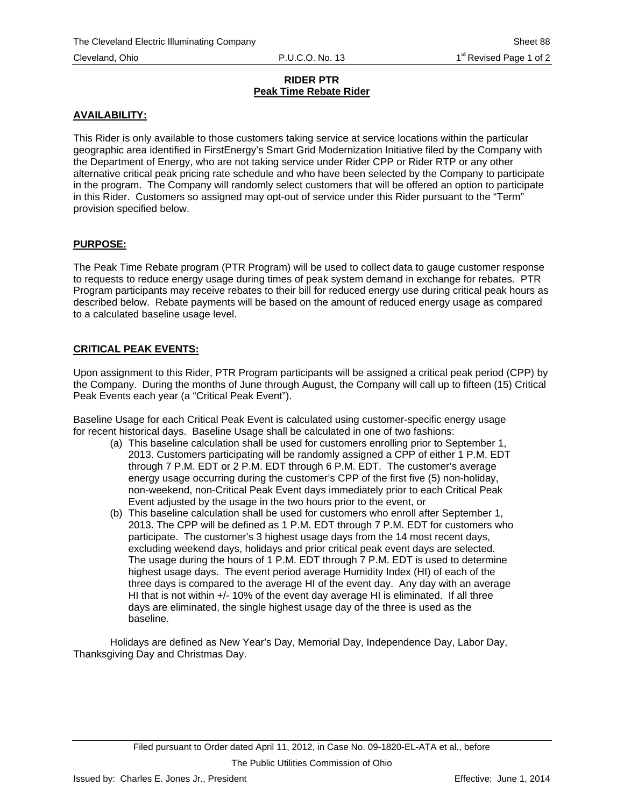### **RIDER PTR Peak Time Rebate Rider**

# **AVAILABILITY:**

This Rider is only available to those customers taking service at service locations within the particular geographic area identified in FirstEnergy's Smart Grid Modernization Initiative filed by the Company with the Department of Energy, who are not taking service under Rider CPP or Rider RTP or any other alternative critical peak pricing rate schedule and who have been selected by the Company to participate in the program. The Company will randomly select customers that will be offered an option to participate in this Rider. Customers so assigned may opt-out of service under this Rider pursuant to the "Term" provision specified below.

# **PURPOSE:**

The Peak Time Rebate program (PTR Program) will be used to collect data to gauge customer response to requests to reduce energy usage during times of peak system demand in exchange for rebates. PTR Program participants may receive rebates to their bill for reduced energy use during critical peak hours as described below. Rebate payments will be based on the amount of reduced energy usage as compared to a calculated baseline usage level.

# **CRITICAL PEAK EVENTS:**

Upon assignment to this Rider, PTR Program participants will be assigned a critical peak period (CPP) by the Company. During the months of June through August, the Company will call up to fifteen (15) Critical Peak Events each year (a "Critical Peak Event").

Baseline Usage for each Critical Peak Event is calculated using customer-specific energy usage for recent historical days. Baseline Usage shall be calculated in one of two fashions:

- (a) This baseline calculation shall be used for customers enrolling prior to September 1, 2013. Customers participating will be randomly assigned a CPP of either 1 P.M. EDT through 7 P.M. EDT or 2 P.M. EDT through 6 P.M. EDT. The customer's average energy usage occurring during the customer's CPP of the first five (5) non-holiday, non-weekend, non-Critical Peak Event days immediately prior to each Critical Peak Event adjusted by the usage in the two hours prior to the event, or
- (b) This baseline calculation shall be used for customers who enroll after September 1, 2013. The CPP will be defined as 1 P.M. EDT through 7 P.M. EDT for customers who participate. The customer's 3 highest usage days from the 14 most recent days, excluding weekend days, holidays and prior critical peak event days are selected. The usage during the hours of 1 P.M. EDT through 7 P.M. EDT is used to determine highest usage days. The event period average Humidity Index (HI) of each of the three days is compared to the average HI of the event day. Any day with an average HI that is not within +/- 10% of the event day average HI is eliminated. If all three days are eliminated, the single highest usage day of the three is used as the baseline.

Holidays are defined as New Year's Day, Memorial Day, Independence Day, Labor Day, Thanksgiving Day and Christmas Day.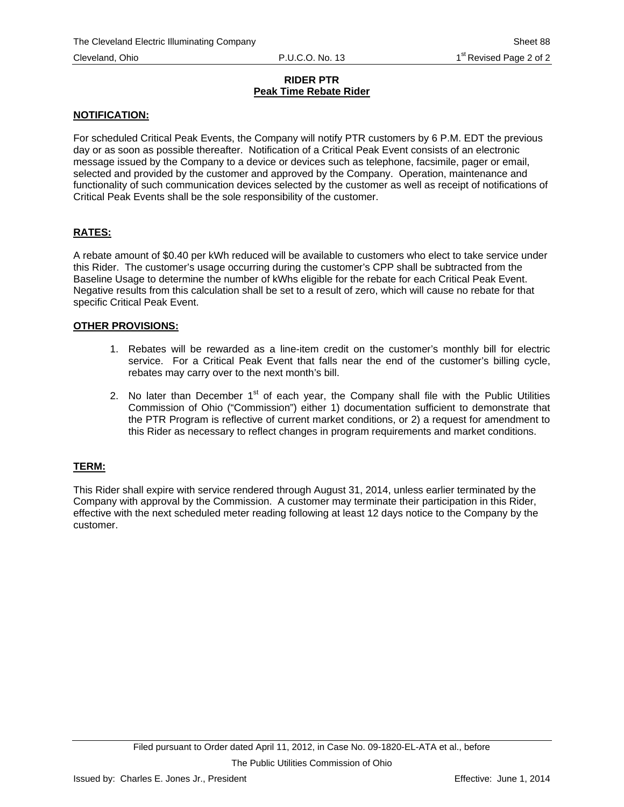### **RIDER PTR Peak Time Rebate Rider**

## **NOTIFICATION:**

For scheduled Critical Peak Events, the Company will notify PTR customers by 6 P.M. EDT the previous day or as soon as possible thereafter. Notification of a Critical Peak Event consists of an electronic message issued by the Company to a device or devices such as telephone, facsimile, pager or email, selected and provided by the customer and approved by the Company. Operation, maintenance and functionality of such communication devices selected by the customer as well as receipt of notifications of Critical Peak Events shall be the sole responsibility of the customer.

# **RATES:**

A rebate amount of \$0.40 per kWh reduced will be available to customers who elect to take service under this Rider. The customer's usage occurring during the customer's CPP shall be subtracted from the Baseline Usage to determine the number of kWhs eligible for the rebate for each Critical Peak Event. Negative results from this calculation shall be set to a result of zero, which will cause no rebate for that specific Critical Peak Event.

### **OTHER PROVISIONS:**

- 1. Rebates will be rewarded as a line-item credit on the customer's monthly bill for electric service. For a Critical Peak Event that falls near the end of the customer's billing cycle, rebates may carry over to the next month's bill.
- 2. No later than December  $1<sup>st</sup>$  of each year, the Company shall file with the Public Utilities Commission of Ohio ("Commission") either 1) documentation sufficient to demonstrate that the PTR Program is reflective of current market conditions, or 2) a request for amendment to this Rider as necessary to reflect changes in program requirements and market conditions.

## **TERM:**

This Rider shall expire with service rendered through August 31, 2014, unless earlier terminated by the Company with approval by the Commission. A customer may terminate their participation in this Rider, effective with the next scheduled meter reading following at least 12 days notice to the Company by the customer.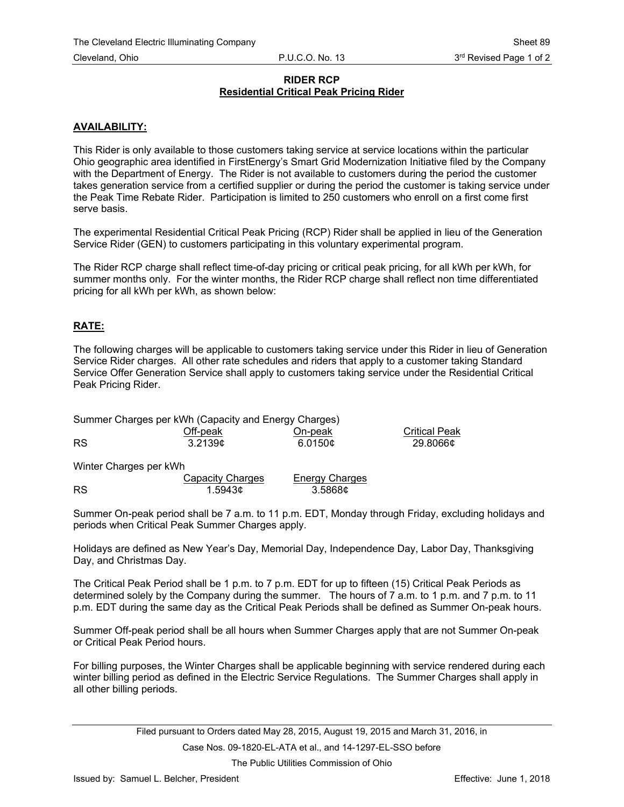### **RIDER RCP Residential Critical Peak Pricing Rider**

## **AVAILABILITY:**

This Rider is only available to those customers taking service at service locations within the particular Ohio geographic area identified in FirstEnergy's Smart Grid Modernization Initiative filed by the Company with the Department of Energy. The Rider is not available to customers during the period the customer takes generation service from a certified supplier or during the period the customer is taking service under the Peak Time Rebate Rider. Participation is limited to 250 customers who enroll on a first come first serve basis.

The experimental Residential Critical Peak Pricing (RCP) Rider shall be applied in lieu of the Generation Service Rider (GEN) to customers participating in this voluntary experimental program.

The Rider RCP charge shall reflect time-of-day pricing or critical peak pricing, for all kWh per kWh, for summer months only. For the winter months, the Rider RCP charge shall reflect non time differentiated pricing for all kWh per kWh, as shown below:

# **RATE:**

The following charges will be applicable to customers taking service under this Rider in lieu of Generation Service Rider charges. All other rate schedules and riders that apply to a customer taking Standard Service Offer Generation Service shall apply to customers taking service under the Residential Critical Peak Pricing Rider.

**Critical Peak** 

| Summer Charges per kWh (Capacity and Energy Charges) |          |         |                     |
|------------------------------------------------------|----------|---------|---------------------|
|                                                      | Off-peak | On-peak | <b>Critical Pea</b> |
| <b>RS</b>                                            | 3.2139⊄  | 6.0150¢ | 29.8066¢            |

Winter Charges per kWh

|           | Capacity Charges | <b>Energy Charges</b> |
|-----------|------------------|-----------------------|
| <b>RS</b> | 1.5943⊄          | 3.5868⊄               |

Summer On-peak period shall be 7 a.m. to 11 p.m. EDT, Monday through Friday, excluding holidays and periods when Critical Peak Summer Charges apply.

Holidays are defined as New Year's Day, Memorial Day, Independence Day, Labor Day, Thanksgiving Day, and Christmas Day.

The Critical Peak Period shall be 1 p.m. to 7 p.m. EDT for up to fifteen (15) Critical Peak Periods as determined solely by the Company during the summer. The hours of 7 a.m. to 1 p.m. and 7 p.m. to 11 p.m. EDT during the same day as the Critical Peak Periods shall be defined as Summer On-peak hours.

Summer Off-peak period shall be all hours when Summer Charges apply that are not Summer On-peak or Critical Peak Period hours.

For billing purposes, the Winter Charges shall be applicable beginning with service rendered during each winter billing period as defined in the Electric Service Regulations. The Summer Charges shall apply in all other billing periods.

The Public Utilities Commission of Ohio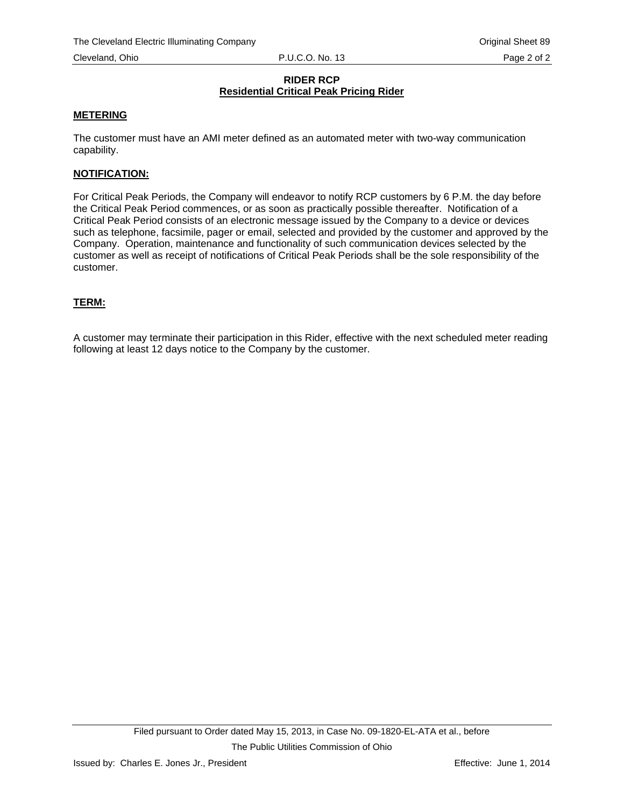### **RIDER RCP Residential Critical Peak Pricing Rider**

## **METERING**

The customer must have an AMI meter defined as an automated meter with two-way communication capability.

### **NOTIFICATION:**

For Critical Peak Periods, the Company will endeavor to notify RCP customers by 6 P.M. the day before the Critical Peak Period commences, or as soon as practically possible thereafter. Notification of a Critical Peak Period consists of an electronic message issued by the Company to a device or devices such as telephone, facsimile, pager or email, selected and provided by the customer and approved by the Company. Operation, maintenance and functionality of such communication devices selected by the customer as well as receipt of notifications of Critical Peak Periods shall be the sole responsibility of the customer.

## **TERM:**

A customer may terminate their participation in this Rider, effective with the next scheduled meter reading following at least 12 days notice to the Company by the customer.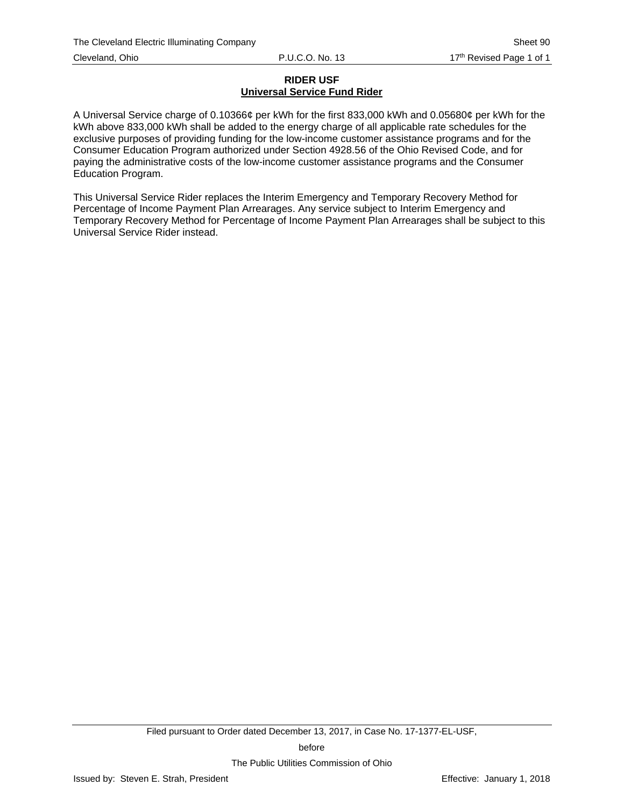# **RIDER USF Universal Service Fund Rider**

A Universal Service charge of 0.10366¢ per kWh for the first 833,000 kWh and 0.05680¢ per kWh for the kWh above 833,000 kWh shall be added to the energy charge of all applicable rate schedules for the exclusive purposes of providing funding for the low-income customer assistance programs and for the Consumer Education Program authorized under Section 4928.56 of the Ohio Revised Code, and for paying the administrative costs of the low-income customer assistance programs and the Consumer Education Program.

This Universal Service Rider replaces the Interim Emergency and Temporary Recovery Method for Percentage of Income Payment Plan Arrearages. Any service subject to Interim Emergency and Temporary Recovery Method for Percentage of Income Payment Plan Arrearages shall be subject to this Universal Service Rider instead.

The Public Utilities Commission of Ohio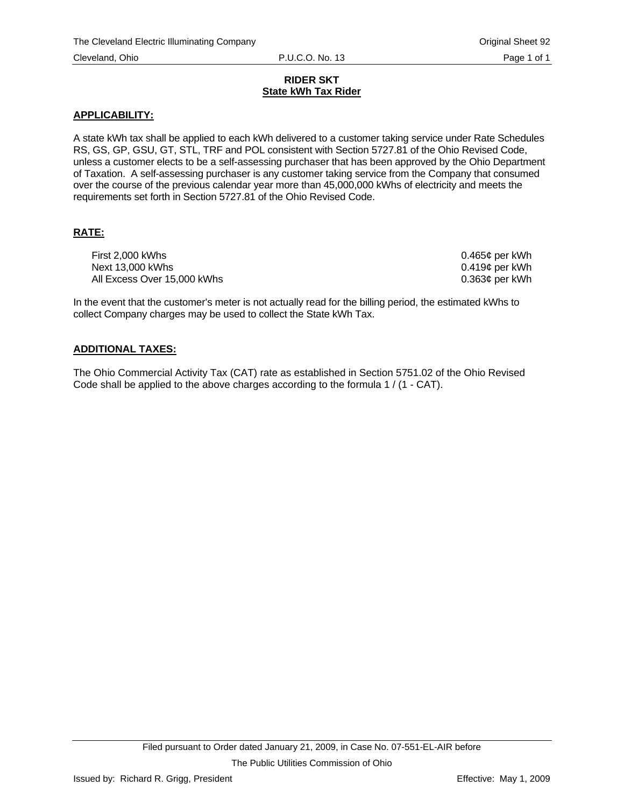### **RIDER SKT State kWh Tax Rider**

## **APPLICABILITY:**

A state kWh tax shall be applied to each kWh delivered to a customer taking service under Rate Schedules RS, GS, GP, GSU, GT, STL, TRF and POL consistent with Section 5727.81 of the Ohio Revised Code, unless a customer elects to be a self-assessing purchaser that has been approved by the Ohio Department of Taxation. A self-assessing purchaser is any customer taking service from the Company that consumed over the course of the previous calendar year more than 45,000,000 kWhs of electricity and meets the requirements set forth in Section 5727.81 of the Ohio Revised Code.

# **RATE:**

First 2,000 kWhs 0.465¢ per kWh Next 13,000 kWhs 2000 and 2000 kWhs 0.419¢ per kWh All Excess Over 15,000 kWhs  $0.363¢$  per kWh

In the event that the customer's meter is not actually read for the billing period, the estimated kWhs to collect Company charges may be used to collect the State kWh Tax.

## **ADDITIONAL TAXES:**

The Ohio Commercial Activity Tax (CAT) rate as established in Section 5751.02 of the Ohio Revised Code shall be applied to the above charges according to the formula 1 / (1 - CAT).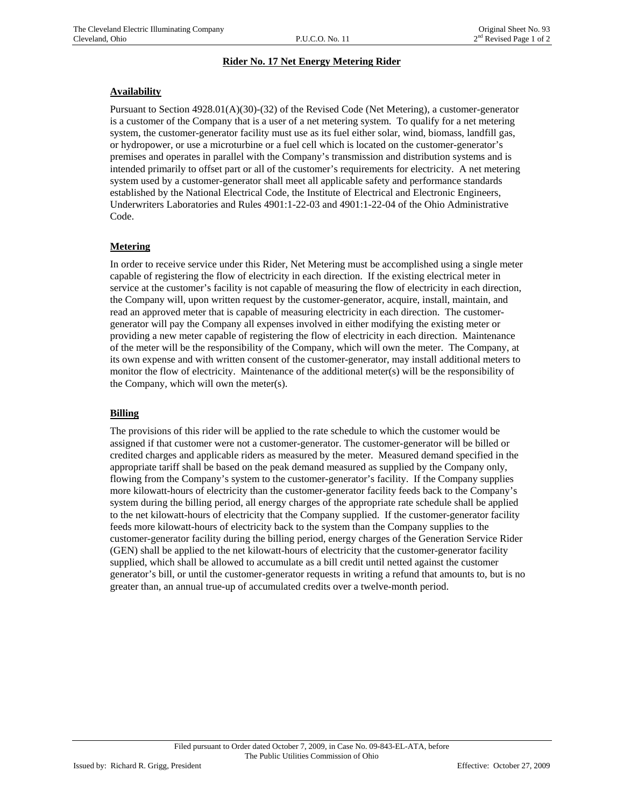### **Rider No. 17 Net Energy Metering Rider**

### **Availability**

Pursuant to Section 4928.01(A)(30)-(32) of the Revised Code (Net Metering), a customer-generator is a customer of the Company that is a user of a net metering system. To qualify for a net metering system, the customer-generator facility must use as its fuel either solar, wind, biomass, landfill gas, or hydropower, or use a microturbine or a fuel cell which is located on the customer-generator's premises and operates in parallel with the Company's transmission and distribution systems and is intended primarily to offset part or all of the customer's requirements for electricity. A net metering system used by a customer-generator shall meet all applicable safety and performance standards established by the National Electrical Code, the Institute of Electrical and Electronic Engineers, Underwriters Laboratories and Rules 4901:1-22-03 and 4901:1-22-04 of the Ohio Administrative Code.

## **Metering**

In order to receive service under this Rider, Net Metering must be accomplished using a single meter capable of registering the flow of electricity in each direction. If the existing electrical meter in service at the customer's facility is not capable of measuring the flow of electricity in each direction, the Company will, upon written request by the customer-generator, acquire, install, maintain, and read an approved meter that is capable of measuring electricity in each direction. The customergenerator will pay the Company all expenses involved in either modifying the existing meter or providing a new meter capable of registering the flow of electricity in each direction. Maintenance of the meter will be the responsibility of the Company, which will own the meter. The Company, at its own expense and with written consent of the customer-generator, may install additional meters to monitor the flow of electricity. Maintenance of the additional meter(s) will be the responsibility of the Company, which will own the meter(s).

### **Billing**

The provisions of this rider will be applied to the rate schedule to which the customer would be assigned if that customer were not a customer-generator. The customer-generator will be billed or credited charges and applicable riders as measured by the meter. Measured demand specified in the appropriate tariff shall be based on the peak demand measured as supplied by the Company only, flowing from the Company's system to the customer-generator's facility. If the Company supplies more kilowatt-hours of electricity than the customer-generator facility feeds back to the Company's system during the billing period, all energy charges of the appropriate rate schedule shall be applied to the net kilowatt-hours of electricity that the Company supplied. If the customer-generator facility feeds more kilowatt-hours of electricity back to the system than the Company supplies to the customer-generator facility during the billing period, energy charges of the Generation Service Rider (GEN) shall be applied to the net kilowatt-hours of electricity that the customer-generator facility supplied, which shall be allowed to accumulate as a bill credit until netted against the customer generator's bill, or until the customer-generator requests in writing a refund that amounts to, but is no greater than, an annual true-up of accumulated credits over a twelve-month period.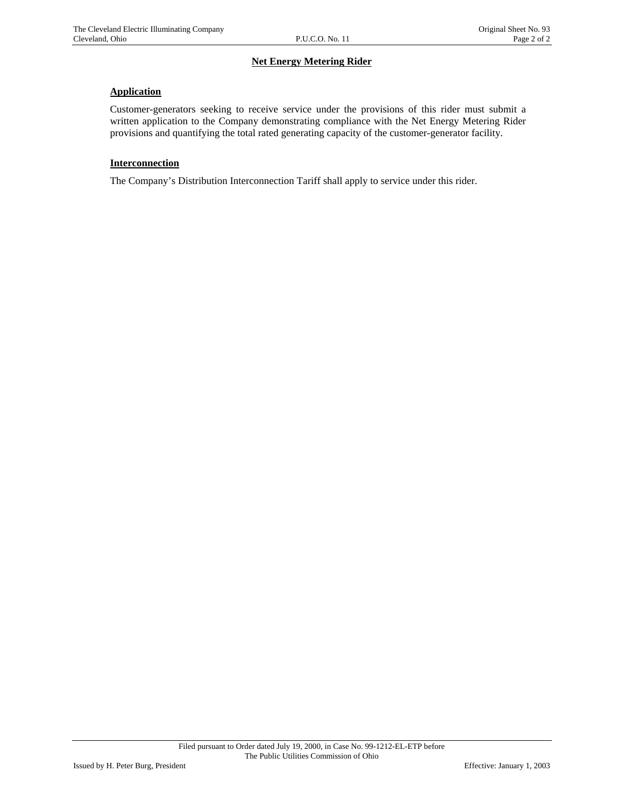# **Net Energy Metering Rider**

## **Application**

Customer-generators seeking to receive service under the provisions of this rider must submit a written application to the Company demonstrating compliance with the Net Energy Metering Rider provisions and quantifying the total rated generating capacity of the customer-generator facility.

### **Interconnection**

The Company's Distribution Interconnection Tariff shall apply to service under this rider.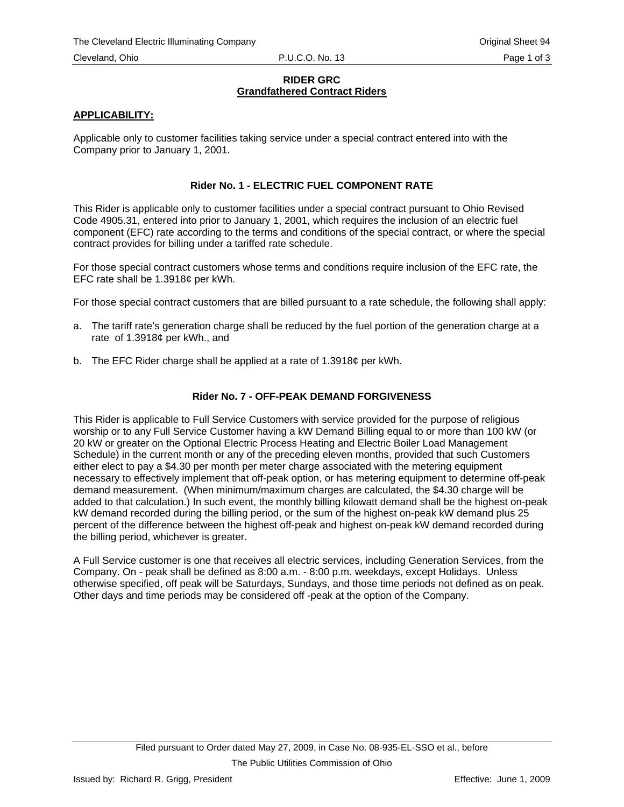### **RIDER GRC Grandfathered Contract Riders**

## **APPLICABILITY:**

Applicable only to customer facilities taking service under a special contract entered into with the Company prior to January 1, 2001.

## **Rider No. 1 - ELECTRIC FUEL COMPONENT RATE**

This Rider is applicable only to customer facilities under a special contract pursuant to Ohio Revised Code 4905.31, entered into prior to January 1, 2001, which requires the inclusion of an electric fuel component (EFC) rate according to the terms and conditions of the special contract, or where the special contract provides for billing under a tariffed rate schedule.

For those special contract customers whose terms and conditions require inclusion of the EFC rate, the EFC rate shall be 1.3918¢ per kWh.

For those special contract customers that are billed pursuant to a rate schedule, the following shall apply:

- a. The tariff rate's generation charge shall be reduced by the fuel portion of the generation charge at a rate of 1.3918¢ per kWh., and
- b. The EFC Rider charge shall be applied at a rate of 1.3918¢ per kWh.

## **Rider No. 7 - OFF-PEAK DEMAND FORGIVENESS**

This Rider is applicable to Full Service Customers with service provided for the purpose of religious worship or to any Full Service Customer having a kW Demand Billing equal to or more than 100 kW (or 20 kW or greater on the Optional Electric Process Heating and Electric Boiler Load Management Schedule) in the current month or any of the preceding eleven months, provided that such Customers either elect to pay a \$4.30 per month per meter charge associated with the metering equipment necessary to effectively implement that off-peak option, or has metering equipment to determine off-peak demand measurement. (When minimum/maximum charges are calculated, the \$4.30 charge will be added to that calculation.) In such event, the monthly billing kilowatt demand shall be the highest on-peak kW demand recorded during the billing period, or the sum of the highest on-peak kW demand plus 25 percent of the difference between the highest off-peak and highest on-peak kW demand recorded during the billing period, whichever is greater.

A Full Service customer is one that receives all electric services, including Generation Services, from the Company. On - peak shall be defined as 8:00 a.m. - 8:00 p.m. weekdays, except Holidays. Unless otherwise specified, off peak will be Saturdays, Sundays, and those time periods not defined as on peak. Other days and time periods may be considered off -peak at the option of the Company.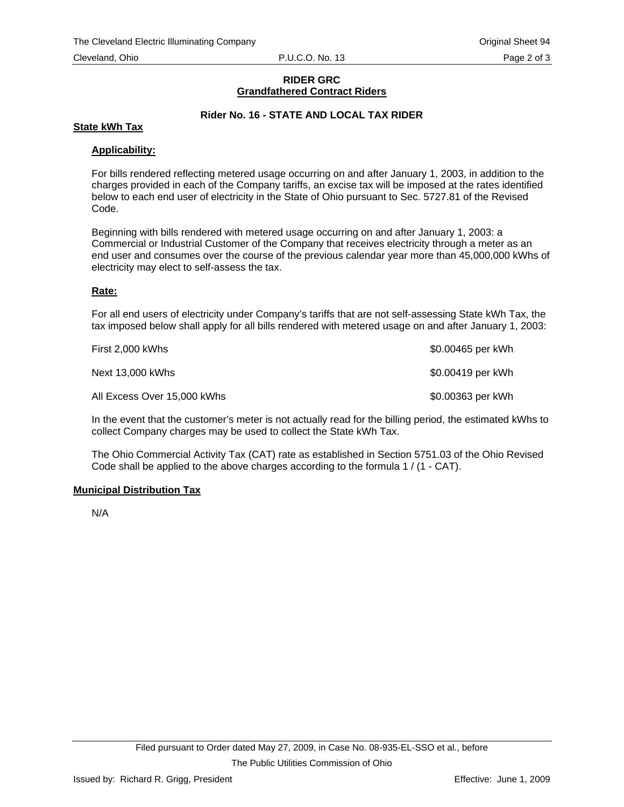### **RIDER GRC Grandfathered Contract Riders**

# **Rider No. 16 - STATE AND LOCAL TAX RIDER**

### **State kWh Tax**

## **Applicability:**

For bills rendered reflecting metered usage occurring on and after January 1, 2003, in addition to the charges provided in each of the Company tariffs, an excise tax will be imposed at the rates identified below to each end user of electricity in the State of Ohio pursuant to Sec. 5727.81 of the Revised Code.

Beginning with bills rendered with metered usage occurring on and after January 1, 2003: a Commercial or Industrial Customer of the Company that receives electricity through a meter as an end user and consumes over the course of the previous calendar year more than 45,000,000 kWhs of electricity may elect to self-assess the tax.

### **Rate:**

For all end users of electricity under Company's tariffs that are not self-assessing State kWh Tax, the tax imposed below shall apply for all bills rendered with metered usage on and after January 1, 2003:

| First 2,000 kWhs            | \$0.00465 per kWh |
|-----------------------------|-------------------|
| Next 13,000 kWhs            | \$0.00419 per kWh |
| All Excess Over 15,000 kWhs | \$0.00363 per kWh |

In the event that the customer's meter is not actually read for the billing period, the estimated kWhs to collect Company charges may be used to collect the State kWh Tax.

The Ohio Commercial Activity Tax (CAT) rate as established in Section 5751.03 of the Ohio Revised Code shall be applied to the above charges according to the formula 1 / (1 - CAT).

## **Municipal Distribution Tax**

N/A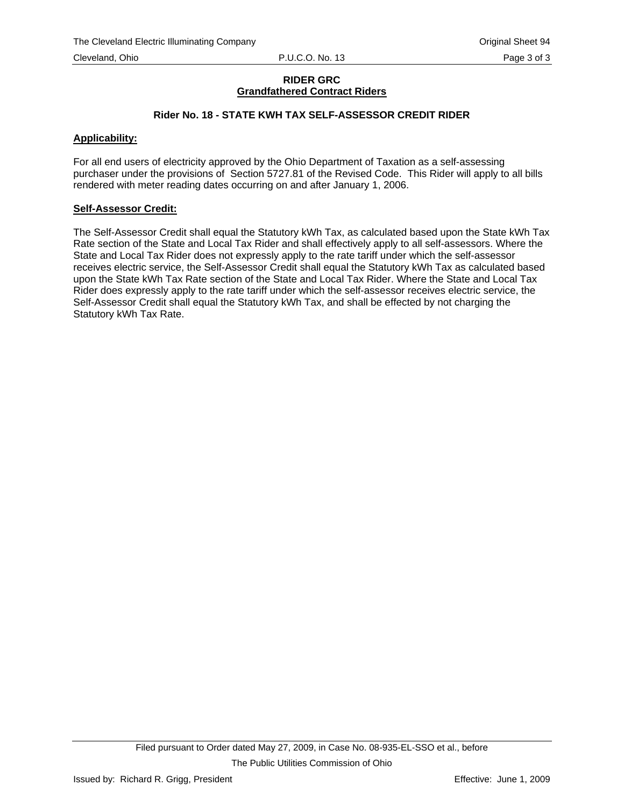## **RIDER GRC Grandfathered Contract Riders**

# **Rider No. 18 - STATE KWH TAX SELF-ASSESSOR CREDIT RIDER**

### **Applicability:**

For all end users of electricity approved by the Ohio Department of Taxation as a self-assessing purchaser under the provisions of Section 5727.81 of the Revised Code. This Rider will apply to all bills rendered with meter reading dates occurring on and after January 1, 2006.

### **Self-Assessor Credit:**

The Self-Assessor Credit shall equal the Statutory kWh Tax, as calculated based upon the State kWh Tax Rate section of the State and Local Tax Rider and shall effectively apply to all self-assessors. Where the State and Local Tax Rider does not expressly apply to the rate tariff under which the self-assessor receives electric service, the Self-Assessor Credit shall equal the Statutory kWh Tax as calculated based upon the State kWh Tax Rate section of the State and Local Tax Rider. Where the State and Local Tax Rider does expressly apply to the rate tariff under which the self-assessor receives electric service, the Self-Assessor Credit shall equal the Statutory kWh Tax, and shall be effected by not charging the Statutory kWh Tax Rate.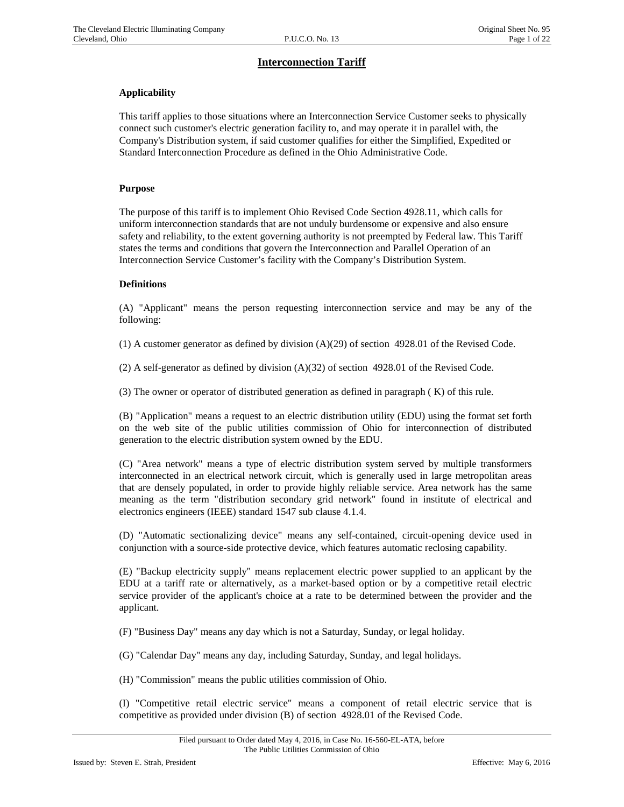# **Interconnection Tariff**

## **Applicability**

This tariff applies to those situations where an Interconnection Service Customer seeks to physically connect such customer's electric generation facility to, and may operate it in parallel with, the Company's Distribution system, if said customer qualifies for either the Simplified, Expedited or Standard Interconnection Procedure as defined in the Ohio Administrative Code.

#### **Purpose**

The purpose of this tariff is to implement Ohio Revised Code Section 4928.11, which calls for uniform interconnection standards that are not unduly burdensome or expensive and also ensure safety and reliability, to the extent governing authority is not preempted by Federal law. This Tariff states the terms and conditions that govern the Interconnection and Parallel Operation of an Interconnection Service Customer's facility with the Company's Distribution System.

#### **Definitions**

(A) "Applicant" means the person requesting interconnection service and may be any of the following:

(1) A customer generator as defined by division (A)(29) of section 4928.01 of the Revised Code.

(2) A self-generator as defined by division  $(A)(32)$  of section 4928.01 of the Revised Code.

(3) The owner or operator of distributed generation as defined in paragraph ( K) of this rule.

(B) "Application" means a request to an electric distribution utility (EDU) using the format set forth on the web site of the public utilities commission of Ohio for interconnection of distributed generation to the electric distribution system owned by the EDU.

(C) "Area network" means a type of electric distribution system served by multiple transformers interconnected in an electrical network circuit, which is generally used in large metropolitan areas that are densely populated, in order to provide highly reliable service. Area network has the same meaning as the term "distribution secondary grid network" found in institute of electrical and electronics engineers (IEEE) standard 1547 sub clause 4.1.4.

(D) "Automatic sectionalizing device" means any self-contained, circuit-opening device used in conjunction with a source-side protective device, which features automatic reclosing capability.

(E) "Backup electricity supply" means replacement electric power supplied to an applicant by the EDU at a tariff rate or alternatively, as a market-based option or by a competitive retail electric service provider of the applicant's choice at a rate to be determined between the provider and the applicant.

(F) "Business Day" means any day which is not a Saturday, Sunday, or legal holiday.

(G) "Calendar Day" means any day, including Saturday, Sunday, and legal holidays.

(H) "Commission" means the public utilities commission of Ohio.

(I) "Competitive retail electric service" means a component of retail electric service that is competitive as provided under division (B) of section 4928.01 of the Revised Code.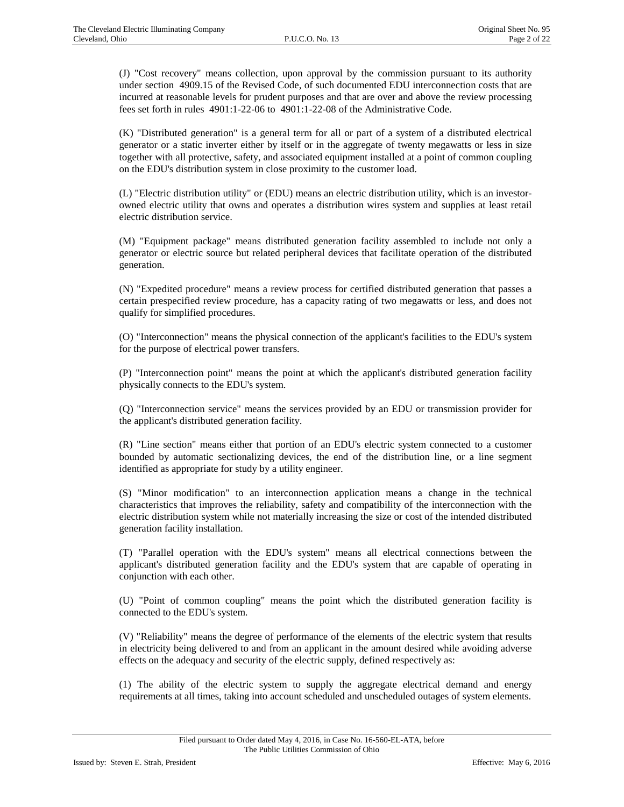(J) "Cost recovery" means collection, upon approval by the commission pursuant to its authority under section 4909.15 of the Revised Code, of such documented EDU interconnection costs that are incurred at reasonable levels for prudent purposes and that are over and above the review processing fees set forth in rules 4901:1-22-06 to 4901:1-22-08 of the Administrative Code.

(K) "Distributed generation" is a general term for all or part of a system of a distributed electrical generator or a static inverter either by itself or in the aggregate of twenty megawatts or less in size together with all protective, safety, and associated equipment installed at a point of common coupling on the EDU's distribution system in close proximity to the customer load.

(L) "Electric distribution utility" or (EDU) means an electric distribution utility, which is an investorowned electric utility that owns and operates a distribution wires system and supplies at least retail electric distribution service.

(M) "Equipment package" means distributed generation facility assembled to include not only a generator or electric source but related peripheral devices that facilitate operation of the distributed generation.

(N) "Expedited procedure" means a review process for certified distributed generation that passes a certain prespecified review procedure, has a capacity rating of two megawatts or less, and does not qualify for simplified procedures.

(O) "Interconnection" means the physical connection of the applicant's facilities to the EDU's system for the purpose of electrical power transfers.

(P) "Interconnection point" means the point at which the applicant's distributed generation facility physically connects to the EDU's system.

(Q) "Interconnection service" means the services provided by an EDU or transmission provider for the applicant's distributed generation facility.

(R) "Line section" means either that portion of an EDU's electric system connected to a customer bounded by automatic sectionalizing devices, the end of the distribution line, or a line segment identified as appropriate for study by a utility engineer.

(S) "Minor modification" to an interconnection application means a change in the technical characteristics that improves the reliability, safety and compatibility of the interconnection with the electric distribution system while not materially increasing the size or cost of the intended distributed generation facility installation.

(T) "Parallel operation with the EDU's system" means all electrical connections between the applicant's distributed generation facility and the EDU's system that are capable of operating in conjunction with each other.

(U) "Point of common coupling" means the point which the distributed generation facility is connected to the EDU's system.

(V) "Reliability" means the degree of performance of the elements of the electric system that results in electricity being delivered to and from an applicant in the amount desired while avoiding adverse effects on the adequacy and security of the electric supply, defined respectively as:

(1) The ability of the electric system to supply the aggregate electrical demand and energy requirements at all times, taking into account scheduled and unscheduled outages of system elements.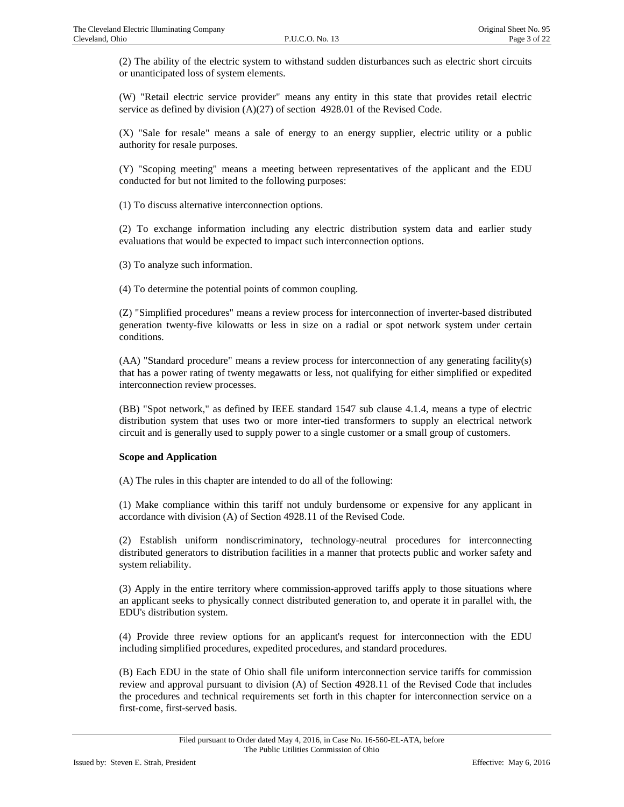(2) The ability of the electric system to withstand sudden disturbances such as electric short circuits or unanticipated loss of system elements.

(W) "Retail electric service provider" means any entity in this state that provides retail electric service as defined by division (A)(27) of section 4928.01 of the Revised Code.

(X) "Sale for resale" means a sale of energy to an energy supplier, electric utility or a public authority for resale purposes.

(Y) "Scoping meeting" means a meeting between representatives of the applicant and the EDU conducted for but not limited to the following purposes:

(1) To discuss alternative interconnection options.

(2) To exchange information including any electric distribution system data and earlier study evaluations that would be expected to impact such interconnection options.

(3) To analyze such information.

(4) To determine the potential points of common coupling.

(Z) "Simplified procedures" means a review process for interconnection of inverter-based distributed generation twenty-five kilowatts or less in size on a radial or spot network system under certain conditions.

(AA) "Standard procedure" means a review process for interconnection of any generating facility(s) that has a power rating of twenty megawatts or less, not qualifying for either simplified or expedited interconnection review processes.

(BB) "Spot network," as defined by IEEE standard 1547 sub clause 4.1.4, means a type of electric distribution system that uses two or more inter-tied transformers to supply an electrical network circuit and is generally used to supply power to a single customer or a small group of customers.

### **Scope and Application**

(A) The rules in this chapter are intended to do all of the following:

(1) Make compliance within this tariff not unduly burdensome or expensive for any applicant in accordance with division (A) of Section 4928.11 of the Revised Code.

(2) Establish uniform nondiscriminatory, technology-neutral procedures for interconnecting distributed generators to distribution facilities in a manner that protects public and worker safety and system reliability.

(3) Apply in the entire territory where commission-approved tariffs apply to those situations where an applicant seeks to physically connect distributed generation to, and operate it in parallel with, the EDU's distribution system.

(4) Provide three review options for an applicant's request for interconnection with the EDU including simplified procedures, expedited procedures, and standard procedures.

(B) Each EDU in the state of Ohio shall file uniform interconnection service tariffs for commission review and approval pursuant to division (A) of Section 4928.11 of the Revised Code that includes the procedures and technical requirements set forth in this chapter for interconnection service on a first-come, first-served basis.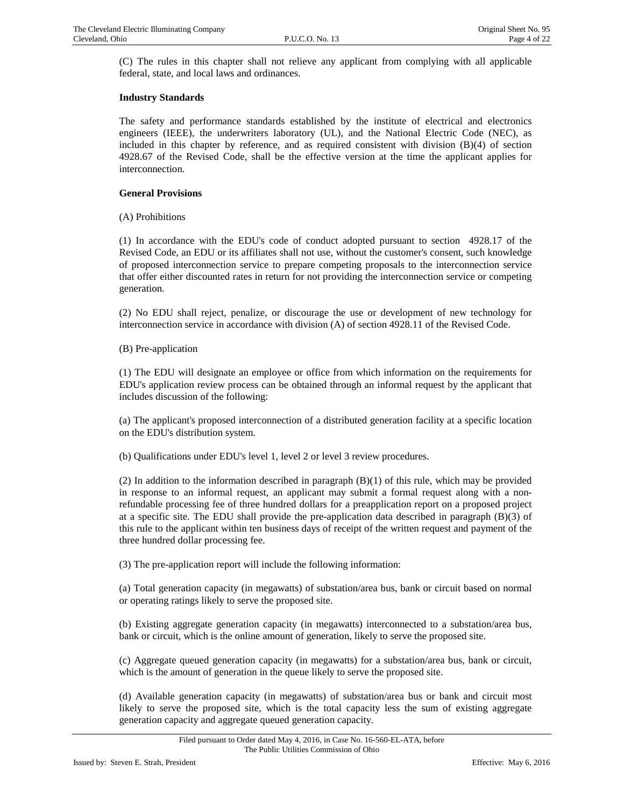(C) The rules in this chapter shall not relieve any applicant from complying with all applicable federal, state, and local laws and ordinances.

### **Industry Standards**

The safety and performance standards established by the institute of electrical and electronics engineers (IEEE), the underwriters laboratory (UL), and the National Electric Code (NEC), as included in this chapter by reference, and as required consistent with division (B)(4) of section 4928.67 of the Revised Code, shall be the effective version at the time the applicant applies for interconnection.

#### **General Provisions**

(A) Prohibitions

(1) In accordance with the EDU's code of conduct adopted pursuant to section 4928.17 of the Revised Code, an EDU or its affiliates shall not use, without the customer's consent, such knowledge of proposed interconnection service to prepare competing proposals to the interconnection service that offer either discounted rates in return for not providing the interconnection service or competing generation.

(2) No EDU shall reject, penalize, or discourage the use or development of new technology for interconnection service in accordance with division (A) of section 4928.11 of the Revised Code.

(B) Pre-application

(1) The EDU will designate an employee or office from which information on the requirements for EDU's application review process can be obtained through an informal request by the applicant that includes discussion of the following:

(a) The applicant's proposed interconnection of a distributed generation facility at a specific location on the EDU's distribution system.

(b) Qualifications under EDU's level 1, level 2 or level 3 review procedures.

(2) In addition to the information described in paragraph  $(B)(1)$  of this rule, which may be provided in response to an informal request, an applicant may submit a formal request along with a nonrefundable processing fee of three hundred dollars for a preapplication report on a proposed project at a specific site. The EDU shall provide the pre-application data described in paragraph (B)(3) of this rule to the applicant within ten business days of receipt of the written request and payment of the three hundred dollar processing fee.

(3) The pre-application report will include the following information:

(a) Total generation capacity (in megawatts) of substation/area bus, bank or circuit based on normal or operating ratings likely to serve the proposed site.

(b) Existing aggregate generation capacity (in megawatts) interconnected to a substation/area bus, bank or circuit, which is the online amount of generation, likely to serve the proposed site.

(c) Aggregate queued generation capacity (in megawatts) for a substation/area bus, bank or circuit, which is the amount of generation in the queue likely to serve the proposed site.

(d) Available generation capacity (in megawatts) of substation/area bus or bank and circuit most likely to serve the proposed site, which is the total capacity less the sum of existing aggregate generation capacity and aggregate queued generation capacity.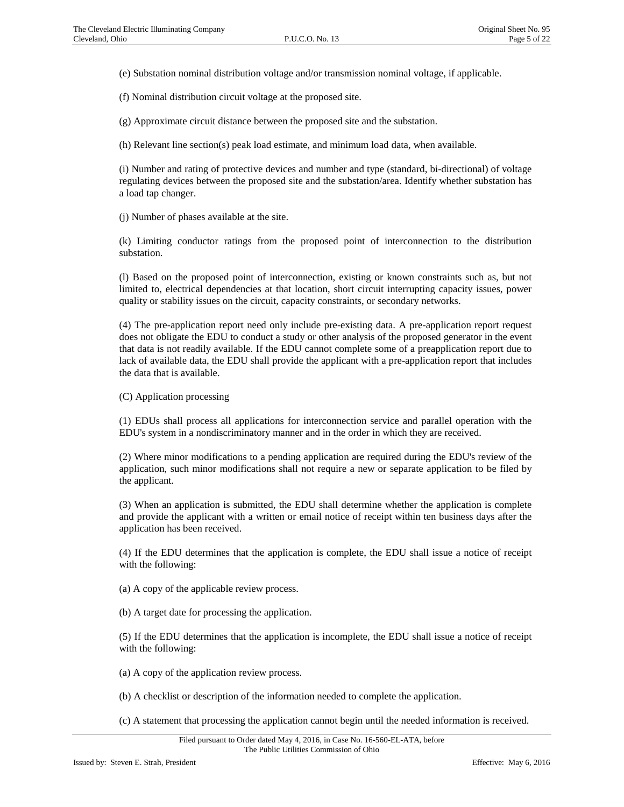(e) Substation nominal distribution voltage and/or transmission nominal voltage, if applicable.

(f) Nominal distribution circuit voltage at the proposed site.

(g) Approximate circuit distance between the proposed site and the substation.

(h) Relevant line section(s) peak load estimate, and minimum load data, when available.

(i) Number and rating of protective devices and number and type (standard, bi-directional) of voltage regulating devices between the proposed site and the substation/area. Identify whether substation has a load tap changer.

(j) Number of phases available at the site.

(k) Limiting conductor ratings from the proposed point of interconnection to the distribution substation.

(l) Based on the proposed point of interconnection, existing or known constraints such as, but not limited to, electrical dependencies at that location, short circuit interrupting capacity issues, power quality or stability issues on the circuit, capacity constraints, or secondary networks.

(4) The pre-application report need only include pre-existing data. A pre-application report request does not obligate the EDU to conduct a study or other analysis of the proposed generator in the event that data is not readily available. If the EDU cannot complete some of a preapplication report due to lack of available data, the EDU shall provide the applicant with a pre-application report that includes the data that is available.

(C) Application processing

(1) EDUs shall process all applications for interconnection service and parallel operation with the EDU's system in a nondiscriminatory manner and in the order in which they are received.

(2) Where minor modifications to a pending application are required during the EDU's review of the application, such minor modifications shall not require a new or separate application to be filed by the applicant.

(3) When an application is submitted, the EDU shall determine whether the application is complete and provide the applicant with a written or email notice of receipt within ten business days after the application has been received.

(4) If the EDU determines that the application is complete, the EDU shall issue a notice of receipt with the following:

(a) A copy of the applicable review process.

(b) A target date for processing the application.

(5) If the EDU determines that the application is incomplete, the EDU shall issue a notice of receipt with the following:

(a) A copy of the application review process.

(b) A checklist or description of the information needed to complete the application.

(c) A statement that processing the application cannot begin until the needed information is received.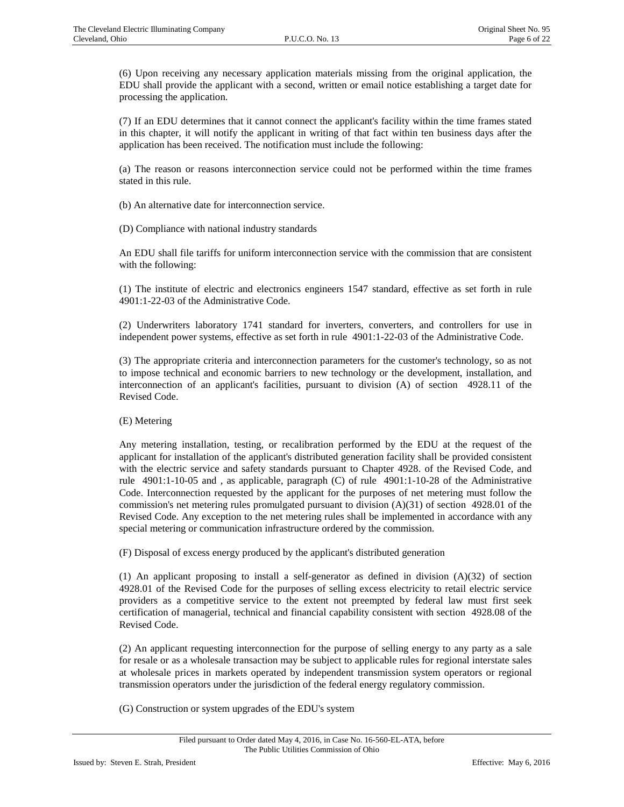(6) Upon receiving any necessary application materials missing from the original application, the EDU shall provide the applicant with a second, written or email notice establishing a target date for processing the application.

(7) If an EDU determines that it cannot connect the applicant's facility within the time frames stated in this chapter, it will notify the applicant in writing of that fact within ten business days after the application has been received. The notification must include the following:

(a) The reason or reasons interconnection service could not be performed within the time frames stated in this rule.

(b) An alternative date for interconnection service.

(D) Compliance with national industry standards

An EDU shall file tariffs for uniform interconnection service with the commission that are consistent with the following:

(1) The institute of electric and electronics engineers 1547 standard, effective as set forth in rule 4901:1-22-03 of the Administrative Code.

(2) Underwriters laboratory 1741 standard for inverters, converters, and controllers for use in independent power systems, effective as set forth in rule 4901:1-22-03 of the Administrative Code.

(3) The appropriate criteria and interconnection parameters for the customer's technology, so as not to impose technical and economic barriers to new technology or the development, installation, and interconnection of an applicant's facilities, pursuant to division (A) of section 4928.11 of the Revised Code.

### (E) Metering

Any metering installation, testing, or recalibration performed by the EDU at the request of the applicant for installation of the applicant's distributed generation facility shall be provided consistent with the electric service and safety standards pursuant to Chapter 4928. of the Revised Code, and rule 4901:1-10-05 and , as applicable, paragraph (C) of rule 4901:1-10-28 of the Administrative Code. Interconnection requested by the applicant for the purposes of net metering must follow the commission's net metering rules promulgated pursuant to division (A)(31) of section 4928.01 of the Revised Code. Any exception to the net metering rules shall be implemented in accordance with any special metering or communication infrastructure ordered by the commission.

(F) Disposal of excess energy produced by the applicant's distributed generation

(1) An applicant proposing to install a self-generator as defined in division  $(A)(32)$  of section 4928.01 of the Revised Code for the purposes of selling excess electricity to retail electric service providers as a competitive service to the extent not preempted by federal law must first seek certification of managerial, technical and financial capability consistent with section 4928.08 of the Revised Code.

(2) An applicant requesting interconnection for the purpose of selling energy to any party as a sale for resale or as a wholesale transaction may be subject to applicable rules for regional interstate sales at wholesale prices in markets operated by independent transmission system operators or regional transmission operators under the jurisdiction of the federal energy regulatory commission.

(G) Construction or system upgrades of the EDU's system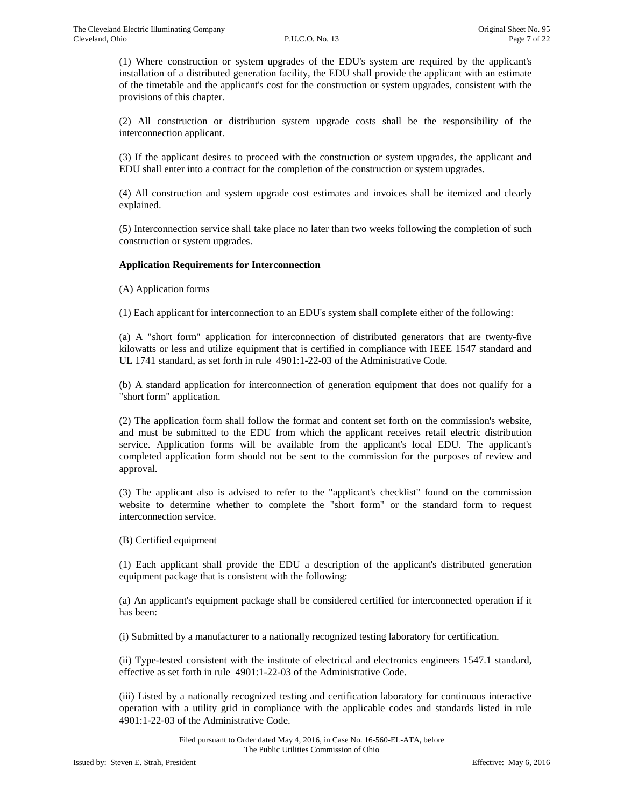(1) Where construction or system upgrades of the EDU's system are required by the applicant's installation of a distributed generation facility, the EDU shall provide the applicant with an estimate of the timetable and the applicant's cost for the construction or system upgrades, consistent with the provisions of this chapter.

(2) All construction or distribution system upgrade costs shall be the responsibility of the interconnection applicant.

(3) If the applicant desires to proceed with the construction or system upgrades, the applicant and EDU shall enter into a contract for the completion of the construction or system upgrades.

(4) All construction and system upgrade cost estimates and invoices shall be itemized and clearly explained.

(5) Interconnection service shall take place no later than two weeks following the completion of such construction or system upgrades.

### **Application Requirements for Interconnection**

(A) Application forms

(1) Each applicant for interconnection to an EDU's system shall complete either of the following:

(a) A "short form" application for interconnection of distributed generators that are twenty-five kilowatts or less and utilize equipment that is certified in compliance with IEEE 1547 standard and UL 1741 standard, as set forth in rule 4901:1-22-03 of the Administrative Code.

(b) A standard application for interconnection of generation equipment that does not qualify for a "short form" application.

(2) The application form shall follow the format and content set forth on the commission's website, and must be submitted to the EDU from which the applicant receives retail electric distribution service. Application forms will be available from the applicant's local EDU. The applicant's completed application form should not be sent to the commission for the purposes of review and approval.

(3) The applicant also is advised to refer to the "applicant's checklist" found on the commission website to determine whether to complete the "short form" or the standard form to request interconnection service.

(B) Certified equipment

(1) Each applicant shall provide the EDU a description of the applicant's distributed generation equipment package that is consistent with the following:

(a) An applicant's equipment package shall be considered certified for interconnected operation if it has been:

(i) Submitted by a manufacturer to a nationally recognized testing laboratory for certification.

(ii) Type-tested consistent with the institute of electrical and electronics engineers 1547.1 standard, effective as set forth in rule 4901:1-22-03 of the Administrative Code.

(iii) Listed by a nationally recognized testing and certification laboratory for continuous interactive operation with a utility grid in compliance with the applicable codes and standards listed in rule 4901:1-22-03 of the Administrative Code.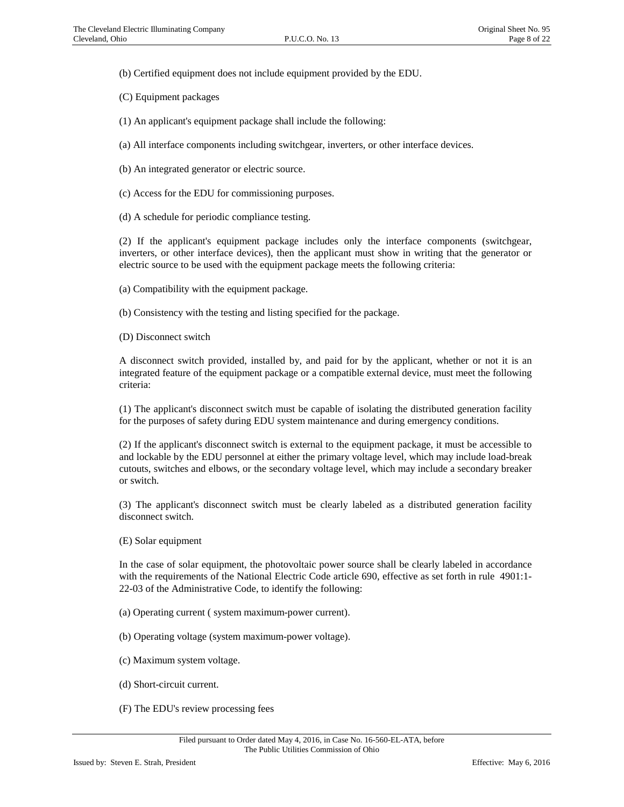(b) Certified equipment does not include equipment provided by the EDU.

(C) Equipment packages

(1) An applicant's equipment package shall include the following:

(a) All interface components including switchgear, inverters, or other interface devices.

(b) An integrated generator or electric source.

(c) Access for the EDU for commissioning purposes.

(d) A schedule for periodic compliance testing.

(2) If the applicant's equipment package includes only the interface components (switchgear, inverters, or other interface devices), then the applicant must show in writing that the generator or electric source to be used with the equipment package meets the following criteria:

(a) Compatibility with the equipment package.

(b) Consistency with the testing and listing specified for the package.

(D) Disconnect switch

A disconnect switch provided, installed by, and paid for by the applicant, whether or not it is an integrated feature of the equipment package or a compatible external device, must meet the following criteria:

(1) The applicant's disconnect switch must be capable of isolating the distributed generation facility for the purposes of safety during EDU system maintenance and during emergency conditions.

(2) If the applicant's disconnect switch is external to the equipment package, it must be accessible to and lockable by the EDU personnel at either the primary voltage level, which may include load-break cutouts, switches and elbows, or the secondary voltage level, which may include a secondary breaker or switch.

(3) The applicant's disconnect switch must be clearly labeled as a distributed generation facility disconnect switch.

(E) Solar equipment

In the case of solar equipment, the photovoltaic power source shall be clearly labeled in accordance with the requirements of the National Electric Code article 690, effective as set forth in rule 4901:1- 22-03 of the Administrative Code, to identify the following:

(a) Operating current ( system maximum-power current).

(b) Operating voltage (system maximum-power voltage).

- (c) Maximum system voltage.
- (d) Short-circuit current.
- (F) The EDU's review processing fees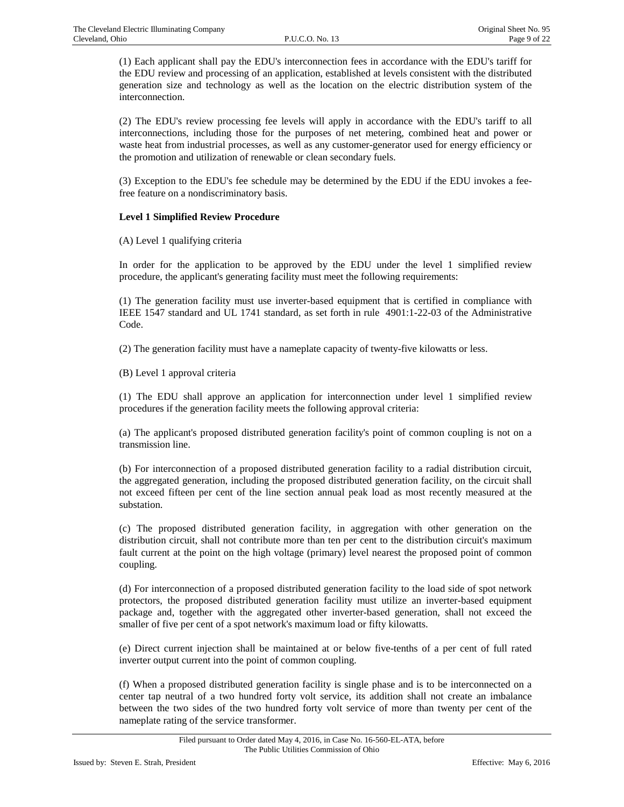(1) Each applicant shall pay the EDU's interconnection fees in accordance with the EDU's tariff for the EDU review and processing of an application, established at levels consistent with the distributed generation size and technology as well as the location on the electric distribution system of the interconnection.

(2) The EDU's review processing fee levels will apply in accordance with the EDU's tariff to all interconnections, including those for the purposes of net metering, combined heat and power or waste heat from industrial processes, as well as any customer-generator used for energy efficiency or the promotion and utilization of renewable or clean secondary fuels.

(3) Exception to the EDU's fee schedule may be determined by the EDU if the EDU invokes a feefree feature on a nondiscriminatory basis.

### **Level 1 Simplified Review Procedure**

(A) Level 1 qualifying criteria

In order for the application to be approved by the EDU under the level 1 simplified review procedure, the applicant's generating facility must meet the following requirements:

(1) The generation facility must use inverter-based equipment that is certified in compliance with IEEE 1547 standard and UL 1741 standard, as set forth in rule 4901:1-22-03 of the Administrative Code.

(2) The generation facility must have a nameplate capacity of twenty-five kilowatts or less.

(B) Level 1 approval criteria

(1) The EDU shall approve an application for interconnection under level 1 simplified review procedures if the generation facility meets the following approval criteria:

(a) The applicant's proposed distributed generation facility's point of common coupling is not on a transmission line.

(b) For interconnection of a proposed distributed generation facility to a radial distribution circuit, the aggregated generation, including the proposed distributed generation facility, on the circuit shall not exceed fifteen per cent of the line section annual peak load as most recently measured at the substation.

(c) The proposed distributed generation facility, in aggregation with other generation on the distribution circuit, shall not contribute more than ten per cent to the distribution circuit's maximum fault current at the point on the high voltage (primary) level nearest the proposed point of common coupling.

(d) For interconnection of a proposed distributed generation facility to the load side of spot network protectors, the proposed distributed generation facility must utilize an inverter-based equipment package and, together with the aggregated other inverter-based generation, shall not exceed the smaller of five per cent of a spot network's maximum load or fifty kilowatts.

(e) Direct current injection shall be maintained at or below five-tenths of a per cent of full rated inverter output current into the point of common coupling.

(f) When a proposed distributed generation facility is single phase and is to be interconnected on a center tap neutral of a two hundred forty volt service, its addition shall not create an imbalance between the two sides of the two hundred forty volt service of more than twenty per cent of the nameplate rating of the service transformer.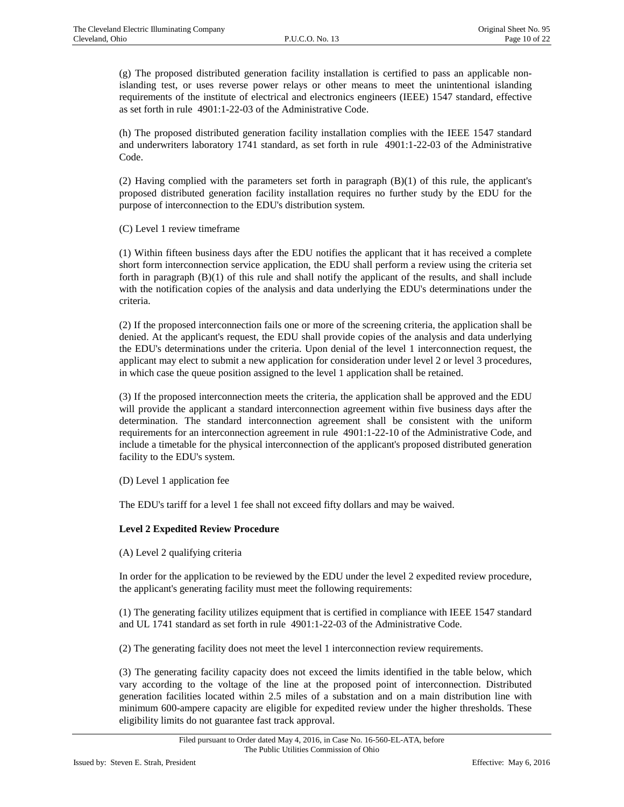(g) The proposed distributed generation facility installation is certified to pass an applicable nonislanding test, or uses reverse power relays or other means to meet the unintentional islanding requirements of the institute of electrical and electronics engineers (IEEE) 1547 standard, effective as set forth in rule 4901:1-22-03 of the Administrative Code.

(h) The proposed distributed generation facility installation complies with the IEEE 1547 standard and underwriters laboratory 1741 standard, as set forth in rule 4901:1-22-03 of the Administrative Code.

(2) Having complied with the parameters set forth in paragraph (B)(1) of this rule, the applicant's proposed distributed generation facility installation requires no further study by the EDU for the purpose of interconnection to the EDU's distribution system.

(C) Level 1 review timeframe

(1) Within fifteen business days after the EDU notifies the applicant that it has received a complete short form interconnection service application, the EDU shall perform a review using the criteria set forth in paragraph (B)(1) of this rule and shall notify the applicant of the results, and shall include with the notification copies of the analysis and data underlying the EDU's determinations under the criteria.

(2) If the proposed interconnection fails one or more of the screening criteria, the application shall be denied. At the applicant's request, the EDU shall provide copies of the analysis and data underlying the EDU's determinations under the criteria. Upon denial of the level 1 interconnection request, the applicant may elect to submit a new application for consideration under level 2 or level 3 procedures, in which case the queue position assigned to the level 1 application shall be retained.

(3) If the proposed interconnection meets the criteria, the application shall be approved and the EDU will provide the applicant a standard interconnection agreement within five business days after the determination. The standard interconnection agreement shall be consistent with the uniform requirements for an interconnection agreement in rule 4901:1-22-10 of the Administrative Code, and include a timetable for the physical interconnection of the applicant's proposed distributed generation facility to the EDU's system.

(D) Level 1 application fee

The EDU's tariff for a level 1 fee shall not exceed fifty dollars and may be waived.

### **Level 2 Expedited Review Procedure**

(A) Level 2 qualifying criteria

In order for the application to be reviewed by the EDU under the level 2 expedited review procedure, the applicant's generating facility must meet the following requirements:

(1) The generating facility utilizes equipment that is certified in compliance with IEEE 1547 standard and UL 1741 standard as set forth in rule 4901:1-22-03 of the Administrative Code.

(2) The generating facility does not meet the level 1 interconnection review requirements.

(3) The generating facility capacity does not exceed the limits identified in the table below, which vary according to the voltage of the line at the proposed point of interconnection. Distributed generation facilities located within 2.5 miles of a substation and on a main distribution line with minimum 600-ampere capacity are eligible for expedited review under the higher thresholds. These eligibility limits do not guarantee fast track approval.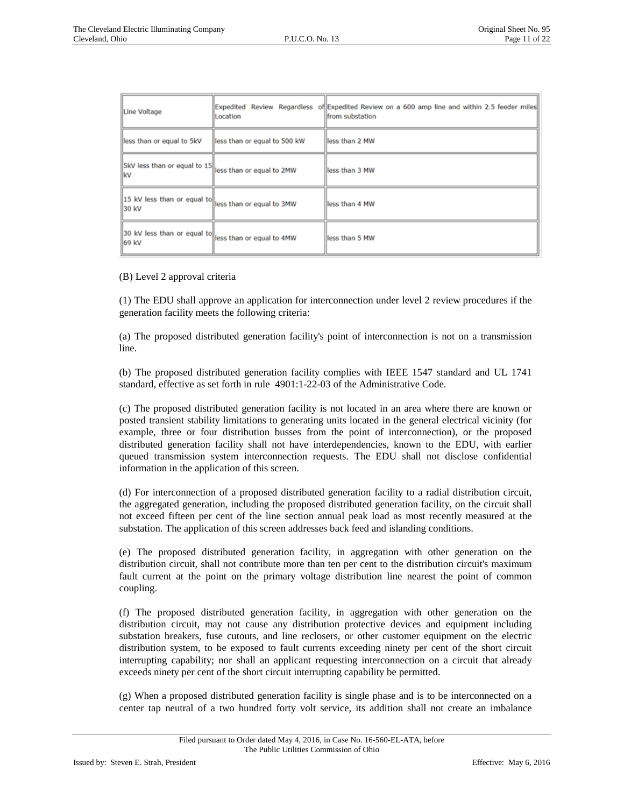| Line Voltage                         | Location                     | Expedited Review Regardless of Expedited Review on a 600 amp line and within 2.5 feeder miles<br>from substation |
|--------------------------------------|------------------------------|------------------------------------------------------------------------------------------------------------------|
| less than or equal to 5kV            | less than or equal to 500 kW | lless than 2 MW                                                                                                  |
| SkV less than or equal to 15<br>lkV  | less than or equal to 2MW    | lless than 3 MW                                                                                                  |
| 15 kV less than or equal to<br>30 kV | less than or equal to 3MW    | less than 4 MW                                                                                                   |
| 30 kV less than or equal to<br>69 kV | less than or equal to 4MW    | lless than 5 MW                                                                                                  |
|                                      |                              |                                                                                                                  |

(B) Level 2 approval criteria

(1) The EDU shall approve an application for interconnection under level 2 review procedures if the generation facility meets the following criteria:

(a) The proposed distributed generation facility's point of interconnection is not on a transmission line.

(b) The proposed distributed generation facility complies with IEEE 1547 standard and UL 1741 standard, effective as set forth in rule 4901:1-22-03 of the Administrative Code.

(c) The proposed distributed generation facility is not located in an area where there are known or posted transient stability limitations to generating units located in the general electrical vicinity (for example, three or four distribution busses from the point of interconnection), or the proposed distributed generation facility shall not have interdependencies, known to the EDU, with earlier queued transmission system interconnection requests. The EDU shall not disclose confidential information in the application of this screen.

(d) For interconnection of a proposed distributed generation facility to a radial distribution circuit, the aggregated generation, including the proposed distributed generation facility, on the circuit shall not exceed fifteen per cent of the line section annual peak load as most recently measured at the substation. The application of this screen addresses back feed and islanding conditions.

(e) The proposed distributed generation facility, in aggregation with other generation on the distribution circuit, shall not contribute more than ten per cent to the distribution circuit's maximum fault current at the point on the primary voltage distribution line nearest the point of common coupling.

(f) The proposed distributed generation facility, in aggregation with other generation on the distribution circuit, may not cause any distribution protective devices and equipment including substation breakers, fuse cutouts, and line reclosers, or other customer equipment on the electric distribution system, to be exposed to fault currents exceeding ninety per cent of the short circuit interrupting capability; nor shall an applicant requesting interconnection on a circuit that already exceeds ninety per cent of the short circuit interrupting capability be permitted.

(g) When a proposed distributed generation facility is single phase and is to be interconnected on a center tap neutral of a two hundred forty volt service, its addition shall not create an imbalance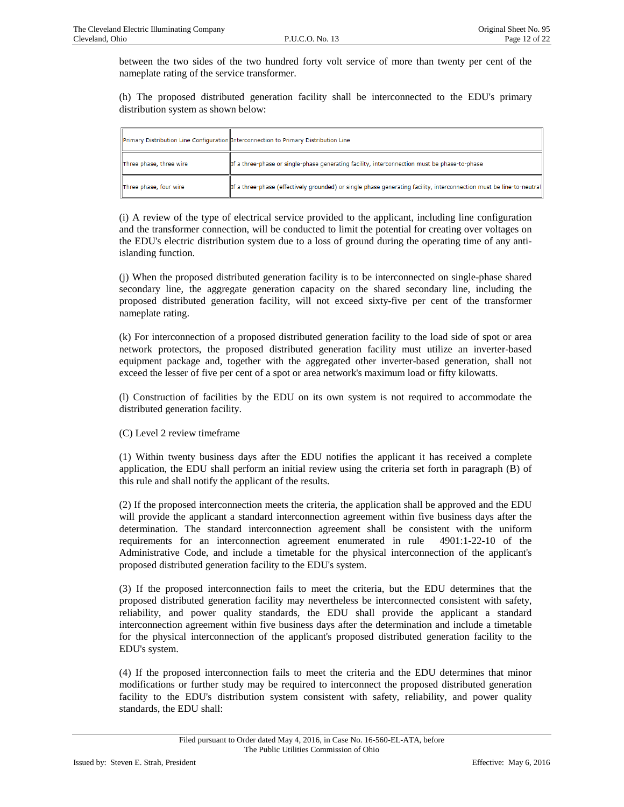between the two sides of the two hundred forty volt service of more than twenty per cent of the nameplate rating of the service transformer.

(h) The proposed distributed generation facility shall be interconnected to the EDU's primary distribution system as shown below:

|                         | Primary Distribution Line Configuration Interconnection to Primary Distribution Line                                 |
|-------------------------|----------------------------------------------------------------------------------------------------------------------|
| Three phase, three wire | If a three-phase or single-phase generating facility, interconnection must be phase-to-phase                         |
| Three phase, four wire  | If a three-phase (effectively grounded) or single phase generating facility, interconnection must be line-to-neutral |

(i) A review of the type of electrical service provided to the applicant, including line configuration and the transformer connection, will be conducted to limit the potential for creating over voltages on the EDU's electric distribution system due to a loss of ground during the operating time of any antiislanding function.

(j) When the proposed distributed generation facility is to be interconnected on single-phase shared secondary line, the aggregate generation capacity on the shared secondary line, including the proposed distributed generation facility, will not exceed sixty-five per cent of the transformer nameplate rating.

(k) For interconnection of a proposed distributed generation facility to the load side of spot or area network protectors, the proposed distributed generation facility must utilize an inverter-based equipment package and, together with the aggregated other inverter-based generation, shall not exceed the lesser of five per cent of a spot or area network's maximum load or fifty kilowatts.

(l) Construction of facilities by the EDU on its own system is not required to accommodate the distributed generation facility.

(C) Level 2 review timeframe

(1) Within twenty business days after the EDU notifies the applicant it has received a complete application, the EDU shall perform an initial review using the criteria set forth in paragraph (B) of this rule and shall notify the applicant of the results.

(2) If the proposed interconnection meets the criteria, the application shall be approved and the EDU will provide the applicant a standard interconnection agreement within five business days after the determination. The standard interconnection agreement shall be consistent with the uniform requirements for an interconnection agreement enumerated in rule 4901:1-22-10 of the Administrative Code, and include a timetable for the physical interconnection of the applicant's proposed distributed generation facility to the EDU's system.

(3) If the proposed interconnection fails to meet the criteria, but the EDU determines that the proposed distributed generation facility may nevertheless be interconnected consistent with safety, reliability, and power quality standards, the EDU shall provide the applicant a standard interconnection agreement within five business days after the determination and include a timetable for the physical interconnection of the applicant's proposed distributed generation facility to the EDU's system.

(4) If the proposed interconnection fails to meet the criteria and the EDU determines that minor modifications or further study may be required to interconnect the proposed distributed generation facility to the EDU's distribution system consistent with safety, reliability, and power quality standards, the EDU shall: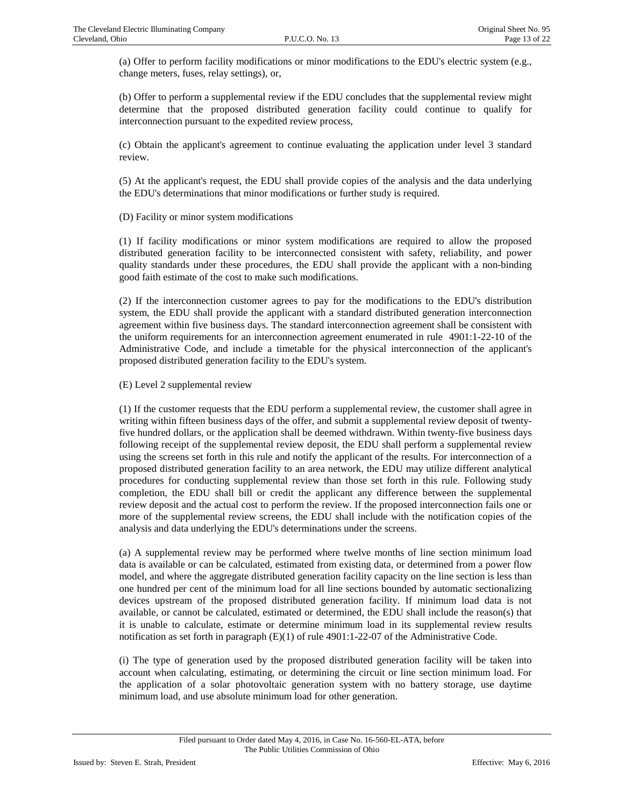(a) Offer to perform facility modifications or minor modifications to the EDU's electric system (e.g., change meters, fuses, relay settings), or,

(b) Offer to perform a supplemental review if the EDU concludes that the supplemental review might determine that the proposed distributed generation facility could continue to qualify for interconnection pursuant to the expedited review process,

(c) Obtain the applicant's agreement to continue evaluating the application under level 3 standard review.

(5) At the applicant's request, the EDU shall provide copies of the analysis and the data underlying the EDU's determinations that minor modifications or further study is required.

(D) Facility or minor system modifications

(1) If facility modifications or minor system modifications are required to allow the proposed distributed generation facility to be interconnected consistent with safety, reliability, and power quality standards under these procedures, the EDU shall provide the applicant with a non-binding good faith estimate of the cost to make such modifications.

(2) If the interconnection customer agrees to pay for the modifications to the EDU's distribution system, the EDU shall provide the applicant with a standard distributed generation interconnection agreement within five business days. The standard interconnection agreement shall be consistent with the uniform requirements for an interconnection agreement enumerated in rule 4901:1-22-10 of the Administrative Code, and include a timetable for the physical interconnection of the applicant's proposed distributed generation facility to the EDU's system.

(E) Level 2 supplemental review

(1) If the customer requests that the EDU perform a supplemental review, the customer shall agree in writing within fifteen business days of the offer, and submit a supplemental review deposit of twentyfive hundred dollars, or the application shall be deemed withdrawn. Within twenty-five business days following receipt of the supplemental review deposit, the EDU shall perform a supplemental review using the screens set forth in this rule and notify the applicant of the results. For interconnection of a proposed distributed generation facility to an area network, the EDU may utilize different analytical procedures for conducting supplemental review than those set forth in this rule. Following study completion, the EDU shall bill or credit the applicant any difference between the supplemental review deposit and the actual cost to perform the review. If the proposed interconnection fails one or more of the supplemental review screens, the EDU shall include with the notification copies of the analysis and data underlying the EDU's determinations under the screens.

(a) A supplemental review may be performed where twelve months of line section minimum load data is available or can be calculated, estimated from existing data, or determined from a power flow model, and where the aggregate distributed generation facility capacity on the line section is less than one hundred per cent of the minimum load for all line sections bounded by automatic sectionalizing devices upstream of the proposed distributed generation facility. If minimum load data is not available, or cannot be calculated, estimated or determined, the EDU shall include the reason(s) that it is unable to calculate, estimate or determine minimum load in its supplemental review results notification as set forth in paragraph (E)(1) of rule 4901:1-22-07 of the Administrative Code.

(i) The type of generation used by the proposed distributed generation facility will be taken into account when calculating, estimating, or determining the circuit or line section minimum load. For the application of a solar photovoltaic generation system with no battery storage, use daytime minimum load, and use absolute minimum load for other generation.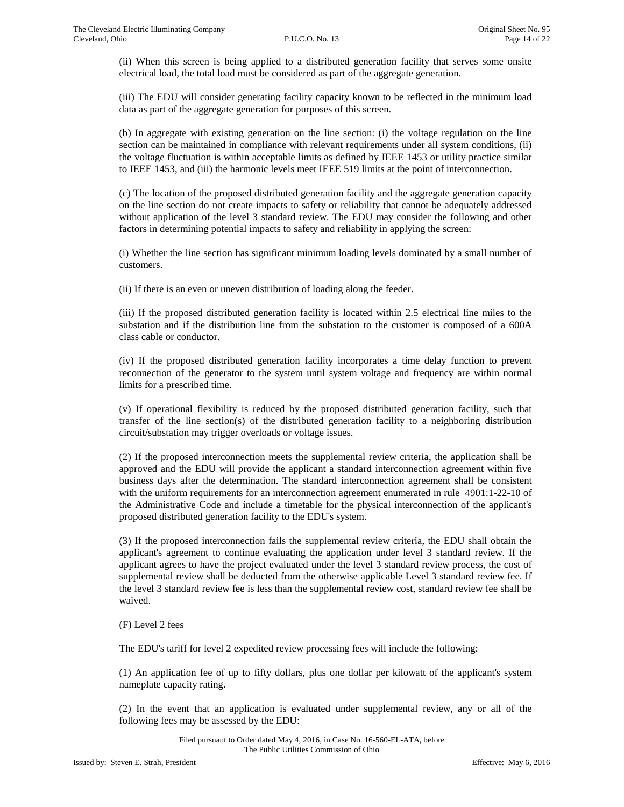(ii) When this screen is being applied to a distributed generation facility that serves some onsite electrical load, the total load must be considered as part of the aggregate generation.

(iii) The EDU will consider generating facility capacity known to be reflected in the minimum load data as part of the aggregate generation for purposes of this screen.

(b) In aggregate with existing generation on the line section: (i) the voltage regulation on the line section can be maintained in compliance with relevant requirements under all system conditions, (ii) the voltage fluctuation is within acceptable limits as defined by IEEE 1453 or utility practice similar to IEEE 1453, and (iii) the harmonic levels meet IEEE 519 limits at the point of interconnection.

(c) The location of the proposed distributed generation facility and the aggregate generation capacity on the line section do not create impacts to safety or reliability that cannot be adequately addressed without application of the level 3 standard review. The EDU may consider the following and other factors in determining potential impacts to safety and reliability in applying the screen:

(i) Whether the line section has significant minimum loading levels dominated by a small number of customers.

(ii) If there is an even or uneven distribution of loading along the feeder.

(iii) If the proposed distributed generation facility is located within 2.5 electrical line miles to the substation and if the distribution line from the substation to the customer is composed of a 600A class cable or conductor.

(iv) If the proposed distributed generation facility incorporates a time delay function to prevent reconnection of the generator to the system until system voltage and frequency are within normal limits for a prescribed time.

(v) If operational flexibility is reduced by the proposed distributed generation facility, such that transfer of the line section(s) of the distributed generation facility to a neighboring distribution circuit/substation may trigger overloads or voltage issues.

(2) If the proposed interconnection meets the supplemental review criteria, the application shall be approved and the EDU will provide the applicant a standard interconnection agreement within five business days after the determination. The standard interconnection agreement shall be consistent with the uniform requirements for an interconnection agreement enumerated in rule 4901:1-22-10 of the Administrative Code and include a timetable for the physical interconnection of the applicant's proposed distributed generation facility to the EDU's system.

(3) If the proposed interconnection fails the supplemental review criteria, the EDU shall obtain the applicant's agreement to continue evaluating the application under level 3 standard review. If the applicant agrees to have the project evaluated under the level 3 standard review process, the cost of supplemental review shall be deducted from the otherwise applicable Level 3 standard review fee. If the level 3 standard review fee is less than the supplemental review cost, standard review fee shall be waived.

(F) Level 2 fees

The EDU's tariff for level 2 expedited review processing fees will include the following:

(1) An application fee of up to fifty dollars, plus one dollar per kilowatt of the applicant's system nameplate capacity rating.

(2) In the event that an application is evaluated under supplemental review, any or all of the following fees may be assessed by the EDU: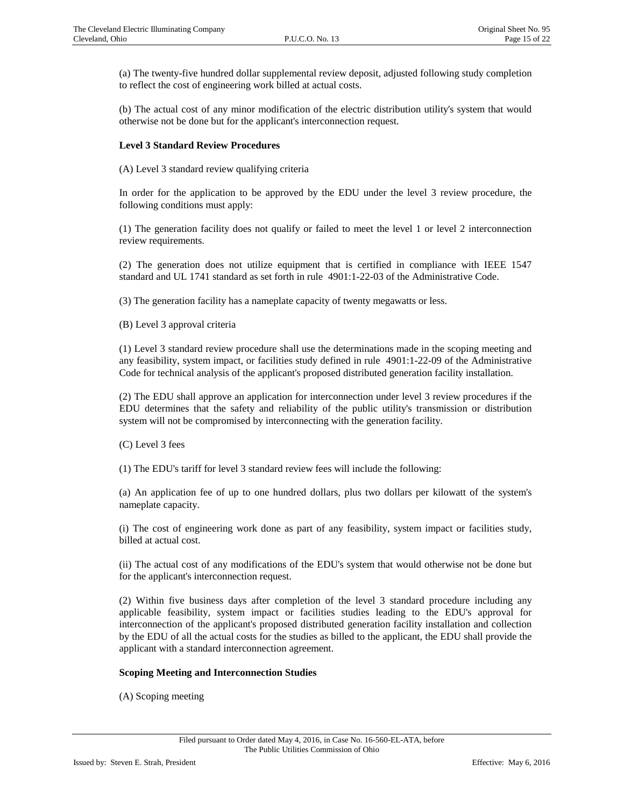(a) The twenty-five hundred dollar supplemental review deposit, adjusted following study completion to reflect the cost of engineering work billed at actual costs.

(b) The actual cost of any minor modification of the electric distribution utility's system that would otherwise not be done but for the applicant's interconnection request.

### **Level 3 Standard Review Procedures**

(A) Level 3 standard review qualifying criteria

In order for the application to be approved by the EDU under the level 3 review procedure, the following conditions must apply:

(1) The generation facility does not qualify or failed to meet the level 1 or level 2 interconnection review requirements.

(2) The generation does not utilize equipment that is certified in compliance with IEEE 1547 standard and UL 1741 standard as set forth in rule 4901:1-22-03 of the Administrative Code.

(3) The generation facility has a nameplate capacity of twenty megawatts or less.

(B) Level 3 approval criteria

(1) Level 3 standard review procedure shall use the determinations made in the scoping meeting and any feasibility, system impact, or facilities study defined in rule 4901:1-22-09 of the Administrative Code for technical analysis of the applicant's proposed distributed generation facility installation.

(2) The EDU shall approve an application for interconnection under level 3 review procedures if the EDU determines that the safety and reliability of the public utility's transmission or distribution system will not be compromised by interconnecting with the generation facility.

(C) Level 3 fees

(1) The EDU's tariff for level 3 standard review fees will include the following:

(a) An application fee of up to one hundred dollars, plus two dollars per kilowatt of the system's nameplate capacity.

(i) The cost of engineering work done as part of any feasibility, system impact or facilities study, billed at actual cost.

(ii) The actual cost of any modifications of the EDU's system that would otherwise not be done but for the applicant's interconnection request.

(2) Within five business days after completion of the level 3 standard procedure including any applicable feasibility, system impact or facilities studies leading to the EDU's approval for interconnection of the applicant's proposed distributed generation facility installation and collection by the EDU of all the actual costs for the studies as billed to the applicant, the EDU shall provide the applicant with a standard interconnection agreement.

### **Scoping Meeting and Interconnection Studies**

(A) Scoping meeting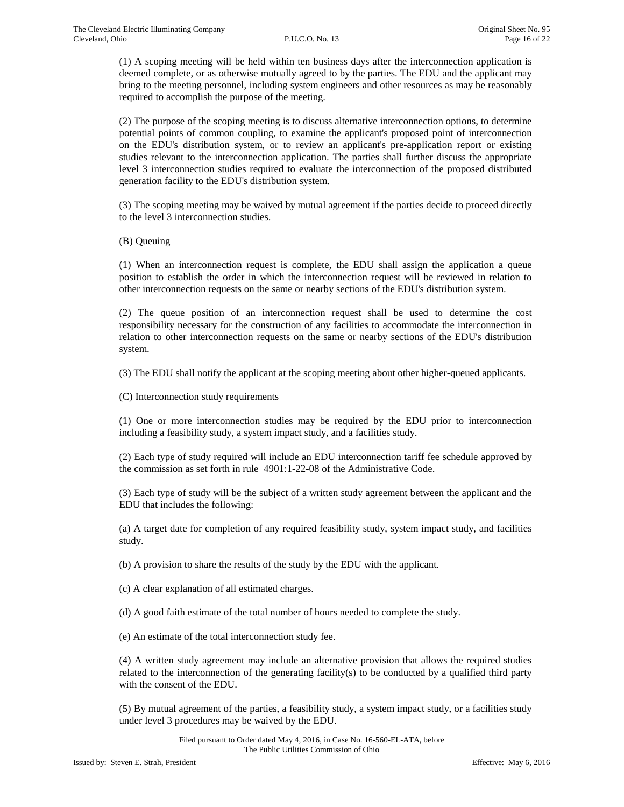(1) A scoping meeting will be held within ten business days after the interconnection application is deemed complete, or as otherwise mutually agreed to by the parties. The EDU and the applicant may bring to the meeting personnel, including system engineers and other resources as may be reasonably required to accomplish the purpose of the meeting.

(2) The purpose of the scoping meeting is to discuss alternative interconnection options, to determine potential points of common coupling, to examine the applicant's proposed point of interconnection on the EDU's distribution system, or to review an applicant's pre-application report or existing studies relevant to the interconnection application. The parties shall further discuss the appropriate level 3 interconnection studies required to evaluate the interconnection of the proposed distributed generation facility to the EDU's distribution system.

(3) The scoping meeting may be waived by mutual agreement if the parties decide to proceed directly to the level 3 interconnection studies.

(B) Queuing

(1) When an interconnection request is complete, the EDU shall assign the application a queue position to establish the order in which the interconnection request will be reviewed in relation to other interconnection requests on the same or nearby sections of the EDU's distribution system.

(2) The queue position of an interconnection request shall be used to determine the cost responsibility necessary for the construction of any facilities to accommodate the interconnection in relation to other interconnection requests on the same or nearby sections of the EDU's distribution system.

(3) The EDU shall notify the applicant at the scoping meeting about other higher-queued applicants.

(C) Interconnection study requirements

(1) One or more interconnection studies may be required by the EDU prior to interconnection including a feasibility study, a system impact study, and a facilities study.

(2) Each type of study required will include an EDU interconnection tariff fee schedule approved by the commission as set forth in rule 4901:1-22-08 of the Administrative Code.

(3) Each type of study will be the subject of a written study agreement between the applicant and the EDU that includes the following:

(a) A target date for completion of any required feasibility study, system impact study, and facilities study.

(b) A provision to share the results of the study by the EDU with the applicant.

(c) A clear explanation of all estimated charges.

(d) A good faith estimate of the total number of hours needed to complete the study.

(e) An estimate of the total interconnection study fee.

(4) A written study agreement may include an alternative provision that allows the required studies related to the interconnection of the generating facility(s) to be conducted by a qualified third party with the consent of the EDU.

(5) By mutual agreement of the parties, a feasibility study, a system impact study, or a facilities study under level 3 procedures may be waived by the EDU.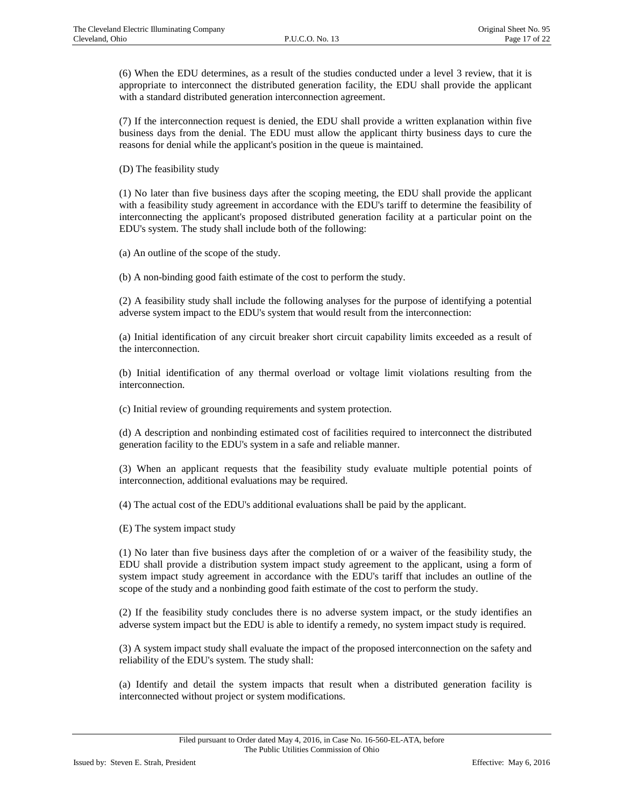(6) When the EDU determines, as a result of the studies conducted under a level 3 review, that it is appropriate to interconnect the distributed generation facility, the EDU shall provide the applicant with a standard distributed generation interconnection agreement.

(7) If the interconnection request is denied, the EDU shall provide a written explanation within five business days from the denial. The EDU must allow the applicant thirty business days to cure the reasons for denial while the applicant's position in the queue is maintained.

(D) The feasibility study

(1) No later than five business days after the scoping meeting, the EDU shall provide the applicant with a feasibility study agreement in accordance with the EDU's tariff to determine the feasibility of interconnecting the applicant's proposed distributed generation facility at a particular point on the EDU's system. The study shall include both of the following:

(a) An outline of the scope of the study.

(b) A non-binding good faith estimate of the cost to perform the study.

(2) A feasibility study shall include the following analyses for the purpose of identifying a potential adverse system impact to the EDU's system that would result from the interconnection:

(a) Initial identification of any circuit breaker short circuit capability limits exceeded as a result of the interconnection.

(b) Initial identification of any thermal overload or voltage limit violations resulting from the interconnection.

(c) Initial review of grounding requirements and system protection.

(d) A description and nonbinding estimated cost of facilities required to interconnect the distributed generation facility to the EDU's system in a safe and reliable manner.

(3) When an applicant requests that the feasibility study evaluate multiple potential points of interconnection, additional evaluations may be required.

(4) The actual cost of the EDU's additional evaluations shall be paid by the applicant.

(E) The system impact study

(1) No later than five business days after the completion of or a waiver of the feasibility study, the EDU shall provide a distribution system impact study agreement to the applicant, using a form of system impact study agreement in accordance with the EDU's tariff that includes an outline of the scope of the study and a nonbinding good faith estimate of the cost to perform the study.

(2) If the feasibility study concludes there is no adverse system impact, or the study identifies an adverse system impact but the EDU is able to identify a remedy, no system impact study is required.

(3) A system impact study shall evaluate the impact of the proposed interconnection on the safety and reliability of the EDU's system. The study shall:

(a) Identify and detail the system impacts that result when a distributed generation facility is interconnected without project or system modifications.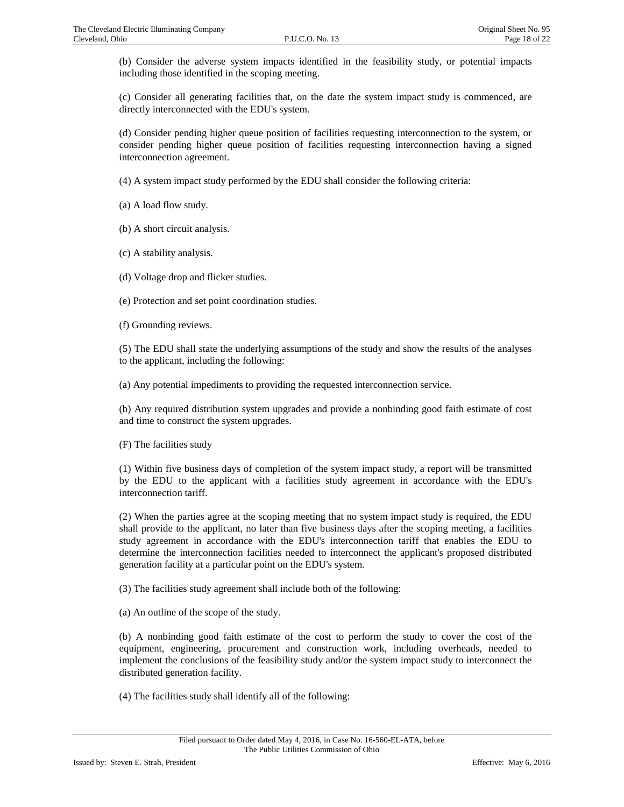(b) Consider the adverse system impacts identified in the feasibility study, or potential impacts including those identified in the scoping meeting.

(c) Consider all generating facilities that, on the date the system impact study is commenced, are directly interconnected with the EDU's system.

(d) Consider pending higher queue position of facilities requesting interconnection to the system, or consider pending higher queue position of facilities requesting interconnection having a signed interconnection agreement.

(4) A system impact study performed by the EDU shall consider the following criteria:

(a) A load flow study.

(b) A short circuit analysis.

(c) A stability analysis.

(d) Voltage drop and flicker studies.

(e) Protection and set point coordination studies.

(f) Grounding reviews.

(5) The EDU shall state the underlying assumptions of the study and show the results of the analyses to the applicant, including the following:

(a) Any potential impediments to providing the requested interconnection service.

(b) Any required distribution system upgrades and provide a nonbinding good faith estimate of cost and time to construct the system upgrades.

(F) The facilities study

(1) Within five business days of completion of the system impact study, a report will be transmitted by the EDU to the applicant with a facilities study agreement in accordance with the EDU's interconnection tariff.

(2) When the parties agree at the scoping meeting that no system impact study is required, the EDU shall provide to the applicant, no later than five business days after the scoping meeting, a facilities study agreement in accordance with the EDU's interconnection tariff that enables the EDU to determine the interconnection facilities needed to interconnect the applicant's proposed distributed generation facility at a particular point on the EDU's system.

(3) The facilities study agreement shall include both of the following:

(a) An outline of the scope of the study.

(b) A nonbinding good faith estimate of the cost to perform the study to cover the cost of the equipment, engineering, procurement and construction work, including overheads, needed to implement the conclusions of the feasibility study and/or the system impact study to interconnect the distributed generation facility.

(4) The facilities study shall identify all of the following: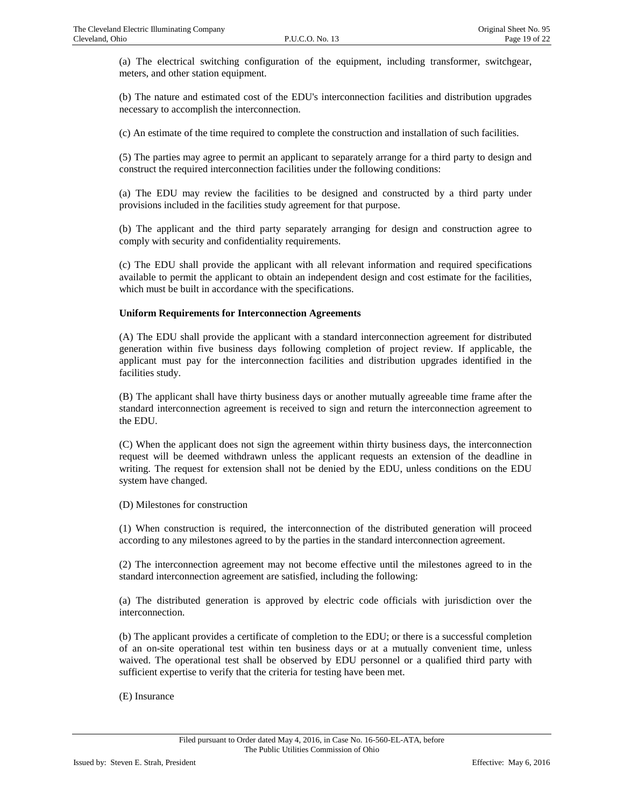(a) The electrical switching configuration of the equipment, including transformer, switchgear, meters, and other station equipment.

(b) The nature and estimated cost of the EDU's interconnection facilities and distribution upgrades necessary to accomplish the interconnection.

(c) An estimate of the time required to complete the construction and installation of such facilities.

(5) The parties may agree to permit an applicant to separately arrange for a third party to design and construct the required interconnection facilities under the following conditions:

(a) The EDU may review the facilities to be designed and constructed by a third party under provisions included in the facilities study agreement for that purpose.

(b) The applicant and the third party separately arranging for design and construction agree to comply with security and confidentiality requirements.

(c) The EDU shall provide the applicant with all relevant information and required specifications available to permit the applicant to obtain an independent design and cost estimate for the facilities, which must be built in accordance with the specifications.

#### **Uniform Requirements for Interconnection Agreements**

(A) The EDU shall provide the applicant with a standard interconnection agreement for distributed generation within five business days following completion of project review. If applicable, the applicant must pay for the interconnection facilities and distribution upgrades identified in the facilities study.

(B) The applicant shall have thirty business days or another mutually agreeable time frame after the standard interconnection agreement is received to sign and return the interconnection agreement to the EDU.

(C) When the applicant does not sign the agreement within thirty business days, the interconnection request will be deemed withdrawn unless the applicant requests an extension of the deadline in writing. The request for extension shall not be denied by the EDU, unless conditions on the EDU system have changed.

(D) Milestones for construction

(1) When construction is required, the interconnection of the distributed generation will proceed according to any milestones agreed to by the parties in the standard interconnection agreement.

(2) The interconnection agreement may not become effective until the milestones agreed to in the standard interconnection agreement are satisfied, including the following:

(a) The distributed generation is approved by electric code officials with jurisdiction over the interconnection.

(b) The applicant provides a certificate of completion to the EDU; or there is a successful completion of an on-site operational test within ten business days or at a mutually convenient time, unless waived. The operational test shall be observed by EDU personnel or a qualified third party with sufficient expertise to verify that the criteria for testing have been met.

(E) Insurance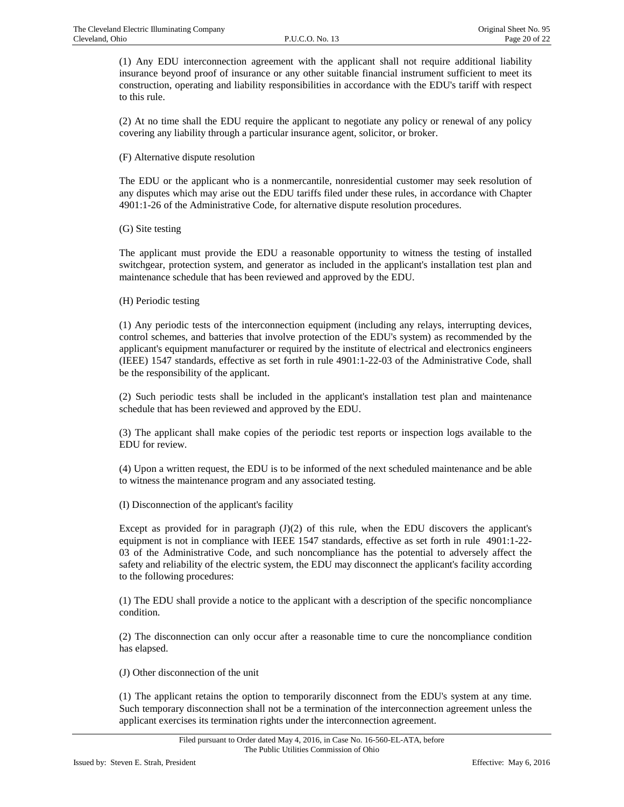(1) Any EDU interconnection agreement with the applicant shall not require additional liability insurance beyond proof of insurance or any other suitable financial instrument sufficient to meet its construction, operating and liability responsibilities in accordance with the EDU's tariff with respect to this rule.

(2) At no time shall the EDU require the applicant to negotiate any policy or renewal of any policy covering any liability through a particular insurance agent, solicitor, or broker.

(F) Alternative dispute resolution

The EDU or the applicant who is a nonmercantile, nonresidential customer may seek resolution of any disputes which may arise out the EDU tariffs filed under these rules, in accordance with Chapter 4901:1-26 of the Administrative Code, for alternative dispute resolution procedures.

(G) Site testing

The applicant must provide the EDU a reasonable opportunity to witness the testing of installed switchgear, protection system, and generator as included in the applicant's installation test plan and maintenance schedule that has been reviewed and approved by the EDU.

(H) Periodic testing

(1) Any periodic tests of the interconnection equipment (including any relays, interrupting devices, control schemes, and batteries that involve protection of the EDU's system) as recommended by the applicant's equipment manufacturer or required by the institute of electrical and electronics engineers (IEEE) 1547 standards, effective as set forth in rule 4901:1-22-03 of the Administrative Code, shall be the responsibility of the applicant.

(2) Such periodic tests shall be included in the applicant's installation test plan and maintenance schedule that has been reviewed and approved by the EDU.

(3) The applicant shall make copies of the periodic test reports or inspection logs available to the EDU for review.

(4) Upon a written request, the EDU is to be informed of the next scheduled maintenance and be able to witness the maintenance program and any associated testing.

(I) Disconnection of the applicant's facility

Except as provided for in paragraph  $J(1)(2)$  of this rule, when the EDU discovers the applicant's equipment is not in compliance with IEEE 1547 standards, effective as set forth in rule 4901:1-22- 03 of the Administrative Code, and such noncompliance has the potential to adversely affect the safety and reliability of the electric system, the EDU may disconnect the applicant's facility according to the following procedures:

(1) The EDU shall provide a notice to the applicant with a description of the specific noncompliance condition.

(2) The disconnection can only occur after a reasonable time to cure the noncompliance condition has elapsed.

(J) Other disconnection of the unit

(1) The applicant retains the option to temporarily disconnect from the EDU's system at any time. Such temporary disconnection shall not be a termination of the interconnection agreement unless the applicant exercises its termination rights under the interconnection agreement.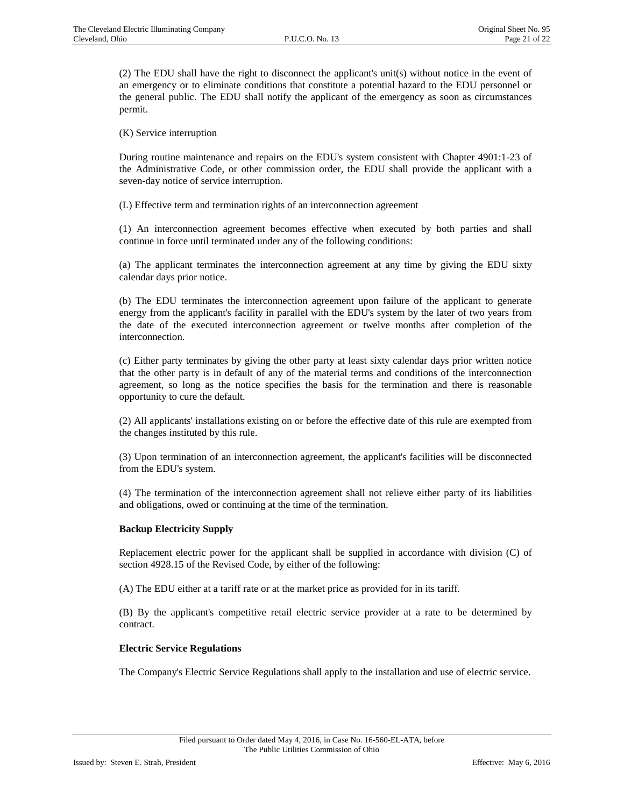(2) The EDU shall have the right to disconnect the applicant's unit(s) without notice in the event of an emergency or to eliminate conditions that constitute a potential hazard to the EDU personnel or the general public. The EDU shall notify the applicant of the emergency as soon as circumstances permit.

(K) Service interruption

During routine maintenance and repairs on the EDU's system consistent with Chapter 4901:1-23 of the Administrative Code, or other commission order, the EDU shall provide the applicant with a seven-day notice of service interruption.

(L) Effective term and termination rights of an interconnection agreement

(1) An interconnection agreement becomes effective when executed by both parties and shall continue in force until terminated under any of the following conditions:

(a) The applicant terminates the interconnection agreement at any time by giving the EDU sixty calendar days prior notice.

(b) The EDU terminates the interconnection agreement upon failure of the applicant to generate energy from the applicant's facility in parallel with the EDU's system by the later of two years from the date of the executed interconnection agreement or twelve months after completion of the interconnection.

(c) Either party terminates by giving the other party at least sixty calendar days prior written notice that the other party is in default of any of the material terms and conditions of the interconnection agreement, so long as the notice specifies the basis for the termination and there is reasonable opportunity to cure the default.

(2) All applicants' installations existing on or before the effective date of this rule are exempted from the changes instituted by this rule.

(3) Upon termination of an interconnection agreement, the applicant's facilities will be disconnected from the EDU's system.

(4) The termination of the interconnection agreement shall not relieve either party of its liabilities and obligations, owed or continuing at the time of the termination.

#### **Backup Electricity Supply**

Replacement electric power for the applicant shall be supplied in accordance with division (C) of section 4928.15 of the Revised Code, by either of the following:

(A) The EDU either at a tariff rate or at the market price as provided for in its tariff.

(B) By the applicant's competitive retail electric service provider at a rate to be determined by contract.

#### **Electric Service Regulations**

The Company's Electric Service Regulations shall apply to the installation and use of electric service.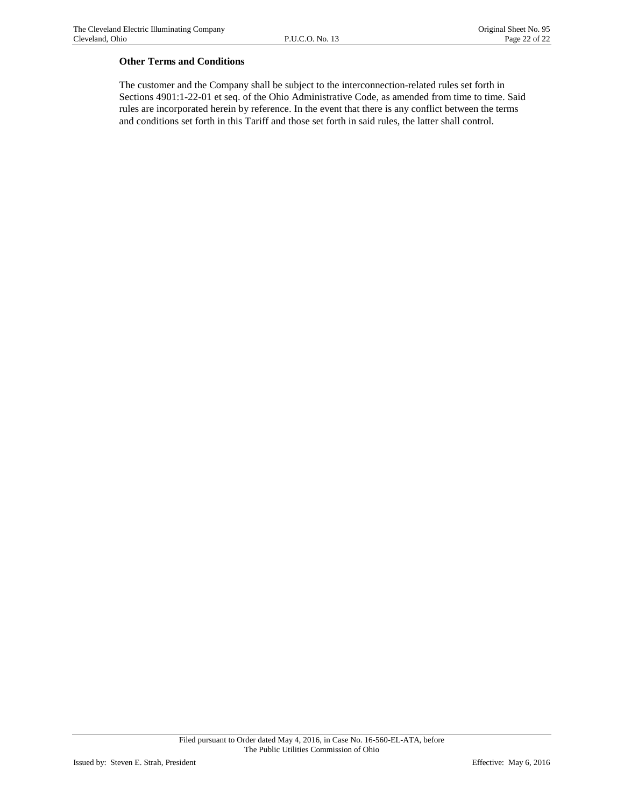## **Other Terms and Conditions**

The customer and the Company shall be subject to the interconnection-related rules set forth in Sections 4901:1-22-01 et seq. of the Ohio Administrative Code, as amended from time to time. Said rules are incorporated herein by reference. In the event that there is any conflict between the terms and conditions set forth in this Tariff and those set forth in said rules, the latter shall control.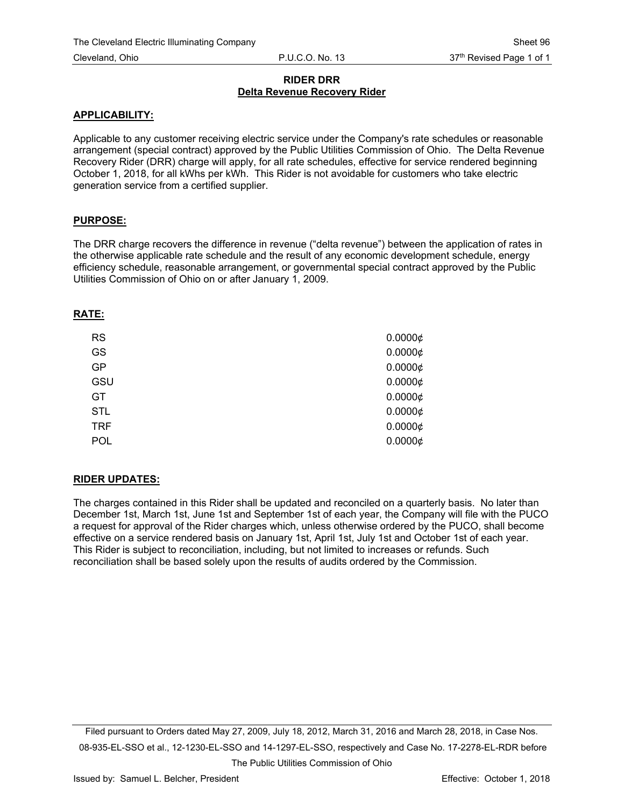## **RIDER DRR Delta Revenue Recovery Rider**

#### **APPLICABILITY:**

Applicable to any customer receiving electric service under the Company's rate schedules or reasonable arrangement (special contract) approved by the Public Utilities Commission of Ohio. The Delta Revenue Recovery Rider (DRR) charge will apply, for all rate schedules, effective for service rendered beginning October 1, 2018, for all kWhs per kWh. This Rider is not avoidable for customers who take electric generation service from a certified supplier.

## **PURPOSE:**

The DRR charge recovers the difference in revenue ("delta revenue") between the application of rates in the otherwise applicable rate schedule and the result of any economic development schedule, energy efficiency schedule, reasonable arrangement, or governmental special contract approved by the Public Utilities Commission of Ohio on or after January 1, 2009.

## **RATE:**

| <b>RS</b>  | $0.0000 \notin$ |
|------------|-----------------|
| GS         | $0.0000 \notin$ |
| GP         | $0.0000 \notin$ |
| GSU        | $0.0000 \notin$ |
| GT         | $0.0000 \notin$ |
| <b>STL</b> | $0.0000 \notin$ |
| <b>TRF</b> | $0.0000 \notin$ |
| POL        | $0.0000 \notin$ |

## **RIDER UPDATES:**

The charges contained in this Rider shall be updated and reconciled on a quarterly basis. No later than December 1st, March 1st, June 1st and September 1st of each year, the Company will file with the PUCO a request for approval of the Rider charges which, unless otherwise ordered by the PUCO, shall become effective on a service rendered basis on January 1st, April 1st, July 1st and October 1st of each year. This Rider is subject to reconciliation, including, but not limited to increases or refunds. Such reconciliation shall be based solely upon the results of audits ordered by the Commission.

Filed pursuant to Orders dated May 27, 2009, July 18, 2012, March 31, 2016 and March 28, 2018, in Case Nos. 08-935-EL-SSO et al., 12-1230-EL-SSO and 14-1297-EL-SSO, respectively and Case No. 17-2278-EL-RDR before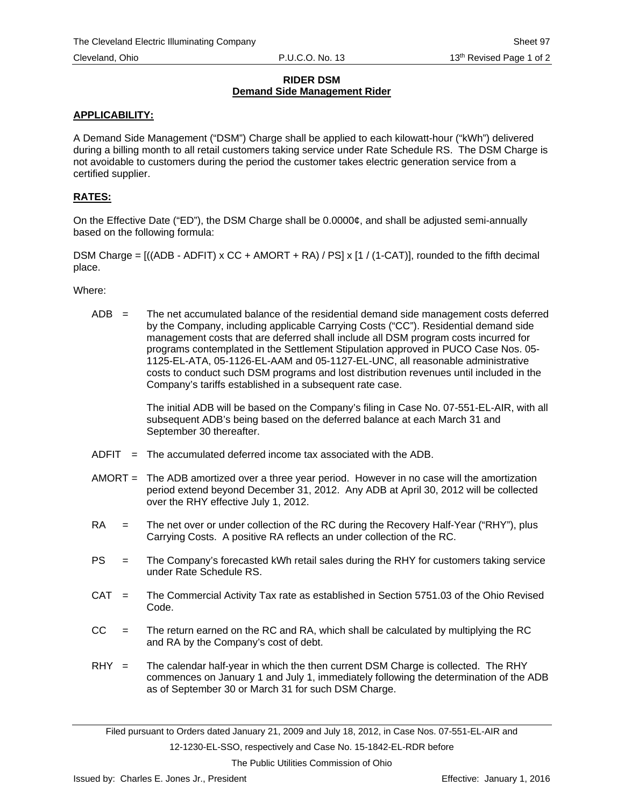## **RIDER DSM Demand Side Management Rider**

## **APPLICABILITY:**

A Demand Side Management ("DSM") Charge shall be applied to each kilowatt-hour ("kWh") delivered during a billing month to all retail customers taking service under Rate Schedule RS. The DSM Charge is not avoidable to customers during the period the customer takes electric generation service from a certified supplier.

# **RATES:**

On the Effective Date ("ED"), the DSM Charge shall be 0.0000¢, and shall be adjusted semi-annually based on the following formula:

DSM Charge =  $((ADB - ADFIT) \times CC + AMORT + RA) / PS \times [1 / (1 - CAT)]$ , rounded to the fifth decimal place.

Where:

 $ADB =$  The net accumulated balance of the residential demand side management costs deferred by the Company, including applicable Carrying Costs ("CC"). Residential demand side management costs that are deferred shall include all DSM program costs incurred for programs contemplated in the Settlement Stipulation approved in PUCO Case Nos. 05- 1125-EL-ATA, 05-1126-EL-AAM and 05-1127-EL-UNC, all reasonable administrative costs to conduct such DSM programs and lost distribution revenues until included in the Company's tariffs established in a subsequent rate case.

> The initial ADB will be based on the Company's filing in Case No. 07-551-EL-AIR, with all subsequent ADB's being based on the deferred balance at each March 31 and September 30 thereafter.

- $ADFIT = The accumulated deferred income tax associated with the ADB.$
- AMORT = The ADB amortized over a three year period. However in no case will the amortization period extend beyond December 31, 2012. Any ADB at April 30, 2012 will be collected over the RHY effective July 1, 2012.
- RA = The net over or under collection of the RC during the Recovery Half-Year ("RHY"), plus Carrying Costs. A positive RA reflects an under collection of the RC.
- PS = The Company's forecasted kWh retail sales during the RHY for customers taking service under Rate Schedule RS.
- CAT = The Commercial Activity Tax rate as established in Section 5751.03 of the Ohio Revised Code.
- $CC =$  The return earned on the RC and RA, which shall be calculated by multiplying the RC and RA by the Company's cost of debt.
- $RHY =$  The calendar half-year in which the then current DSM Charge is collected. The RHY commences on January 1 and July 1, immediately following the determination of the ADB as of September 30 or March 31 for such DSM Charge.

12-1230-EL-SSO, respectively and Case No. 15-1842-EL-RDR before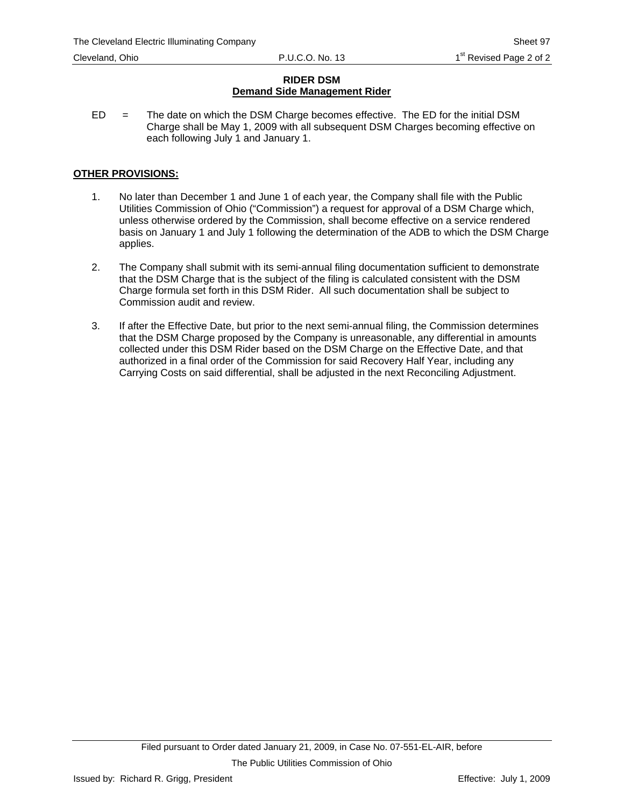## **RIDER DSM Demand Side Management Rider**

 $ED =$  The date on which the DSM Charge becomes effective. The ED for the initial DSM Charge shall be May 1, 2009 with all subsequent DSM Charges becoming effective on each following July 1 and January 1.

## **OTHER PROVISIONS:**

- 1. No later than December 1 and June 1 of each year, the Company shall file with the Public Utilities Commission of Ohio ("Commission") a request for approval of a DSM Charge which, unless otherwise ordered by the Commission, shall become effective on a service rendered basis on January 1 and July 1 following the determination of the ADB to which the DSM Charge applies.
- 2. The Company shall submit with its semi-annual filing documentation sufficient to demonstrate that the DSM Charge that is the subject of the filing is calculated consistent with the DSM Charge formula set forth in this DSM Rider. All such documentation shall be subject to Commission audit and review.
- 3. If after the Effective Date, but prior to the next semi-annual filing, the Commission determines that the DSM Charge proposed by the Company is unreasonable, any differential in amounts collected under this DSM Rider based on the DSM Charge on the Effective Date, and that authorized in a final order of the Commission for said Recovery Half Year, including any Carrying Costs on said differential, shall be adjusted in the next Reconciling Adjustment.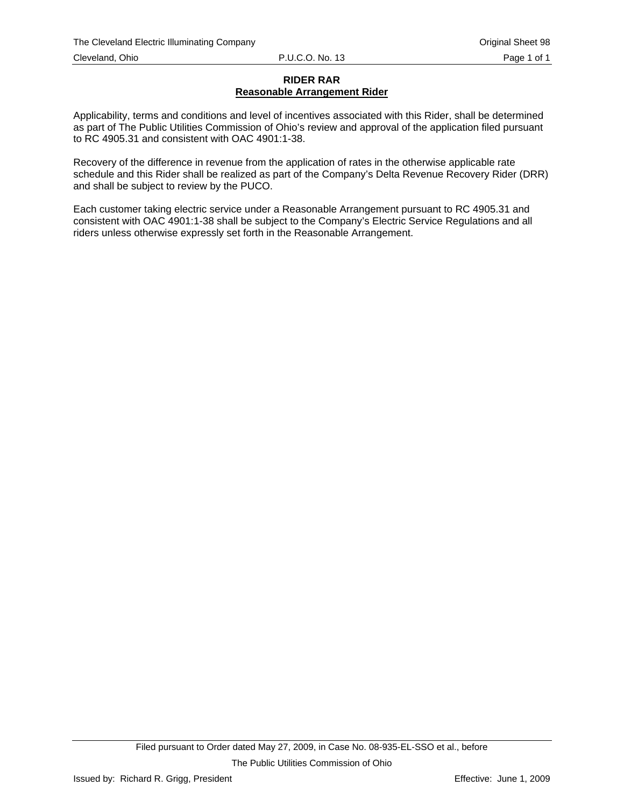#### **RIDER RAR Reasonable Arrangement Rider**

Applicability, terms and conditions and level of incentives associated with this Rider, shall be determined as part of The Public Utilities Commission of Ohio's review and approval of the application filed pursuant to RC 4905.31 and consistent with OAC 4901:1-38.

Recovery of the difference in revenue from the application of rates in the otherwise applicable rate schedule and this Rider shall be realized as part of the Company's Delta Revenue Recovery Rider (DRR) and shall be subject to review by the PUCO.

Each customer taking electric service under a Reasonable Arrangement pursuant to RC 4905.31 and consistent with OAC 4901:1-38 shall be subject to the Company's Electric Service Regulations and all riders unless otherwise expressly set forth in the Reasonable Arrangement.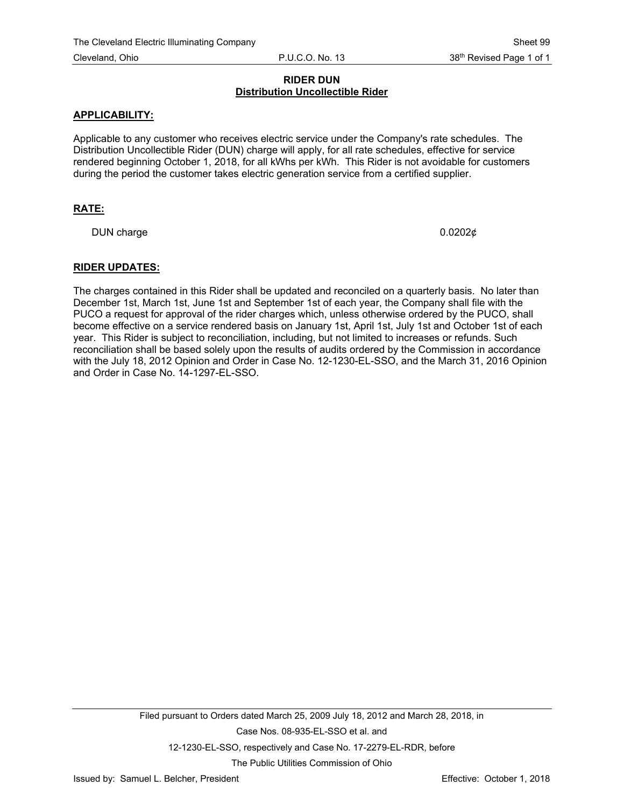## **RIDER DUN Distribution Uncollectible Rider**

## **APPLICABILITY:**

Applicable to any customer who receives electric service under the Company's rate schedules. The Distribution Uncollectible Rider (DUN) charge will apply, for all rate schedules, effective for service rendered beginning October 1, 2018, for all kWhs per kWh. This Rider is not avoidable for customers during the period the customer takes electric generation service from a certified supplier.

## **RATE:**

DUN charge  $0.0202\phi$ 

## **RIDER UPDATES:**

The charges contained in this Rider shall be updated and reconciled on a quarterly basis. No later than December 1st, March 1st, June 1st and September 1st of each year, the Company shall file with the PUCO a request for approval of the rider charges which, unless otherwise ordered by the PUCO, shall become effective on a service rendered basis on January 1st, April 1st, July 1st and October 1st of each year. This Rider is subject to reconciliation, including, but not limited to increases or refunds. Such reconciliation shall be based solely upon the results of audits ordered by the Commission in accordance with the July 18, 2012 Opinion and Order in Case No. 12-1230-EL-SSO, and the March 31, 2016 Opinion and Order in Case No. 14-1297-EL-SSO.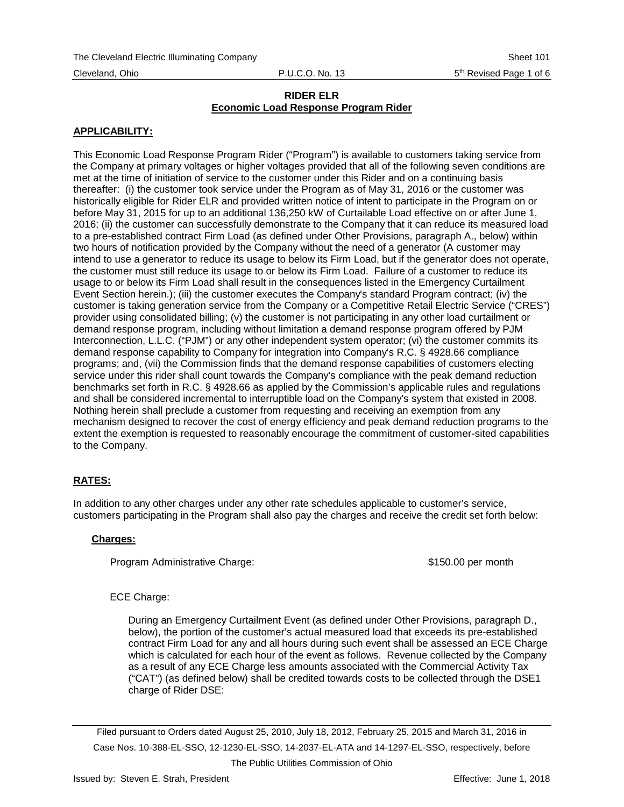## **APPLICABILITY:**

This Economic Load Response Program Rider ("Program") is available to customers taking service from the Company at primary voltages or higher voltages provided that all of the following seven conditions are met at the time of initiation of service to the customer under this Rider and on a continuing basis thereafter: (i) the customer took service under the Program as of May 31, 2016 or the customer was historically eligible for Rider ELR and provided written notice of intent to participate in the Program on or before May 31, 2015 for up to an additional 136,250 kW of Curtailable Load effective on or after June 1, 2016; (ii) the customer can successfully demonstrate to the Company that it can reduce its measured load to a pre-established contract Firm Load (as defined under Other Provisions, paragraph A., below) within two hours of notification provided by the Company without the need of a generator (A customer may intend to use a generator to reduce its usage to below its Firm Load, but if the generator does not operate, the customer must still reduce its usage to or below its Firm Load. Failure of a customer to reduce its usage to or below its Firm Load shall result in the consequences listed in the Emergency Curtailment Event Section herein.); (iii) the customer executes the Company's standard Program contract; (iv) the customer is taking generation service from the Company or a Competitive Retail Electric Service ("CRES") provider using consolidated billing; (v) the customer is not participating in any other load curtailment or demand response program, including without limitation a demand response program offered by PJM Interconnection, L.L.C. ("PJM") or any other independent system operator; (vi) the customer commits its demand response capability to Company for integration into Company's R.C. § 4928.66 compliance programs; and, (vii) the Commission finds that the demand response capabilities of customers electing service under this rider shall count towards the Company's compliance with the peak demand reduction benchmarks set forth in R.C. § 4928.66 as applied by the Commission's applicable rules and regulations and shall be considered incremental to interruptible load on the Company's system that existed in 2008. Nothing herein shall preclude a customer from requesting and receiving an exemption from any mechanism designed to recover the cost of energy efficiency and peak demand reduction programs to the extent the exemption is requested to reasonably encourage the commitment of customer-sited capabilities to the Company.

#### **RATES:**

In addition to any other charges under any other rate schedules applicable to customer's service, customers participating in the Program shall also pay the charges and receive the credit set forth below:

#### **Charges:**

Program Administrative Charge:  $$150.00$  per month

#### ECE Charge:

During an Emergency Curtailment Event (as defined under Other Provisions, paragraph D., below), the portion of the customer's actual measured load that exceeds its pre-established contract Firm Load for any and all hours during such event shall be assessed an ECE Charge which is calculated for each hour of the event as follows. Revenue collected by the Company as a result of any ECE Charge less amounts associated with the Commercial Activity Tax ("CAT") (as defined below) shall be credited towards costs to be collected through the DSE1 charge of Rider DSE:

Filed pursuant to Orders dated August 25, 2010, July 18, 2012, February 25, 2015 and March 31, 2016 in Case Nos. 10-388-EL-SSO, 12-1230-EL-SSO, 14-2037-EL-ATA and 14-1297-EL-SSO, respectively, before The Public Utilities Commission of Ohio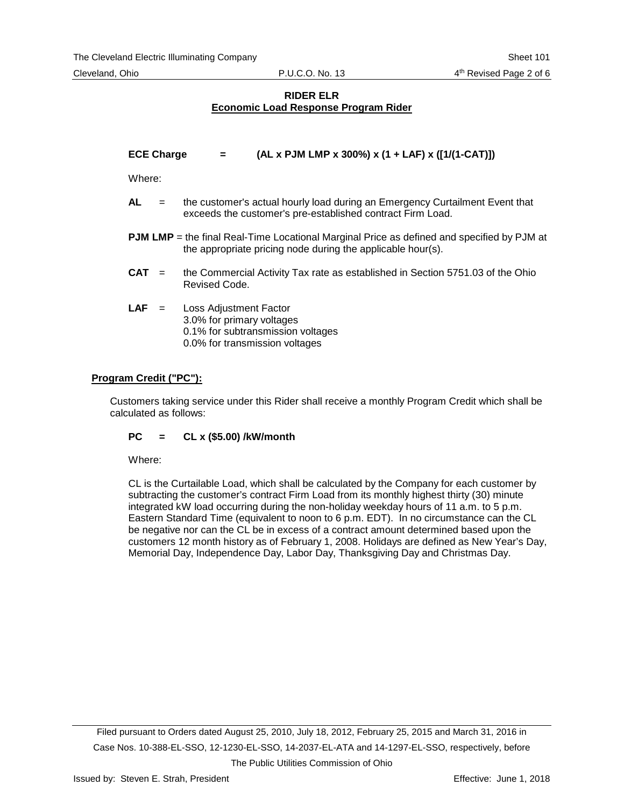| <b>ECE Charge</b> | $AL x$ PJM LMP x 300%) x (1 + LAF) x ([1/(1-CAT)]) |
|-------------------|----------------------------------------------------|
|                   |                                                    |

Where:

- **AL** = the customer's actual hourly load during an Emergency Curtailment Event that exceeds the customer's pre-established contract Firm Load.
- **PJM LMP** = the final Real-Time Locational Marginal Price as defined and specified by PJM at the appropriate pricing node during the applicable hour(s).
- **CAT** = the Commercial Activity Tax rate as established in Section 5751.03 of the Ohio Revised Code.
- **LAF** = Loss Adjustment Factor 3.0% for primary voltages 0.1% for subtransmission voltages 0.0% for transmission voltages

## **Program Credit ("PC"):**

Customers taking service under this Rider shall receive a monthly Program Credit which shall be calculated as follows:

## **PC = CL x (\$5.00) /kW/month**

Where:

CL is the Curtailable Load, which shall be calculated by the Company for each customer by subtracting the customer's contract Firm Load from its monthly highest thirty (30) minute integrated kW load occurring during the non-holiday weekday hours of 11 a.m. to 5 p.m. Eastern Standard Time (equivalent to noon to 6 p.m. EDT). In no circumstance can the CL be negative nor can the CL be in excess of a contract amount determined based upon the customers 12 month history as of February 1, 2008. Holidays are defined as New Year's Day, Memorial Day, Independence Day, Labor Day, Thanksgiving Day and Christmas Day.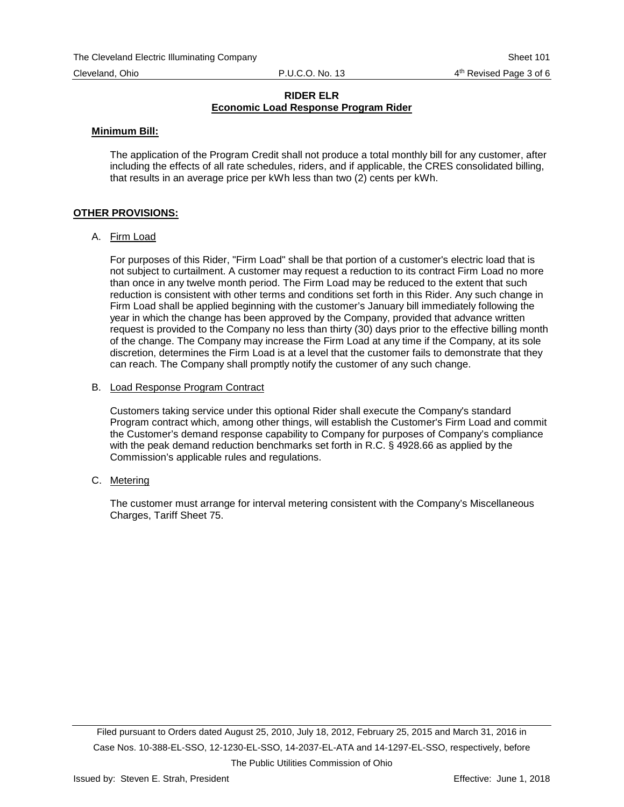#### **Minimum Bill:**

The application of the Program Credit shall not produce a total monthly bill for any customer, after including the effects of all rate schedules, riders, and if applicable, the CRES consolidated billing, that results in an average price per kWh less than two (2) cents per kWh.

#### **OTHER PROVISIONS:**

A. Firm Load

For purposes of this Rider, "Firm Load" shall be that portion of a customer's electric load that is not subject to curtailment. A customer may request a reduction to its contract Firm Load no more than once in any twelve month period. The Firm Load may be reduced to the extent that such reduction is consistent with other terms and conditions set forth in this Rider. Any such change in Firm Load shall be applied beginning with the customer's January bill immediately following the year in which the change has been approved by the Company, provided that advance written request is provided to the Company no less than thirty (30) days prior to the effective billing month of the change. The Company may increase the Firm Load at any time if the Company, at its sole discretion, determines the Firm Load is at a level that the customer fails to demonstrate that they can reach. The Company shall promptly notify the customer of any such change.

#### B. Load Response Program Contract

Customers taking service under this optional Rider shall execute the Company's standard Program contract which, among other things, will establish the Customer's Firm Load and commit the Customer's demand response capability to Company for purposes of Company's compliance with the peak demand reduction benchmarks set forth in R.C. § 4928.66 as applied by the Commission's applicable rules and regulations.

C. Metering

The customer must arrange for interval metering consistent with the Company's Miscellaneous Charges, Tariff Sheet 75.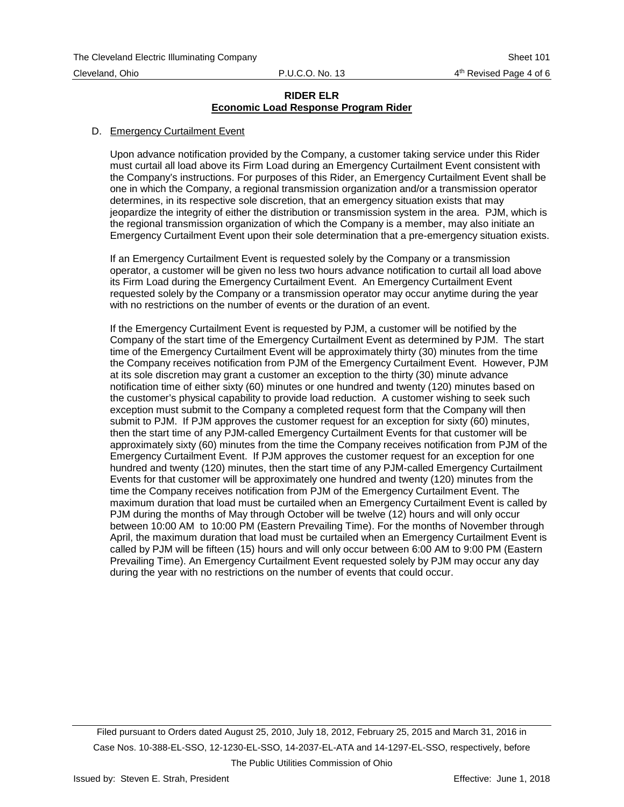#### D. Emergency Curtailment Event

Upon advance notification provided by the Company, a customer taking service under this Rider must curtail all load above its Firm Load during an Emergency Curtailment Event consistent with the Company's instructions. For purposes of this Rider, an Emergency Curtailment Event shall be one in which the Company, a regional transmission organization and/or a transmission operator determines, in its respective sole discretion, that an emergency situation exists that may jeopardize the integrity of either the distribution or transmission system in the area. PJM, which is the regional transmission organization of which the Company is a member, may also initiate an Emergency Curtailment Event upon their sole determination that a pre-emergency situation exists.

If an Emergency Curtailment Event is requested solely by the Company or a transmission operator, a customer will be given no less two hours advance notification to curtail all load above its Firm Load during the Emergency Curtailment Event. An Emergency Curtailment Event requested solely by the Company or a transmission operator may occur anytime during the year with no restrictions on the number of events or the duration of an event.

If the Emergency Curtailment Event is requested by PJM, a customer will be notified by the Company of the start time of the Emergency Curtailment Event as determined by PJM. The start time of the Emergency Curtailment Event will be approximately thirty (30) minutes from the time the Company receives notification from PJM of the Emergency Curtailment Event. However, PJM at its sole discretion may grant a customer an exception to the thirty (30) minute advance notification time of either sixty (60) minutes or one hundred and twenty (120) minutes based on the customer's physical capability to provide load reduction. A customer wishing to seek such exception must submit to the Company a completed request form that the Company will then submit to PJM. If PJM approves the customer request for an exception for sixty (60) minutes, then the start time of any PJM-called Emergency Curtailment Events for that customer will be approximately sixty (60) minutes from the time the Company receives notification from PJM of the Emergency Curtailment Event. If PJM approves the customer request for an exception for one hundred and twenty (120) minutes, then the start time of any PJM-called Emergency Curtailment Events for that customer will be approximately one hundred and twenty (120) minutes from the time the Company receives notification from PJM of the Emergency Curtailment Event. The maximum duration that load must be curtailed when an Emergency Curtailment Event is called by PJM during the months of May through October will be twelve (12) hours and will only occur between 10:00 AM to 10:00 PM (Eastern Prevailing Time). For the months of November through April, the maximum duration that load must be curtailed when an Emergency Curtailment Event is called by PJM will be fifteen (15) hours and will only occur between 6:00 AM to 9:00 PM (Eastern Prevailing Time). An Emergency Curtailment Event requested solely by PJM may occur any day during the year with no restrictions on the number of events that could occur.

Filed pursuant to Orders dated August 25, 2010, July 18, 2012, February 25, 2015 and March 31, 2016 in Case Nos. 10-388-EL-SSO, 12-1230-EL-SSO, 14-2037-EL-ATA and 14-1297-EL-SSO, respectively, before The Public Utilities Commission of Ohio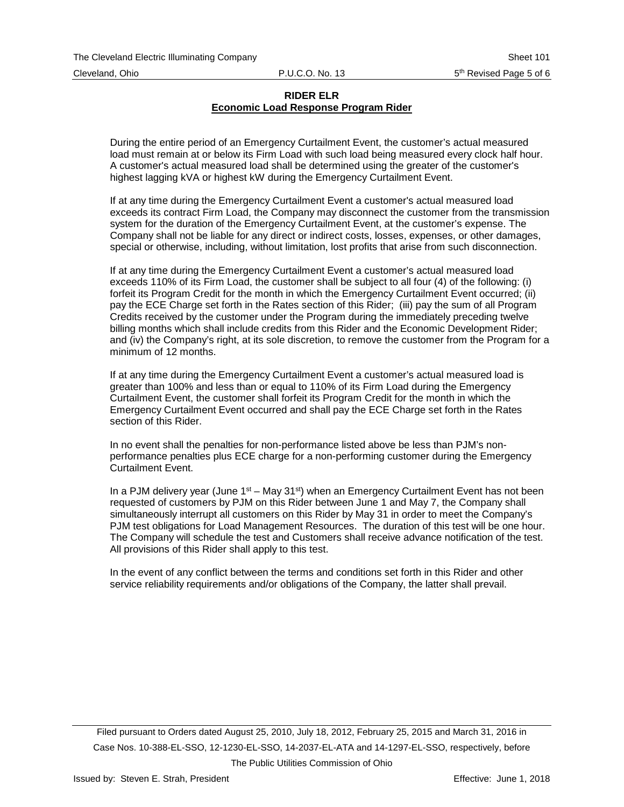During the entire period of an Emergency Curtailment Event, the customer's actual measured load must remain at or below its Firm Load with such load being measured every clock half hour. A customer's actual measured load shall be determined using the greater of the customer's highest lagging kVA or highest kW during the Emergency Curtailment Event.

If at any time during the Emergency Curtailment Event a customer's actual measured load exceeds its contract Firm Load, the Company may disconnect the customer from the transmission system for the duration of the Emergency Curtailment Event, at the customer's expense. The Company shall not be liable for any direct or indirect costs, losses, expenses, or other damages, special or otherwise, including, without limitation, lost profits that arise from such disconnection.

If at any time during the Emergency Curtailment Event a customer's actual measured load exceeds 110% of its Firm Load, the customer shall be subject to all four (4) of the following: (i) forfeit its Program Credit for the month in which the Emergency Curtailment Event occurred; (ii) pay the ECE Charge set forth in the Rates section of this Rider; (iii) pay the sum of all Program Credits received by the customer under the Program during the immediately preceding twelve billing months which shall include credits from this Rider and the Economic Development Rider; and (iv) the Company's right, at its sole discretion, to remove the customer from the Program for a minimum of 12 months.

If at any time during the Emergency Curtailment Event a customer's actual measured load is greater than 100% and less than or equal to 110% of its Firm Load during the Emergency Curtailment Event, the customer shall forfeit its Program Credit for the month in which the Emergency Curtailment Event occurred and shall pay the ECE Charge set forth in the Rates section of this Rider.

In no event shall the penalties for non-performance listed above be less than PJM's nonperformance penalties plus ECE charge for a non-performing customer during the Emergency Curtailment Event.

In a PJM delivery year (June  $1<sup>st</sup>$  – May 31<sup>st</sup>) when an Emergency Curtailment Event has not been requested of customers by PJM on this Rider between June 1 and May 7, the Company shall simultaneously interrupt all customers on this Rider by May 31 in order to meet the Company's PJM test obligations for Load Management Resources. The duration of this test will be one hour. The Company will schedule the test and Customers shall receive advance notification of the test. All provisions of this Rider shall apply to this test.

In the event of any conflict between the terms and conditions set forth in this Rider and other service reliability requirements and/or obligations of the Company, the latter shall prevail.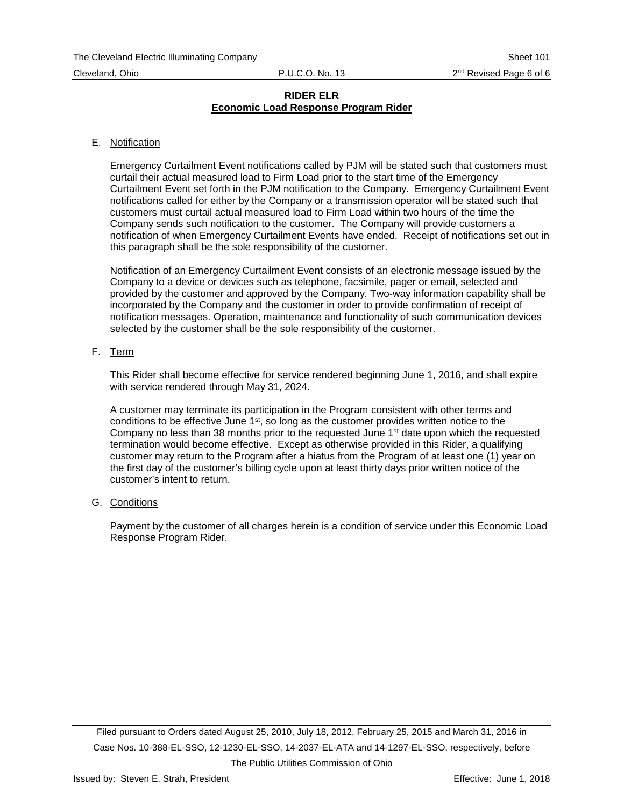#### E. Notification

Emergency Curtailment Event notifications called by PJM will be stated such that customers must curtail their actual measured load to Firm Load prior to the start time of the Emergency Curtailment Event set forth in the PJM notification to the Company. Emergency Curtailment Event notifications called for either by the Company or a transmission operator will be stated such that customers must curtail actual measured load to Firm Load within two hours of the time the Company sends such notification to the customer. The Company will provide customers a notification of when Emergency Curtailment Events have ended. Receipt of notifications set out in this paragraph shall be the sole responsibility of the customer.

Notification of an Emergency Curtailment Event consists of an electronic message issued by the Company to a device or devices such as telephone, facsimile, pager or email, selected and provided by the customer and approved by the Company. Two-way information capability shall be incorporated by the Company and the customer in order to provide confirmation of receipt of notification messages. Operation, maintenance and functionality of such communication devices selected by the customer shall be the sole responsibility of the customer.

#### F. Term

This Rider shall become effective for service rendered beginning June 1, 2016, and shall expire with service rendered through May 31, 2024.

A customer may terminate its participation in the Program consistent with other terms and conditions to be effective June  $1<sup>st</sup>$ , so long as the customer provides written notice to the Company no less than 38 months prior to the requested June  $1<sup>st</sup>$  date upon which the requested termination would become effective. Except as otherwise provided in this Rider, a qualifying customer may return to the Program after a hiatus from the Program of at least one (1) year on the first day of the customer's billing cycle upon at least thirty days prior written notice of the customer's intent to return.

#### G. Conditions

Payment by the customer of all charges herein is a condition of service under this Economic Load Response Program Rider.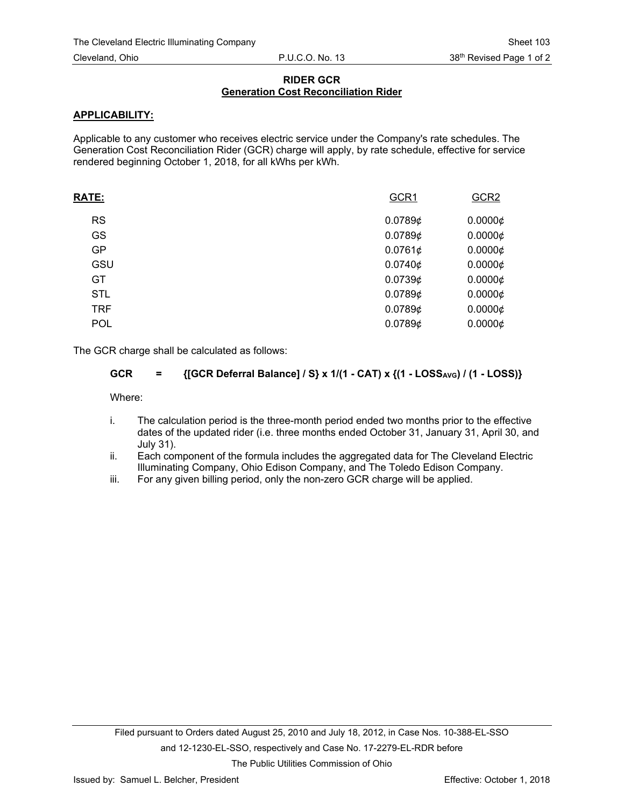## **RIDER GCR Generation Cost Reconciliation Rider**

## **APPLICABILITY:**

Applicable to any customer who receives electric service under the Company's rate schedules. The Generation Cost Reconciliation Rider (GCR) charge will apply, by rate schedule, effective for service rendered beginning October 1, 2018, for all kWhs per kWh.

| <b>RATE:</b> | GCR1    | GCR <sub>2</sub> |
|--------------|---------|------------------|
| <b>RS</b>    | 0.07896 | $0.0000 \phi$    |
| GS           | 0.07896 | $0.0000 \notin$  |
| <b>GP</b>    | 0.0761¢ | $0.0000 \phi$    |
| GSU          | 0.0740¢ | 0.00006          |
| GT.          | 0.07396 | $0.0000 \phi$    |
| <b>STL</b>   | 0.07896 | $0.0000 \phi$    |
| <b>TRF</b>   | 0.07896 | $0.0000 \phi$    |
| <b>POL</b>   | 0.07896 | 0.00006          |
|              |         |                  |

The GCR charge shall be calculated as follows:

## GCR = {[GCR Deferral Balance] / S} x 1/(1 - CAT) x {(1 - LOSS<sub>AVG</sub>) / (1 - LOSS)}

Where:

- i. The calculation period is the three-month period ended two months prior to the effective dates of the updated rider (i.e. three months ended October 31, January 31, April 30, and July 31).
- ii. Each component of the formula includes the aggregated data for The Cleveland Electric Illuminating Company, Ohio Edison Company, and The Toledo Edison Company.
- iii. For any given billing period, only the non-zero GCR charge will be applied.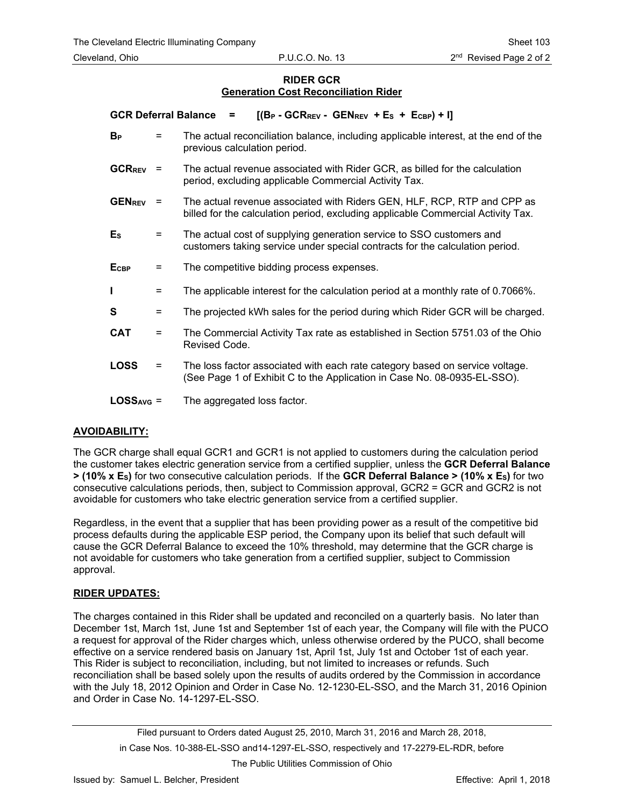## **RIDER GCR Generation Cost Reconciliation Rider**

| <b>GCR Deferral Balance</b> |          | $[(B_P - GCR_{REV} - GEN_{REV} + E_S + E_{CBP}) + I]$<br>=                                                                                                  |
|-----------------------------|----------|-------------------------------------------------------------------------------------------------------------------------------------------------------------|
| $B_{P}$                     | $=$      | The actual reconciliation balance, including applicable interest, at the end of the<br>previous calculation period.                                         |
| <b>GCRREV</b>               | $=$      | The actual revenue associated with Rider GCR, as billed for the calculation<br>period, excluding applicable Commercial Activity Tax.                        |
| <b>GENREV</b>               | $\equiv$ | The actual revenue associated with Riders GEN, HLF, RCP, RTP and CPP as<br>billed for the calculation period, excluding applicable Commercial Activity Tax. |
| $E_{S}$                     | $=$      | The actual cost of supplying generation service to SSO customers and<br>customers taking service under special contracts for the calculation period.        |
| <b>E</b> <sub>CBP</sub>     | $\equiv$ | The competitive bidding process expenses.                                                                                                                   |
| п                           | $=$      | The applicable interest for the calculation period at a monthly rate of 0.7066%.                                                                            |
| S                           | $=$      | The projected kWh sales for the period during which Rider GCR will be charged.                                                                              |
| <b>CAT</b>                  | $=$      | The Commercial Activity Tax rate as established in Section 5751.03 of the Ohio<br>Revised Code.                                                             |
| <b>LOSS</b>                 | $=$      | The loss factor associated with each rate category based on service voltage.<br>(See Page 1 of Exhibit C to the Application in Case No. 08-0935-EL-SSO).    |
| $LOSSAVG =$                 |          | The aggregated loss factor.                                                                                                                                 |

## **AVOIDABILITY:**

The GCR charge shall equal GCR1 and GCR1 is not applied to customers during the calculation period the customer takes electric generation service from a certified supplier, unless the **GCR Deferral Balance > (10% x ES)** for two consecutive calculation periods. If the **GCR Deferral Balance > (10% x ES)** for two consecutive calculations periods, then, subject to Commission approval, GCR2 = GCR and GCR2 is not avoidable for customers who take electric generation service from a certified supplier.

Regardless, in the event that a supplier that has been providing power as a result of the competitive bid process defaults during the applicable ESP period, the Company upon its belief that such default will cause the GCR Deferral Balance to exceed the 10% threshold, may determine that the GCR charge is not avoidable for customers who take generation from a certified supplier, subject to Commission approval.

## **RIDER UPDATES:**

The charges contained in this Rider shall be updated and reconciled on a quarterly basis. No later than December 1st, March 1st, June 1st and September 1st of each year, the Company will file with the PUCO a request for approval of the Rider charges which, unless otherwise ordered by the PUCO, shall become effective on a service rendered basis on January 1st, April 1st, July 1st and October 1st of each year. This Rider is subject to reconciliation, including, but not limited to increases or refunds. Such reconciliation shall be based solely upon the results of audits ordered by the Commission in accordance with the July 18, 2012 Opinion and Order in Case No. 12-1230-EL-SSO, and the March 31, 2016 Opinion and Order in Case No. 14-1297-EL-SSO.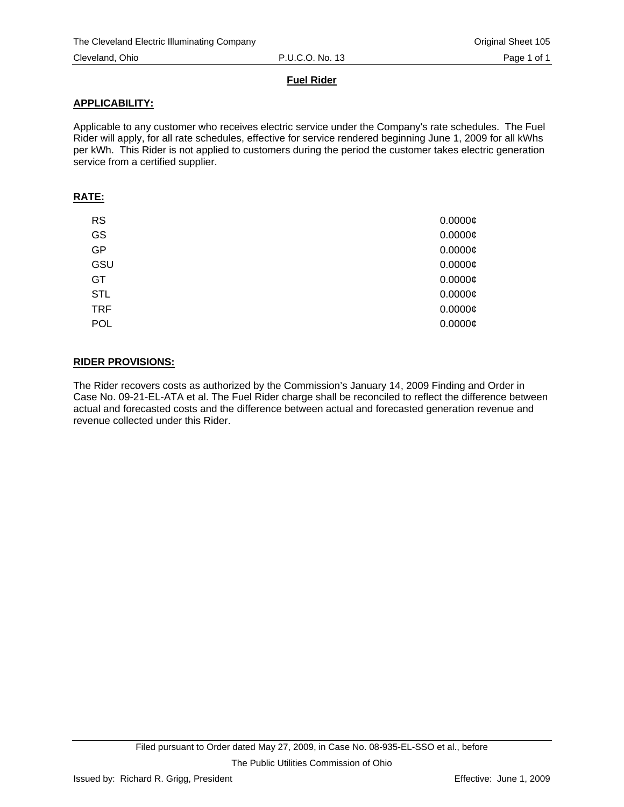## **Fuel Rider**

## **APPLICABILITY:**

Applicable to any customer who receives electric service under the Company's rate schedules. The Fuel Rider will apply, for all rate schedules, effective for service rendered beginning June 1, 2009 for all kWhs per kWh. This Rider is not applied to customers during the period the customer takes electric generation service from a certified supplier.

### **RATE:**

| <b>RS</b>  | $0.0000\phi$ |
|------------|--------------|
| GS         | $0.0000$ ¢   |
| <b>GP</b>  | $0.0000$ ¢   |
| GSU        | $0.0000$ ¢   |
| GT         | $0.0000$ ¢   |
| <b>STL</b> | $0.0000$ ¢   |
| <b>TRF</b> | $0.0000$ ¢   |
| POL        | $0.0000$ ¢   |

# **RIDER PROVISIONS:**

The Rider recovers costs as authorized by the Commission's January 14, 2009 Finding and Order in Case No. 09-21-EL-ATA et al. The Fuel Rider charge shall be reconciled to reflect the difference between actual and forecasted costs and the difference between actual and forecasted generation revenue and revenue collected under this Rider.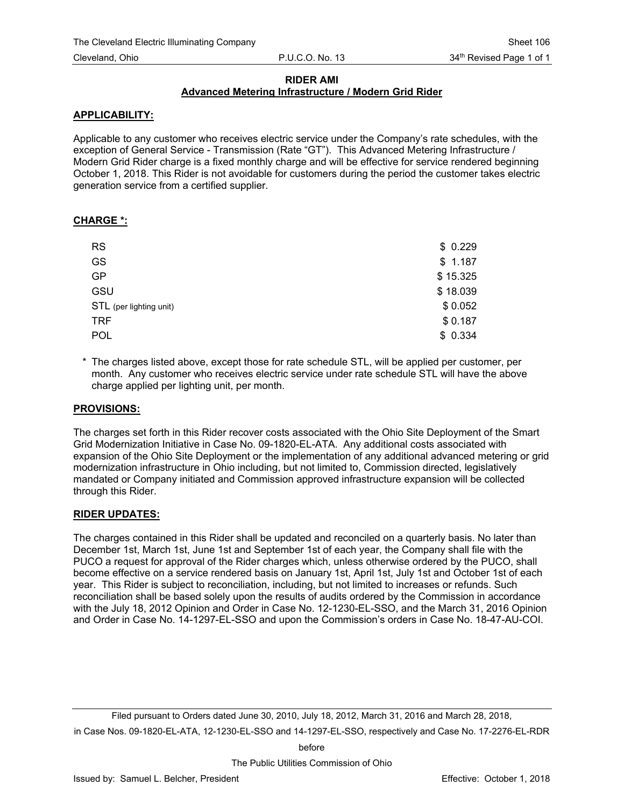## **RIDER AMI**

## **Advanced Metering Infrastructure / Modern Grid Rider**

## **APPLICABILITY:**

Applicable to any customer who receives electric service under the Company's rate schedules, with the exception of General Service - Transmission (Rate "GT"). This Advanced Metering Infrastructure / Modern Grid Rider charge is a fixed monthly charge and will be effective for service rendered beginning October 1, 2018. This Rider is not avoidable for customers during the period the customer takes electric generation service from a certified supplier.

## **CHARGE \*:**

| <b>RS</b>               | \$0.229  |
|-------------------------|----------|
| GS                      | \$1.187  |
| <b>GP</b>               | \$15.325 |
| GSU                     | \$18.039 |
| STL (per lighting unit) | \$0.052  |
| <b>TRF</b>              | \$0.187  |
| POL                     | \$0.334  |

\* The charges listed above, except those for rate schedule STL, will be applied per customer, per month. Any customer who receives electric service under rate schedule STL will have the above charge applied per lighting unit, per month.

#### **PROVISIONS:**

The charges set forth in this Rider recover costs associated with the Ohio Site Deployment of the Smart Grid Modernization Initiative in Case No. 09-1820-EL-ATA. Any additional costs associated with expansion of the Ohio Site Deployment or the implementation of any additional advanced metering or grid modernization infrastructure in Ohio including, but not limited to, Commission directed, legislatively mandated or Company initiated and Commission approved infrastructure expansion will be collected through this Rider.

#### **RIDER UPDATES:**

The charges contained in this Rider shall be updated and reconciled on a quarterly basis. No later than December 1st, March 1st, June 1st and September 1st of each year, the Company shall file with the PUCO a request for approval of the Rider charges which, unless otherwise ordered by the PUCO, shall become effective on a service rendered basis on January 1st, April 1st, July 1st and October 1st of each year. This Rider is subject to reconciliation, including, but not limited to increases or refunds. Such reconciliation shall be based solely upon the results of audits ordered by the Commission in accordance with the July 18, 2012 Opinion and Order in Case No. 12-1230-EL-SSO, and the March 31, 2016 Opinion and Order in Case No. 14-1297-EL-SSO and upon the Commission's orders in Case No. 18-47-AU-COI.

Filed pursuant to Orders dated June 30, 2010, July 18, 2012, March 31, 2016 and March 28, 2018, in Case Nos. 09-1820-EL-ATA, 12-1230-EL-SSO and 14-1297-EL-SSO, respectively and Case No. 17-2276-EL-RDR

before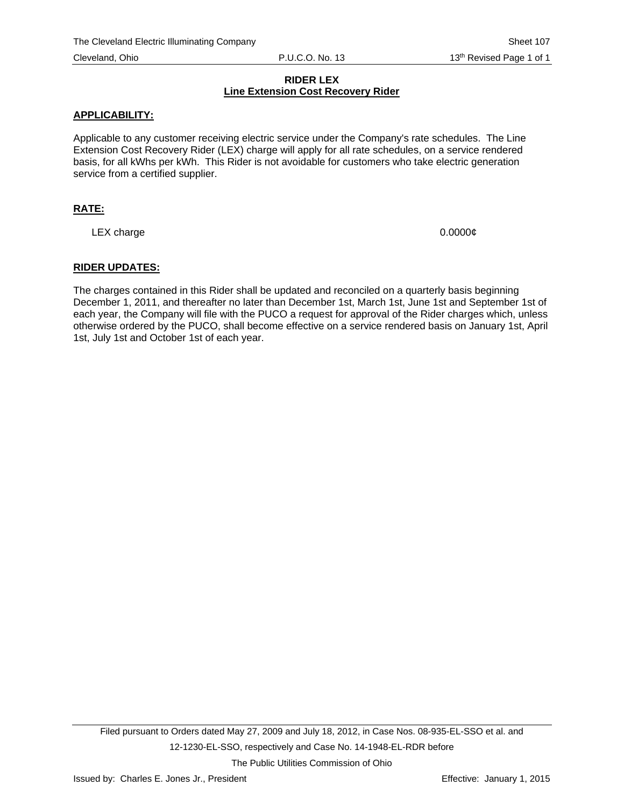#### **RIDER LEX Line Extension Cost Recovery Rider**

## **APPLICABILITY:**

Applicable to any customer receiving electric service under the Company's rate schedules. The Line Extension Cost Recovery Rider (LEX) charge will apply for all rate schedules, on a service rendered basis, for all kWhs per kWh. This Rider is not avoidable for customers who take electric generation service from a certified supplier.

## **RATE:**

LEX charge 0.0000 $\phi$ 

## **RIDER UPDATES:**

The charges contained in this Rider shall be updated and reconciled on a quarterly basis beginning December 1, 2011, and thereafter no later than December 1st, March 1st, June 1st and September 1st of each year, the Company will file with the PUCO a request for approval of the Rider charges which, unless otherwise ordered by the PUCO, shall become effective on a service rendered basis on January 1st, April 1st, July 1st and October 1st of each year.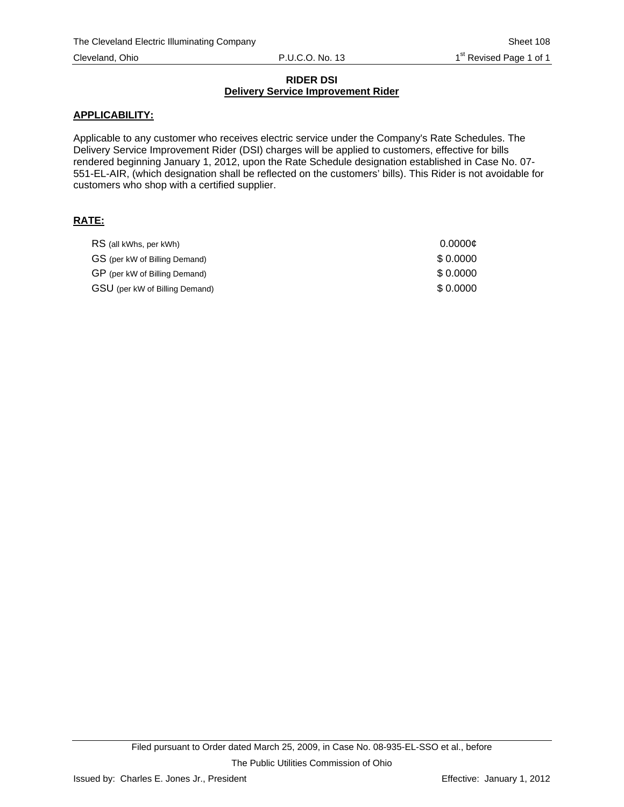#### **RIDER DSI Delivery Service Improvement Rider**

## **APPLICABILITY:**

Applicable to any customer who receives electric service under the Company's Rate Schedules. The Delivery Service Improvement Rider (DSI) charges will be applied to customers, effective for bills rendered beginning January 1, 2012, upon the Rate Schedule designation established in Case No. 07- 551-EL-AIR, (which designation shall be reflected on the customers' bills). This Rider is not avoidable for customers who shop with a certified supplier.

## **RATE:**

| RS (all kWhs, per kWh)         | 0.0000c  |
|--------------------------------|----------|
| GS (per kW of Billing Demand)  | \$0.0000 |
| GP (per kW of Billing Demand)  | \$0.0000 |
| GSU (per kW of Billing Demand) | \$0.0000 |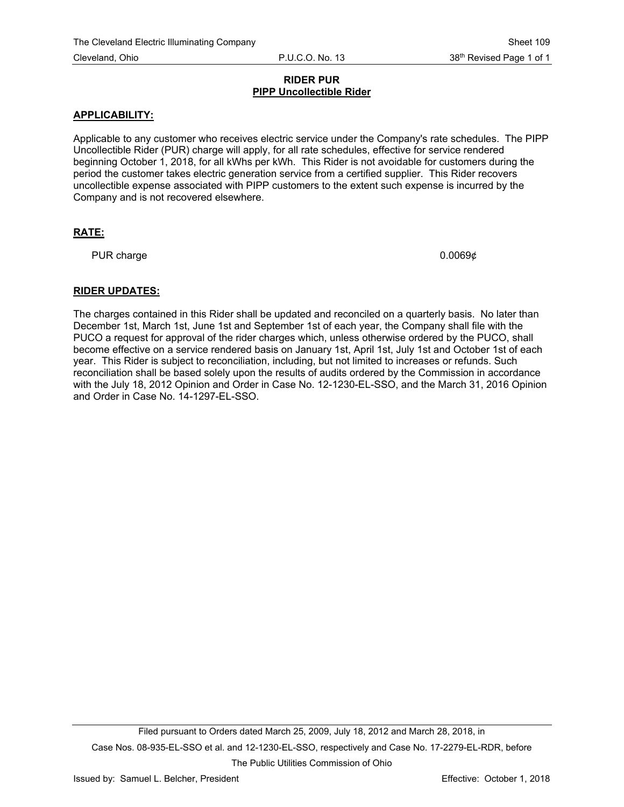#### **RIDER PUR PIPP Uncollectible Rider**

## **APPLICABILITY:**

Applicable to any customer who receives electric service under the Company's rate schedules. The PIPP Uncollectible Rider (PUR) charge will apply, for all rate schedules, effective for service rendered beginning October 1, 2018, for all kWhs per kWh. This Rider is not avoidable for customers during the period the customer takes electric generation service from a certified supplier. This Rider recovers uncollectible expense associated with PIPP customers to the extent such expense is incurred by the Company and is not recovered elsewhere.

## **RATE:**

PUR charge 0.0069¢

## **RIDER UPDATES:**

The charges contained in this Rider shall be updated and reconciled on a quarterly basis. No later than December 1st, March 1st, June 1st and September 1st of each year, the Company shall file with the PUCO a request for approval of the rider charges which, unless otherwise ordered by the PUCO, shall become effective on a service rendered basis on January 1st, April 1st, July 1st and October 1st of each year. This Rider is subject to reconciliation, including, but not limited to increases or refunds. Such reconciliation shall be based solely upon the results of audits ordered by the Commission in accordance with the July 18, 2012 Opinion and Order in Case No. 12-1230-EL-SSO, and the March 31, 2016 Opinion and Order in Case No. 14-1297-EL-SSO.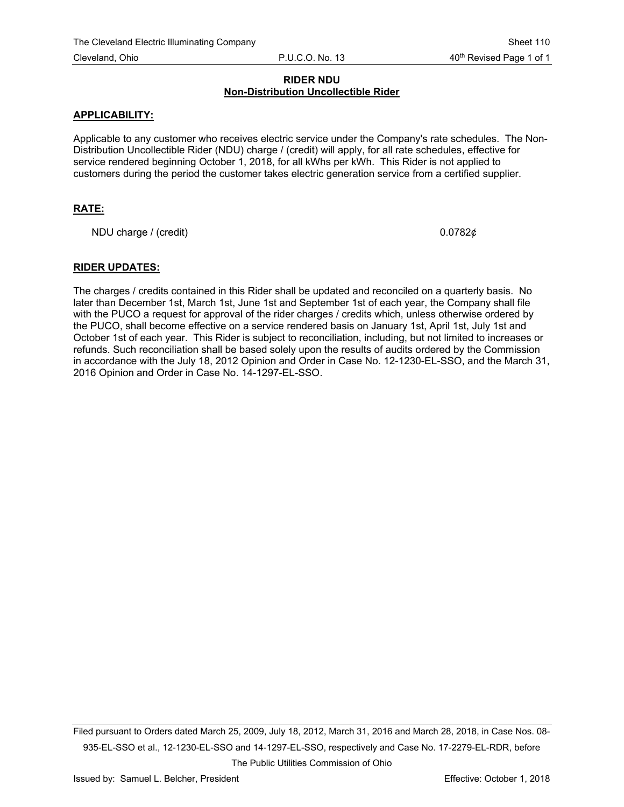## **RIDER NDU Non-Distribution Uncollectible Rider**

## **APPLICABILITY:**

Applicable to any customer who receives electric service under the Company's rate schedules. The Non-Distribution Uncollectible Rider (NDU) charge / (credit) will apply, for all rate schedules, effective for service rendered beginning October 1, 2018, for all kWhs per kWh. This Rider is not applied to customers during the period the customer takes electric generation service from a certified supplier.

## **RATE:**

NDU charge / (credit)  $0.0782\phi$ 

## **RIDER UPDATES:**

The charges / credits contained in this Rider shall be updated and reconciled on a quarterly basis. No later than December 1st, March 1st, June 1st and September 1st of each year, the Company shall file with the PUCO a request for approval of the rider charges / credits which, unless otherwise ordered by the PUCO, shall become effective on a service rendered basis on January 1st, April 1st, July 1st and October 1st of each year. This Rider is subject to reconciliation, including, but not limited to increases or refunds. Such reconciliation shall be based solely upon the results of audits ordered by the Commission in accordance with the July 18, 2012 Opinion and Order in Case No. 12-1230-EL-SSO, and the March 31, 2016 Opinion and Order in Case No. 14-1297-EL-SSO.

Filed pursuant to Orders dated March 25, 2009, July 18, 2012, March 31, 2016 and March 28, 2018, in Case Nos. 08- 935-EL-SSO et al., 12-1230-EL-SSO and 14-1297-EL-SSO, respectively and Case No. 17-2279-EL-RDR, before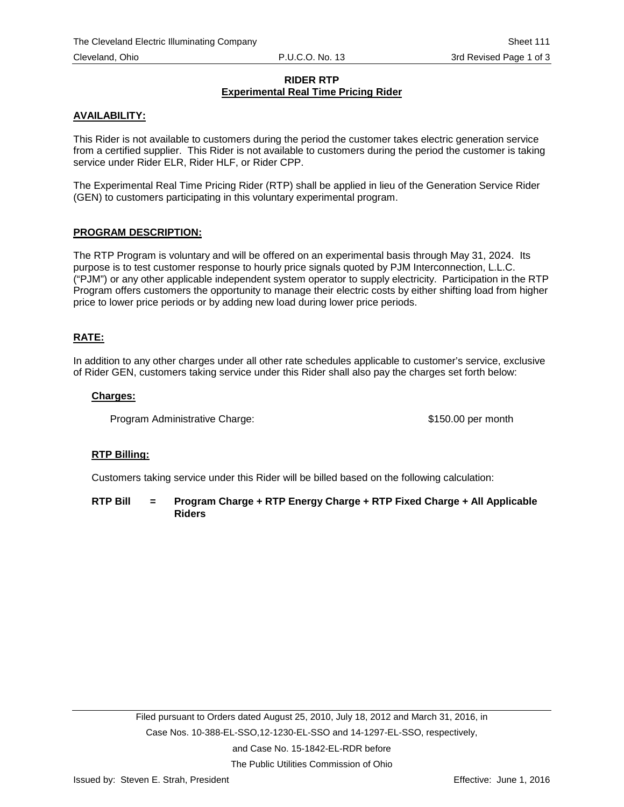## **RIDER RTP Experimental Real Time Pricing Rider**

## **AVAILABILITY:**

This Rider is not available to customers during the period the customer takes electric generation service from a certified supplier. This Rider is not available to customers during the period the customer is taking service under Rider ELR, Rider HLF, or Rider CPP.

The Experimental Real Time Pricing Rider (RTP) shall be applied in lieu of the Generation Service Rider (GEN) to customers participating in this voluntary experimental program.

## **PROGRAM DESCRIPTION:**

The RTP Program is voluntary and will be offered on an experimental basis through May 31, 2024. Its purpose is to test customer response to hourly price signals quoted by PJM Interconnection, L.L.C. ("PJM") or any other applicable independent system operator to supply electricity. Participation in the RTP Program offers customers the opportunity to manage their electric costs by either shifting load from higher price to lower price periods or by adding new load during lower price periods.

## **RATE:**

In addition to any other charges under all other rate schedules applicable to customer's service, exclusive of Rider GEN, customers taking service under this Rider shall also pay the charges set forth below:

#### **Charges:**

Program Administrative Charge: \$150.00 per month

#### **RTP Billing:**

Customers taking service under this Rider will be billed based on the following calculation:

**RTP Bill = Program Charge + RTP Energy Charge + RTP Fixed Charge + All Applicable Riders**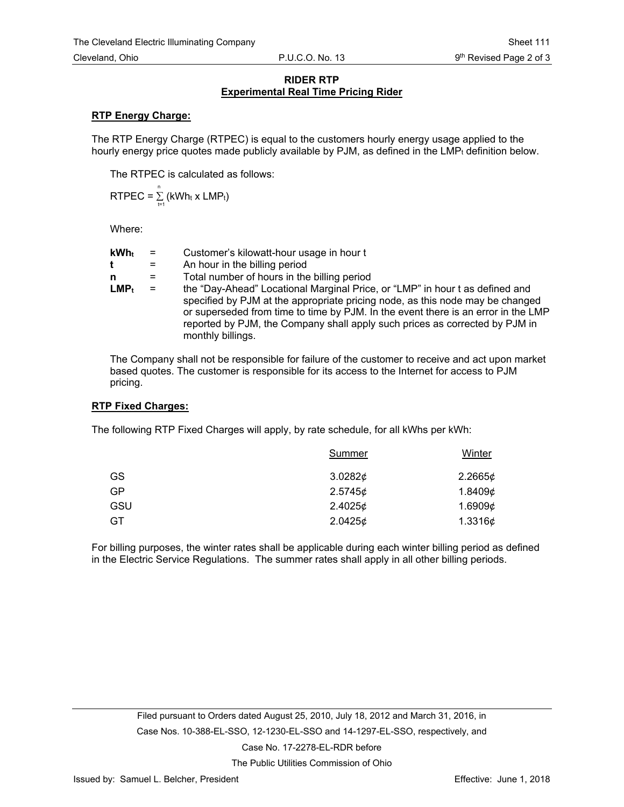#### **RIDER RTP Experimental Real Time Pricing Rider**

## **RTP Energy Charge:**

The RTP Energy Charge (RTPEC) is equal to the customers hourly energy usage applied to the hourly energy price quotes made publicly available by PJM, as defined in the  $LMP<sub>t</sub>$  definition below.

The RTPEC is calculated as follows:

$$
RTPEC = \sum_{t=1}^{n} (kWh_t \times LMP_t)
$$

Where:

| kWht    | $=$ | Customer's kilowatt-hour usage in hour t                                                                                                                                                                                                                                                                                                               |
|---------|-----|--------------------------------------------------------------------------------------------------------------------------------------------------------------------------------------------------------------------------------------------------------------------------------------------------------------------------------------------------------|
| t       | $=$ | An hour in the billing period                                                                                                                                                                                                                                                                                                                          |
| n       | $=$ | Total number of hours in the billing period                                                                                                                                                                                                                                                                                                            |
| $LMP_t$ | $=$ | the "Day-Ahead" Locational Marginal Price, or "LMP" in hour t as defined and<br>specified by PJM at the appropriate pricing node, as this node may be changed<br>or superseded from time to time by PJM. In the event there is an error in the LMP<br>reported by PJM, the Company shall apply such prices as corrected by PJM in<br>monthly billings. |

The Company shall not be responsible for failure of the customer to receive and act upon market based quotes. The customer is responsible for its access to the Internet for access to PJM pricing.

#### **RTP Fixed Charges:**

The following RTP Fixed Charges will apply, by rate schedule, for all kWhs per kWh:

| <b>Summer</b> | <b>Winter</b> |
|---------------|---------------|
| 3.02826       | 2.2665¢       |
| 2.5745¢       | 1.8409¢       |
| 2.4025¢       | 1.6909¢       |
| 2.0425¢       | 1.3316 $\phi$ |
|               |               |

For billing purposes, the winter rates shall be applicable during each winter billing period as defined in the Electric Service Regulations. The summer rates shall apply in all other billing periods.

Case No. 17-2278-EL-RDR before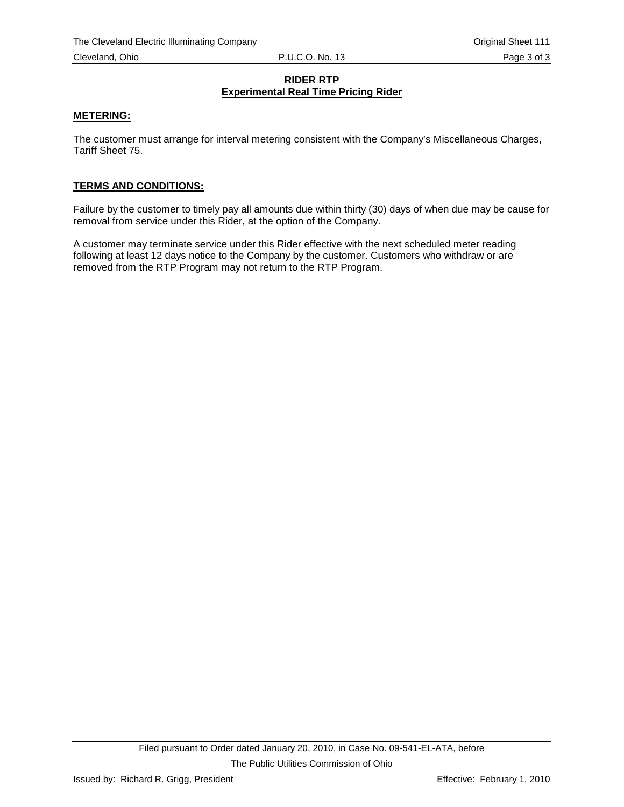## **RIDER RTP Experimental Real Time Pricing Rider**

#### **METERING:**

The customer must arrange for interval metering consistent with the Company's Miscellaneous Charges, Tariff Sheet 75.

#### **TERMS AND CONDITIONS:**

Failure by the customer to timely pay all amounts due within thirty (30) days of when due may be cause for removal from service under this Rider, at the option of the Company.

A customer may terminate service under this Rider effective with the next scheduled meter reading following at least 12 days notice to the Company by the customer. Customers who withdraw or are removed from the RTP Program may not return to the RTP Program.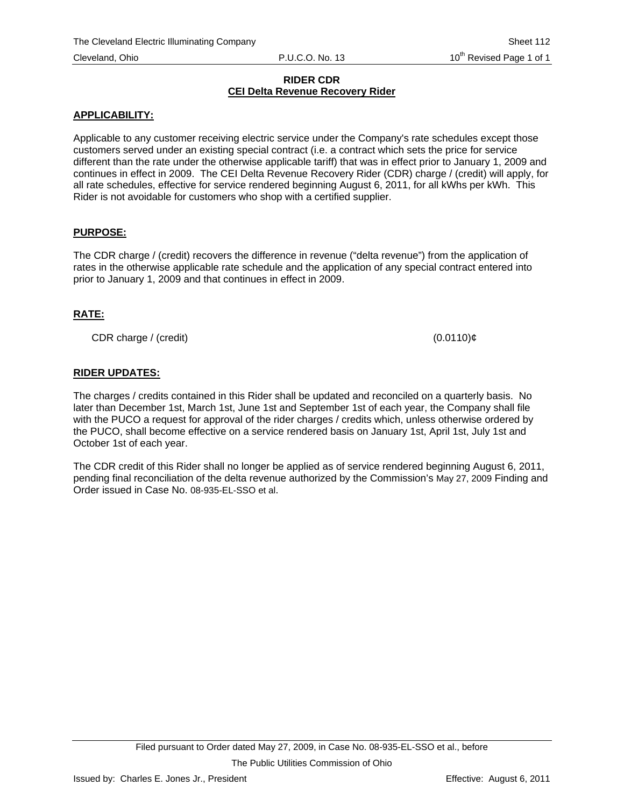#### **RIDER CDR CEI Delta Revenue Recovery Rider**

## **APPLICABILITY:**

Applicable to any customer receiving electric service under the Company's rate schedules except those customers served under an existing special contract (i.e. a contract which sets the price for service different than the rate under the otherwise applicable tariff) that was in effect prior to January 1, 2009 and continues in effect in 2009. The CEI Delta Revenue Recovery Rider (CDR) charge / (credit) will apply, for all rate schedules, effective for service rendered beginning August 6, 2011, for all kWhs per kWh. This Rider is not avoidable for customers who shop with a certified supplier.

## **PURPOSE:**

The CDR charge / (credit) recovers the difference in revenue ("delta revenue") from the application of rates in the otherwise applicable rate schedule and the application of any special contract entered into prior to January 1, 2009 and that continues in effect in 2009.

# **RATE:**

CDR charge / (credit) (0.0110)¢

# **RIDER UPDATES:**

The charges / credits contained in this Rider shall be updated and reconciled on a quarterly basis. No later than December 1st, March 1st, June 1st and September 1st of each year, the Company shall file with the PUCO a request for approval of the rider charges / credits which, unless otherwise ordered by the PUCO, shall become effective on a service rendered basis on January 1st, April 1st, July 1st and October 1st of each year.

The CDR credit of this Rider shall no longer be applied as of service rendered beginning August 6, 2011, pending final reconciliation of the delta revenue authorized by the Commission's May 27, 2009 Finding and Order issued in Case No. 08-935-EL-SSO et al.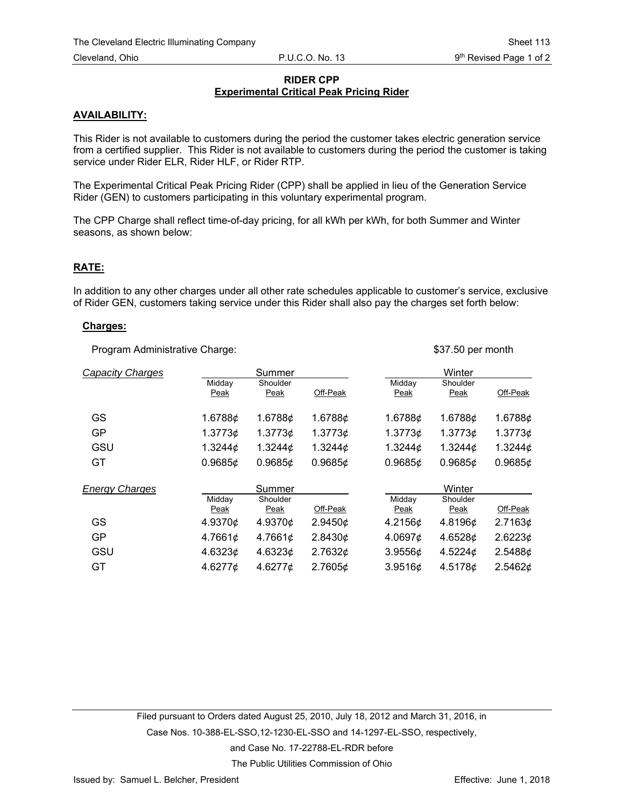### **RIDER CPP Experimental Critical Peak Pricing Rider**

#### **AVAILABILITY:**

This Rider is not available to customers during the period the customer takes electric generation service from a certified supplier. This Rider is not available to customers during the period the customer is taking service under Rider ELR, Rider HLF, or Rider RTP.

The Experimental Critical Peak Pricing Rider (CPP) shall be applied in lieu of the Generation Service Rider (GEN) to customers participating in this voluntary experimental program.

The CPP Charge shall reflect time-of-day pricing, for all kWh per kWh, for both Summer and Winter seasons, as shown below:

#### **RATE:**

In addition to any other charges under all other rate schedules applicable to customer's service, exclusive of Rider GEN, customers taking service under this Rider shall also pay the charges set forth below:

#### **Charges:**

Program Administrative Charge:  $$37.50$  per month

| <b>Capacity Charges</b> |                | Summer           |               |                | Winter           |               |
|-------------------------|----------------|------------------|---------------|----------------|------------------|---------------|
|                         | Midday<br>Peak | Shoulder<br>Peak | Off-Peak      | Midday<br>Peak | Shoulder<br>Peak | Off-Peak      |
| GS                      | 1.6788¢        | 1.6788¢          | 1.6788¢       | 1.6788¢        | 1.6788¢          | 1.6788¢       |
| <b>GP</b>               | 1.37736        | 1.37736          | 1.37736       | 1.3773¢        | 1.37736          | 1.37736       |
| GSU                     | 1.3244 $\phi$  | 1.3244 $\phi$    | 1.3244 $\phi$ | 1.3244 $\phi$  | 1.3244 $\phi$    | 1.3244 $\phi$ |
| GT                      | 0.96856        | 0.96856          | 0.96856       | 0.96856        | 0.96856          | 0.96856       |
| <b>Energy Charges</b>   |                | Summer           |               |                | Winter           |               |
|                         | Midday<br>Peak | Shoulder<br>Peak | Off-Peak      | Midday<br>Peak | Shoulder<br>Peak | Off-Peak      |
| GS                      | 4.9370¢        | 4.9370¢          | 2.9450¢       | 4.2156¢        | 4.8196¢          | 2.7163¢       |
|                         |                |                  |               |                |                  |               |
| <b>GP</b>               | 4.7661¢        | 4.7661¢          | 2.8430¢       | 4.0697¢        | 4.6528¢          | 2.6223¢       |
| GSU                     | 4.6323¢        | 4.6323¢          | 2.7632¢       | 3.9556¢        | 4.5224 $\phi$    | 2.5488¢       |
| GT                      | 4.6277¢        | 4.6277¢          | 2.7605¢       | 3.9516¢        | 4.5178¢          | 2.5462¢       |

Filed pursuant to Orders dated August 25, 2010, July 18, 2012 and March 31, 2016, in

Case Nos. 10-388-EL-SSO,12-1230-EL-SSO and 14-1297-EL-SSO, respectively,

and Case No. 17-22788-EL-RDR before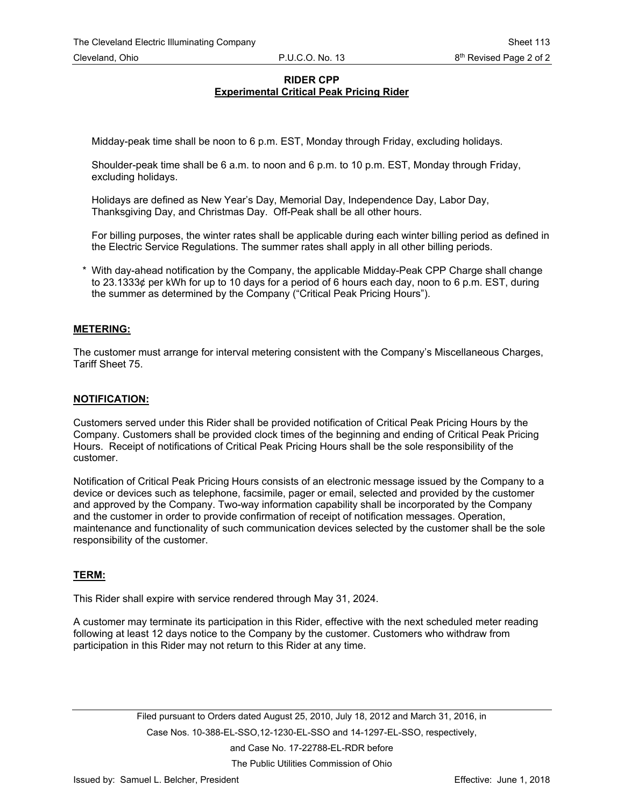## **RIDER CPP Experimental Critical Peak Pricing Rider**

Midday-peak time shall be noon to 6 p.m. EST, Monday through Friday, excluding holidays.

Shoulder-peak time shall be 6 a.m. to noon and 6 p.m. to 10 p.m. EST, Monday through Friday, excluding holidays.

Holidays are defined as New Year's Day, Memorial Day, Independence Day, Labor Day, Thanksgiving Day, and Christmas Day. Off-Peak shall be all other hours.

For billing purposes, the winter rates shall be applicable during each winter billing period as defined in the Electric Service Regulations. The summer rates shall apply in all other billing periods.

With day-ahead notification by the Company, the applicable Midday-Peak CPP Charge shall change to 23.1333¢ per kWh for up to 10 days for a period of 6 hours each day, noon to 6 p.m. EST, during the summer as determined by the Company ("Critical Peak Pricing Hours").

## **METERING:**

The customer must arrange for interval metering consistent with the Company's Miscellaneous Charges, Tariff Sheet 75.

#### **NOTIFICATION:**

Customers served under this Rider shall be provided notification of Critical Peak Pricing Hours by the Company. Customers shall be provided clock times of the beginning and ending of Critical Peak Pricing Hours. Receipt of notifications of Critical Peak Pricing Hours shall be the sole responsibility of the customer.

Notification of Critical Peak Pricing Hours consists of an electronic message issued by the Company to a device or devices such as telephone, facsimile, pager or email, selected and provided by the customer and approved by the Company. Two-way information capability shall be incorporated by the Company and the customer in order to provide confirmation of receipt of notification messages. Operation, maintenance and functionality of such communication devices selected by the customer shall be the sole responsibility of the customer.

## **TERM:**

This Rider shall expire with service rendered through May 31, 2024.

A customer may terminate its participation in this Rider, effective with the next scheduled meter reading following at least 12 days notice to the Company by the customer. Customers who withdraw from participation in this Rider may not return to this Rider at any time.

> Filed pursuant to Orders dated August 25, 2010, July 18, 2012 and March 31, 2016, in Case Nos. 10-388-EL-SSO,12-1230-EL-SSO and 14-1297-EL-SSO, respectively, and Case No. 17-22788-EL-RDR before The Public Utilities Commission of Ohio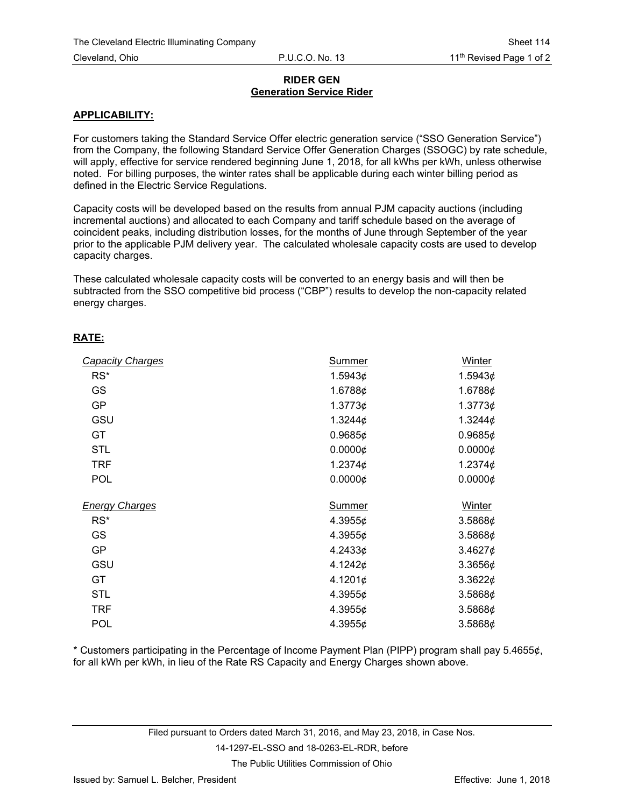## **RIDER GEN Generation Service Rider**

## **APPLICABILITY:**

For customers taking the Standard Service Offer electric generation service ("SSO Generation Service") from the Company, the following Standard Service Offer Generation Charges (SSOGC) by rate schedule, will apply, effective for service rendered beginning June 1, 2018, for all kWhs per kWh, unless otherwise noted. For billing purposes, the winter rates shall be applicable during each winter billing period as defined in the Electric Service Regulations.

Capacity costs will be developed based on the results from annual PJM capacity auctions (including incremental auctions) and allocated to each Company and tariff schedule based on the average of coincident peaks, including distribution losses, for the months of June through September of the year prior to the applicable PJM delivery year. The calculated wholesale capacity costs are used to develop capacity charges.

These calculated wholesale capacity costs will be converted to an energy basis and will then be subtracted from the SSO competitive bid process ("CBP") results to develop the non-capacity related energy charges.

## **RATE:**

| <b>Capacity Charges</b> | <b>Summer</b> | Winter          |
|-------------------------|---------------|-----------------|
| $RS^*$                  | 1.5943¢       | 1.5943¢         |
| GS                      | 1.6788¢       | 1.6788¢         |
| <b>GP</b>               | 1.37736       | 1.3773¢         |
| GSU                     | 1.3244 $\phi$ | 1.3244 $\phi$   |
| GT                      | 0.96856       | 0.96856         |
| <b>STL</b>              | 0.0000c       | $0.0000 \notin$ |
| <b>TRF</b>              | 1.2374 $\phi$ | 1.2374 $\phi$   |
| <b>POL</b>              | 0.0000¢       | $0.0000 \notin$ |
| <b>Energy Charges</b>   | Summer        | Winter          |
| $RS^*$                  | 4.3955¢       | 3.5868¢         |
| <b>GS</b>               | 4.3955¢       | 3.5868¢         |
| <b>GP</b>               | 4.2433¢       | 3.4627¢         |
| GSU                     | 4.1242¢       | 3.3656¢         |
| GT                      | 4.1201¢       | 3.3622¢         |
| <b>STL</b>              | 4.3955¢       | 3.5868¢         |
| <b>TRF</b>              | 4.3955¢       | 3.5868¢         |
| <b>POL</b>              | 4.3955¢       | 3.5868¢         |

\* Customers participating in the Percentage of Income Payment Plan (PIPP) program shall pay 5.4655¢, for all kWh per kWh, in lieu of the Rate RS Capacity and Energy Charges shown above.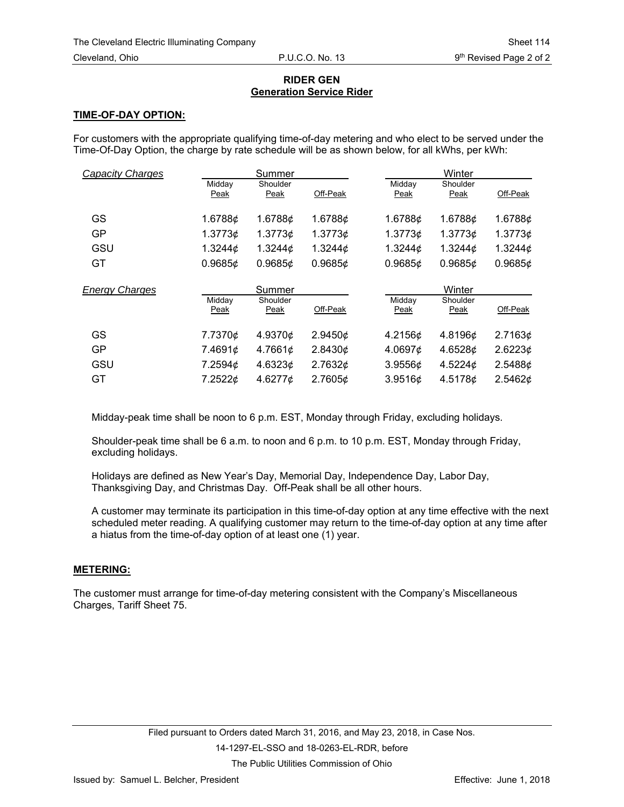## **RIDER GEN Generation Service Rider**

## **TIME-OF-DAY OPTION:**

For customers with the appropriate qualifying time-of-day metering and who elect to be served under the Time-Of-Day Option, the charge by rate schedule will be as shown below, for all kWhs, per kWh:

| <b>Capacity Charges</b> |                | Summer           |               |                | Winter           |               |
|-------------------------|----------------|------------------|---------------|----------------|------------------|---------------|
|                         | Midday<br>Peak | Shoulder<br>Peak | Off-Peak      | Midday<br>Peak | Shoulder<br>Peak | Off-Peak      |
| GS                      | 1.6788¢        | 1.6788¢          | 1.6788¢       | 1.6788¢        | 1.6788¢          | 1.6788¢       |
| GP                      | 1.3773¢        | 1.37736          | 1.37736       | 1.3773¢        | 1.37736          | 1.37736       |
| GSU                     | 1.3244 $\phi$  | 1.3244 $\phi$    | 1.3244 $\phi$ | 1.3244 $\phi$  | 1.3244 $\phi$    | 1.3244 $\phi$ |
| GT                      | 0.96856        | 0.96856          | 0.96856       | 0.96856        | 0.96856          | 0.9685¢       |
|                         |                |                  |               |                |                  |               |
|                         |                | Summer           |               |                | Winter           |               |
| <b>Energy Charges</b>   | Midday<br>Peak | Shoulder<br>Peak | Off-Peak      | Midday<br>Peak | Shoulder<br>Peak | Off-Peak      |
| GS                      | 7.7370¢        | 4.9370¢          | 2.9450¢       | 4.2156¢        | 4.8196¢          | 2.7163¢       |
| <b>GP</b>               | 7.4691¢        | 4.7661¢          | 2.8430¢       | 4.0697¢        | 4.6528¢          | 2.6223¢       |
| GSU                     | 7.2594¢        | 4.6323¢          | 2.7632¢       | 3.9556¢        | 4.5224 $\phi$    | 2.5488¢       |

Midday-peak time shall be noon to 6 p.m. EST, Monday through Friday, excluding holidays.

Shoulder-peak time shall be 6 a.m. to noon and 6 p.m. to 10 p.m. EST, Monday through Friday, excluding holidays.

Holidays are defined as New Year's Day, Memorial Day, Independence Day, Labor Day, Thanksgiving Day, and Christmas Day. Off-Peak shall be all other hours.

A customer may terminate its participation in this time-of-day option at any time effective with the next scheduled meter reading. A qualifying customer may return to the time-of-day option at any time after a hiatus from the time-of-day option of at least one (1) year.

## **METERING:**

The customer must arrange for time-of-day metering consistent with the Company's Miscellaneous Charges, Tariff Sheet 75.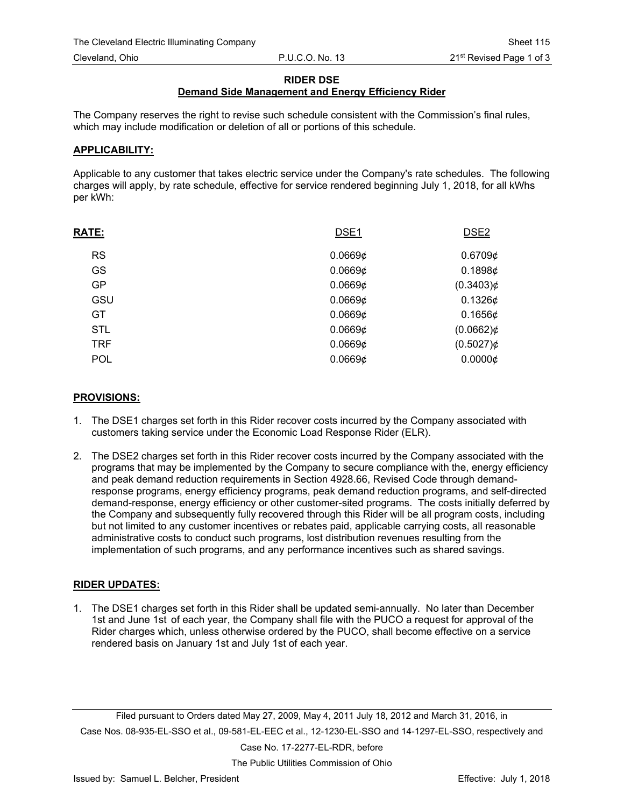#### **RIDER DSE**

# **Demand Side Management and Energy Efficiency Rider**

The Company reserves the right to revise such schedule consistent with the Commission's final rules, which may include modification or deletion of all or portions of this schedule.

#### **APPLICABILITY:**

Applicable to any customer that takes electric service under the Company's rate schedules. The following charges will apply, by rate schedule, effective for service rendered beginning July 1, 2018, for all kWhs per kWh:

| <b>RATE:</b> | DSE <sub>1</sub> | DSE <sub>2</sub> |
|--------------|------------------|------------------|
| <b>RS</b>    | 0.06696          | 0.67096          |
| <b>GS</b>    | 0.06696          | 0.1898 $\phi$    |
| <b>GP</b>    | 0.06696          | $(0.3403)$ ¢     |
| GSU          | 0.06696          | $0.1326$ ¢       |
| <b>GT</b>    | 0.06696          | $0.1656$ ¢       |
| <b>STL</b>   | 0.0669¢          | $(0.0662)$ ¢     |
| <b>TRF</b>   | 0.06696          | $(0.5027)$ ¢     |
| <b>POL</b>   | 0.0669¢          | 0.00006          |

## **PROVISIONS:**

- 1. The DSE1 charges set forth in this Rider recover costs incurred by the Company associated with customers taking service under the Economic Load Response Rider (ELR).
- 2. The DSE2 charges set forth in this Rider recover costs incurred by the Company associated with the programs that may be implemented by the Company to secure compliance with the, energy efficiency and peak demand reduction requirements in Section 4928.66, Revised Code through demandresponse programs, energy efficiency programs, peak demand reduction programs, and self-directed demand-response, energy efficiency or other customer-sited programs. The costs initially deferred by the Company and subsequently fully recovered through this Rider will be all program costs, including but not limited to any customer incentives or rebates paid, applicable carrying costs, all reasonable administrative costs to conduct such programs, lost distribution revenues resulting from the implementation of such programs, and any performance incentives such as shared savings.

#### **RIDER UPDATES:**

1. The DSE1 charges set forth in this Rider shall be updated semi-annually. No later than December 1st and June 1st of each year, the Company shall file with the PUCO a request for approval of the Rider charges which, unless otherwise ordered by the PUCO, shall become effective on a service rendered basis on January 1st and July 1st of each year.

Filed pursuant to Orders dated May 27, 2009, May 4, 2011 July 18, 2012 and March 31, 2016, in Case Nos. 08-935-EL-SSO et al., 09-581-EL-EEC et al., 12-1230-EL-SSO and 14-1297-EL-SSO, respectively and

Case No. 17-2277-EL-RDR, before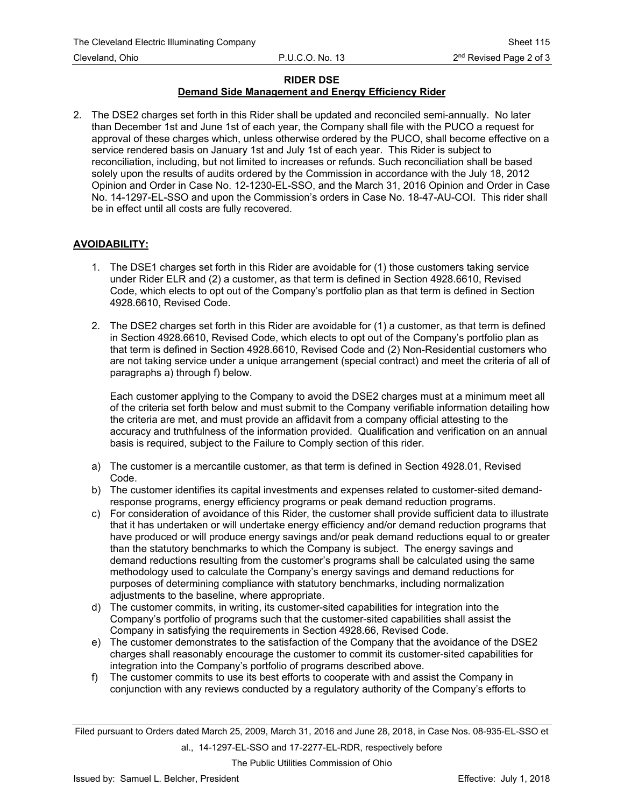## **RIDER DSE**

# **Demand Side Management and Energy Efficiency Rider**

2. The DSE2 charges set forth in this Rider shall be updated and reconciled semi-annually. No later than December 1st and June 1st of each year, the Company shall file with the PUCO a request for approval of these charges which, unless otherwise ordered by the PUCO, shall become effective on a service rendered basis on January 1st and July 1st of each year. This Rider is subject to reconciliation, including, but not limited to increases or refunds. Such reconciliation shall be based solely upon the results of audits ordered by the Commission in accordance with the July 18, 2012 Opinion and Order in Case No. 12-1230-EL-SSO, and the March 31, 2016 Opinion and Order in Case No. 14-1297-EL-SSO and upon the Commission's orders in Case No. 18-47-AU-COI. This rider shall be in effect until all costs are fully recovered.

## **AVOIDABILITY:**

- 1. The DSE1 charges set forth in this Rider are avoidable for (1) those customers taking service under Rider ELR and (2) a customer, as that term is defined in Section 4928.6610, Revised Code, which elects to opt out of the Company's portfolio plan as that term is defined in Section 4928.6610, Revised Code.
- 2. The DSE2 charges set forth in this Rider are avoidable for (1) a customer, as that term is defined in Section 4928.6610, Revised Code, which elects to opt out of the Company's portfolio plan as that term is defined in Section 4928.6610, Revised Code and (2) Non-Residential customers who are not taking service under a unique arrangement (special contract) and meet the criteria of all of paragraphs a) through f) below.

Each customer applying to the Company to avoid the DSE2 charges must at a minimum meet all of the criteria set forth below and must submit to the Company verifiable information detailing how the criteria are met, and must provide an affidavit from a company official attesting to the accuracy and truthfulness of the information provided. Qualification and verification on an annual basis is required, subject to the Failure to Comply section of this rider.

- a) The customer is a mercantile customer, as that term is defined in Section 4928.01, Revised Code.
- b) The customer identifies its capital investments and expenses related to customer-sited demandresponse programs, energy efficiency programs or peak demand reduction programs.
- c) For consideration of avoidance of this Rider, the customer shall provide sufficient data to illustrate that it has undertaken or will undertake energy efficiency and/or demand reduction programs that have produced or will produce energy savings and/or peak demand reductions equal to or greater than the statutory benchmarks to which the Company is subject. The energy savings and demand reductions resulting from the customer's programs shall be calculated using the same methodology used to calculate the Company's energy savings and demand reductions for purposes of determining compliance with statutory benchmarks, including normalization adjustments to the baseline, where appropriate.
- d) The customer commits, in writing, its customer-sited capabilities for integration into the Company's portfolio of programs such that the customer-sited capabilities shall assist the Company in satisfying the requirements in Section 4928.66, Revised Code.
- e) The customer demonstrates to the satisfaction of the Company that the avoidance of the DSE2 charges shall reasonably encourage the customer to commit its customer-sited capabilities for integration into the Company's portfolio of programs described above.
- f) The customer commits to use its best efforts to cooperate with and assist the Company in conjunction with any reviews conducted by a regulatory authority of the Company's efforts to

Filed pursuant to Orders dated March 25, 2009, March 31, 2016 and June 28, 2018, in Case Nos. 08-935-EL-SSO et al., 14-1297-EL-SSO and 17-2277-EL-RDR, respectively before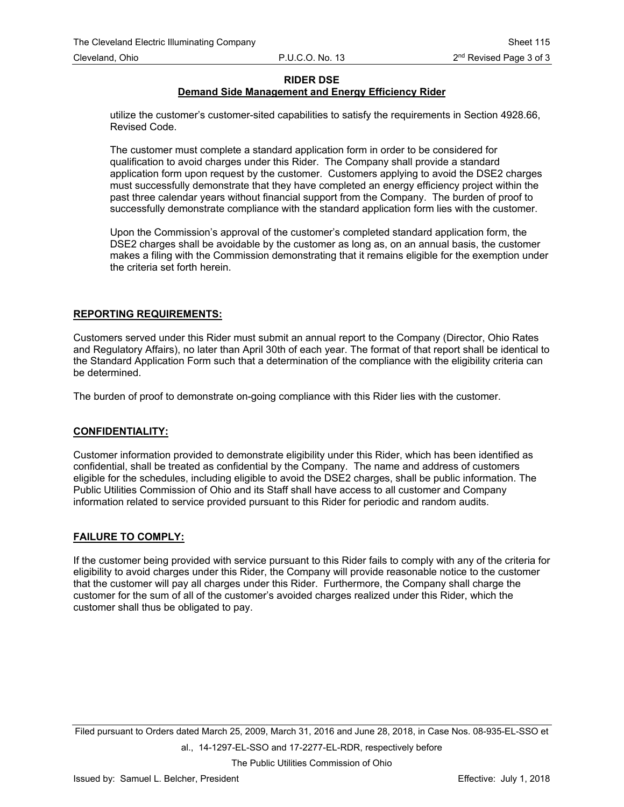## **RIDER DSE**

# **Demand Side Management and Energy Efficiency Rider**

utilize the customer's customer-sited capabilities to satisfy the requirements in Section 4928.66, Revised Code.

The customer must complete a standard application form in order to be considered for qualification to avoid charges under this Rider. The Company shall provide a standard application form upon request by the customer. Customers applying to avoid the DSE2 charges must successfully demonstrate that they have completed an energy efficiency project within the past three calendar years without financial support from the Company. The burden of proof to successfully demonstrate compliance with the standard application form lies with the customer.

Upon the Commission's approval of the customer's completed standard application form, the DSE2 charges shall be avoidable by the customer as long as, on an annual basis, the customer makes a filing with the Commission demonstrating that it remains eligible for the exemption under the criteria set forth herein.

## **REPORTING REQUIREMENTS:**

Customers served under this Rider must submit an annual report to the Company (Director, Ohio Rates and Regulatory Affairs), no later than April 30th of each year. The format of that report shall be identical to the Standard Application Form such that a determination of the compliance with the eligibility criteria can be determined.

The burden of proof to demonstrate on-going compliance with this Rider lies with the customer.

#### **CONFIDENTIALITY:**

Customer information provided to demonstrate eligibility under this Rider, which has been identified as confidential, shall be treated as confidential by the Company. The name and address of customers eligible for the schedules, including eligible to avoid the DSE2 charges, shall be public information. The Public Utilities Commission of Ohio and its Staff shall have access to all customer and Company information related to service provided pursuant to this Rider for periodic and random audits.

#### **FAILURE TO COMPLY:**

If the customer being provided with service pursuant to this Rider fails to comply with any of the criteria for eligibility to avoid charges under this Rider, the Company will provide reasonable notice to the customer that the customer will pay all charges under this Rider. Furthermore, the Company shall charge the customer for the sum of all of the customer's avoided charges realized under this Rider, which the customer shall thus be obligated to pay.

Filed pursuant to Orders dated March 25, 2009, March 31, 2016 and June 28, 2018, in Case Nos. 08-935-EL-SSO et al., 14-1297-EL-SSO and 17-2277-EL-RDR, respectively before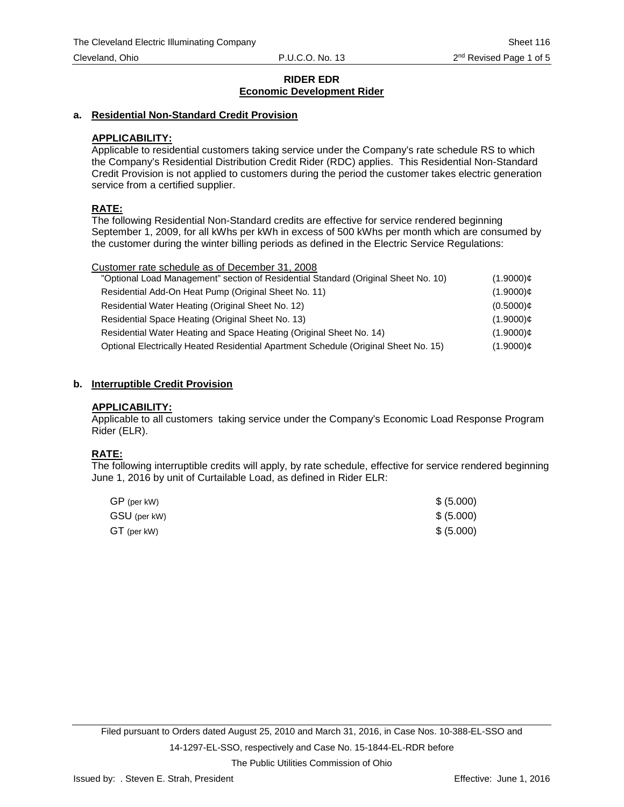## **a. Residential Non-Standard Credit Provision**

## **APPLICABILITY:**

Applicable to residential customers taking service under the Company's rate schedule RS to which the Company's Residential Distribution Credit Rider (RDC) applies. This Residential Non-Standard Credit Provision is not applied to customers during the period the customer takes electric generation service from a certified supplier.

## **RATE:**

The following Residential Non-Standard credits are effective for service rendered beginning September 1, 2009, for all kWhs per kWh in excess of 500 kWhs per month which are consumed by the customer during the winter billing periods as defined in the Electric Service Regulations:

| Customer rate schedule as of December 31, 2008                                     |              |
|------------------------------------------------------------------------------------|--------------|
| "Optional Load Management" section of Residential Standard (Original Sheet No. 10) | $(1.9000)$ ¢ |
| Residential Add-On Heat Pump (Original Sheet No. 11)                               | $(1.9000)$ ¢ |

| Residential Water Heating (Original Sheet No. 12)                                   | $(0.5000)$ ¢ |
|-------------------------------------------------------------------------------------|--------------|
| Residential Space Heating (Original Sheet No. 13)                                   | $(1.9000)$ ¢ |
| Residential Water Heating and Space Heating (Original Sheet No. 14)                 | $(1.9000)$ ¢ |
| Optional Electrically Heated Residential Apartment Schedule (Original Sheet No. 15) | $(1.9000)$ ¢ |

## **b. Interruptible Credit Provision**

#### **APPLICABILITY:**

Applicable to all customers taking service under the Company's Economic Load Response Program Rider (ELR).

## **RATE:**

The following interruptible credits will apply, by rate schedule, effective for service rendered beginning June 1, 2016 by unit of Curtailable Load, as defined in Rider ELR:

| GP (per kW)  | \$ (5.000) |
|--------------|------------|
| GSU (per kW) | \$ (5.000) |
| GT (per kW)  | \$ (5.000) |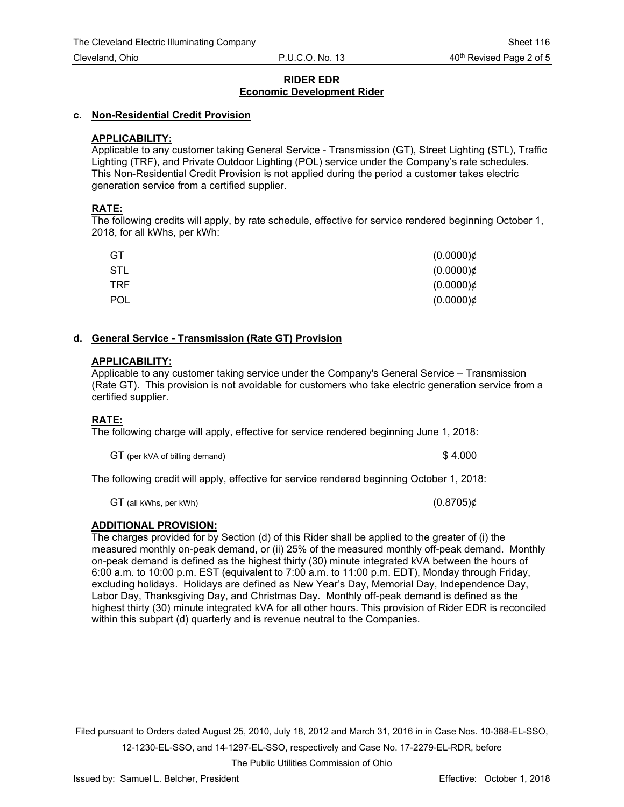#### **c. Non-Residential Credit Provision**

## **APPLICABILITY:**

Applicable to any customer taking General Service - Transmission (GT), Street Lighting (STL), Traffic Lighting (TRF), and Private Outdoor Lighting (POL) service under the Company's rate schedules. This Non-Residential Credit Provision is not applied during the period a customer takes electric generation service from a certified supplier.

## **RATE:**

The following credits will apply, by rate schedule, effective for service rendered beginning October 1, 2018, for all kWhs, per kWh:

| GT         | $(0.0000)$ ¢ |
|------------|--------------|
| STL        | $(0.0000)$ ¢ |
| TRF.       | $(0.0000)$ ¢ |
| <b>POL</b> | $(0.0000)$ ¢ |

#### **d. General Service - Transmission (Rate GT) Provision**

#### **APPLICABILITY:**

Applicable to any customer taking service under the Company's General Service – Transmission (Rate GT). This provision is not avoidable for customers who take electric generation service from a certified supplier.

## **RATE:**

The following charge will apply, effective for service rendered beginning June 1, 2018:

GT (per kVA of billing demand)  $$4.000$ 

The following credit will apply, effective for service rendered beginning October 1, 2018:

GT (all kWhs, per kWh)  $(0.8705)$ ¢

## **ADDITIONAL PROVISION:**

The charges provided for by Section (d) of this Rider shall be applied to the greater of (i) the measured monthly on-peak demand, or (ii) 25% of the measured monthly off-peak demand. Monthly on-peak demand is defined as the highest thirty (30) minute integrated kVA between the hours of 6:00 a.m. to 10:00 p.m. EST (equivalent to 7:00 a.m. to 11:00 p.m. EDT), Monday through Friday, excluding holidays. Holidays are defined as New Year's Day, Memorial Day, Independence Day, Labor Day, Thanksgiving Day, and Christmas Day. Monthly off-peak demand is defined as the highest thirty (30) minute integrated kVA for all other hours. This provision of Rider EDR is reconciled within this subpart (d) quarterly and is revenue neutral to the Companies.

Filed pursuant to Orders dated August 25, 2010, July 18, 2012 and March 31, 2016 in in Case Nos. 10-388-EL-SSO, 12-1230-EL-SSO, and 14-1297-EL-SSO, respectively and Case No. 17-2279-EL-RDR, before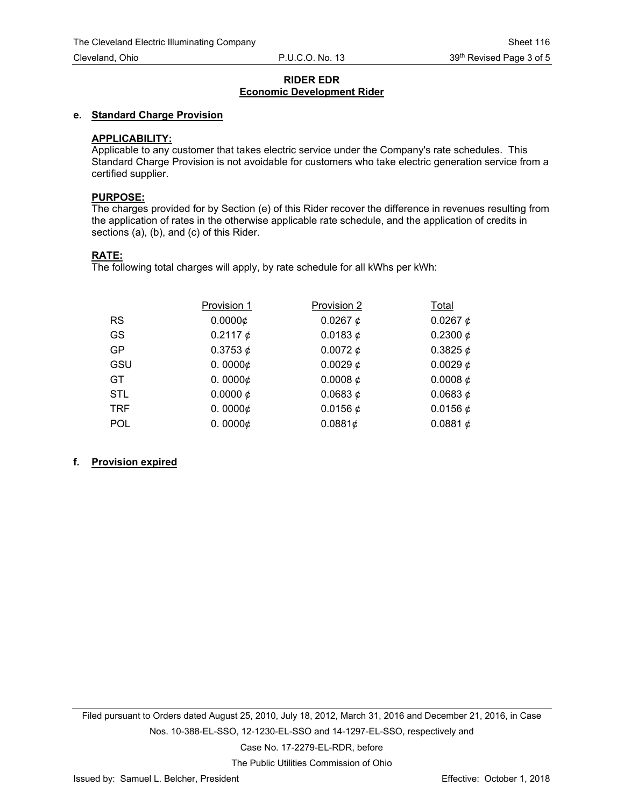#### **e. Standard Charge Provision**

## **APPLICABILITY:**

Applicable to any customer that takes electric service under the Company's rate schedules. This Standard Charge Provision is not avoidable for customers who take electric generation service from a certified supplier.

#### **PURPOSE:**

The charges provided for by Section (e) of this Rider recover the difference in revenues resulting from the application of rates in the otherwise applicable rate schedule, and the application of credits in sections (a), (b), and (c) of this Rider.

#### **RATE:**

The following total charges will apply, by rate schedule for all kWhs per kWh:

|            | Provision 1           | Provision 2   | Total         |
|------------|-----------------------|---------------|---------------|
| <b>RS</b>  | 0.0000c               | 0.0267 $\phi$ | 0.0267 $\phi$ |
| <b>GS</b>  | 0.2117 $\phi$         | 0.0183 $\phi$ | 0.2300 $\phi$ |
| <b>GP</b>  | 0.3753 $\phi$         | 0.0072 $\phi$ | 0.3825 $\phi$ |
| GSU        | 0.0000 $\phi$         | 0.0029 $\phi$ | 0.0029 $\phi$ |
| GT.        | 0.0000 $\phi$         | 0.0008 $\phi$ | 0.0008 $\phi$ |
| <b>STL</b> | 0.0000 $\phi$         | 0.0683 $\phi$ | 0.0683 $\phi$ |
| <b>TRF</b> | 0.0000 $\phi$         | 0.0156 $¢$    | 0.0156 $\phi$ |
| <b>POL</b> | 0.0000 $\not\!\!\!\!$ | 0.0881¢       | 0.0881 $¢$    |

## **f. Provision expired**

Filed pursuant to Orders dated August 25, 2010, July 18, 2012, March 31, 2016 and December 21, 2016, in Case Nos. 10-388-EL-SSO, 12-1230-EL-SSO and 14-1297-EL-SSO, respectively and Case No. 17-2279-EL-RDR, before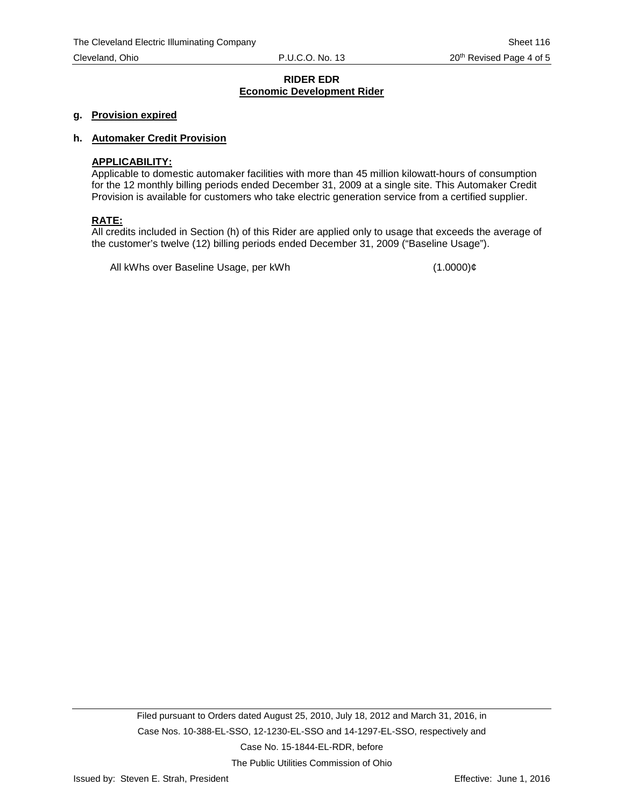#### **g. Provision expired**

#### **h. Automaker Credit Provision**

#### **APPLICABILITY:**

Applicable to domestic automaker facilities with more than 45 million kilowatt-hours of consumption for the 12 monthly billing periods ended December 31, 2009 at a single site. This Automaker Credit Provision is available for customers who take electric generation service from a certified supplier.

#### **RATE:**

All credits included in Section (h) of this Rider are applied only to usage that exceeds the average of the customer's twelve (12) billing periods ended December 31, 2009 ("Baseline Usage").

All kWhs over Baseline Usage, per kWh (1.0000)¢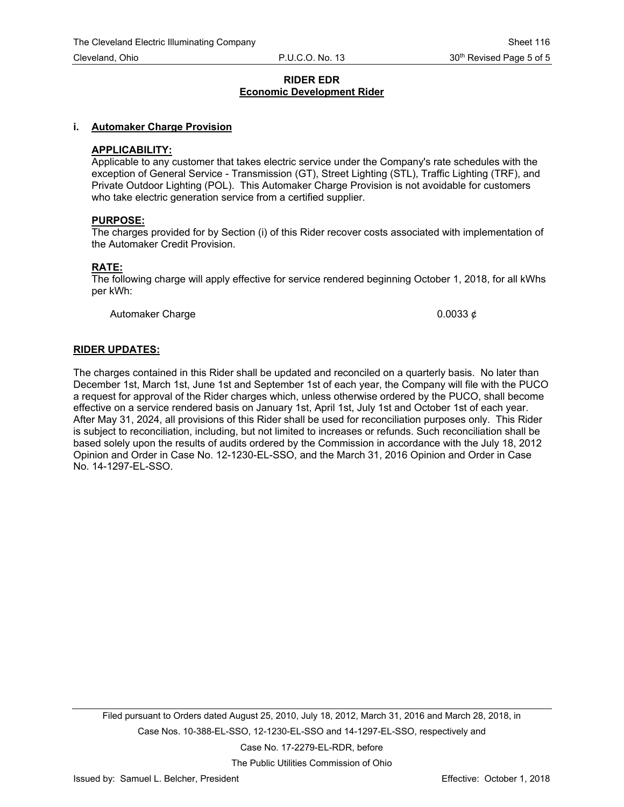#### **i. Automaker Charge Provision**

#### **APPLICABILITY:**

Applicable to any customer that takes electric service under the Company's rate schedules with the exception of General Service - Transmission (GT), Street Lighting (STL), Traffic Lighting (TRF), and Private Outdoor Lighting (POL). This Automaker Charge Provision is not avoidable for customers who take electric generation service from a certified supplier.

#### **PURPOSE:**

The charges provided for by Section (i) of this Rider recover costs associated with implementation of the Automaker Credit Provision.

#### **RATE:**

The following charge will apply effective for service rendered beginning October 1, 2018, for all kWhs per kWh:

Automaker Charge  $0.0033 \notin \{0.0033, 0.0033\}$ 

#### **RIDER UPDATES:**

The charges contained in this Rider shall be updated and reconciled on a quarterly basis. No later than December 1st, March 1st, June 1st and September 1st of each year, the Company will file with the PUCO a request for approval of the Rider charges which, unless otherwise ordered by the PUCO, shall become effective on a service rendered basis on January 1st, April 1st, July 1st and October 1st of each year. After May 31, 2024, all provisions of this Rider shall be used for reconciliation purposes only. This Rider is subject to reconciliation, including, but not limited to increases or refunds. Such reconciliation shall be based solely upon the results of audits ordered by the Commission in accordance with the July 18, 2012 Opinion and Order in Case No. 12-1230-EL-SSO, and the March 31, 2016 Opinion and Order in Case No. 14-1297-EL-SSO.

Filed pursuant to Orders dated August 25, 2010, July 18, 2012, March 31, 2016 and March 28, 2018, in Case Nos. 10-388-EL-SSO, 12-1230-EL-SSO and 14-1297-EL-SSO, respectively and Case No. 17-2279-EL-RDR, before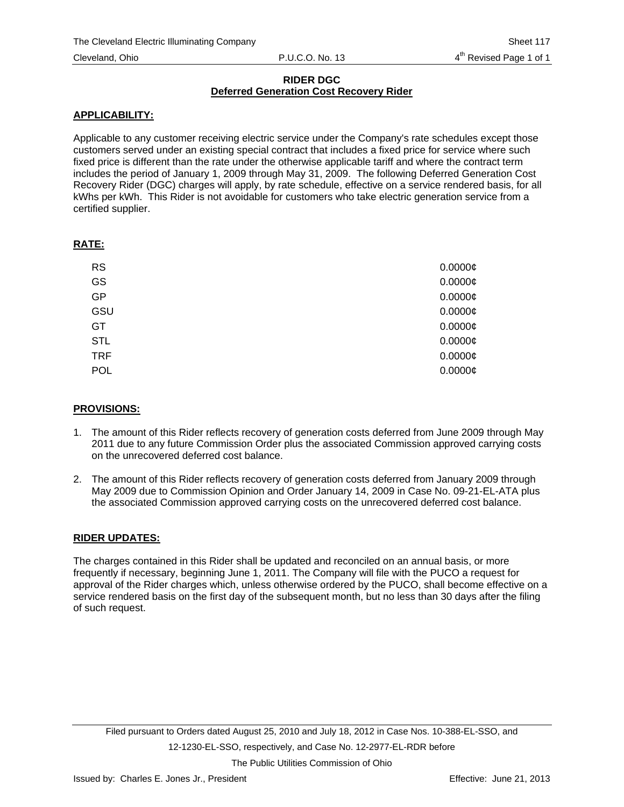## **RIDER DGC Deferred Generation Cost Recovery Rider**

## **APPLICABILITY:**

Applicable to any customer receiving electric service under the Company's rate schedules except those customers served under an existing special contract that includes a fixed price for service where such fixed price is different than the rate under the otherwise applicable tariff and where the contract term includes the period of January 1, 2009 through May 31, 2009. The following Deferred Generation Cost Recovery Rider (DGC) charges will apply, by rate schedule, effective on a service rendered basis, for all kWhs per kWh. This Rider is not avoidable for customers who take electric generation service from a certified supplier.

## **RATE:**

| <b>RS</b>  | $0.0000$ ¢ |
|------------|------------|
| GS         | $0.0000$ ¢ |
| GP         | $0.0000$ ¢ |
| GSU        | $0.0000$ ¢ |
| GT         | $0.0000$ ¢ |
| <b>STL</b> | $0.0000$ ¢ |
| <b>TRF</b> | $0.0000$ ¢ |
| POL        | $0.0000$ ¢ |
|            |            |

## **PROVISIONS:**

- 1. The amount of this Rider reflects recovery of generation costs deferred from June 2009 through May 2011 due to any future Commission Order plus the associated Commission approved carrying costs on the unrecovered deferred cost balance.
- 2. The amount of this Rider reflects recovery of generation costs deferred from January 2009 through May 2009 due to Commission Opinion and Order January 14, 2009 in Case No. 09-21-EL-ATA plus the associated Commission approved carrying costs on the unrecovered deferred cost balance.

## **RIDER UPDATES:**

The charges contained in this Rider shall be updated and reconciled on an annual basis, or more frequently if necessary, beginning June 1, 2011. The Company will file with the PUCO a request for approval of the Rider charges which, unless otherwise ordered by the PUCO, shall become effective on a service rendered basis on the first day of the subsequent month, but no less than 30 days after the filing of such request.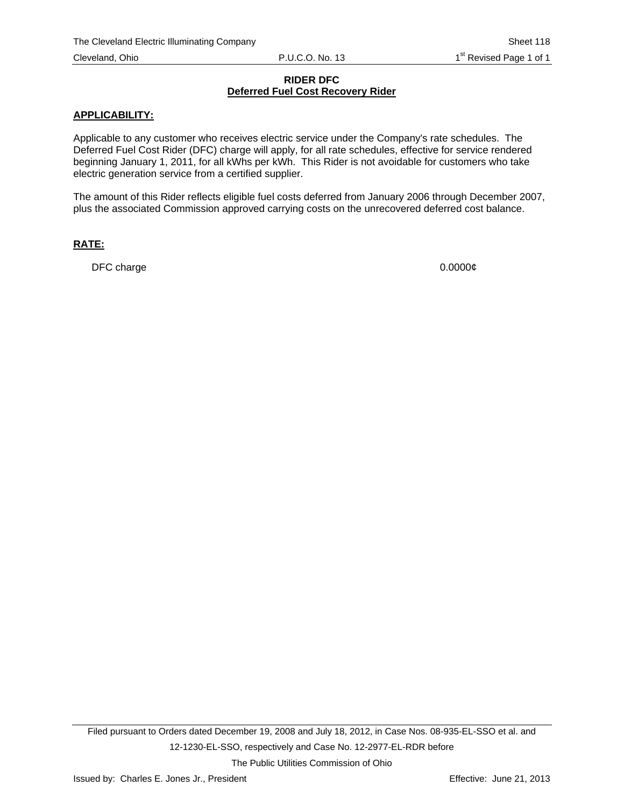#### **RIDER DFC Deferred Fuel Cost Recovery Rider**

#### **APPLICABILITY:**

Applicable to any customer who receives electric service under the Company's rate schedules. The Deferred Fuel Cost Rider (DFC) charge will apply, for all rate schedules, effective for service rendered beginning January 1, 2011, for all kWhs per kWh. This Rider is not avoidable for customers who take electric generation service from a certified supplier.

The amount of this Rider reflects eligible fuel costs deferred from January 2006 through December 2007, plus the associated Commission approved carrying costs on the unrecovered deferred cost balance.

## **RATE:**

DFC charge  $0.00000\ell$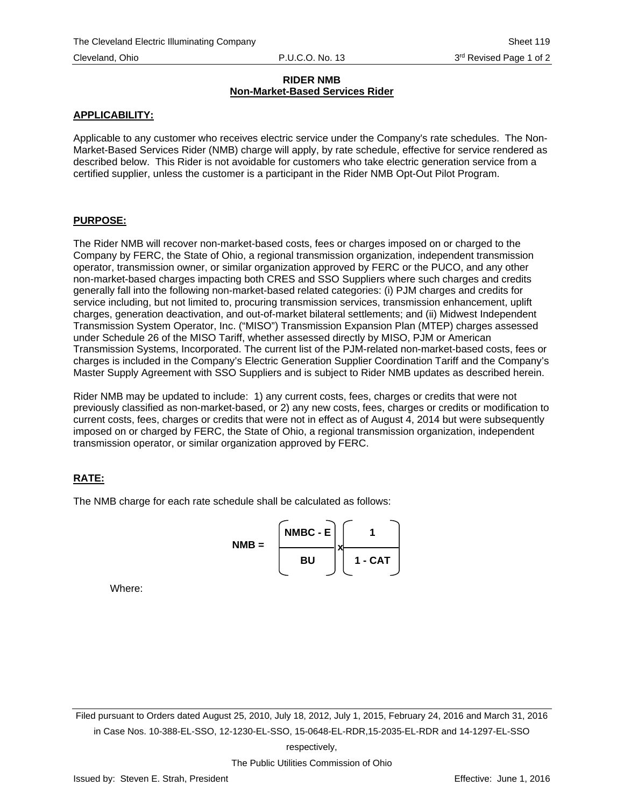## **RIDER NMB Non-Market-Based Services Rider**

## **APPLICABILITY:**

Applicable to any customer who receives electric service under the Company's rate schedules. The Non-Market-Based Services Rider (NMB) charge will apply, by rate schedule, effective for service rendered as described below. This Rider is not avoidable for customers who take electric generation service from a certified supplier, unless the customer is a participant in the Rider NMB Opt-Out Pilot Program.

## **PURPOSE:**

The Rider NMB will recover non-market-based costs, fees or charges imposed on or charged to the Company by FERC, the State of Ohio, a regional transmission organization, independent transmission operator, transmission owner, or similar organization approved by FERC or the PUCO, and any other non-market-based charges impacting both CRES and SSO Suppliers where such charges and credits generally fall into the following non-market-based related categories: (i) PJM charges and credits for service including, but not limited to, procuring transmission services, transmission enhancement, uplift charges, generation deactivation, and out-of-market bilateral settlements; and (ii) Midwest Independent Transmission System Operator, Inc. ("MISO") Transmission Expansion Plan (MTEP) charges assessed under Schedule 26 of the MISO Tariff, whether assessed directly by MISO, PJM or American Transmission Systems, Incorporated. The current list of the PJM-related non-market-based costs, fees or charges is included in the Company's Electric Generation Supplier Coordination Tariff and the Company's Master Supply Agreement with SSO Suppliers and is subject to Rider NMB updates as described herein.

Rider NMB may be updated to include: 1) any current costs, fees, charges or credits that were not previously classified as non-market-based, or 2) any new costs, fees, charges or credits or modification to current costs, fees, charges or credits that were not in effect as of August 4, 2014 but were subsequently imposed on or charged by FERC, the State of Ohio, a regional transmission organization, independent transmission operator, or similar organization approved by FERC.

# **RATE:**

The NMB charge for each rate schedule shall be calculated as follows:



Where:

Filed pursuant to Orders dated August 25, 2010, July 18, 2012, July 1, 2015, February 24, 2016 and March 31, 2016 in Case Nos. 10-388-EL-SSO, 12-1230-EL-SSO, 15-0648-EL-RDR,15-2035-EL-RDR and 14-1297-EL-SSO

respectively,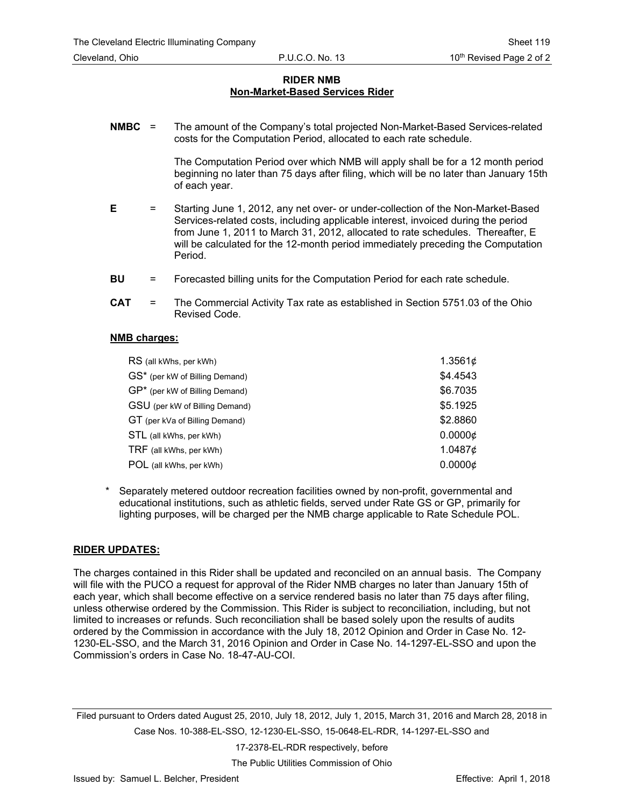## **RIDER NMB Non-Market-Based Services Rider**

**NMBC** = The amount of the Company's total projected Non-Market-Based Services-related costs for the Computation Period, allocated to each rate schedule.

> The Computation Period over which NMB will apply shall be for a 12 month period beginning no later than 75 days after filing, which will be no later than January 15th of each year.

- **E** = Starting June 1, 2012, any net over- or under-collection of the Non-Market-Based Services-related costs, including applicable interest, invoiced during the period from June 1, 2011 to March 31, 2012, allocated to rate schedules. Thereafter, E will be calculated for the 12-month period immediately preceding the Computation Period.
- **BU** = Forecasted billing units for the Computation Period for each rate schedule.
- **CAT** = The Commercial Activity Tax rate as established in Section 5751.03 of the Ohio Revised Code.

#### **NMB charges:**

| RS (all kWhs, per kWh)         | 1.3561¢         |
|--------------------------------|-----------------|
| GS* (per kW of Billing Demand) | \$4.4543        |
| GP* (per kW of Billing Demand) | \$6.7035        |
| GSU (per kW of Billing Demand) | \$5.1925        |
| GT (per kVa of Billing Demand) | \$2.8860        |
| STL (all kWhs, per kWh)        | $0.0000 \notin$ |
| TRF (all kWhs, per kWh)        | 1.0487¢         |
| POL (all kWhs, per kWh)        | $0.0000 \notin$ |

Separately metered outdoor recreation facilities owned by non-profit, governmental and educational institutions, such as athletic fields, served under Rate GS or GP, primarily for lighting purposes, will be charged per the NMB charge applicable to Rate Schedule POL.

#### **RIDER UPDATES:**

The charges contained in this Rider shall be updated and reconciled on an annual basis. The Company will file with the PUCO a request for approval of the Rider NMB charges no later than January 15th of each year, which shall become effective on a service rendered basis no later than 75 days after filing, unless otherwise ordered by the Commission. This Rider is subject to reconciliation, including, but not limited to increases or refunds. Such reconciliation shall be based solely upon the results of audits ordered by the Commission in accordance with the July 18, 2012 Opinion and Order in Case No. 12- 1230-EL-SSO, and the March 31, 2016 Opinion and Order in Case No. 14-1297-EL-SSO and upon the Commission's orders in Case No. 18-47-AU-COI.

Filed pursuant to Orders dated August 25, 2010, July 18, 2012, July 1, 2015, March 31, 2016 and March 28, 2018 in Case Nos. 10-388-EL-SSO, 12-1230-EL-SSO, 15-0648-EL-RDR, 14-1297-EL-SSO and

17-2378-EL-RDR respectively, before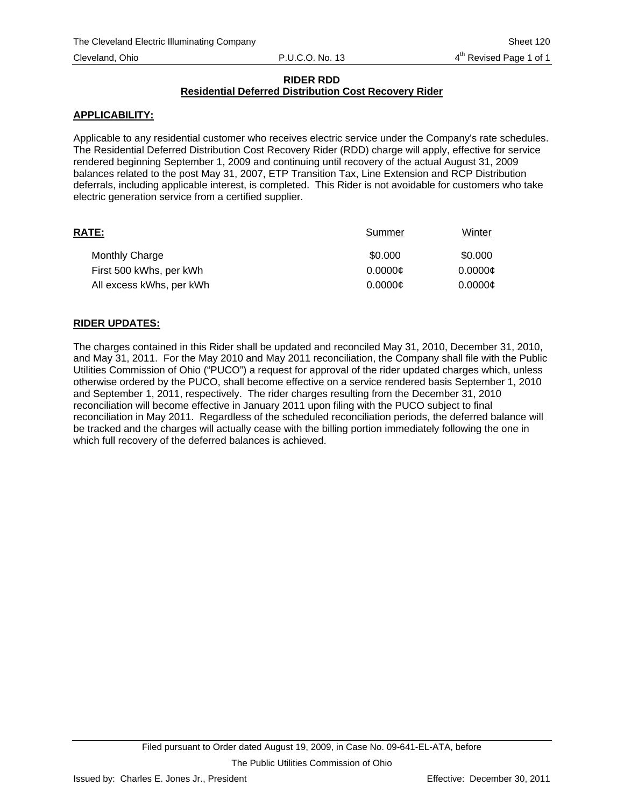## **RIDER RDD Residential Deferred Distribution Cost Recovery Rider**

## **APPLICABILITY:**

Applicable to any residential customer who receives electric service under the Company's rate schedules. The Residential Deferred Distribution Cost Recovery Rider (RDD) charge will apply, effective for service rendered beginning September 1, 2009 and continuing until recovery of the actual August 31, 2009 balances related to the post May 31, 2007, ETP Transition Tax, Line Extension and RCP Distribution deferrals, including applicable interest, is completed. This Rider is not avoidable for customers who take electric generation service from a certified supplier.

| RATE:                    | Summer  | Winter  |
|--------------------------|---------|---------|
| <b>Monthly Charge</b>    | \$0.000 | \$0.000 |
| First 500 kWhs, per kWh  | 0.0000c | 0.0000c |
| All excess kWhs, per kWh | 0.0000c | 0.0000c |

## **RIDER UPDATES:**

The charges contained in this Rider shall be updated and reconciled May 31, 2010, December 31, 2010, and May 31, 2011. For the May 2010 and May 2011 reconciliation, the Company shall file with the Public Utilities Commission of Ohio ("PUCO") a request for approval of the rider updated charges which, unless otherwise ordered by the PUCO, shall become effective on a service rendered basis September 1, 2010 and September 1, 2011, respectively. The rider charges resulting from the December 31, 2010 reconciliation will become effective in January 2011 upon filing with the PUCO subject to final reconciliation in May 2011. Regardless of the scheduled reconciliation periods, the deferred balance will be tracked and the charges will actually cease with the billing portion immediately following the one in which full recovery of the deferred balances is achieved.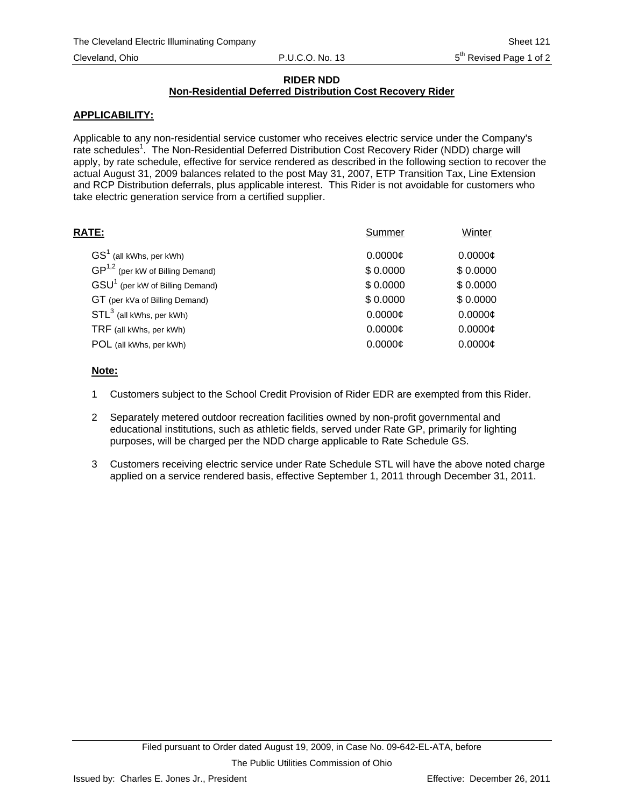## **RIDER NDD**

## **Non-Residential Deferred Distribution Cost Recovery Rider**

## **APPLICABILITY:**

Applicable to any non-residential service customer who receives electric service under the Company's rate schedules<sup>1</sup>. The Non-Residential Deferred Distribution Cost Recovery Rider (NDD) charge will apply, by rate schedule, effective for service rendered as described in the following section to recover the actual August 31, 2009 balances related to the post May 31, 2007, ETP Transition Tax, Line Extension and RCP Distribution deferrals, plus applicable interest. This Rider is not avoidable for customers who take electric generation service from a certified supplier.

| RATE:                                       | Summer   | Winter   |
|---------------------------------------------|----------|----------|
| $GS1$ (all kWhs, per kWh)                   | 0.0000c  | 0.0000c  |
| $GP^{1,2}$ (per kW of Billing Demand)       | \$0.0000 | \$0.0000 |
| GSU <sup>1</sup> (per kW of Billing Demand) | \$0.0000 | \$0.0000 |
| GT (per kVa of Billing Demand)              | \$0.0000 | \$0.0000 |
| $STL3$ (all kWhs, per kWh)                  | 0.0000c  | 0.0000c  |
| TRF (all kWhs, per kWh)                     | 0.0000C  | 0.0000c  |
| POL (all kWhs, per kWh)                     | 0.0000c  | 0.0000c  |
|                                             |          |          |

## **Note:**

- 1 Customers subject to the School Credit Provision of Rider EDR are exempted from this Rider.
- 2 Separately metered outdoor recreation facilities owned by non-profit governmental and educational institutions, such as athletic fields, served under Rate GP, primarily for lighting purposes, will be charged per the NDD charge applicable to Rate Schedule GS.
- 3 Customers receiving electric service under Rate Schedule STL will have the above noted charge applied on a service rendered basis, effective September 1, 2011 through December 31, 2011.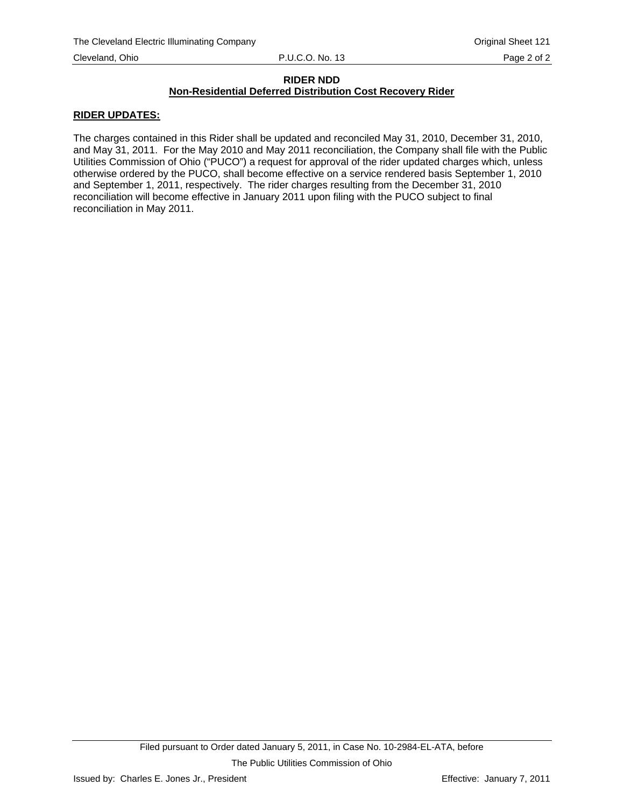#### **RIDER NDD Non-Residential Deferred Distribution Cost Recovery Rider**

#### **RIDER UPDATES:**

The charges contained in this Rider shall be updated and reconciled May 31, 2010, December 31, 2010, and May 31, 2011. For the May 2010 and May 2011 reconciliation, the Company shall file with the Public Utilities Commission of Ohio ("PUCO") a request for approval of the rider updated charges which, unless otherwise ordered by the PUCO, shall become effective on a service rendered basis September 1, 2010 and September 1, 2011, respectively. The rider charges resulting from the December 31, 2010 reconciliation will become effective in January 2011 upon filing with the PUCO subject to final reconciliation in May 2011.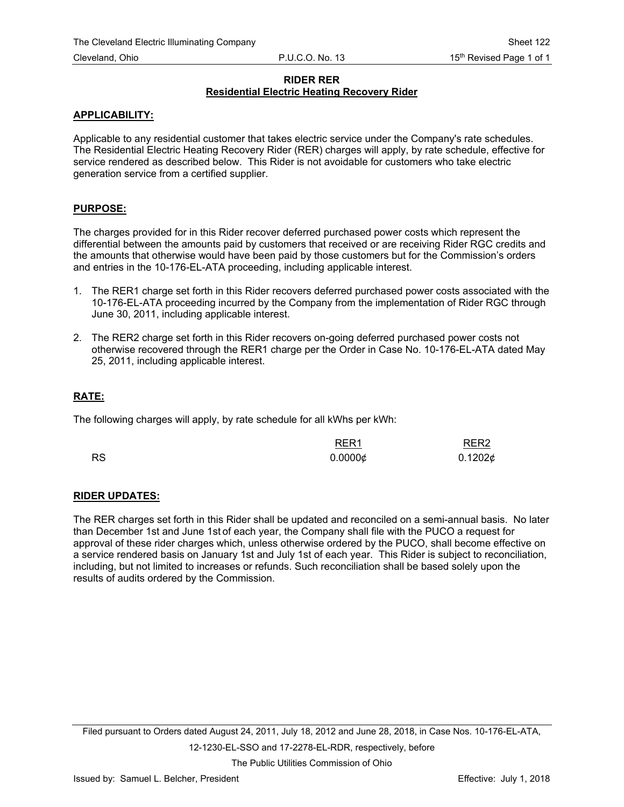## **RIDER RER Residential Electric Heating Recovery Rider**

## **APPLICABILITY:**

Applicable to any residential customer that takes electric service under the Company's rate schedules. The Residential Electric Heating Recovery Rider (RER) charges will apply, by rate schedule, effective for service rendered as described below. This Rider is not avoidable for customers who take electric generation service from a certified supplier.

## **PURPOSE:**

The charges provided for in this Rider recover deferred purchased power costs which represent the differential between the amounts paid by customers that received or are receiving Rider RGC credits and the amounts that otherwise would have been paid by those customers but for the Commission's orders and entries in the 10-176-EL-ATA proceeding, including applicable interest.

- 1. The RER1 charge set forth in this Rider recovers deferred purchased power costs associated with the 10-176-EL-ATA proceeding incurred by the Company from the implementation of Rider RGC through June 30, 2011, including applicable interest.
- 2. The RER2 charge set forth in this Rider recovers on-going deferred purchased power costs not otherwise recovered through the RER1 charge per the Order in Case No. 10-176-EL-ATA dated May 25, 2011, including applicable interest.

## **RATE:**

The following charges will apply, by rate schedule for all kWhs per kWh:

|           | RER <sub>1</sub> | RER2    |
|-----------|------------------|---------|
| <b>RS</b> | $0.0000 \notin$  | 0.12026 |

## **RIDER UPDATES:**

The RER charges set forth in this Rider shall be updated and reconciled on a semi-annual basis. No later than December 1st and June 1st of each year, the Company shall file with the PUCO a request for approval of these rider charges which, unless otherwise ordered by the PUCO, shall become effective on a service rendered basis on January 1st and July 1st of each year. This Rider is subject to reconciliation, including, but not limited to increases or refunds. Such reconciliation shall be based solely upon the results of audits ordered by the Commission.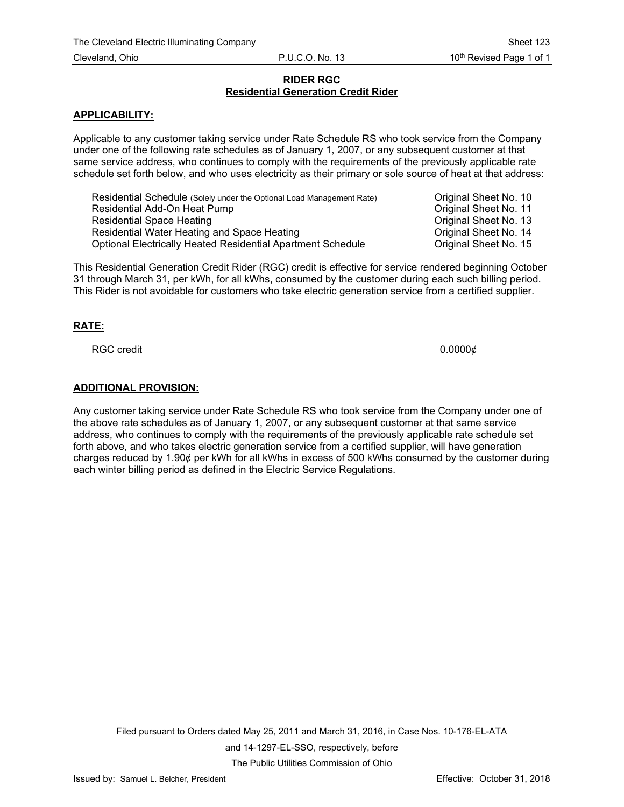## **RIDER RGC Residential Generation Credit Rider**

#### **APPLICABILITY:**

Applicable to any customer taking service under Rate Schedule RS who took service from the Company under one of the following rate schedules as of January 1, 2007, or any subsequent customer at that same service address, who continues to comply with the requirements of the previously applicable rate schedule set forth below, and who uses electricity as their primary or sole source of heat at that address:

Residential Schedule (Solely under the Optional Load Management Rate) Criginal Sheet No. 10 Residential Add-On Heat Pump **Construction Construction Construction** Original Sheet No. 11 Residential Space Heating **Contract Contract Contract Contract Contract Contract Contract Contract Contract Original Sheet No. 13** Residential Water Heating and Space Heating **Communist Communist Communist Communist Communist Communist Communist Communist Communist Communist Communist Communist Communist Communist Communist Communist Communist Communi** Optional Electrically Heated Residential Apartment Schedule Original Sheet No. 15

This Residential Generation Credit Rider (RGC) credit is effective for service rendered beginning October 31 through March 31, per kWh, for all kWhs, consumed by the customer during each such billing period. This Rider is not avoidable for customers who take electric generation service from a certified supplier.

## **RATE:**

RGC credit 0.0000¢

#### **ADDITIONAL PROVISION:**

Any customer taking service under Rate Schedule RS who took service from the Company under one of the above rate schedules as of January 1, 2007, or any subsequent customer at that same service address, who continues to comply with the requirements of the previously applicable rate schedule set forth above, and who takes electric generation service from a certified supplier, will have generation charges reduced by 1.90¢ per kWh for all kWhs in excess of 500 kWhs consumed by the customer during each winter billing period as defined in the Electric Service Regulations.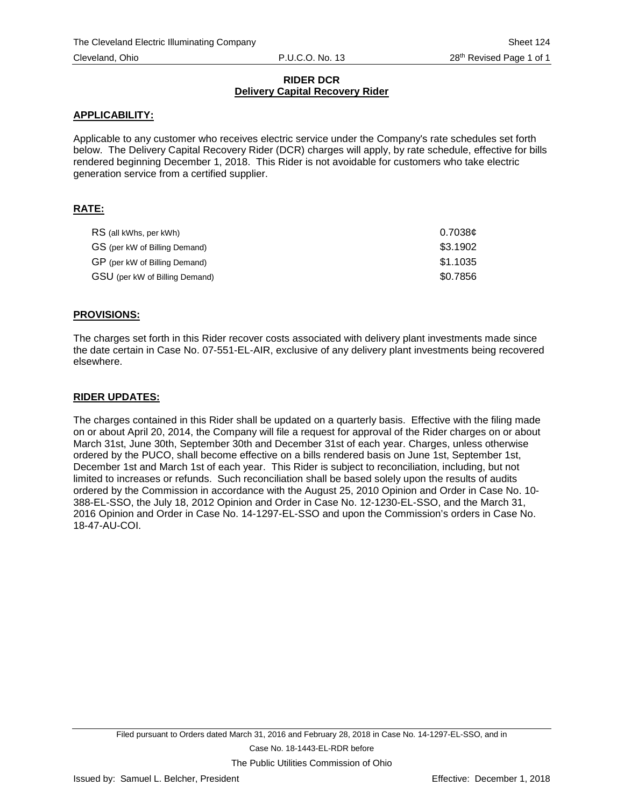### **RIDER DCR Delivery Capital Recovery Rider**

## **APPLICABILITY:**

Applicable to any customer who receives electric service under the Company's rate schedules set forth below. The Delivery Capital Recovery Rider (DCR) charges will apply, by rate schedule, effective for bills rendered beginning December 1, 2018. This Rider is not avoidable for customers who take electric generation service from a certified supplier.

## **RATE:**

| RS (all kWhs, per kWh)         | 0.7038¢  |
|--------------------------------|----------|
| GS (per kW of Billing Demand)  | \$3.1902 |
| GP (per kW of Billing Demand)  | \$1.1035 |
| GSU (per kW of Billing Demand) | \$0.7856 |

## **PROVISIONS:**

The charges set forth in this Rider recover costs associated with delivery plant investments made since the date certain in Case No. 07-551-EL-AIR, exclusive of any delivery plant investments being recovered elsewhere.

## **RIDER UPDATES:**

The charges contained in this Rider shall be updated on a quarterly basis. Effective with the filing made on or about April 20, 2014, the Company will file a request for approval of the Rider charges on or about March 31st, June 30th, September 30th and December 31st of each year. Charges, unless otherwise ordered by the PUCO, shall become effective on a bills rendered basis on June 1st, September 1st, December 1st and March 1st of each year. This Rider is subject to reconciliation, including, but not limited to increases or refunds. Such reconciliation shall be based solely upon the results of audits ordered by the Commission in accordance with the August 25, 2010 Opinion and Order in Case No. 10- 388-EL-SSO, the July 18, 2012 Opinion and Order in Case No. 12-1230-EL-SSO, and the March 31, 2016 Opinion and Order in Case No. 14-1297-EL-SSO and upon the Commission's orders in Case No. 18-47-AU-COI.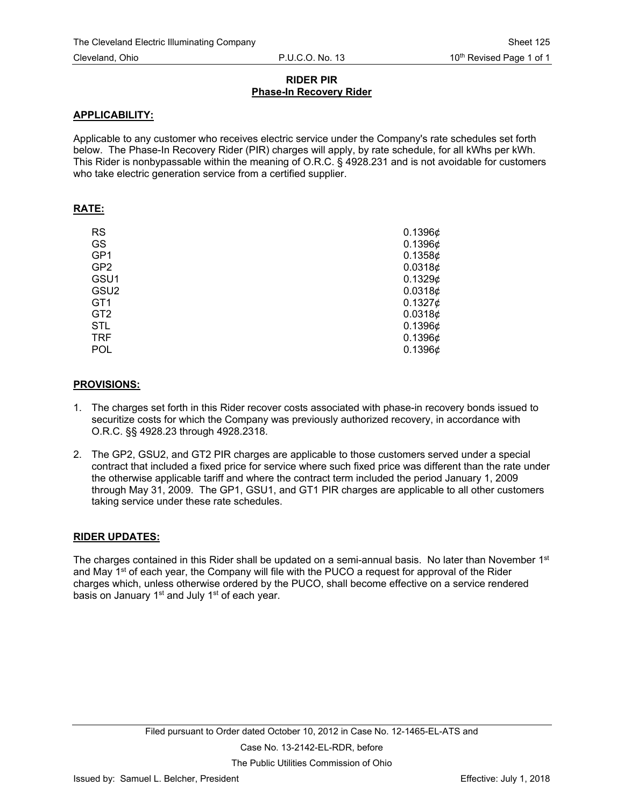## **RIDER PIR Phase-In Recovery Rider**

#### **APPLICABILITY:**

Applicable to any customer who receives electric service under the Company's rate schedules set forth below. The Phase-In Recovery Rider (PIR) charges will apply, by rate schedule, for all kWhs per kWh. This Rider is nonbypassable within the meaning of O.R.C. § 4928.231 and is not avoidable for customers who take electric generation service from a certified supplier.

#### **RATE:**

| <b>RS</b>        | $0.1396\phi$        |
|------------------|---------------------|
| GS               | 0.1396 $\phi$       |
| GP1              | 0.13586             |
| GP <sub>2</sub>  | 0.0318¢             |
| GSU1             | 0.13296             |
| GSU <sub>2</sub> | 0.0318¢             |
| GT <sub>1</sub>  | $0.1327$ ¢          |
| GT <sub>2</sub>  | 0.0318¢             |
| <b>STL</b>       | 0.1396¢             |
| <b>TRF</b>       | 0.1396 $\phi$       |
| <b>POL</b>       | 0.1396 <sub>¢</sub> |

#### **PROVISIONS:**

- 1. The charges set forth in this Rider recover costs associated with phase-in recovery bonds issued to securitize costs for which the Company was previously authorized recovery, in accordance with O.R.C. §§ 4928.23 through 4928.2318.
- 2. The GP2, GSU2, and GT2 PIR charges are applicable to those customers served under a special contract that included a fixed price for service where such fixed price was different than the rate under the otherwise applicable tariff and where the contract term included the period January 1, 2009 through May 31, 2009. The GP1, GSU1, and GT1 PIR charges are applicable to all other customers taking service under these rate schedules.

#### **RIDER UPDATES:**

The charges contained in this Rider shall be updated on a semi-annual basis. No later than November 1<sup>st</sup> and May 1<sup>st</sup> of each year, the Company will file with the PUCO a request for approval of the Rider charges which, unless otherwise ordered by the PUCO, shall become effective on a service rendered basis on January  $1<sup>st</sup>$  and July  $1<sup>st</sup>$  of each year.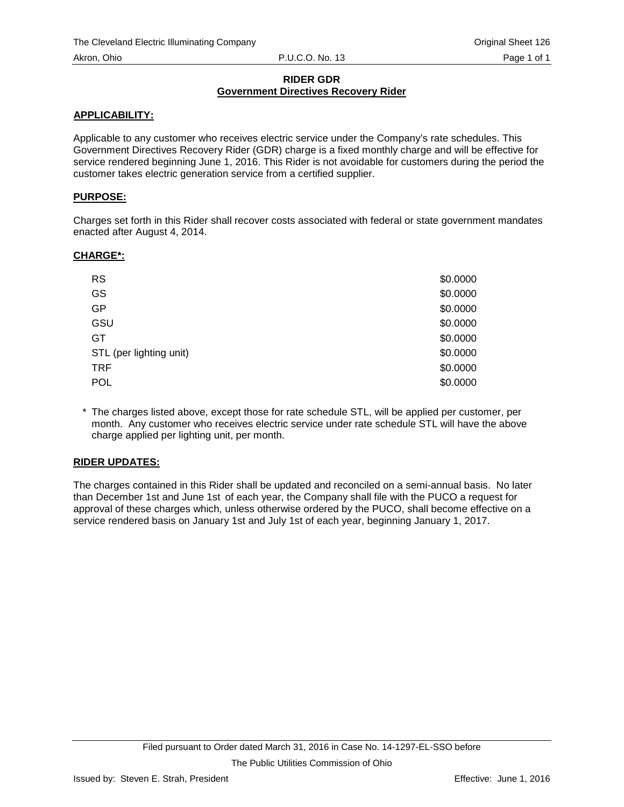## **RIDER GDR Government Directives Recovery Rider**

# **APPLICABILITY:**

Applicable to any customer who receives electric service under the Company's rate schedules. This Government Directives Recovery Rider (GDR) charge is a fixed monthly charge and will be effective for service rendered beginning June 1, 2016. This Rider is not avoidable for customers during the period the customer takes electric generation service from a certified supplier.

## **PURPOSE:**

Charges set forth in this Rider shall recover costs associated with federal or state government mandates enacted after August 4, 2014.

## **CHARGE\*:**

| <b>RS</b>               | \$0.0000 |
|-------------------------|----------|
| GS                      | \$0.0000 |
| GP                      | \$0.0000 |
| GSU                     | \$0.0000 |
| GT                      | \$0.0000 |
| STL (per lighting unit) | \$0.0000 |
| <b>TRF</b>              | \$0.0000 |
| <b>POL</b>              | \$0.0000 |

\* The charges listed above, except those for rate schedule STL, will be applied per customer, per month. Any customer who receives electric service under rate schedule STL will have the above charge applied per lighting unit, per month.

## **RIDER UPDATES:**

The charges contained in this Rider shall be updated and reconciled on a semi-annual basis. No later than December 1st and June 1st of each year, the Company shall file with the PUCO a request for approval of these charges which, unless otherwise ordered by the PUCO, shall become effective on a service rendered basis on January 1st and July 1st of each year, beginning January 1, 2017.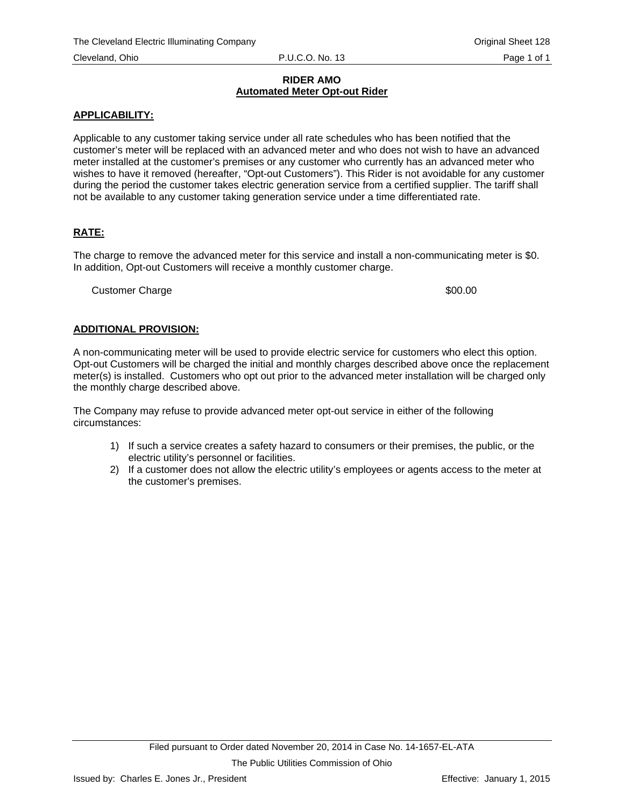#### **RIDER AMO Automated Meter Opt-out Rider**

## **APPLICABILITY:**

Applicable to any customer taking service under all rate schedules who has been notified that the customer's meter will be replaced with an advanced meter and who does not wish to have an advanced meter installed at the customer's premises or any customer who currently has an advanced meter who wishes to have it removed (hereafter, "Opt-out Customers"). This Rider is not avoidable for any customer during the period the customer takes electric generation service from a certified supplier. The tariff shall not be available to any customer taking generation service under a time differentiated rate.

# **RATE:**

The charge to remove the advanced meter for this service and install a non-communicating meter is \$0. In addition, Opt-out Customers will receive a monthly customer charge.

Customer Charge  $\sim$  800.00

## **ADDITIONAL PROVISION:**

A non-communicating meter will be used to provide electric service for customers who elect this option. Opt-out Customers will be charged the initial and monthly charges described above once the replacement meter(s) is installed. Customers who opt out prior to the advanced meter installation will be charged only the monthly charge described above.

The Company may refuse to provide advanced meter opt-out service in either of the following circumstances:

- 1) If such a service creates a safety hazard to consumers or their premises, the public, or the electric utility's personnel or facilities.
- 2) If a customer does not allow the electric utility's employees or agents access to the meter at the customer's premises.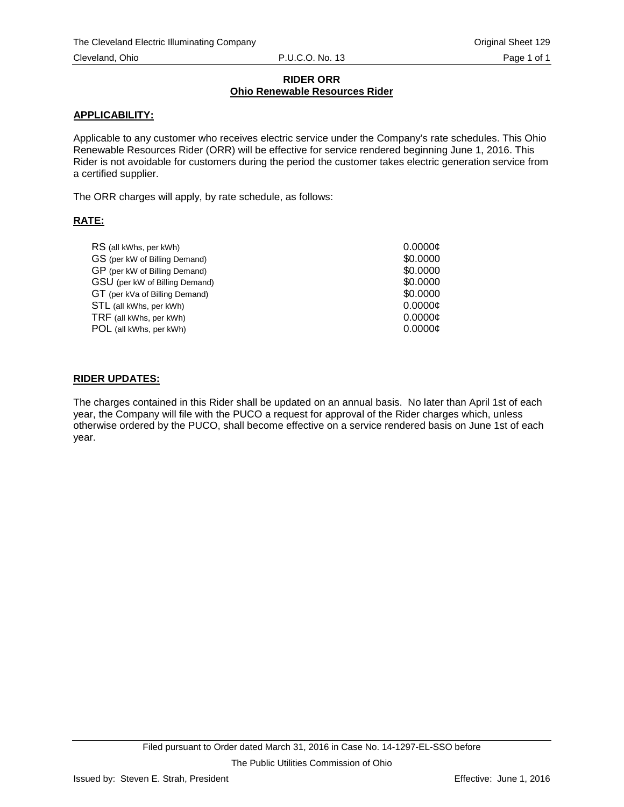#### **RIDER ORR Ohio Renewable Resources Rider**

## **APPLICABILITY:**

Applicable to any customer who receives electric service under the Company's rate schedules. This Ohio Renewable Resources Rider (ORR) will be effective for service rendered beginning June 1, 2016. This Rider is not avoidable for customers during the period the customer takes electric generation service from a certified supplier.

The ORR charges will apply, by rate schedule, as follows:

# **RATE:**

| RS (all kWhs, per kWh)         | 0.0000c  |
|--------------------------------|----------|
| GS (per kW of Billing Demand)  | \$0,0000 |
| GP (per kW of Billing Demand)  | \$0,0000 |
| GSU (per kW of Billing Demand) | \$0,0000 |
| GT (per kVa of Billing Demand) | \$0,0000 |
| STL (all kWhs, per kWh)        | 0.0000c  |
| TRF (all kWhs, per kWh)        | 0.0000c  |
| POL (all kWhs, per kWh)        | 0.0000c  |
|                                |          |

## **RIDER UPDATES:**

The charges contained in this Rider shall be updated on an annual basis. No later than April 1st of each year, the Company will file with the PUCO a request for approval of the Rider charges which, unless otherwise ordered by the PUCO, shall become effective on a service rendered basis on June 1st of each year.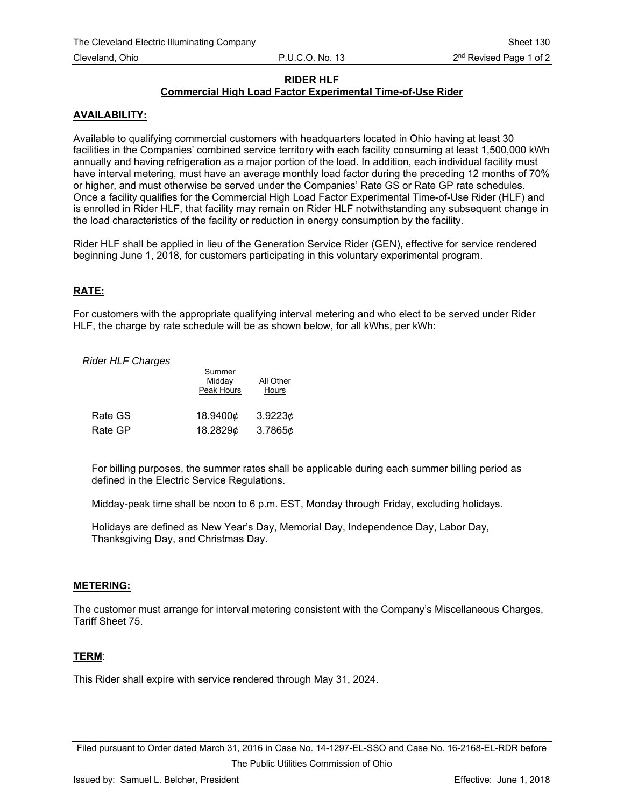### **RIDER HLF**

# **Commercial High Load Factor Experimental Time-of-Use Rider**

## **AVAILABILITY:**

Available to qualifying commercial customers with headquarters located in Ohio having at least 30 facilities in the Companies' combined service territory with each facility consuming at least 1,500,000 kWh annually and having refrigeration as a major portion of the load. In addition, each individual facility must have interval metering, must have an average monthly load factor during the preceding 12 months of 70% or higher, and must otherwise be served under the Companies' Rate GS or Rate GP rate schedules. Once a facility qualifies for the Commercial High Load Factor Experimental Time-of-Use Rider (HLF) and is enrolled in Rider HLF, that facility may remain on Rider HLF notwithstanding any subsequent change in the load characteristics of the facility or reduction in energy consumption by the facility.

Rider HLF shall be applied in lieu of the Generation Service Rider (GEN), effective for service rendered beginning June 1, 2018, for customers participating in this voluntary experimental program.

## **RATE:**

For customers with the appropriate qualifying interval metering and who elect to be served under Rider HLF, the charge by rate schedule will be as shown below, for all kWhs, per kWh:

#### **Rider HLF Charges**

|         | Summer<br>Midday<br>Peak Hours | All Other<br>Hours |
|---------|--------------------------------|--------------------|
| Rate GS | 18.9400¢                       | 3.9223c            |
| Rate GP | 18.2829¢                       | 3.7865¢            |

For billing purposes, the summer rates shall be applicable during each summer billing period as defined in the Electric Service Regulations.

Midday-peak time shall be noon to 6 p.m. EST, Monday through Friday, excluding holidays.

Holidays are defined as New Year's Day, Memorial Day, Independence Day, Labor Day, Thanksgiving Day, and Christmas Day.

#### **METERING:**

The customer must arrange for interval metering consistent with the Company's Miscellaneous Charges, Tariff Sheet 75.

#### **TERM**:

This Rider shall expire with service rendered through May 31, 2024.

Filed pursuant to Order dated March 31, 2016 in Case No. 14-1297-EL-SSO and Case No. 16-2168-EL-RDR before The Public Utilities Commission of Ohio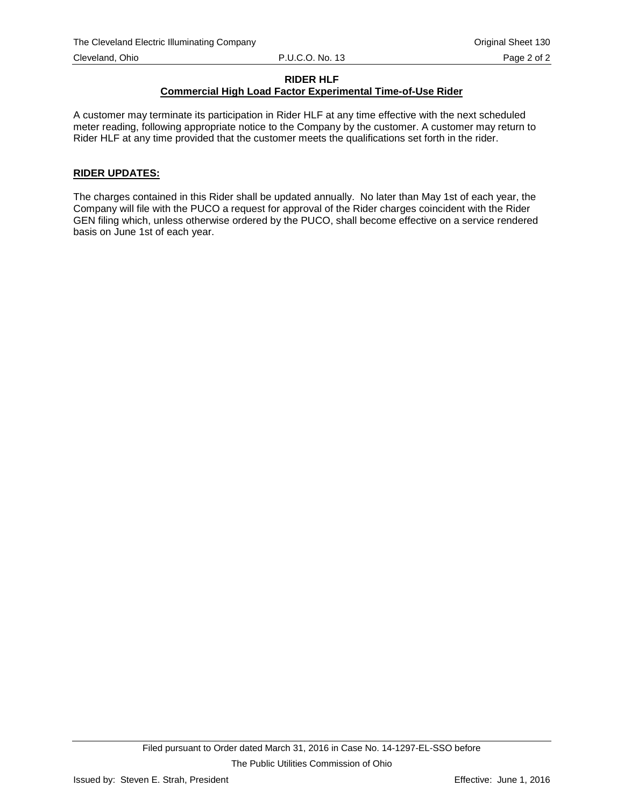## **RIDER HLF**

# **Commercial High Load Factor Experimental Time-of-Use Rider**

A customer may terminate its participation in Rider HLF at any time effective with the next scheduled meter reading, following appropriate notice to the Company by the customer. A customer may return to Rider HLF at any time provided that the customer meets the qualifications set forth in the rider.

## **RIDER UPDATES:**

The charges contained in this Rider shall be updated annually. No later than May 1st of each year, the Company will file with the PUCO a request for approval of the Rider charges coincident with the Rider GEN filing which, unless otherwise ordered by the PUCO, shall become effective on a service rendered basis on June 1st of each year.